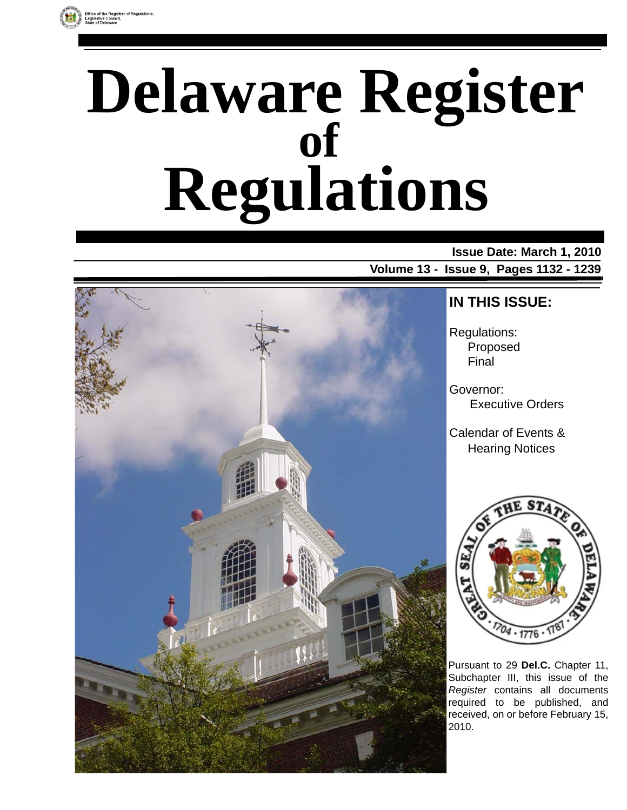# **Delaware Register Regulations of**

# **Issue Date: March 1, 2010 Volume 13 - Issue 9, Pages 1132 - 1239**



# **IN THIS ISSUE:**

Regulations: Proposed Final

Governor: Executive Orders

Calendar of Events & Hearing Notices



Pursuant to 29 **Del.C.** Chapter 11, Subchapter III, this issue of the *Register* contains all documents required to be published, and received, on or before February 15, 2010.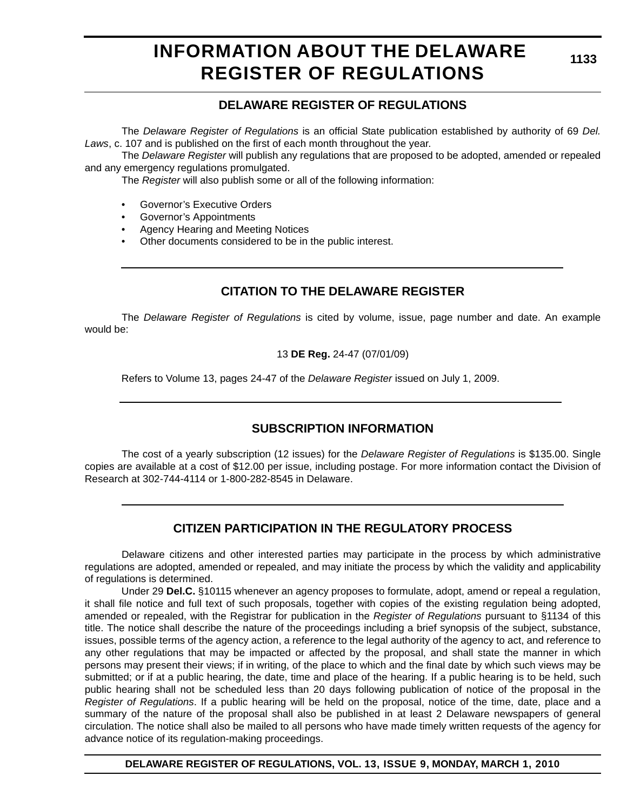# **INFORMATION ABOUT THE DELAWARE REGISTER OF REGULATIONS**

# **DELAWARE REGISTER OF REGULATIONS**

The *Delaware Register of Regulations* is an official State publication established by authority of 69 *Del. Laws*, c. 107 and is published on the first of each month throughout the year.

The *Delaware Register* will publish any regulations that are proposed to be adopted, amended or repealed and any emergency regulations promulgated.

The *Register* will also publish some or all of the following information:

- Governor's Executive Orders
- Governor's Appointments
- Agency Hearing and Meeting Notices
- Other documents considered to be in the public interest.

# **CITATION TO THE DELAWARE REGISTER**

The *Delaware Register of Regulations* is cited by volume, issue, page number and date. An example would be:

13 **DE Reg.** 24-47 (07/01/09)

Refers to Volume 13, pages 24-47 of the *Delaware Register* issued on July 1, 2009.

# **SUBSCRIPTION INFORMATION**

The cost of a yearly subscription (12 issues) for the *Delaware Register of Regulations* is \$135.00. Single copies are available at a cost of \$12.00 per issue, including postage. For more information contact the Division of Research at 302-744-4114 or 1-800-282-8545 in Delaware.

# **CITIZEN PARTICIPATION IN THE REGULATORY PROCESS**

Delaware citizens and other interested parties may participate in the process by which administrative regulations are adopted, amended or repealed, and may initiate the process by which the validity and applicability of regulations is determined.

Under 29 **Del.C.** §10115 whenever an agency proposes to formulate, adopt, amend or repeal a regulation, it shall file notice and full text of such proposals, together with copies of the existing regulation being adopted, amended or repealed, with the Registrar for publication in the *Register of Regulations* pursuant to §1134 of this title. The notice shall describe the nature of the proceedings including a brief synopsis of the subject, substance, issues, possible terms of the agency action, a reference to the legal authority of the agency to act, and reference to any other regulations that may be impacted or affected by the proposal, and shall state the manner in which persons may present their views; if in writing, of the place to which and the final date by which such views may be submitted; or if at a public hearing, the date, time and place of the hearing. If a public hearing is to be held, such public hearing shall not be scheduled less than 20 days following publication of notice of the proposal in the *Register of Regulations*. If a public hearing will be held on the proposal, notice of the time, date, place and a summary of the nature of the proposal shall also be published in at least 2 Delaware newspapers of general circulation. The notice shall also be mailed to all persons who have made timely written requests of the agency for advance notice of its regulation-making proceedings.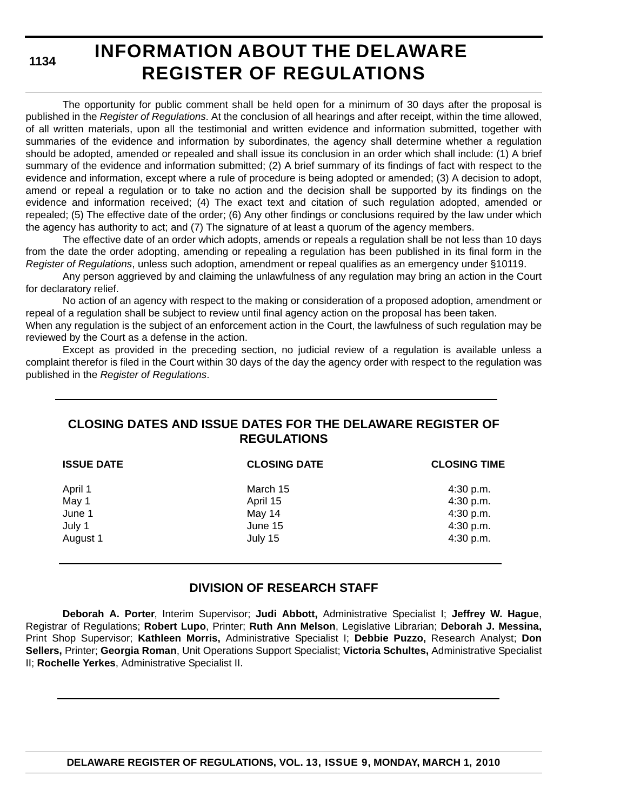# **INFORMATION ABOUT THE DELAWARE REGISTER OF REGULATIONS**

The opportunity for public comment shall be held open for a minimum of 30 days after the proposal is published in the *Register of Regulations*. At the conclusion of all hearings and after receipt, within the time allowed, of all written materials, upon all the testimonial and written evidence and information submitted, together with summaries of the evidence and information by subordinates, the agency shall determine whether a regulation should be adopted, amended or repealed and shall issue its conclusion in an order which shall include: (1) A brief summary of the evidence and information submitted; (2) A brief summary of its findings of fact with respect to the evidence and information, except where a rule of procedure is being adopted or amended; (3) A decision to adopt, amend or repeal a regulation or to take no action and the decision shall be supported by its findings on the evidence and information received; (4) The exact text and citation of such regulation adopted, amended or repealed; (5) The effective date of the order; (6) Any other findings or conclusions required by the law under which the agency has authority to act; and (7) The signature of at least a quorum of the agency members.

The effective date of an order which adopts, amends or repeals a regulation shall be not less than 10 days from the date the order adopting, amending or repealing a regulation has been published in its final form in the *Register of Regulations*, unless such adoption, amendment or repeal qualifies as an emergency under §10119.

Any person aggrieved by and claiming the unlawfulness of any regulation may bring an action in the Court for declaratory relief.

No action of an agency with respect to the making or consideration of a proposed adoption, amendment or repeal of a regulation shall be subject to review until final agency action on the proposal has been taken.

When any regulation is the subject of an enforcement action in the Court, the lawfulness of such regulation may be reviewed by the Court as a defense in the action.

Except as provided in the preceding section, no judicial review of a regulation is available unless a complaint therefor is filed in the Court within 30 days of the day the agency order with respect to the regulation was published in the *Register of Regulations*.

# **CLOSING DATES AND ISSUE DATES FOR THE DELAWARE REGISTER OF REGULATIONS**

| <b>ISSUE DATE</b> | <b>CLOSING DATE</b> | <b>CLOSING TIME</b> |
|-------------------|---------------------|---------------------|
| April 1           | March 15            | 4:30 p.m.           |
| May 1             | April 15            | 4:30 p.m.           |
| June 1            | May 14              | 4:30 p.m.           |
| July 1            | June 15             | 4:30 p.m.           |
| August 1          | July 15             | 4:30 p.m.           |

# **DIVISION OF RESEARCH STAFF**

**Deborah A. Porter**, Interim Supervisor; **Judi Abbott,** Administrative Specialist I; **Jeffrey W. Hague**, Registrar of Regulations; **Robert Lupo**, Printer; **Ruth Ann Melson**, Legislative Librarian; **Deborah J. Messina,** Print Shop Supervisor; **Kathleen Morris,** Administrative Specialist I; **Debbie Puzzo,** Research Analyst; **Don Sellers,** Printer; **Georgia Roman**, Unit Operations Support Specialist; **Victoria Schultes,** Administrative Specialist II; **Rochelle Yerkes**, Administrative Specialist II.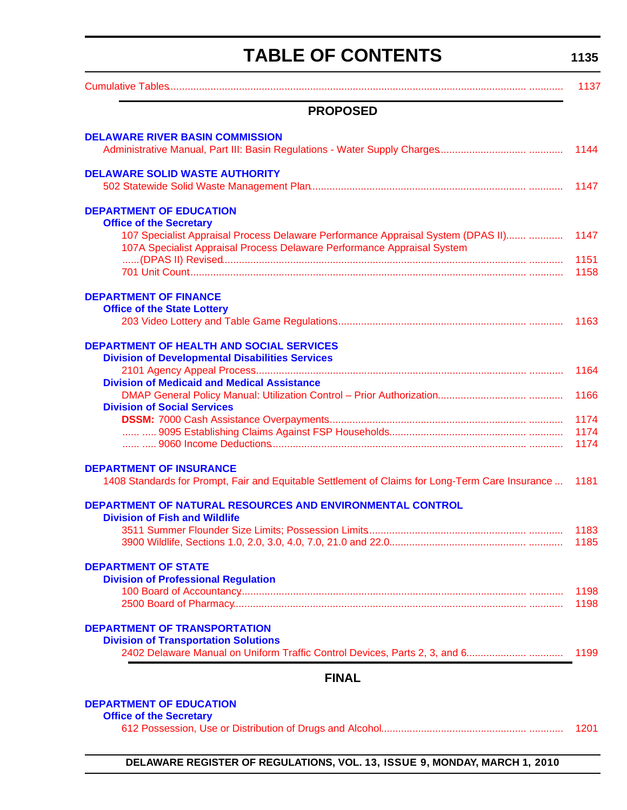# **TABLE OF CONTENTS**

**1135**

<span id="page-3-0"></span>

|                                                                                                                                   | 1137 |
|-----------------------------------------------------------------------------------------------------------------------------------|------|
| <b>PROPOSED</b>                                                                                                                   |      |
| <b>DELAWARE RIVER BASIN COMMISSION</b>                                                                                            | 1144 |
| <b>DELAWARE SOLID WASTE AUTHORITY</b>                                                                                             | 1147 |
| <b>DEPARTMENT OF EDUCATION</b>                                                                                                    |      |
| <b>Office of the Secretary</b>                                                                                                    |      |
| 107 Specialist Appraisal Process Delaware Performance Appraisal System (DPAS II)                                                  | 1147 |
| 107A Specialist Appraisal Process Delaware Performance Appraisal System                                                           | 1151 |
|                                                                                                                                   | 1158 |
|                                                                                                                                   |      |
| <b>DEPARTMENT OF FINANCE</b><br><b>Office of the State Lottery</b>                                                                |      |
|                                                                                                                                   | 1163 |
|                                                                                                                                   |      |
| <b>DEPARTMENT OF HEALTH AND SOCIAL SERVICES</b>                                                                                   |      |
| <b>Division of Developmental Disabilities Services</b>                                                                            |      |
|                                                                                                                                   | 1164 |
| <b>Division of Medicaid and Medical Assistance</b>                                                                                |      |
| <b>Division of Social Services</b>                                                                                                | 1166 |
|                                                                                                                                   | 1174 |
|                                                                                                                                   | 1174 |
|                                                                                                                                   | 1174 |
|                                                                                                                                   |      |
| <b>DEPARTMENT OF INSURANCE</b><br>1408 Standards for Prompt, Fair and Equitable Settlement of Claims for Long-Term Care Insurance | 1181 |
|                                                                                                                                   |      |
| DEPARTMENT OF NATURAL RESOURCES AND ENVIRONMENTAL CONTROL                                                                         |      |
| <b>Division of Fish and Wildlife</b>                                                                                              |      |
|                                                                                                                                   |      |
|                                                                                                                                   | 1185 |
| <b>DEPARTMENT OF STATE</b>                                                                                                        |      |
| <b>Division of Professional Regulation</b>                                                                                        |      |
|                                                                                                                                   | 1198 |
|                                                                                                                                   | 1198 |
| <b>DEPARTMENT OF TRANSPORTATION</b>                                                                                               |      |
| <b>Division of Transportation Solutions</b>                                                                                       |      |
| 2402 Delaware Manual on Uniform Traffic Control Devices, Parts 2, 3, and 6                                                        | 1199 |
| <b>FINAL</b>                                                                                                                      |      |
|                                                                                                                                   |      |
| <b>DEPARTMENT OF EDUCATION</b>                                                                                                    |      |

| <b>Office of the Secretary</b> |      |
|--------------------------------|------|
|                                | 1201 |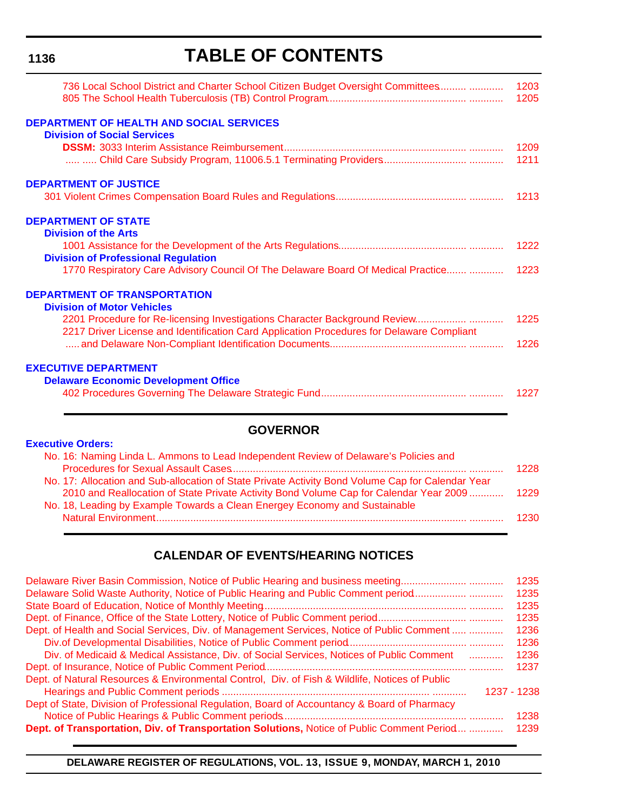# **TABLE OF CONTENTS**

| 736 Local School District and Charter School Citizen Budget Oversight Committees          | 1203<br>1205 |
|-------------------------------------------------------------------------------------------|--------------|
| <b>DEPARTMENT OF HEALTH AND SOCIAL SERVICES</b><br><b>Division of Social Services</b>     |              |
|                                                                                           | 1209         |
|                                                                                           | 1211         |
| <b>DEPARTMENT OF JUSTICE</b>                                                              |              |
|                                                                                           |              |
| <b>DEPARTMENT OF STATE</b>                                                                |              |
| <b>Division of the Arts</b>                                                               |              |
|                                                                                           | 1222         |
| <b>Division of Professional Regulation</b>                                                |              |
| 1770 Respiratory Care Advisory Council Of The Delaware Board Of Medical Practice          | 1223         |
| <b>DEPARTMENT OF TRANSPORTATION</b>                                                       |              |
| <b>Division of Motor Vehicles</b>                                                         |              |
| 2217 Driver License and Identification Card Application Procedures for Delaware Compliant | 1225         |
|                                                                                           | 1226         |
| <b>EXECUTIVE DEPARTMENT</b>                                                               |              |
| <b>Delaware Economic Development Office</b>                                               |              |
|                                                                                           | 1227         |
|                                                                                           |              |

# **GOVERNOR**

| <b>Executive Orders:</b>                                                                          |      |
|---------------------------------------------------------------------------------------------------|------|
| No. 16: Naming Linda L. Ammons to Lead Independent Review of Delaware's Policies and              |      |
|                                                                                                   | 1228 |
| No. 17: Allocation and Sub-allocation of State Private Activity Bond Volume Cap for Calendar Year |      |
| 2010 and Reallocation of State Private Activity Bond Volume Cap for Calendar Year 2009            | 1229 |
| No. 18, Leading by Example Towards a Clean Energey Economy and Sustainable                        |      |
|                                                                                                   | 1230 |
|                                                                                                   |      |

# **CALENDAR OF EVENTS/HEARING NOTICES**

| Delaware River Basin Commission, Notice of Public Hearing and business meeting                 | 1235 |
|------------------------------------------------------------------------------------------------|------|
| Delaware Solid Waste Authority, Notice of Public Hearing and Public Comment period             | 1235 |
|                                                                                                | 1235 |
|                                                                                                | 1235 |
| Dept. of Health and Social Services, Div. of Management Services, Notice of Public Comment     | 1236 |
|                                                                                                | 1236 |
| Div. of Medicaid & Medical Assistance, Div. of Social Services, Notices of Public Comment      | 1236 |
|                                                                                                | 1237 |
| Dept. of Natural Resources & Environmental Control, Div. of Fish & Wildlife, Notices of Public |      |
| 1237 - 1238                                                                                    |      |
| Dept of State, Division of Professional Regulation, Board of Accountancy & Board of Pharmacy   |      |
|                                                                                                | 1238 |
| Dept. of Transportation, Div. of Transportation Solutions, Notice of Public Comment Period     | 1239 |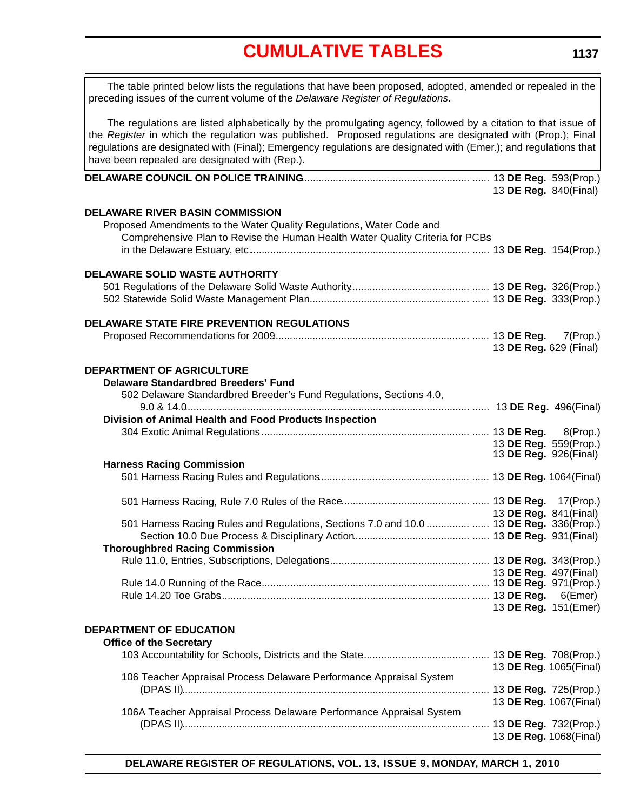<span id="page-5-0"></span>**DELAWARE COUNCIL ON POLICE TRAINING**........................................................... ...... 13 **DE Reg.** 593(Prop.) 13 **DE Reg.** 840(Final) **DELAWARE RIVER BASIN COMMISSION** Proposed Amendments to the Water Quality Regulations, Water Code and Comprehensive Plan to Revise the Human Health Water Quality Criteria for PCBs in the Delaware Estuary, etc.............................................................................. ...... 13 **DE Reg.** 154(Prop.) **DELAWARE SOLID WASTE AUTHORITY** 501 Regulations of the Delaware Solid Waste Authority.......................................... ...... 13 **DE Reg.** 326(Prop.) 502 Statewide Solid Waste Management Plan........................................................ ...... 13 **DE Reg.** 333(Prop.) **DELAWARE STATE FIRE PREVENTION REGULATIONS** Proposed Recommendations for 2009..................................................................... ...... 13 **DE Reg.** 7(Prop.) 13 **DE Reg.** 629 (Final) **DEPARTMENT OF AGRICULTURE Delaware Standardbred Breeders' Fund** 502 Delaware Standardbred Breeder's Fund Regulations, Sections 4.0, 9.0 & 14.0.................................................................................................... ...... 13 **DE Reg.** 496(Final) **Division of Animal Health and Food Products Inspection** 304 Exotic Animal Regulations ......................................................................... ...... 13 **DE Reg.** 8(Prop.) 13 **DE Reg.** 559(Prop.) 13 **DE Reg.** 926(Final) **Harness Racing Commission** 501 Harness Racing Rules and Regulations..................................................... ...... 13 **DE Reg.** 1064(Final) 501 Harness Racing, Rule 7.0 Rules of the Race............................................. ...... 13 **DE Reg.** 17(Prop.) 13 **DE Reg.** 841(Final) 501 Harness Racing Rules and Regulations, Sections 7.0 and 10.0 ............... ...... 13 **DE Reg.** 336(Prop.) Section 10.0 Due Process & Disciplinary Action......................................... ...... 13 **DE Reg.** 931(Final) **Thoroughbred Racing Commission** The table printed below lists the regulations that have been proposed, adopted, amended or repealed in the preceding issues of the current volume of the *Delaware Register of Regulations*. The regulations are listed alphabetically by the promulgating agency, followed by a citation to that issue of the *Register* in which the regulation was published. Proposed regulations are designated with (Prop.); Final regulations are designated with (Final); Emergency regulations are designated with (Emer.); and regulations that have been repealed are designated with (Rep.).

Rule 11.0, Entries, Subscriptions, Delegations.................................................. ...... 13 **DE Reg.** 343(Prop.) 13 **DE Reg.** 497(Final) Rule 14.0 Running of the Race.......................................................................... ...... 13 **DE Reg.** 971(Prop.) Rule 14.20 Toe Grabs........................................................................................ ...... 13 **DE Reg.** 6(Emer) 13 **DE Reg.** 151(Emer)

# **DEPARTMENT OF EDUCATION**

| <b>Office of the Secretary</b>                                       |                        |  |
|----------------------------------------------------------------------|------------------------|--|
|                                                                      |                        |  |
|                                                                      | 13 DE Reg. 1065(Final) |  |
| 106 Teacher Appraisal Process Delaware Performance Appraisal System  |                        |  |
|                                                                      | 13 DE Reg. 725(Prop.)  |  |
|                                                                      | 13 DE Reg. 1067(Final) |  |
| 106A Teacher Appraisal Process Delaware Performance Appraisal System |                        |  |
|                                                                      |                        |  |
|                                                                      | 13 DE Reg. 1068(Final) |  |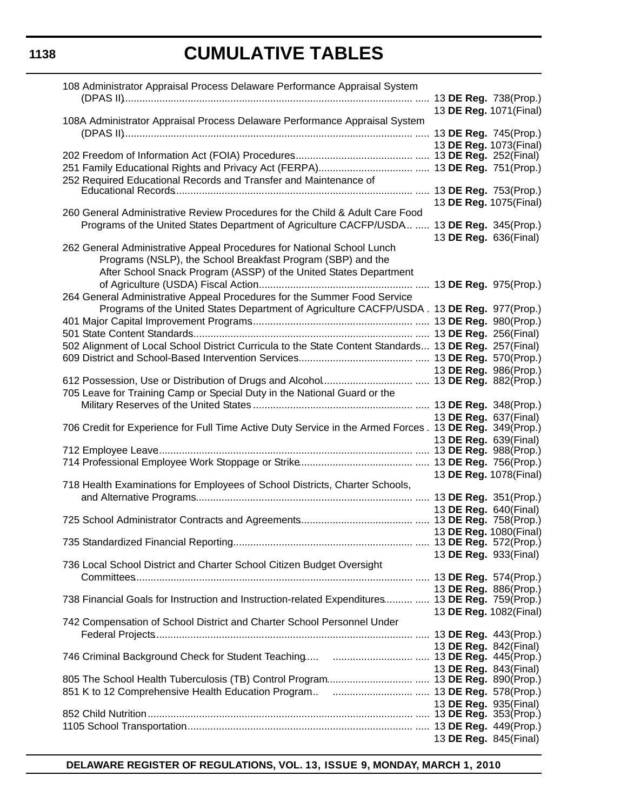| 108 Administrator Appraisal Process Delaware Performance Appraisal System                                                                                                                                  |                                                |  |
|------------------------------------------------------------------------------------------------------------------------------------------------------------------------------------------------------------|------------------------------------------------|--|
| 108A Administrator Appraisal Process Delaware Performance Appraisal System                                                                                                                                 | 13 DE Reg. 1071(Final)                         |  |
|                                                                                                                                                                                                            |                                                |  |
|                                                                                                                                                                                                            | 13 DE Reg. 1073(Final)                         |  |
| 252 Required Educational Records and Transfer and Maintenance of                                                                                                                                           |                                                |  |
|                                                                                                                                                                                                            | 13 DE Reg. 1075(Final)                         |  |
| 260 General Administrative Review Procedures for the Child & Adult Care Food                                                                                                                               |                                                |  |
| Programs of the United States Department of Agriculture CACFP/USDA  13 DE Reg. 345(Prop.)                                                                                                                  | 13 DE Reg. 636(Final)                          |  |
| 262 General Administrative Appeal Procedures for National School Lunch<br>Programs (NSLP), the School Breakfast Program (SBP) and the<br>After School Snack Program (ASSP) of the United States Department |                                                |  |
|                                                                                                                                                                                                            |                                                |  |
| 264 General Administrative Appeal Procedures for the Summer Food Service<br>Programs of the United States Department of Agriculture CACFP/USDA . 13 DE Reg. 977(Prop.)                                     |                                                |  |
|                                                                                                                                                                                                            |                                                |  |
|                                                                                                                                                                                                            |                                                |  |
| 502 Alignment of Local School District Curricula to the State Content Standards 13 DE Reg. 257(Final)                                                                                                      |                                                |  |
|                                                                                                                                                                                                            | 13 DE Reg. 986(Prop.)                          |  |
| 705 Leave for Training Camp or Special Duty in the National Guard or the                                                                                                                                   |                                                |  |
|                                                                                                                                                                                                            |                                                |  |
| 706 Credit for Experience for Full Time Active Duty Service in the Armed Forces. 13 DE Reg. 349(Prop.)                                                                                                     | 13 DE Reg. 637(Final)<br>13 DE Reg. 639(Final) |  |
|                                                                                                                                                                                                            |                                                |  |
| 718 Health Examinations for Employees of School Districts, Charter Schools,                                                                                                                                | 13 DE Reg. 1078(Final)                         |  |
|                                                                                                                                                                                                            | 13 DE Reg. 640(Final)                          |  |
|                                                                                                                                                                                                            |                                                |  |
|                                                                                                                                                                                                            | 13 DE Reg. 1080(Final)                         |  |
| 736 Local School District and Charter School Citizen Budget Oversight                                                                                                                                      | 13 DE Reg. 933(Final)                          |  |
|                                                                                                                                                                                                            |                                                |  |
| 738 Financial Goals for Instruction and Instruction-related Expenditures  13 DE Reg. 759(Prop.)                                                                                                            | 13 DE Reg. 886(Prop.)                          |  |
|                                                                                                                                                                                                            | 13 DE Reg. 1082(Final)                         |  |
| 742 Compensation of School District and Charter School Personnel Under                                                                                                                                     |                                                |  |
|                                                                                                                                                                                                            | 13 DE Reg. 842(Final)                          |  |
|                                                                                                                                                                                                            | 13 DE Reg. 843(Final)                          |  |
|                                                                                                                                                                                                            |                                                |  |
|                                                                                                                                                                                                            | 13 DE Reg. 935(Final)                          |  |
|                                                                                                                                                                                                            |                                                |  |
|                                                                                                                                                                                                            | 13 DE Reg. 845(Final)                          |  |

**DELAWARE REGISTER OF REGULATIONS, VOL. 13, ISSUE 9, MONDAY, MARCH 1, 2010**

# **1138**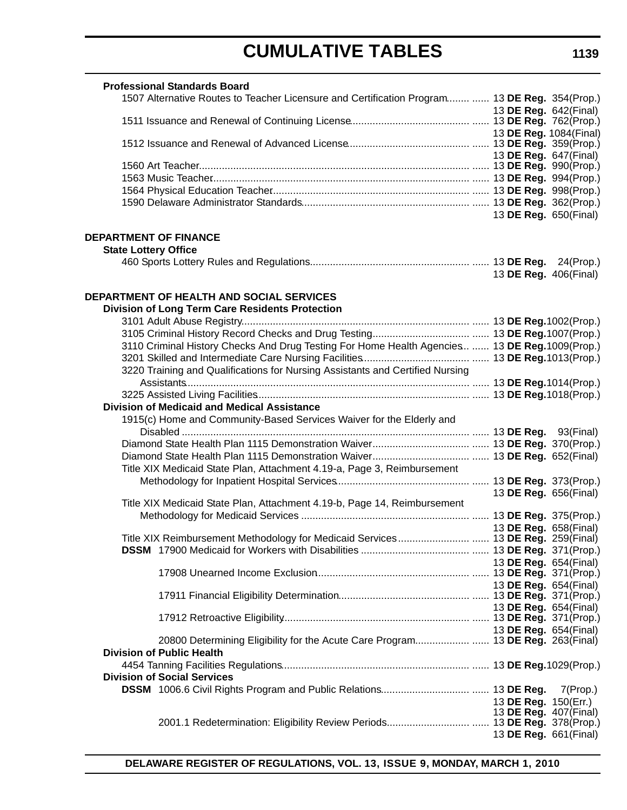|                              | <b>Professional Standards Board</b>                                                           |  |                              |
|------------------------------|-----------------------------------------------------------------------------------------------|--|------------------------------|
|                              | 1507 Alternative Routes to Teacher Licensure and Certification Program  13 DE Reg. 354(Prop.) |  |                              |
|                              |                                                                                               |  | 13 DE Reg. 642(Final)        |
|                              |                                                                                               |  |                              |
|                              |                                                                                               |  | 13 DE Reg. 1084(Final)       |
|                              |                                                                                               |  | 13 DE Reg. 647(Final)        |
|                              |                                                                                               |  |                              |
|                              |                                                                                               |  |                              |
|                              |                                                                                               |  |                              |
|                              |                                                                                               |  |                              |
|                              |                                                                                               |  | 13 DE Reg. 650(Final)        |
|                              |                                                                                               |  |                              |
| <b>DEPARTMENT OF FINANCE</b> |                                                                                               |  |                              |
| <b>State Lottery Office</b>  |                                                                                               |  |                              |
|                              |                                                                                               |  | 13 DE Reg. 406(Final)        |
|                              |                                                                                               |  |                              |
|                              | <b>DEPARTMENT OF HEALTH AND SOCIAL SERVICES</b>                                               |  |                              |
|                              | <b>Division of Long Term Care Residents Protection</b>                                        |  |                              |
|                              |                                                                                               |  |                              |
|                              |                                                                                               |  |                              |
|                              | 3110 Criminal History Checks And Drug Testing For Home Health Agencies  13 DE Reg.1009(Prop.) |  |                              |
|                              |                                                                                               |  |                              |
|                              | 3220 Training and Qualifications for Nursing Assistants and Certified Nursing                 |  |                              |
|                              |                                                                                               |  |                              |
|                              | <b>Division of Medicaid and Medical Assistance</b>                                            |  |                              |
|                              | 1915(c) Home and Community-Based Services Waiver for the Elderly and                          |  |                              |
|                              |                                                                                               |  |                              |
|                              |                                                                                               |  |                              |
|                              |                                                                                               |  |                              |
|                              | Title XIX Medicaid State Plan, Attachment 4.19-a, Page 3, Reimbursement                       |  |                              |
|                              |                                                                                               |  |                              |
|                              |                                                                                               |  | 13 DE Reg. 656(Final)        |
|                              | Title XIX Medicaid State Plan, Attachment 4.19-b, Page 14, Reimbursement                      |  |                              |
|                              |                                                                                               |  |                              |
|                              |                                                                                               |  | 13 DE Reg. 658(Final)        |
|                              |                                                                                               |  |                              |
|                              |                                                                                               |  | 13 DE Reg. 654(Final)        |
|                              |                                                                                               |  |                              |
|                              |                                                                                               |  | 13 DE Reg. 654(Final)        |
|                              |                                                                                               |  |                              |
|                              |                                                                                               |  | 13 DE Reg. 654(Final)        |
|                              |                                                                                               |  | 13 DE Reg. 654(Final)        |
|                              |                                                                                               |  |                              |
|                              | <b>Division of Public Health</b>                                                              |  |                              |
|                              |                                                                                               |  |                              |
|                              | <b>Division of Social Services</b>                                                            |  |                              |
|                              |                                                                                               |  | $7$ (Prop.)                  |
|                              |                                                                                               |  | 13 DE Reg. 150(Err.)         |
|                              |                                                                                               |  | 13 <b>DE Reg.</b> 407(Final) |
|                              |                                                                                               |  |                              |
|                              |                                                                                               |  | 13 DE Reg. 661(Final)        |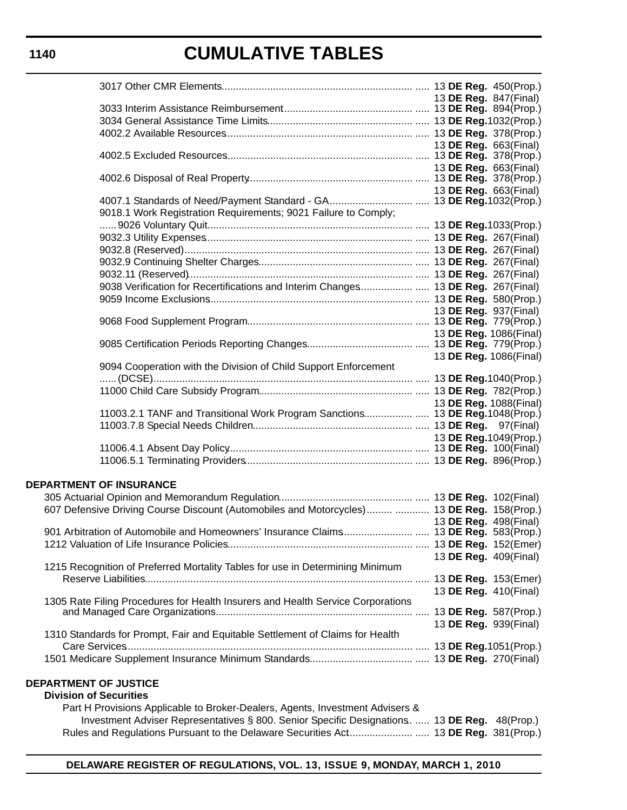|                                                                                            |  |  | 13 DE Reg. 847(Final)        |
|--------------------------------------------------------------------------------------------|--|--|------------------------------|
|                                                                                            |  |  |                              |
|                                                                                            |  |  |                              |
|                                                                                            |  |  |                              |
|                                                                                            |  |  | 13 <b>DE Reg.</b> 663(Final) |
|                                                                                            |  |  |                              |
|                                                                                            |  |  | 13 DE Reg. 663(Final)        |
|                                                                                            |  |  |                              |
|                                                                                            |  |  | 13 DE Reg. 663(Final)        |
| 9018.1 Work Registration Requirements; 9021 Failure to Comply;                             |  |  |                              |
|                                                                                            |  |  |                              |
|                                                                                            |  |  |                              |
|                                                                                            |  |  |                              |
|                                                                                            |  |  |                              |
|                                                                                            |  |  |                              |
| 9038 Verification for Recertifications and Interim Changes 13 DE Reg. 267(Final)           |  |  |                              |
|                                                                                            |  |  |                              |
| 13 <b>DE Reg.</b> 937(Final)                                                               |  |  |                              |
|                                                                                            |  |  |                              |
|                                                                                            |  |  |                              |
|                                                                                            |  |  |                              |
|                                                                                            |  |  | 13 DE Reg. 1086(Final)       |
| 9094 Cooperation with the Division of Child Support Enforcement                            |  |  |                              |
|                                                                                            |  |  |                              |
|                                                                                            |  |  |                              |
|                                                                                            |  |  | 13 DE Reg. 1088(Final)       |
| 11003.2.1 TANF and Transitional Work Program Sanctions 13 DE Reg. 1048(Prop.)              |  |  |                              |
|                                                                                            |  |  |                              |
|                                                                                            |  |  |                              |
|                                                                                            |  |  |                              |
|                                                                                            |  |  |                              |
| <b>DEPARTMENT OF INSURANCE</b>                                                             |  |  |                              |
|                                                                                            |  |  |                              |
| 607 Defensive Driving Course Discount (Automobiles and Motorcycles)  13 DE Reg. 158(Prop.) |  |  |                              |
|                                                                                            |  |  | 13 DE Reg. 498(Final)        |
|                                                                                            |  |  |                              |
|                                                                                            |  |  |                              |
|                                                                                            |  |  | 13 DE Reg. 409(Final)        |
| 1215 Recognition of Preferred Mortality Tables for use in Determining Minimum              |  |  |                              |
|                                                                                            |  |  |                              |
|                                                                                            |  |  | 13 DE Reg. 410(Final)        |
| 1305 Rate Filing Procedures for Health Insurers and Health Service Corporations            |  |  |                              |
|                                                                                            |  |  |                              |
|                                                                                            |  |  | 13 DE Reg. 939(Final)        |
| 1310 Standards for Prompt, Fair and Equitable Settlement of Claims for Health              |  |  |                              |
|                                                                                            |  |  |                              |
|                                                                                            |  |  |                              |
|                                                                                            |  |  |                              |

# **DEPARTMENT OF JUSTICE**

#### **Division of Securities** Part H Provisions Applicable to Broker-Dealers, Agents, Investment Advisers & Investment Adviser Representatives § 800. Senior Specific Designations.. ..... 13 **DE Reg.** 48(Prop.) Rules and Regulations Pursuant to the Delaware Securities Act....................... ..... 13 **DE Reg.** 381(Prop.)

# **1140**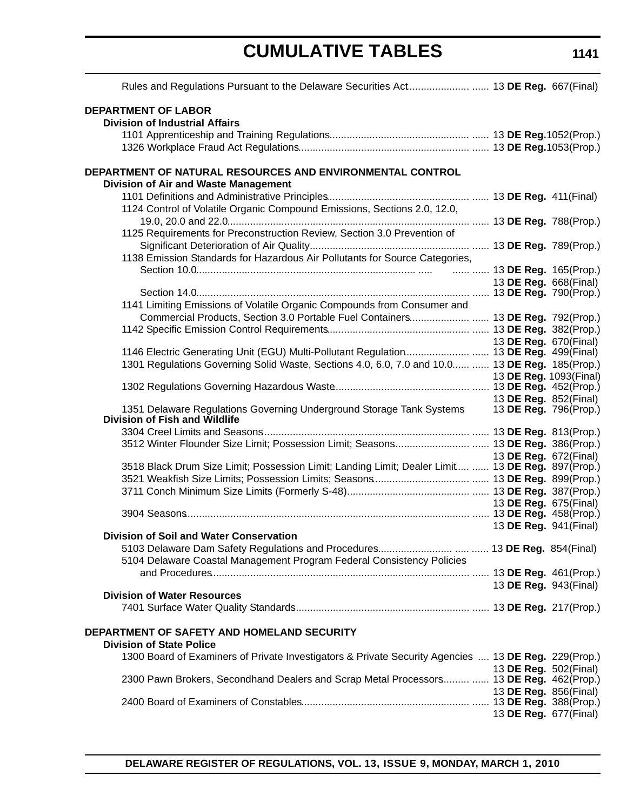| Rules and Regulations Pursuant to the Delaware Securities Act 13 DE Reg. 667(Final)                   |  |                                                |
|-------------------------------------------------------------------------------------------------------|--|------------------------------------------------|
| <b>DEPARTMENT OF LABOR</b><br><b>Division of Industrial Affairs</b>                                   |  |                                                |
|                                                                                                       |  |                                                |
| DEPARTMENT OF NATURAL RESOURCES AND ENVIRONMENTAL CONTROL<br>Division of Air and Waste Management     |  |                                                |
|                                                                                                       |  |                                                |
| 1124 Control of Volatile Organic Compound Emissions, Sections 2.0, 12.0,                              |  |                                                |
| 1125 Requirements for Preconstruction Review, Section 3.0 Prevention of                               |  |                                                |
|                                                                                                       |  |                                                |
| 1138 Emission Standards for Hazardous Air Pollutants for Source Categories,                           |  |                                                |
|                                                                                                       |  |                                                |
|                                                                                                       |  | 13 DE Reg. 668(Final)                          |
| 1141 Limiting Emissions of Volatile Organic Compounds from Consumer and                               |  |                                                |
| Commercial Products, Section 3.0 Portable Fuel Containers 13 DE Reg. 792(Prop.)                       |  |                                                |
|                                                                                                       |  |                                                |
|                                                                                                       |  | 13 DE Reg. 670(Final)                          |
| 1146 Electric Generating Unit (EGU) Multi-Pollutant Regulation 13 DE Reg. 499(Final)                  |  |                                                |
| 1301 Regulations Governing Solid Waste, Sections 4.0, 6.0, 7.0 and 10.0  13 DE Reg. 185(Prop.)        |  |                                                |
|                                                                                                       |  | 13 DE Reg. 1093(Final)                         |
|                                                                                                       |  |                                                |
| 1351 Delaware Regulations Governing Underground Storage Tank Systems<br>Division of Fish and Wildlife |  | 13 DE Reg. 852(Final)<br>13 DE Reg. 796(Prop.) |
|                                                                                                       |  |                                                |
| 3512 Winter Flounder Size Limit; Possession Limit; Seasons 13 DE Reg. 386(Prop.)                      |  |                                                |
| 3518 Black Drum Size Limit; Possession Limit; Landing Limit; Dealer Limit  13 DE Reg. 897(Prop.)      |  | 13 DE Reg. 672(Final)                          |
|                                                                                                       |  |                                                |
|                                                                                                       |  |                                                |
|                                                                                                       |  | 13 DE Reg. 675(Final)                          |
|                                                                                                       |  |                                                |
|                                                                                                       |  | 13 DE Reg. 941(Final)                          |
| Division of Soil and Water Conservation                                                               |  |                                                |
|                                                                                                       |  |                                                |
| 5104 Delaware Coastal Management Program Federal Consistency Policies                                 |  |                                                |
|                                                                                                       |  | 13 DE Reg. 943(Final)                          |
| <b>Division of Water Resources</b>                                                                    |  |                                                |
|                                                                                                       |  |                                                |
| DEPARTMENT OF SAFETY AND HOMELAND SECURITY<br><b>Division of State Police</b>                         |  |                                                |
| 1300 Board of Examiners of Private Investigators & Private Security Agencies  13 DE Reg. 229(Prop.)   |  |                                                |
|                                                                                                       |  | 13 DE Reg. 502(Final)                          |
| 2300 Pawn Brokers, Secondhand Dealers and Scrap Metal Processors  13 DE Reg. 462(Prop.)               |  |                                                |
|                                                                                                       |  | 13 DE Reg. 856(Final)                          |
|                                                                                                       |  |                                                |
|                                                                                                       |  | 13 DE Reg. 677(Final)                          |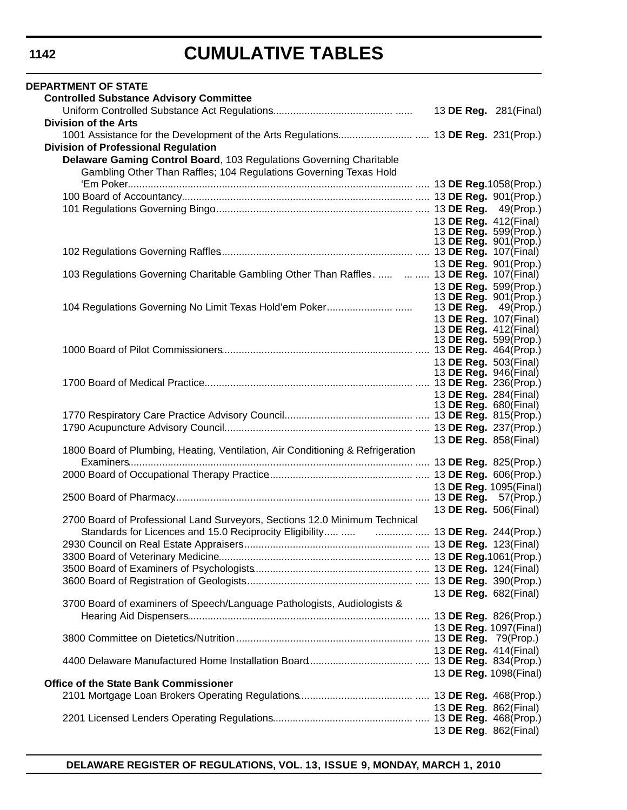| <b>DEPARTMENT OF STATE</b>                                                                  |  |                                                  |
|---------------------------------------------------------------------------------------------|--|--------------------------------------------------|
| <b>Controlled Substance Advisory Committee</b>                                              |  |                                                  |
|                                                                                             |  | 13 DE Reg. 281(Final)                            |
| <b>Division of the Arts</b>                                                                 |  |                                                  |
|                                                                                             |  |                                                  |
| <b>Division of Professional Regulation</b>                                                  |  |                                                  |
| Delaware Gaming Control Board, 103 Regulations Governing Charitable                         |  |                                                  |
| Gambling Other Than Raffles; 104 Regulations Governing Texas Hold                           |  |                                                  |
|                                                                                             |  |                                                  |
|                                                                                             |  |                                                  |
|                                                                                             |  |                                                  |
|                                                                                             |  | 13 DE Reg. 412(Final)                            |
|                                                                                             |  | 13 DE Reg. 599(Prop.)                            |
|                                                                                             |  | 13 DE Reg. 901 (Prop.)                           |
|                                                                                             |  |                                                  |
|                                                                                             |  | 13 DE Reg. 901(Prop.)                            |
| 103 Regulations Governing Charitable Gambling Other Than Raffles.     13 DE Reg. 107(Final) |  |                                                  |
|                                                                                             |  | 13 DE Reg. 599(Prop.)                            |
|                                                                                             |  | 13 DE Reg. 901(Prop.)<br>13 DE Reg. $49$ (Prop.) |
|                                                                                             |  | 13 DE Reg. 107(Final)                            |
|                                                                                             |  | 13 <b>DE Reg.</b> 412(Final)                     |
|                                                                                             |  | 13 DE Reg. 599(Prop.)                            |
|                                                                                             |  |                                                  |
|                                                                                             |  | 13 DE Reg. 503(Final)                            |
|                                                                                             |  | 13 <b>DE Reg.</b> 946(Final)                     |
|                                                                                             |  |                                                  |
|                                                                                             |  | 13 DE Reg. 284(Final)                            |
|                                                                                             |  | 13 <b>DE Reg.</b> 680(Final)                     |
|                                                                                             |  |                                                  |
|                                                                                             |  |                                                  |
| 1800 Board of Plumbing, Heating, Ventilation, Air Conditioning & Refrigeration              |  | 13 DE Reg. 858(Final)                            |
|                                                                                             |  |                                                  |
|                                                                                             |  |                                                  |
|                                                                                             |  | 13 DE Reg. 1095(Final)                           |
|                                                                                             |  |                                                  |
|                                                                                             |  | 13 DE Reg. 506(Final)                            |
| 2700 Board of Professional Land Surveyors, Sections 12.0 Minimum Technical                  |  |                                                  |
|                                                                                             |  |                                                  |
|                                                                                             |  |                                                  |
|                                                                                             |  |                                                  |
|                                                                                             |  |                                                  |
|                                                                                             |  |                                                  |
|                                                                                             |  | 13 DE Reg. 682(Final)                            |
| 3700 Board of examiners of Speech/Language Pathologists, Audiologists &                     |  |                                                  |
|                                                                                             |  |                                                  |
|                                                                                             |  | 13 DE Reg. 1097(Final)                           |
|                                                                                             |  |                                                  |
|                                                                                             |  | 13 DE Reg. 414(Final)                            |
|                                                                                             |  |                                                  |
|                                                                                             |  | 13 DE Reg. 1098(Final)                           |
| <b>Office of the State Bank Commissioner</b>                                                |  |                                                  |
|                                                                                             |  |                                                  |
|                                                                                             |  | 13 DE Reg. 862(Final)                            |
|                                                                                             |  |                                                  |
|                                                                                             |  | 13 DE Reg. 862(Final)                            |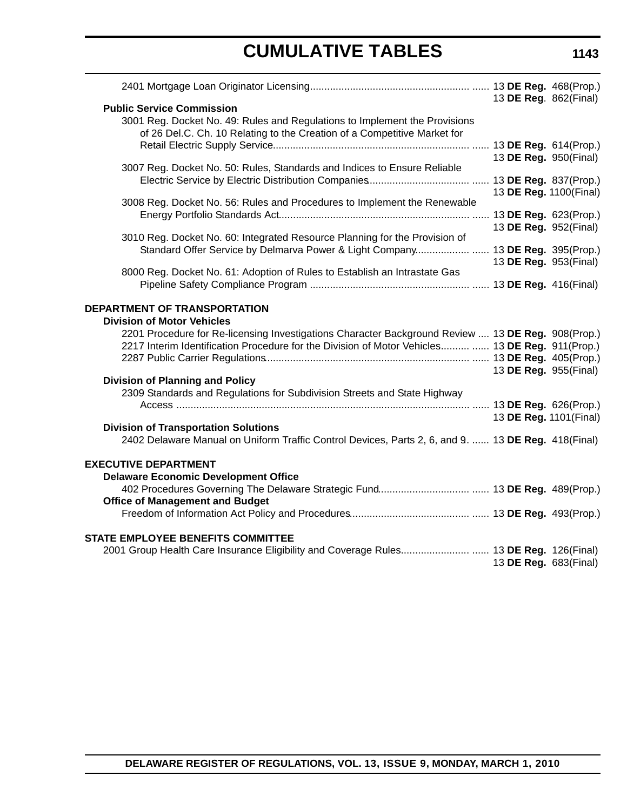|                                                                                                                                                                                                      | 13 DE Reg. 862(Final)  |  |
|------------------------------------------------------------------------------------------------------------------------------------------------------------------------------------------------------|------------------------|--|
| <b>Public Service Commission</b><br>3001 Reg. Docket No. 49: Rules and Regulations to Implement the Provisions<br>of 26 Del.C. Ch. 10 Relating to the Creation of a Competitive Market for           |                        |  |
|                                                                                                                                                                                                      | 13 DE Reg. 950(Final)  |  |
| 3007 Reg. Docket No. 50: Rules, Standards and Indices to Ensure Reliable                                                                                                                             |                        |  |
| 3008 Reg. Docket No. 56: Rules and Procedures to Implement the Renewable                                                                                                                             | 13 DE Reg. 1100(Final) |  |
| 3010 Reg. Docket No. 60: Integrated Resource Planning for the Provision of                                                                                                                           | 13 DE Reg. 952(Final)  |  |
| Standard Offer Service by Delmarva Power & Light Company 13 DE Reg. 395(Prop.)                                                                                                                       | 13 DE Reg. 953(Final)  |  |
| 8000 Reg. Docket No. 61: Adoption of Rules to Establish an Intrastate Gas                                                                                                                            |                        |  |
| DEPARTMENT OF TRANSPORTATION<br><b>Division of Motor Vehicles</b>                                                                                                                                    |                        |  |
| 2201 Procedure for Re-licensing Investigations Character Background Review  13 DE Reg. 908(Prop.)<br>2217 Interim Identification Procedure for the Division of Motor Vehicles  13 DE Reg. 911(Prop.) | 13 DE Reg. 955(Final)  |  |
| <b>Division of Planning and Policy</b><br>2309 Standards and Regulations for Subdivision Streets and State Highway                                                                                   |                        |  |
| <b>Division of Transportation Solutions</b>                                                                                                                                                          | 13 DE Reg. 1101(Final) |  |
| 2402 Delaware Manual on Uniform Traffic Control Devices, Parts 2, 6, and 9.  13 DE Reg. 418(Final)                                                                                                   |                        |  |
| <b>EXECUTIVE DEPARTMENT</b><br><b>Delaware Economic Development Office</b>                                                                                                                           |                        |  |
| <b>Office of Management and Budget</b>                                                                                                                                                               |                        |  |
|                                                                                                                                                                                                      |                        |  |
| <b>STATE EMPLOYEE BENEFITS COMMITTEE</b><br>2001 Group Health Care Insurance Eligibility and Coverage Rules 13 DE Reg. 126(Final)                                                                    | 13 DE Reg. 683(Final)  |  |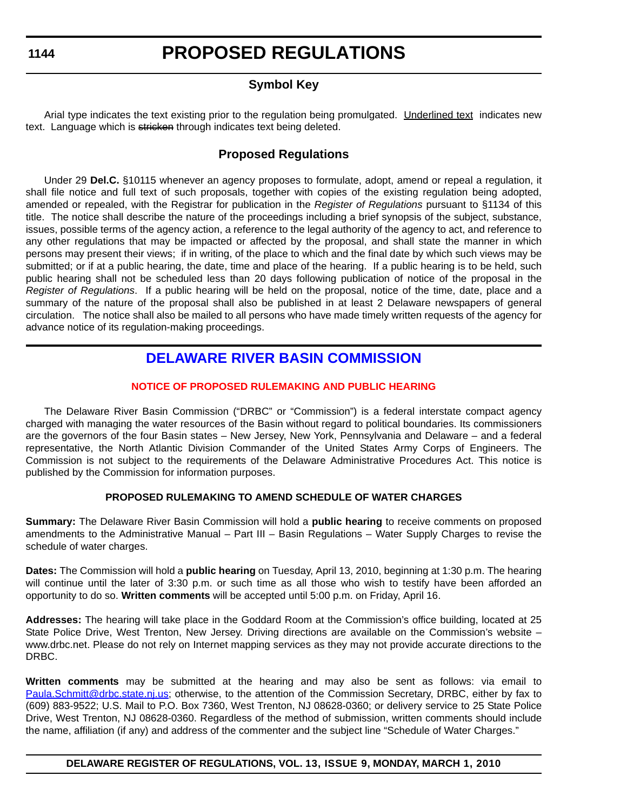# **Symbol Key**

<span id="page-12-0"></span>Arial type indicates the text existing prior to the regulation being promulgated. Underlined text indicates new text. Language which is stricken through indicates text being deleted.

# **Proposed Regulations**

Under 29 **Del.C.** §10115 whenever an agency proposes to formulate, adopt, amend or repeal a regulation, it shall file notice and full text of such proposals, together with copies of the existing regulation being adopted, amended or repealed, with the Registrar for publication in the *Register of Regulations* pursuant to §1134 of this title. The notice shall describe the nature of the proceedings including a brief synopsis of the subject, substance, issues, possible terms of the agency action, a reference to the legal authority of the agency to act, and reference to any other regulations that may be impacted or affected by the proposal, and shall state the manner in which persons may present their views; if in writing, of the place to which and the final date by which such views may be submitted; or if at a public hearing, the date, time and place of the hearing. If a public hearing is to be held, such public hearing shall not be scheduled less than 20 days following publication of notice of the proposal in the *Register of Regulations*. If a public hearing will be held on the proposal, notice of the time, date, place and a summary of the nature of the proposal shall also be published in at least 2 Delaware newspapers of general circulation. The notice shall also be mailed to all persons who have made timely written requests of the agency for advance notice of its regulation-making proceedings.

# **[DELAWARE RIVER BASIN COMMISSION](http://www.state.nj.us/drbc/)**

# **[NOTICE OF PROPOSED RULEMAKING AND PUBLIC HEARING](#page-3-0)**

The Delaware River Basin Commission ("DRBC" or "Commission") is a federal interstate compact agency charged with managing the water resources of the Basin without regard to political boundaries. Its commissioners are the governors of the four Basin states – New Jersey, New York, Pennsylvania and Delaware – and a federal representative, the North Atlantic Division Commander of the United States Army Corps of Engineers. The Commission is not subject to the requirements of the Delaware Administrative Procedures Act. This notice is published by the Commission for information purposes.

# **PROPOSED RULEMAKING TO AMEND SCHEDULE OF WATER CHARGES**

**Summary:** The Delaware River Basin Commission will hold a **public hearing** to receive comments on proposed amendments to the Administrative Manual – Part III – Basin Regulations – Water Supply Charges to revise the schedule of water charges.

**Dates:** The Commission will hold a **public hearing** on Tuesday, April 13, 2010, beginning at 1:30 p.m. The hearing will continue until the later of 3:30 p.m. or such time as all those who wish to testify have been afforded an opportunity to do so. **Written comments** will be accepted until 5:00 p.m. on Friday, April 16.

**Addresses:** The hearing will take place in the Goddard Room at the Commission's office building, located at 25 State Police Drive, West Trenton, New Jersey. Driving directions are available on the Commission's website – www.drbc.net. Please do not rely on Internet mapping services as they may not provide accurate directions to the DRBC.

**Written comments** may be submitted at the hearing and may also be sent as follows: via email to [Paula.Schmitt@drbc.state.nj.us;](mailto:Paula.Schmitt@drbc.state.nj.us) otherwise, to the attention of the Commission Secretary, DRBC, either by fax to (609) 883-9522; U.S. Mail to P.O. Box 7360, West Trenton, NJ 08628-0360; or delivery service to 25 State Police Drive, West Trenton, NJ 08628-0360. Regardless of the method of submission, written comments should include the name, affiliation (if any) and address of the commenter and the subject line "Schedule of Water Charges."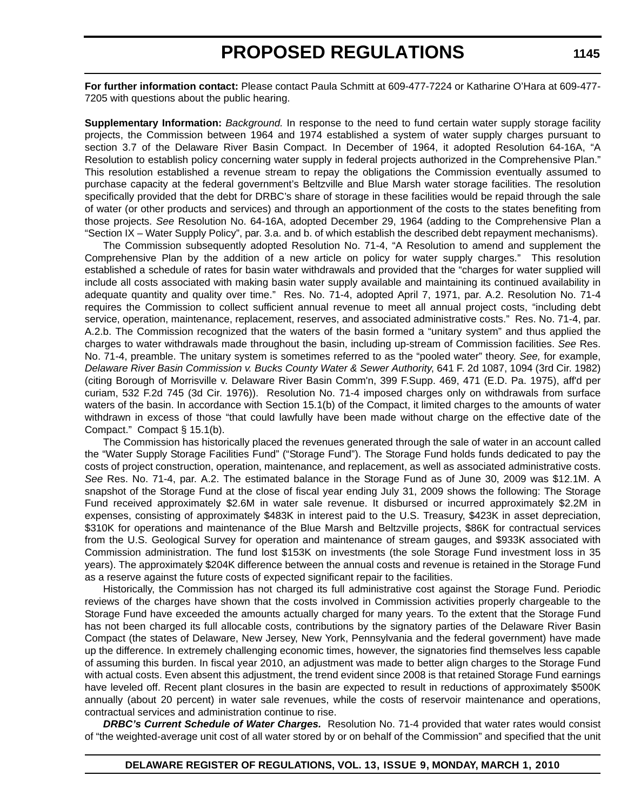**For further information contact:** Please contact Paula Schmitt at 609-477-7224 or Katharine O'Hara at 609-477- 7205 with questions about the public hearing.

**Supplementary Information:** *Background.* In response to the need to fund certain water supply storage facility projects, the Commission between 1964 and 1974 established a system of water supply charges pursuant to section 3.7 of the Delaware River Basin Compact. In December of 1964, it adopted Resolution 64-16A, "A Resolution to establish policy concerning water supply in federal projects authorized in the Comprehensive Plan." This resolution established a revenue stream to repay the obligations the Commission eventually assumed to purchase capacity at the federal government's Beltzville and Blue Marsh water storage facilities. The resolution specifically provided that the debt for DRBC's share of storage in these facilities would be repaid through the sale of water (or other products and services) and through an apportionment of the costs to the states benefiting from those projects. *See* Resolution No. 64-16A, adopted December 29, 1964 (adding to the Comprehensive Plan a "Section IX – Water Supply Policy", par. 3.a. and b. of which establish the described debt repayment mechanisms).

The Commission subsequently adopted Resolution No. 71-4, "A Resolution to amend and supplement the Comprehensive Plan by the addition of a new article on policy for water supply charges." This resolution established a schedule of rates for basin water withdrawals and provided that the "charges for water supplied will include all costs associated with making basin water supply available and maintaining its continued availability in adequate quantity and quality over time." Res. No. 71-4, adopted April 7, 1971, par. A.2. Resolution No. 71-4 requires the Commission to collect sufficient annual revenue to meet all annual project costs, "including debt service, operation, maintenance, replacement, reserves, and associated administrative costs." Res. No. 71-4, par. A.2.b. The Commission recognized that the waters of the basin formed a "unitary system" and thus applied the charges to water withdrawals made throughout the basin, including up-stream of Commission facilities. *See* Res. No. 71-4, preamble. The unitary system is sometimes referred to as the "pooled water" theory. *See,* for example, *Delaware River Basin Commission v. Bucks County Water & Sewer Authority*, 641 F. 2d 1087, 1094 (3rd Cir. 1982) (citing Borough of Morrisville v. Delaware River Basin Comm'n, 399 F.Supp. 469, 471 (E.D. Pa. 1975), aff'd per curiam, 532 F.2d 745 (3d Cir. 1976)). Resolution No. 71-4 imposed charges only on withdrawals from surface waters of the basin. In accordance with Section 15.1(b) of the Compact, it limited charges to the amounts of water withdrawn in excess of those "that could lawfully have been made without charge on the effective date of the Compact." Compact § 15.1(b).

The Commission has historically placed the revenues generated through the sale of water in an account called the "Water Supply Storage Facilities Fund" ("Storage Fund"). The Storage Fund holds funds dedicated to pay the costs of project construction, operation, maintenance, and replacement, as well as associated administrative costs. *See* Res. No. 71-4, par. A.2. The estimated balance in the Storage Fund as of June 30, 2009 was \$12.1M. A snapshot of the Storage Fund at the close of fiscal year ending July 31, 2009 shows the following: The Storage Fund received approximately \$2.6M in water sale revenue. It disbursed or incurred approximately \$2.2M in expenses, consisting of approximately \$483K in interest paid to the U.S. Treasury, \$423K in asset depreciation, \$310K for operations and maintenance of the Blue Marsh and Beltzville projects, \$86K for contractual services from the U.S. Geological Survey for operation and maintenance of stream gauges, and \$933K associated with Commission administration. The fund lost \$153K on investments (the sole Storage Fund investment loss in 35 years). The approximately \$204K difference between the annual costs and revenue is retained in the Storage Fund as a reserve against the future costs of expected significant repair to the facilities.

Historically, the Commission has not charged its full administrative cost against the Storage Fund. Periodic reviews of the charges have shown that the costs involved in Commission activities properly chargeable to the Storage Fund have exceeded the amounts actually charged for many years. To the extent that the Storage Fund has not been charged its full allocable costs, contributions by the signatory parties of the Delaware River Basin Compact (the states of Delaware, New Jersey, New York, Pennsylvania and the federal government) have made up the difference. In extremely challenging economic times, however, the signatories find themselves less capable of assuming this burden. In fiscal year 2010, an adjustment was made to better align charges to the Storage Fund with actual costs. Even absent this adjustment, the trend evident since 2008 is that retained Storage Fund earnings have leveled off. Recent plant closures in the basin are expected to result in reductions of approximately \$500K annually (about 20 percent) in water sale revenues, while the costs of reservoir maintenance and operations, contractual services and administration continue to rise.

*DRBC's Current Schedule of Water Charges.* Resolution No. 71-4 provided that water rates would consist of "the weighted-average unit cost of all water stored by or on behalf of the Commission" and specified that the unit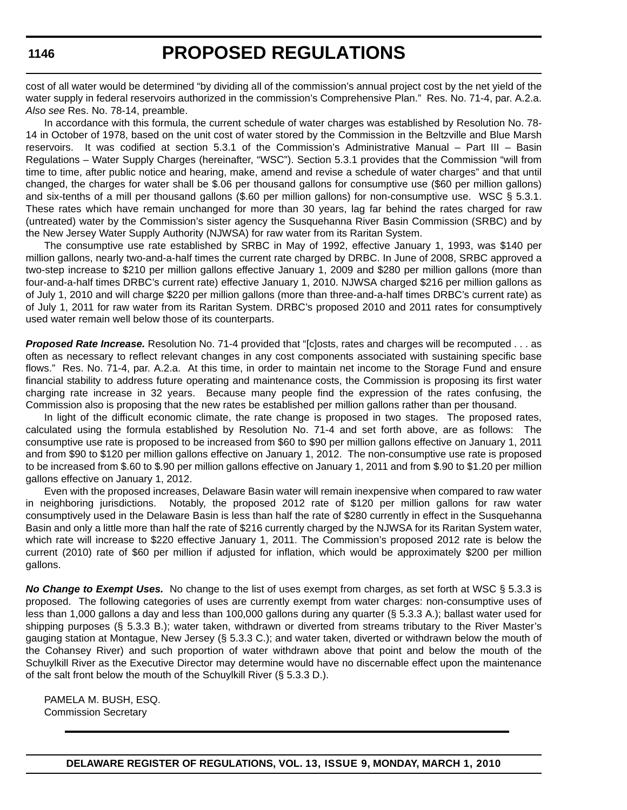# **PROPOSED REGULATIONS**

cost of all water would be determined "by dividing all of the commission's annual project cost by the net yield of the water supply in federal reservoirs authorized in the commission's Comprehensive Plan." Res. No. 71-4, par. A.2.a. *Also see* Res. No. 78-14, preamble.

In accordance with this formula, the current schedule of water charges was established by Resolution No. 78- 14 in October of 1978, based on the unit cost of water stored by the Commission in the Beltzville and Blue Marsh reservoirs. It was codified at section 5.3.1 of the Commission's Administrative Manual – Part III – Basin Regulations – Water Supply Charges (hereinafter, "WSC"). Section 5.3.1 provides that the Commission "will from time to time, after public notice and hearing, make, amend and revise a schedule of water charges" and that until changed, the charges for water shall be \$.06 per thousand gallons for consumptive use (\$60 per million gallons) and six-tenths of a mill per thousand gallons (\$.60 per million gallons) for non-consumptive use. WSC § 5.3.1. These rates which have remain unchanged for more than 30 years, lag far behind the rates charged for raw (untreated) water by the Commission's sister agency the Susquehanna River Basin Commission (SRBC) and by the New Jersey Water Supply Authority (NJWSA) for raw water from its Raritan System.

The consumptive use rate established by SRBC in May of 1992, effective January 1, 1993, was \$140 per million gallons, nearly two-and-a-half times the current rate charged by DRBC. In June of 2008, SRBC approved a two-step increase to \$210 per million gallons effective January 1, 2009 and \$280 per million gallons (more than four-and-a-half times DRBC's current rate) effective January 1, 2010. NJWSA charged \$216 per million gallons as of July 1, 2010 and will charge \$220 per million gallons (more than three-and-a-half times DRBC's current rate) as of July 1, 2011 for raw water from its Raritan System. DRBC's proposed 2010 and 2011 rates for consumptively used water remain well below those of its counterparts.

*Proposed Rate Increase.* Resolution No. 71-4 provided that "[c]osts, rates and charges will be recomputed . . . as often as necessary to reflect relevant changes in any cost components associated with sustaining specific base flows." Res. No. 71-4, par. A.2.a. At this time, in order to maintain net income to the Storage Fund and ensure financial stability to address future operating and maintenance costs, the Commission is proposing its first water charging rate increase in 32 years. Because many people find the expression of the rates confusing, the Commission also is proposing that the new rates be established per million gallons rather than per thousand.

In light of the difficult economic climate, the rate change is proposed in two stages. The proposed rates, calculated using the formula established by Resolution No. 71-4 and set forth above, are as follows: The consumptive use rate is proposed to be increased from \$60 to \$90 per million gallons effective on January 1, 2011 and from \$90 to \$120 per million gallons effective on January 1, 2012. The non-consumptive use rate is proposed to be increased from \$.60 to \$.90 per million gallons effective on January 1, 2011 and from \$.90 to \$1.20 per million gallons effective on January 1, 2012.

Even with the proposed increases, Delaware Basin water will remain inexpensive when compared to raw water in neighboring jurisdictions. Notably, the proposed 2012 rate of \$120 per million gallons for raw water consumptively used in the Delaware Basin is less than half the rate of \$280 currently in effect in the Susquehanna Basin and only a little more than half the rate of \$216 currently charged by the NJWSA for its Raritan System water, which rate will increase to \$220 effective January 1, 2011. The Commission's proposed 2012 rate is below the current (2010) rate of \$60 per million if adjusted for inflation, which would be approximately \$200 per million gallons.

*No Change to Exempt Uses.* No change to the list of uses exempt from charges, as set forth at WSC § 5.3.3 is proposed. The following categories of uses are currently exempt from water charges: non-consumptive uses of less than 1,000 gallons a day and less than 100,000 gallons during any quarter (§ 5.3.3 A.); ballast water used for shipping purposes (§ 5.3.3 B.); water taken, withdrawn or diverted from streams tributary to the River Master's gauging station at Montague, New Jersey (§ 5.3.3 C.); and water taken, diverted or withdrawn below the mouth of the Cohansey River) and such proportion of water withdrawn above that point and below the mouth of the Schuylkill River as the Executive Director may determine would have no discernable effect upon the maintenance of the salt front below the mouth of the Schuylkill River (§ 5.3.3 D.).

PAMELA M. BUSH, ESQ. Commission Secretary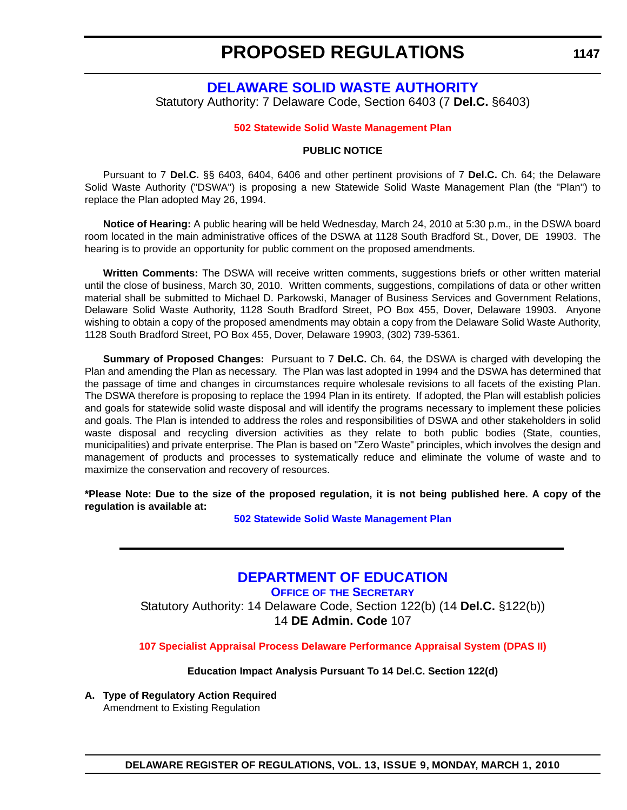**1147**

# <span id="page-15-0"></span>**[DELAWARE SOLID WASTE AUTHORITY](http://www.dswa.com/)** Statutory Authority: 7 Delaware Code, Section 6403 (7 **Del.C.** §6403)

#### **[502 Statewide Solid Waste Management Plan](#page-3-0)**

#### **PUBLIC NOTICE**

Pursuant to 7 **Del.C.** §§ 6403, 6404, 6406 and other pertinent provisions of 7 **Del.C.** Ch. 64; the Delaware Solid Waste Authority ("DSWA") is proposing a new Statewide Solid Waste Management Plan (the "Plan") to replace the Plan adopted May 26, 1994.

**Notice of Hearing:** A public hearing will be held Wednesday, March 24, 2010 at 5:30 p.m., in the DSWA board room located in the main administrative offices of the DSWA at 1128 South Bradford St., Dover, DE 19903. The hearing is to provide an opportunity for public comment on the proposed amendments.

**Written Comments:** The DSWA will receive written comments, suggestions briefs or other written material until the close of business, March 30, 2010. Written comments, suggestions, compilations of data or other written material shall be submitted to Michael D. Parkowski, Manager of Business Services and Government Relations, Delaware Solid Waste Authority, 1128 South Bradford Street, PO Box 455, Dover, Delaware 19903. Anyone wishing to obtain a copy of the proposed amendments may obtain a copy from the Delaware Solid Waste Authority, 1128 South Bradford Street, PO Box 455, Dover, Delaware 19903, (302) 739-5361.

**Summary of Proposed Changes:** Pursuant to 7 **Del.C.** Ch. 64, the DSWA is charged with developing the Plan and amending the Plan as necessary. The Plan was last adopted in 1994 and the DSWA has determined that the passage of time and changes in circumstances require wholesale revisions to all facets of the existing Plan. The DSWA therefore is proposing to replace the 1994 Plan in its entirety. If adopted, the Plan will establish policies and goals for statewide solid waste disposal and will identify the programs necessary to implement these policies and goals. The Plan is intended to address the roles and responsibilities of DSWA and other stakeholders in solid waste disposal and recycling diversion activities as they relate to both public bodies (State, counties, municipalities) and private enterprise. The Plan is based on "Zero Waste" principles, which involves the design and management of products and processes to systematically reduce and eliminate the volume of waste and to maximize the conservation and recovery of resources.

**\*Please Note: Due to the size of the proposed regulation, it is not being published here. A copy of the regulation is available at:**

**[502 Statewide Solid Waste Management Plan](http://regulations.delaware.gov/register/march2010/proposed/13 DE Reg 1147 03-01-10.htm)**

# **[DEPARTMENT OF EDUCATION](http://www.doe.k12.de.us/)**

**OFFICE OF THE SECRETARY** Statutory Authority: 14 Delaware Code, Section 122(b) (14 **Del.C.** §122(b)) 14 **DE Admin. Code** 107

**[107 Specialist Appraisal Process Delaware Performance Appraisal System \(DPAS II\)](#page-3-0)**

**Education Impact Analysis Pursuant To 14 Del.C. Section 122(d)**

**A. Type of Regulatory Action Required** Amendment to Existing Regulation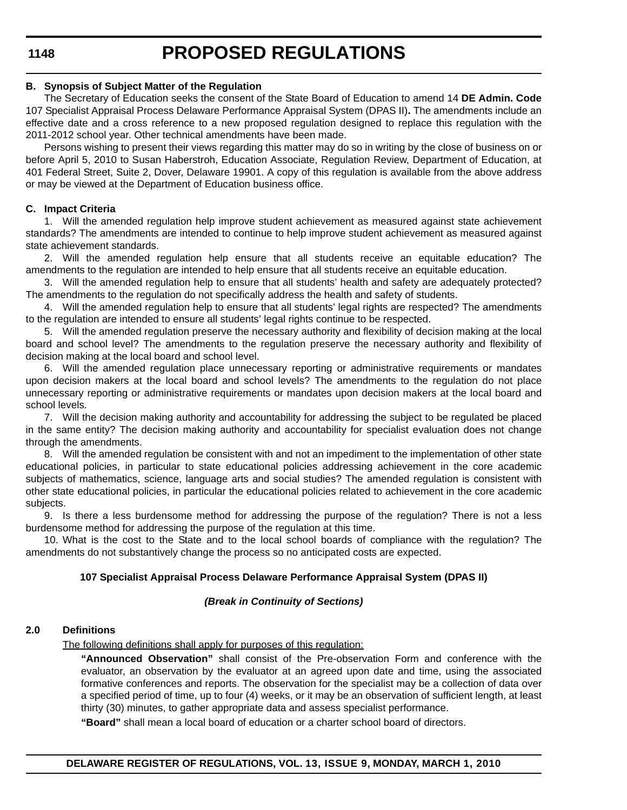#### **B. Synopsis of Subject Matter of the Regulation**

The Secretary of Education seeks the consent of the State Board of Education to amend 14 **DE Admin. Code** 107 Specialist Appraisal Process Delaware Performance Appraisal System (DPAS II)**.** The amendments include an effective date and a cross reference to a new proposed regulation designed to replace this regulation with the 2011-2012 school year. Other technical amendments have been made.

Persons wishing to present their views regarding this matter may do so in writing by the close of business on or before April 5, 2010 to Susan Haberstroh, Education Associate, Regulation Review, Department of Education, at 401 Federal Street, Suite 2, Dover, Delaware 19901. A copy of this regulation is available from the above address or may be viewed at the Department of Education business office.

# **C. Impact Criteria**

1. Will the amended regulation help improve student achievement as measured against state achievement standards? The amendments are intended to continue to help improve student achievement as measured against state achievement standards.

2. Will the amended regulation help ensure that all students receive an equitable education? The amendments to the regulation are intended to help ensure that all students receive an equitable education.

3. Will the amended regulation help to ensure that all students' health and safety are adequately protected? The amendments to the regulation do not specifically address the health and safety of students.

4. Will the amended regulation help to ensure that all students' legal rights are respected? The amendments to the regulation are intended to ensure all students' legal rights continue to be respected.

5. Will the amended regulation preserve the necessary authority and flexibility of decision making at the local board and school level? The amendments to the regulation preserve the necessary authority and flexibility of decision making at the local board and school level.

6. Will the amended regulation place unnecessary reporting or administrative requirements or mandates upon decision makers at the local board and school levels? The amendments to the regulation do not place unnecessary reporting or administrative requirements or mandates upon decision makers at the local board and school levels.

7. Will the decision making authority and accountability for addressing the subject to be regulated be placed in the same entity? The decision making authority and accountability for specialist evaluation does not change through the amendments.

8. Will the amended regulation be consistent with and not an impediment to the implementation of other state educational policies, in particular to state educational policies addressing achievement in the core academic subjects of mathematics, science, language arts and social studies? The amended regulation is consistent with other state educational policies, in particular the educational policies related to achievement in the core academic subjects.

9. Is there a less burdensome method for addressing the purpose of the regulation? There is not a less burdensome method for addressing the purpose of the regulation at this time.

10. What is the cost to the State and to the local school boards of compliance with the regulation? The amendments do not substantively change the process so no anticipated costs are expected.

# **107 Specialist Appraisal Process Delaware Performance Appraisal System (DPAS II)**

# *(Break in Continuity of Sections)*

# **2.0 Definitions**

The following definitions shall apply for purposes of this regulation:

**"Announced Observation"** shall consist of the Pre-observation Form and conference with the evaluator, an observation by the evaluator at an agreed upon date and time, using the associated formative conferences and reports. The observation for the specialist may be a collection of data over a specified period of time, up to four (4) weeks, or it may be an observation of sufficient length, at least thirty (30) minutes, to gather appropriate data and assess specialist performance.

**"Board"** shall mean a local board of education or a charter school board of directors.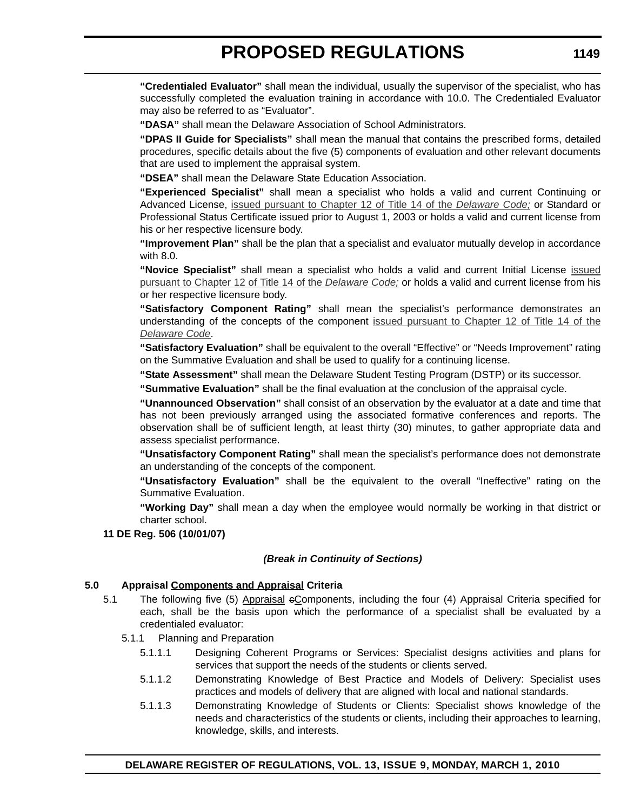**"Credentialed Evaluator"** shall mean the individual, usually the supervisor of the specialist, who has successfully completed the evaluation training in accordance with 10.0. The Credentialed Evaluator may also be referred to as "Evaluator".

**"DASA"** shall mean the Delaware Association of School Administrators.

**"DPAS II Guide for Specialists"** shall mean the manual that contains the prescribed forms, detailed procedures, specific details about the five (5) components of evaluation and other relevant documents that are used to implement the appraisal system.

**"DSEA"** shall mean the Delaware State Education Association.

**"Experienced Specialist"** shall mean a specialist who holds a valid and current Continuing or Advanced License, issued pursuant to Chapter 12 of Title 14 of the *Delaware Code;* or Standard or Professional Status Certificate issued prior to August 1, 2003 or holds a valid and current license from his or her respective licensure body.

**"Improvement Plan"** shall be the plan that a specialist and evaluator mutually develop in accordance with 8.0.

**"Novice Specialist"** shall mean a specialist who holds a valid and current Initial License issued pursuant to Chapter 12 of Title 14 of the *Delaware Code;* or holds a valid and current license from his or her respective licensure body.

**"Satisfactory Component Rating"** shall mean the specialist's performance demonstrates an understanding of the concepts of the component issued pursuant to Chapter 12 of Title 14 of the *Delaware Code*.

**"Satisfactory Evaluation"** shall be equivalent to the overall "Effective" or "Needs Improvement" rating on the Summative Evaluation and shall be used to qualify for a continuing license.

**"State Assessment"** shall mean the Delaware Student Testing Program (DSTP) or its successor.

**"Summative Evaluation"** shall be the final evaluation at the conclusion of the appraisal cycle.

**"Unannounced Observation"** shall consist of an observation by the evaluator at a date and time that has not been previously arranged using the associated formative conferences and reports. The observation shall be of sufficient length, at least thirty (30) minutes, to gather appropriate data and assess specialist performance.

**"Unsatisfactory Component Rating"** shall mean the specialist's performance does not demonstrate an understanding of the concepts of the component.

**"Unsatisfactory Evaluation"** shall be the equivalent to the overall "Ineffective" rating on the Summative Evaluation.

**"Working Day"** shall mean a day when the employee would normally be working in that district or charter school.

# **11 DE Reg. 506 (10/01/07)**

#### *(Break in Continuity of Sections)*

# **5.0 Appraisal Components and Appraisal Criteria**

- 5.1 The following five (5) Appraisal cComponents, including the four (4) Appraisal Criteria specified for each, shall be the basis upon which the performance of a specialist shall be evaluated by a credentialed evaluator:
	- 5.1.1 Planning and Preparation
		- 5.1.1.1 Designing Coherent Programs or Services: Specialist designs activities and plans for services that support the needs of the students or clients served.
		- 5.1.1.2 Demonstrating Knowledge of Best Practice and Models of Delivery: Specialist uses practices and models of delivery that are aligned with local and national standards.
		- 5.1.1.3 Demonstrating Knowledge of Students or Clients: Specialist shows knowledge of the needs and characteristics of the students or clients, including their approaches to learning, knowledge, skills, and interests.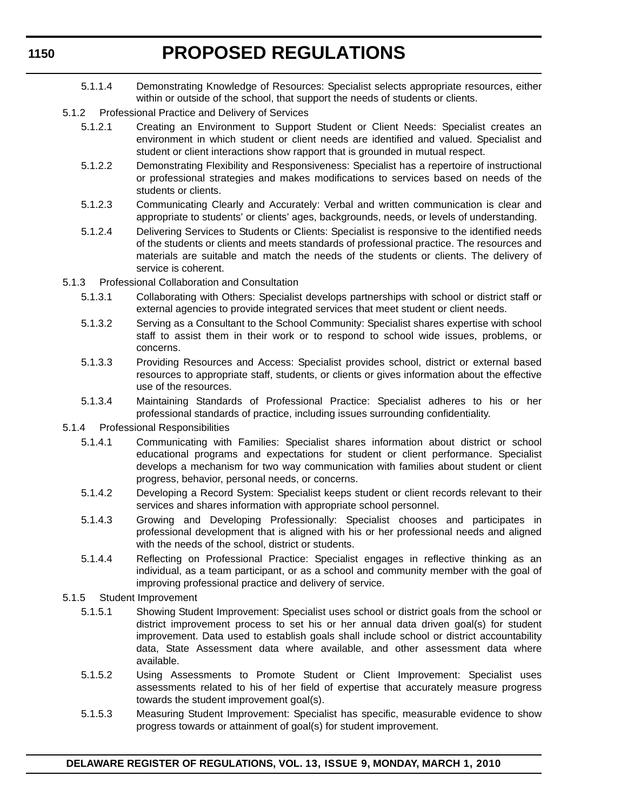- 5.1.1.4 Demonstrating Knowledge of Resources: Specialist selects appropriate resources, either within or outside of the school, that support the needs of students or clients.
- 5.1.2 Professional Practice and Delivery of Services
	- 5.1.2.1 Creating an Environment to Support Student or Client Needs: Specialist creates an environment in which student or client needs are identified and valued. Specialist and student or client interactions show rapport that is grounded in mutual respect.
	- 5.1.2.2 Demonstrating Flexibility and Responsiveness: Specialist has a repertoire of instructional or professional strategies and makes modifications to services based on needs of the students or clients.
	- 5.1.2.3 Communicating Clearly and Accurately: Verbal and written communication is clear and appropriate to students' or clients' ages, backgrounds, needs, or levels of understanding.
	- 5.1.2.4 Delivering Services to Students or Clients: Specialist is responsive to the identified needs of the students or clients and meets standards of professional practice. The resources and materials are suitable and match the needs of the students or clients. The delivery of service is coherent.
- 5.1.3 Professional Collaboration and Consultation
	- 5.1.3.1 Collaborating with Others: Specialist develops partnerships with school or district staff or external agencies to provide integrated services that meet student or client needs.
	- 5.1.3.2 Serving as a Consultant to the School Community: Specialist shares expertise with school staff to assist them in their work or to respond to school wide issues, problems, or concerns.
	- 5.1.3.3 Providing Resources and Access: Specialist provides school, district or external based resources to appropriate staff, students, or clients or gives information about the effective use of the resources.
	- 5.1.3.4 Maintaining Standards of Professional Practice: Specialist adheres to his or her professional standards of practice, including issues surrounding confidentiality.
- 5.1.4 Professional Responsibilities
	- 5.1.4.1 Communicating with Families: Specialist shares information about district or school educational programs and expectations for student or client performance. Specialist develops a mechanism for two way communication with families about student or client progress, behavior, personal needs, or concerns.
	- 5.1.4.2 Developing a Record System: Specialist keeps student or client records relevant to their services and shares information with appropriate school personnel.
	- 5.1.4.3 Growing and Developing Professionally: Specialist chooses and participates in professional development that is aligned with his or her professional needs and aligned with the needs of the school, district or students.
	- 5.1.4.4 Reflecting on Professional Practice: Specialist engages in reflective thinking as an individual, as a team participant, or as a school and community member with the goal of improving professional practice and delivery of service.
- 5.1.5 Student Improvement
	- 5.1.5.1 Showing Student Improvement: Specialist uses school or district goals from the school or district improvement process to set his or her annual data driven goal(s) for student improvement. Data used to establish goals shall include school or district accountability data, State Assessment data where available, and other assessment data where available.
	- 5.1.5.2 Using Assessments to Promote Student or Client Improvement: Specialist uses assessments related to his of her field of expertise that accurately measure progress towards the student improvement goal(s).
	- 5.1.5.3 Measuring Student Improvement: Specialist has specific, measurable evidence to show progress towards or attainment of goal(s) for student improvement.

#### **1150**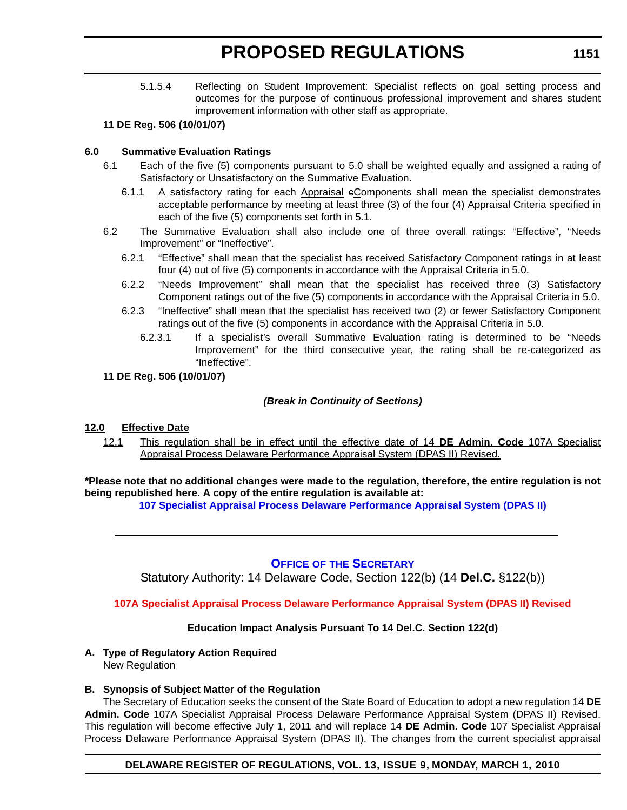<span id="page-19-0"></span>5.1.5.4 Reflecting on Student Improvement: Specialist reflects on goal setting process and outcomes for the purpose of continuous professional improvement and shares student improvement information with other staff as appropriate.

#### **11 DE Reg. 506 (10/01/07)**

# **6.0 Summative Evaluation Ratings**

- 6.1 Each of the five (5) components pursuant to 5.0 shall be weighted equally and assigned a rating of Satisfactory or Unsatisfactory on the Summative Evaluation.
	- 6.1.1 A satisfactory rating for each Appraisal eComponents shall mean the specialist demonstrates acceptable performance by meeting at least three (3) of the four (4) Appraisal Criteria specified in each of the five (5) components set forth in 5.1.
- 6.2 The Summative Evaluation shall also include one of three overall ratings: "Effective", "Needs Improvement" or "Ineffective".
	- 6.2.1 "Effective" shall mean that the specialist has received Satisfactory Component ratings in at least four (4) out of five (5) components in accordance with the Appraisal Criteria in 5.0.
	- 6.2.2 "Needs Improvement" shall mean that the specialist has received three (3) Satisfactory Component ratings out of the five (5) components in accordance with the Appraisal Criteria in 5.0.
	- 6.2.3 "Ineffective" shall mean that the specialist has received two (2) or fewer Satisfactory Component ratings out of the five (5) components in accordance with the Appraisal Criteria in 5.0.
		- 6.2.3.1 If a specialist's overall Summative Evaluation rating is determined to be "Needs Improvement" for the third consecutive year, the rating shall be re-categorized as "Ineffective".
- **11 DE Reg. 506 (10/01/07)**

# *(Break in Continuity of Sections)*

# **12.0 Effective Date**

12.1 This regulation shall be in effect until the effective date of 14 **DE Admin. Code** 107A Specialist Appraisal Process Delaware Performance Appraisal System (DPAS II) Revised.

**\*Please note that no additional changes were made to the regulation, therefore, the entire regulation is not being republished here. A copy of the entire regulation is available at:**

**[107 Specialist Appraisal Process Delaware Performance Appraisal System \(DPAS II\)](http://regulations.delaware.gov/register/march2010/proposed/13 DE Reg 1147a 03-01-10.htm)**

# **OFFICE OF [THE SECRETARY](http://www.doe.k12.de.us/)**

Statutory Authority: 14 Delaware Code, Section 122(b) (14 **Del.C.** §122(b))

# **[107A Specialist Appraisal Process Delaware Performance Appraisal System \(DPAS II\) Revised](#page-3-0)**

# **Education Impact Analysis Pursuant To 14 Del.C. Section 122(d)**

# **A. Type of Regulatory Action Required**

New Regulation

# **B. Synopsis of Subject Matter of the Regulation**

The Secretary of Education seeks the consent of the State Board of Education to adopt a new regulation 14 **DE Admin. Code** 107A Specialist Appraisal Process Delaware Performance Appraisal System (DPAS II) Revised. This regulation will become effective July 1, 2011 and will replace 14 **DE Admin. Code** 107 Specialist Appraisal Process Delaware Performance Appraisal System (DPAS II). The changes from the current specialist appraisal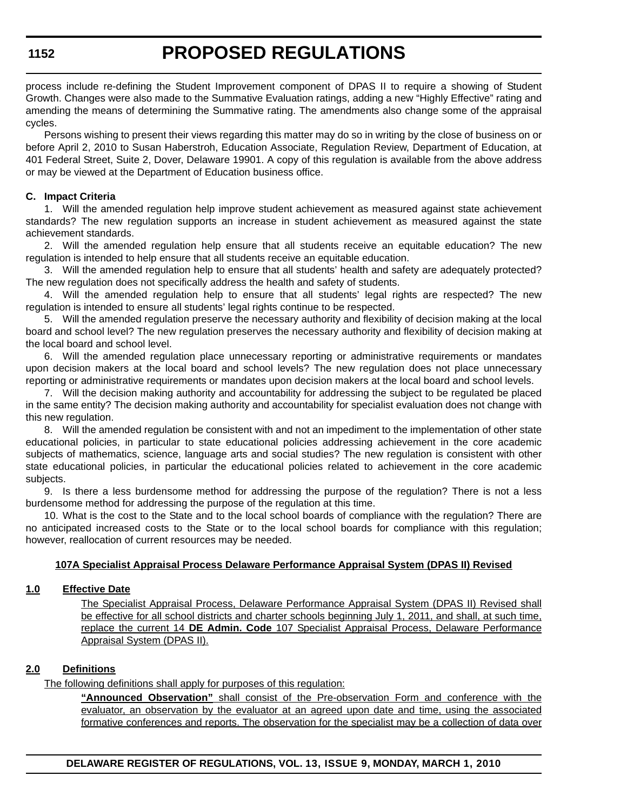process include re-defining the Student Improvement component of DPAS II to require a showing of Student Growth. Changes were also made to the Summative Evaluation ratings, adding a new "Highly Effective" rating and amending the means of determining the Summative rating. The amendments also change some of the appraisal cycles.

Persons wishing to present their views regarding this matter may do so in writing by the close of business on or before April 2, 2010 to Susan Haberstroh, Education Associate, Regulation Review, Department of Education, at 401 Federal Street, Suite 2, Dover, Delaware 19901. A copy of this regulation is available from the above address or may be viewed at the Department of Education business office.

### **C. Impact Criteria**

1. Will the amended regulation help improve student achievement as measured against state achievement standards? The new regulation supports an increase in student achievement as measured against the state achievement standards.

2. Will the amended regulation help ensure that all students receive an equitable education? The new regulation is intended to help ensure that all students receive an equitable education.

3. Will the amended regulation help to ensure that all students' health and safety are adequately protected? The new regulation does not specifically address the health and safety of students.

4. Will the amended regulation help to ensure that all students' legal rights are respected? The new regulation is intended to ensure all students' legal rights continue to be respected.

5. Will the amended regulation preserve the necessary authority and flexibility of decision making at the local board and school level? The new regulation preserves the necessary authority and flexibility of decision making at the local board and school level.

6. Will the amended regulation place unnecessary reporting or administrative requirements or mandates upon decision makers at the local board and school levels? The new regulation does not place unnecessary reporting or administrative requirements or mandates upon decision makers at the local board and school levels.

7. Will the decision making authority and accountability for addressing the subject to be regulated be placed in the same entity? The decision making authority and accountability for specialist evaluation does not change with this new regulation.

8. Will the amended regulation be consistent with and not an impediment to the implementation of other state educational policies, in particular to state educational policies addressing achievement in the core academic subjects of mathematics, science, language arts and social studies? The new regulation is consistent with other state educational policies, in particular the educational policies related to achievement in the core academic subjects.

9. Is there a less burdensome method for addressing the purpose of the regulation? There is not a less burdensome method for addressing the purpose of the regulation at this time.

10. What is the cost to the State and to the local school boards of compliance with the regulation? There are no anticipated increased costs to the State or to the local school boards for compliance with this regulation; however, reallocation of current resources may be needed.

#### **107A Specialist Appraisal Process Delaware Performance Appraisal System (DPAS II) Revised**

# **1.0 Effective Date**

The Specialist Appraisal Process, Delaware Performance Appraisal System (DPAS II) Revised shall be effective for all school districts and charter schools beginning July 1, 2011, and shall, at such time, replace the current 14 **DE Admin. Code** 107 Specialist Appraisal Process, Delaware Performance Appraisal System (DPAS II).

# **2.0 Definitions**

The following definitions shall apply for purposes of this regulation:

**"Announced Observation"** shall consist of the Pre-observation Form and conference with the evaluator, an observation by the evaluator at an agreed upon date and time, using the associated formative conferences and reports. The observation for the specialist may be a collection of data over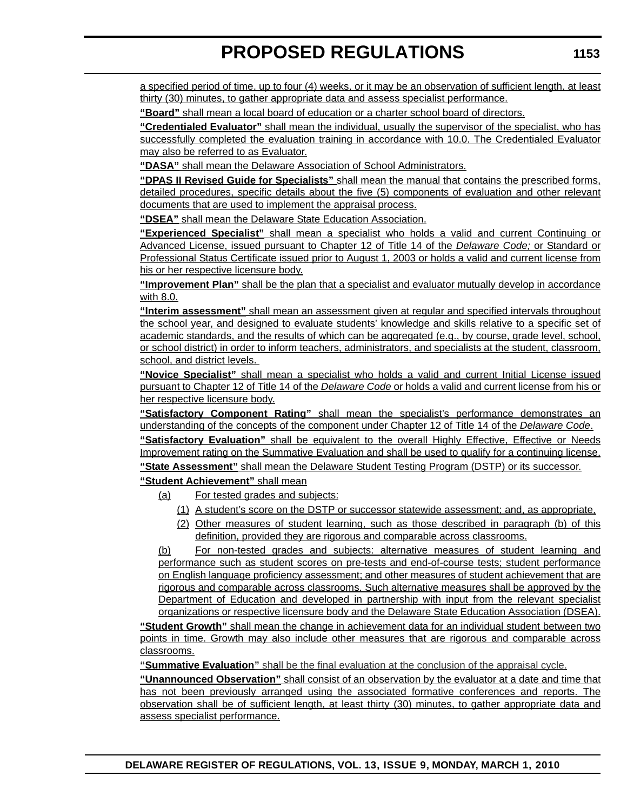a specified period of time, up to four (4) weeks, or it may be an observation of sufficient length, at least thirty (30) minutes, to gather appropriate data and assess specialist performance.

**"Board"** shall mean a local board of education or a charter school board of directors.

**"Credentialed Evaluator"** shall mean the individual, usually the supervisor of the specialist, who has successfully completed the evaluation training in accordance with 10.0. The Credentialed Evaluator may also be referred to as Evaluator.

**"DASA"** shall mean the Delaware Association of School Administrators.

**"DPAS II Revised Guide for Specialists"** shall mean the manual that contains the prescribed forms, detailed procedures, specific details about the five (5) components of evaluation and other relevant documents that are used to implement the appraisal process.

**"DSEA"** shall mean the Delaware State Education Association.

**"Experienced Specialist"** shall mean a specialist who holds a valid and current Continuing or Advanced License, issued pursuant to Chapter 12 of Title 14 of the *Delaware Code;* or Standard or Professional Status Certificate issued prior to August 1, 2003 or holds a valid and current license from his or her respective licensure body.

**"Improvement Plan"** shall be the plan that a specialist and evaluator mutually develop in accordance with 8.0.

**"Interim assessment"** shall mean an assessment given at regular and specified intervals throughout the school year, and designed to evaluate students' knowledge and skills relative to a specific set of academic standards, and the results of which can be aggregated (e.g., by course, grade level, school, or school district) in order to inform teachers, administrators, and specialists at the student, classroom, school, and district levels.

**"Novice Specialist"** shall mean a specialist who holds a valid and current Initial License issued pursuant to Chapter 12 of Title 14 of the *Delaware Code* or holds a valid and current license from his or her respective licensure body.

**"Satisfactory Component Rating"** shall mean the specialist's performance demonstrates an understanding of the concepts of the component under Chapter 12 of Title 14 of the *Delaware Code*. **"Satisfactory Evaluation"** shall be equivalent to the overall Highly Effective, Effective or Needs Improvement rating on the Summative Evaluation and shall be used to qualify for a continuing license. **"State Assessment"** shall mean the Delaware Student Testing Program (DSTP) or its successor. **"Student Achievement"** shall mean

- (a) For tested grades and subjects:
	- (1) A student's score on the DSTP or successor statewide assessment; and, as appropriate,
	- (2) Other measures of student learning, such as those described in paragraph (b) of this definition, provided they are rigorous and comparable across classrooms.

(b) For non-tested grades and subjects: alternative measures of student learning and performance such as student scores on pre-tests and end-of-course tests; student performance on English language proficiency assessment; and other measures of student achievement that are rigorous and comparable across classrooms. Such alternative measures shall be approved by the Department of Education and developed in partnership with input from the relevant specialist organizations or respective licensure body and the Delaware State Education Association (DSEA).

**"Student Growth"** shall mean the change in achievement data for an individual student between two points in time. Growth may also include other measures that are rigorous and comparable across classrooms.

**"Summative Evaluation"** shall be the final evaluation at the conclusion of the appraisal cycle.

**"Unannounced Observation"** shall consist of an observation by the evaluator at a date and time that has not been previously arranged using the associated formative conferences and reports. The observation shall be of sufficient length, at least thirty (30) minutes, to gather appropriate data and assess specialist performance.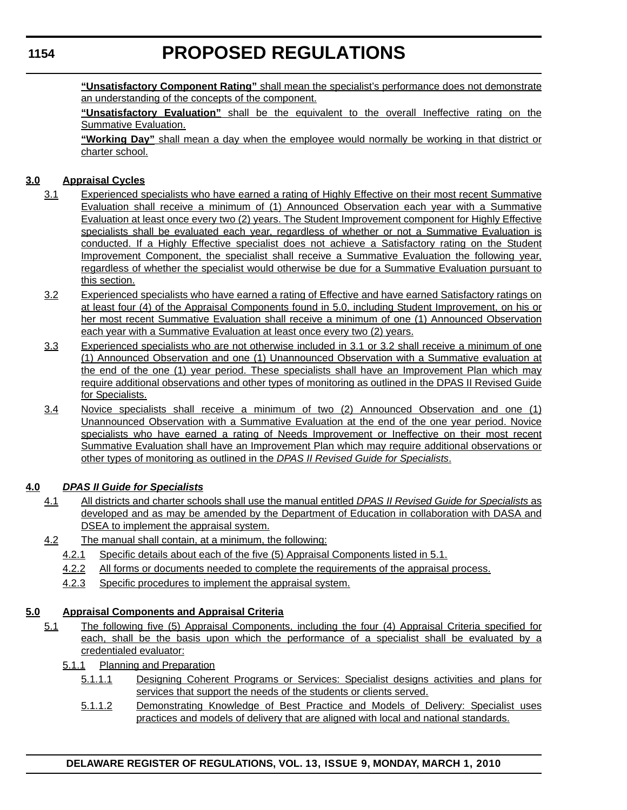# **PROPOSED REGULATIONS**

**"Unsatisfactory Component Rating"** shall mean the specialist's performance does not demonstrate an understanding of the concepts of the component.

**"Unsatisfactory Evaluation"** shall be the equivalent to the overall Ineffective rating on the Summative Evaluation.

**"Working Day"** shall mean a day when the employee would normally be working in that district or charter school.

# **3.0 Appraisal Cycles**

- 3.1 Experienced specialists who have earned a rating of Highly Effective on their most recent Summative Evaluation shall receive a minimum of (1) Announced Observation each year with a Summative Evaluation at least once every two (2) years. The Student Improvement component for Highly Effective specialists shall be evaluated each year, regardless of whether or not a Summative Evaluation is conducted. If a Highly Effective specialist does not achieve a Satisfactory rating on the Student Improvement Component, the specialist shall receive a Summative Evaluation the following year, regardless of whether the specialist would otherwise be due for a Summative Evaluation pursuant to this section.
- 3.2 Experienced specialists who have earned a rating of Effective and have earned Satisfactory ratings on at least four (4) of the Appraisal Components found in 5.0, including Student Improvement, on his or her most recent Summative Evaluation shall receive a minimum of one (1) Announced Observation each year with a Summative Evaluation at least once every two (2) years.
- 3.3 Experienced specialists who are not otherwise included in 3.1 or 3.2 shall receive a minimum of one (1) Announced Observation and one (1) Unannounced Observation with a Summative evaluation at the end of the one (1) year period. These specialists shall have an Improvement Plan which may require additional observations and other types of monitoring as outlined in the DPAS II Revised Guide for Specialists.
- 3.4 Novice specialists shall receive a minimum of two (2) Announced Observation and one (1) Unannounced Observation with a Summative Evaluation at the end of the one year period. Novice specialists who have earned a rating of Needs Improvement or Ineffective on their most recent Summative Evaluation shall have an Improvement Plan which may require additional observations or other types of monitoring as outlined in the *DPAS II Revised Guide for Specialists*.

# **4.0** *DPAS II Guide for Specialists*

- 4.1 All districts and charter schools shall use the manual entitled *DPAS II Revised Guide for Specialists* as developed and as may be amended by the Department of Education in collaboration with DASA and DSEA to implement the appraisal system.
- 4.2 The manual shall contain, at a minimum, the following:
	- 4.2.1 Specific details about each of the five (5) Appraisal Components listed in 5.1.
	- 4.2.2 All forms or documents needed to complete the requirements of the appraisal process.
	- 4.2.3 Specific procedures to implement the appraisal system.

# **5.0 Appraisal Components and Appraisal Criteria**

- 5.1 The following five (5) Appraisal Components, including the four (4) Appraisal Criteria specified for each, shall be the basis upon which the performance of a specialist shall be evaluated by a credentialed evaluator:
	- 5.1.1 Planning and Preparation
		- 5.1.1.1 Designing Coherent Programs or Services: Specialist designs activities and plans for services that support the needs of the students or clients served.
		- 5.1.1.2 Demonstrating Knowledge of Best Practice and Models of Delivery: Specialist uses practices and models of delivery that are aligned with local and national standards.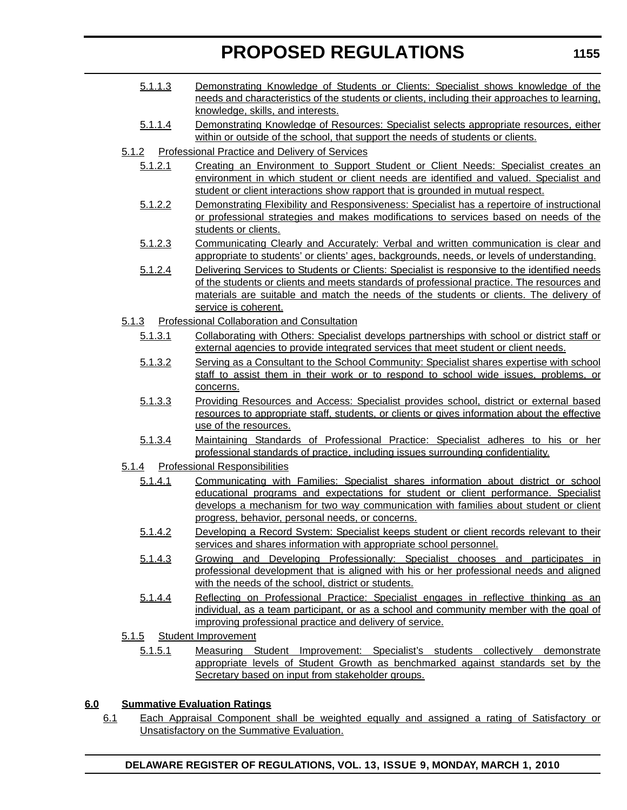- 5.1.1.3 Demonstrating Knowledge of Students or Clients: Specialist shows knowledge of the needs and characteristics of the students or clients, including their approaches to learning, knowledge, skills, and interests.
- 5.1.1.4 Demonstrating Knowledge of Resources: Specialist selects appropriate resources, either within or outside of the school, that support the needs of students or clients.
- 5.1.2 Professional Practice and Delivery of Services
	- 5.1.2.1 Creating an Environment to Support Student or Client Needs: Specialist creates an environment in which student or client needs are identified and valued. Specialist and student or client interactions show rapport that is grounded in mutual respect.
	- 5.1.2.2 Demonstrating Flexibility and Responsiveness: Specialist has a repertoire of instructional or professional strategies and makes modifications to services based on needs of the students or clients.
	- 5.1.2.3 Communicating Clearly and Accurately: Verbal and written communication is clear and appropriate to students' or clients' ages, backgrounds, needs, or levels of understanding.
	- 5.1.2.4 Delivering Services to Students or Clients: Specialist is responsive to the identified needs of the students or clients and meets standards of professional practice. The resources and materials are suitable and match the needs of the students or clients. The delivery of service is coherent.
- 5.1.3 Professional Collaboration and Consultation
	- 5.1.3.1 Collaborating with Others: Specialist develops partnerships with school or district staff or external agencies to provide integrated services that meet student or client needs.
	- 5.1.3.2 Serving as a Consultant to the School Community: Specialist shares expertise with school staff to assist them in their work or to respond to school wide issues, problems, or concerns.
	- 5.1.3.3 Providing Resources and Access: Specialist provides school, district or external based resources to appropriate staff, students, or clients or gives information about the effective use of the resources.
	- 5.1.3.4 Maintaining Standards of Professional Practice: Specialist adheres to his or her professional standards of practice, including issues surrounding confidentiality.
- 5.1.4 Professional Responsibilities
	- 5.1.4.1 Communicating with Families: Specialist shares information about district or school educational programs and expectations for student or client performance. Specialist develops a mechanism for two way communication with families about student or client progress, behavior, personal needs, or concerns.
	- 5.1.4.2 Developing a Record System: Specialist keeps student or client records relevant to their services and shares information with appropriate school personnel.
	- 5.1.4.3 Growing and Developing Professionally: Specialist chooses and participates in professional development that is aligned with his or her professional needs and aligned with the needs of the school, district or students.
	- 5.1.4.4 Reflecting on Professional Practice: Specialist engages in reflective thinking as an individual, as a team participant, or as a school and community member with the goal of improving professional practice and delivery of service.
- 5.1.5 Student Improvement
	- 5.1.5.1 Measuring Student Improvement: Specialist's students collectively demonstrate appropriate levels of Student Growth as benchmarked against standards set by the Secretary based on input from stakeholder groups.

# **6.0 Summative Evaluation Ratings**

6.1 Each Appraisal Component shall be weighted equally and assigned a rating of Satisfactory or Unsatisfactory on the Summative Evaluation.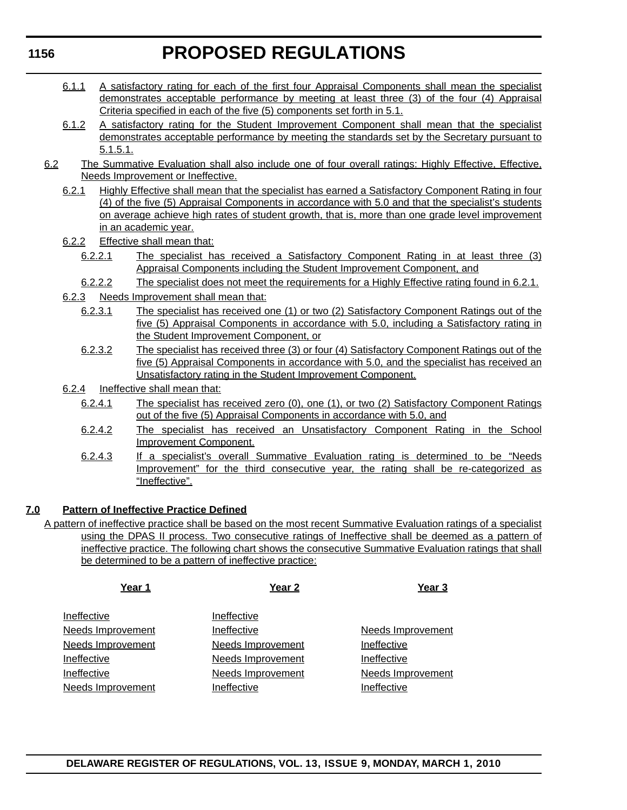- 6.1.1 A satisfactory rating for each of the first four Appraisal Components shall mean the specialist demonstrates acceptable performance by meeting at least three (3) of the four (4) Appraisal Criteria specified in each of the five (5) components set forth in 5.1.
- 6.1.2 A satisfactory rating for the Student Improvement Component shall mean that the specialist demonstrates acceptable performance by meeting the standards set by the Secretary pursuant to 5.1.5.1.
- 6.2 The Summative Evaluation shall also include one of four overall ratings: Highly Effective, Effective, Needs Improvement or Ineffective.
	- 6.2.1 Highly Effective shall mean that the specialist has earned a Satisfactory Component Rating in four (4) of the five (5) Appraisal Components in accordance with 5.0 and that the specialist's students on average achieve high rates of student growth, that is, more than one grade level improvement in an academic year.
	- 6.2.2 Effective shall mean that:
		- 6.2.2.1 The specialist has received a Satisfactory Component Rating in at least three (3) Appraisal Components including the Student Improvement Component, and
		- 6.2.2.2 The specialist does not meet the requirements for a Highly Effective rating found in 6.2.1.
	- 6.2.3 Needs Improvement shall mean that:
		- 6.2.3.1 The specialist has received one (1) or two (2) Satisfactory Component Ratings out of the five (5) Appraisal Components in accordance with 5.0, including a Satisfactory rating in the Student Improvement Component, or
		- 6.2.3.2 The specialist has received three (3) or four (4) Satisfactory Component Ratings out of the five (5) Appraisal Components in accordance with 5.0, and the specialist has received an Unsatisfactory rating in the Student Improvement Component.
	- 6.2.4 Ineffective shall mean that:
		- 6.2.4.1 The specialist has received zero (0), one (1), or two (2) Satisfactory Component Ratings out of the five (5) Appraisal Components in accordance with 5.0, and
		- 6.2.4.2 The specialist has received an Unsatisfactory Component Rating in the School Improvement Component.
		- 6.2.4.3 If a specialist's overall Summative Evaluation rating is determined to be "Needs Improvement" for the third consecutive year, the rating shall be re-categorized as "Ineffective".

# **7.0 Pattern of Ineffective Practice Defined**

A pattern of ineffective practice shall be based on the most recent Summative Evaluation ratings of a specialist using the DPAS II process. Two consecutive ratings of Ineffective shall be deemed as a pattern of ineffective practice. The following chart shows the consecutive Summative Evaluation ratings that shall be determined to be a pattern of ineffective practice:

| Year 1                   | Year <sub>2</sub> | Year <sub>3</sub>        |
|--------------------------|-------------------|--------------------------|
| Ineffective              | Ineffective       |                          |
| <b>Needs Improvement</b> | Ineffective       | <b>Needs Improvement</b> |
| <b>Needs Improvement</b> | Needs Improvement | Ineffective              |
| Ineffective              | Needs Improvement | Ineffective              |
| Ineffective              | Needs Improvement | Needs Improvement        |
| Needs Improvement        | Ineffective       | Ineffective              |
|                          |                   |                          |

# **1156**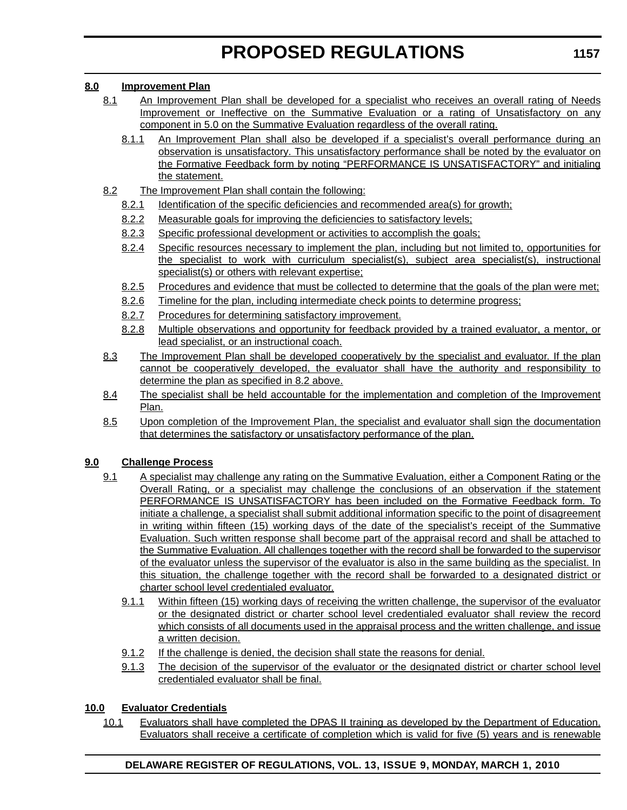# **8.0 Improvement Plan**

- 8.1 An Improvement Plan shall be developed for a specialist who receives an overall rating of Needs Improvement or Ineffective on the Summative Evaluation or a rating of Unsatisfactory on any component in 5.0 on the Summative Evaluation regardless of the overall rating.
	- 8.1.1 An Improvement Plan shall also be developed if a specialist's overall performance during an observation is unsatisfactory. This unsatisfactory performance shall be noted by the evaluator on the Formative Feedback form by noting "PERFORMANCE IS UNSATISFACTORY" and initialing the statement.
- 8.2 The Improvement Plan shall contain the following:
	- 8.2.1 Identification of the specific deficiencies and recommended area(s) for growth;
	- 8.2.2 Measurable goals for improving the deficiencies to satisfactory levels;
	- 8.2.3 Specific professional development or activities to accomplish the goals;
	- 8.2.4 Specific resources necessary to implement the plan, including but not limited to, opportunities for the specialist to work with curriculum specialist(s), subject area specialist(s), instructional specialist(s) or others with relevant expertise;
	- 8.2.5 Procedures and evidence that must be collected to determine that the goals of the plan were met;
	- 8.2.6 Timeline for the plan, including intermediate check points to determine progress;
	- 8.2.7 Procedures for determining satisfactory improvement.
	- 8.2.8 Multiple observations and opportunity for feedback provided by a trained evaluator, a mentor, or lead specialist, or an instructional coach.
- 8.3 The Improvement Plan shall be developed cooperatively by the specialist and evaluator. If the plan cannot be cooperatively developed, the evaluator shall have the authority and responsibility to determine the plan as specified in 8.2 above.
- 8.4 The specialist shall be held accountable for the implementation and completion of the Improvement Plan.
- 8.5 Upon completion of the Improvement Plan, the specialist and evaluator shall sign the documentation that determines the satisfactory or unsatisfactory performance of the plan.

# **9.0 Challenge Process**

- 9.1 A specialist may challenge any rating on the Summative Evaluation, either a Component Rating or the Overall Rating, or a specialist may challenge the conclusions of an observation if the statement PERFORMANCE IS UNSATISFACTORY has been included on the Formative Feedback form. To initiate a challenge, a specialist shall submit additional information specific to the point of disagreement in writing within fifteen (15) working days of the date of the specialist's receipt of the Summative Evaluation. Such written response shall become part of the appraisal record and shall be attached to the Summative Evaluation. All challenges together with the record shall be forwarded to the supervisor of the evaluator unless the supervisor of the evaluator is also in the same building as the specialist. In this situation, the challenge together with the record shall be forwarded to a designated district or charter school level credentialed evaluator.
	- 9.1.1 Within fifteen (15) working days of receiving the written challenge, the supervisor of the evaluator or the designated district or charter school level credentialed evaluator shall review the record which consists of all documents used in the appraisal process and the written challenge, and issue a written decision.
	- 9.1.2 If the challenge is denied, the decision shall state the reasons for denial.
	- 9.1.3 The decision of the supervisor of the evaluator or the designated district or charter school level credentialed evaluator shall be final.

# **10.0 Evaluator Credentials**

10.1 Evaluators shall have completed the DPAS II training as developed by the Department of Education. Evaluators shall receive a certificate of completion which is valid for five (5) years and is renewable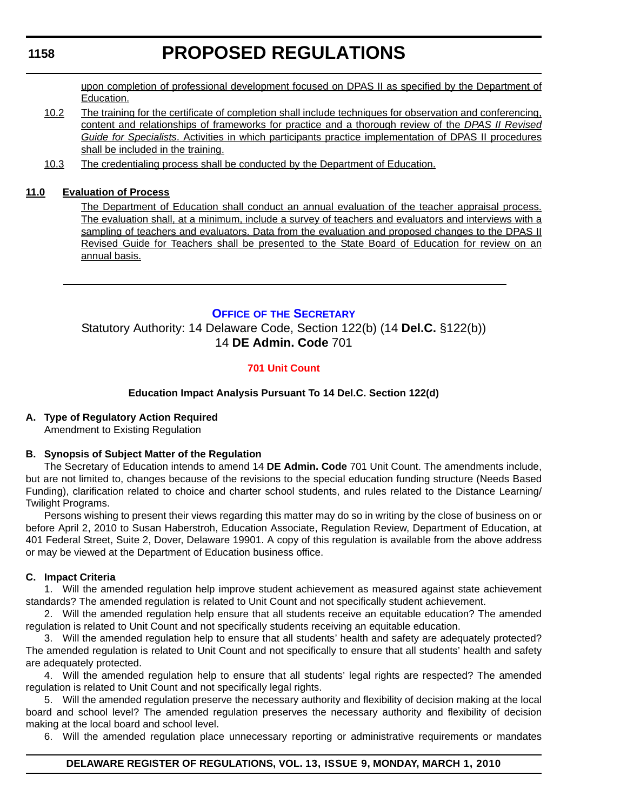# **PROPOSED REGULATIONS**

<span id="page-26-0"></span>upon completion of professional development focused on DPAS II as specified by the Department of Education.

- 10.2 The training for the certificate of completion shall include techniques for observation and conferencing, content and relationships of frameworks for practice and a thorough review of the *DPAS II Revised Guide for Specialists*. Activities in which participants practice implementation of DPAS II procedures shall be included in the training.
- 10.3 The credentialing process shall be conducted by the Department of Education.

# **11.0 Evaluation of Process**

The Department of Education shall conduct an annual evaluation of the teacher appraisal process. The evaluation shall, at a minimum, include a survey of teachers and evaluators and interviews with a sampling of teachers and evaluators. Data from the evaluation and proposed changes to the DPAS II Revised Guide for Teachers shall be presented to the State Board of Education for review on an annual basis.

# **OFFICE OF [THE SECRETARY](http://www.doe.k12.de.us/)**

Statutory Authority: 14 Delaware Code, Section 122(b) (14 **Del.C.** §122(b)) 14 **DE Admin. Code** 701

# **[701 Unit Count](#page-3-0)**

# **Education Impact Analysis Pursuant To 14 Del.C. Section 122(d)**

# **A. Type of Regulatory Action Required**

Amendment to Existing Regulation

# **B. Synopsis of Subject Matter of the Regulation**

The Secretary of Education intends to amend 14 **DE Admin. Code** 701 Unit Count. The amendments include, but are not limited to, changes because of the revisions to the special education funding structure (Needs Based Funding), clarification related to choice and charter school students, and rules related to the Distance Learning/ Twilight Programs.

Persons wishing to present their views regarding this matter may do so in writing by the close of business on or before April 2, 2010 to Susan Haberstroh, Education Associate, Regulation Review, Department of Education, at 401 Federal Street, Suite 2, Dover, Delaware 19901. A copy of this regulation is available from the above address or may be viewed at the Department of Education business office.

# **C. Impact Criteria**

1. Will the amended regulation help improve student achievement as measured against state achievement standards? The amended regulation is related to Unit Count and not specifically student achievement.

2. Will the amended regulation help ensure that all students receive an equitable education? The amended regulation is related to Unit Count and not specifically students receiving an equitable education.

3. Will the amended regulation help to ensure that all students' health and safety are adequately protected? The amended regulation is related to Unit Count and not specifically to ensure that all students' health and safety are adequately protected.

4. Will the amended regulation help to ensure that all students' legal rights are respected? The amended regulation is related to Unit Count and not specifically legal rights.

5. Will the amended regulation preserve the necessary authority and flexibility of decision making at the local board and school level? The amended regulation preserves the necessary authority and flexibility of decision making at the local board and school level.

6. Will the amended regulation place unnecessary reporting or administrative requirements or mandates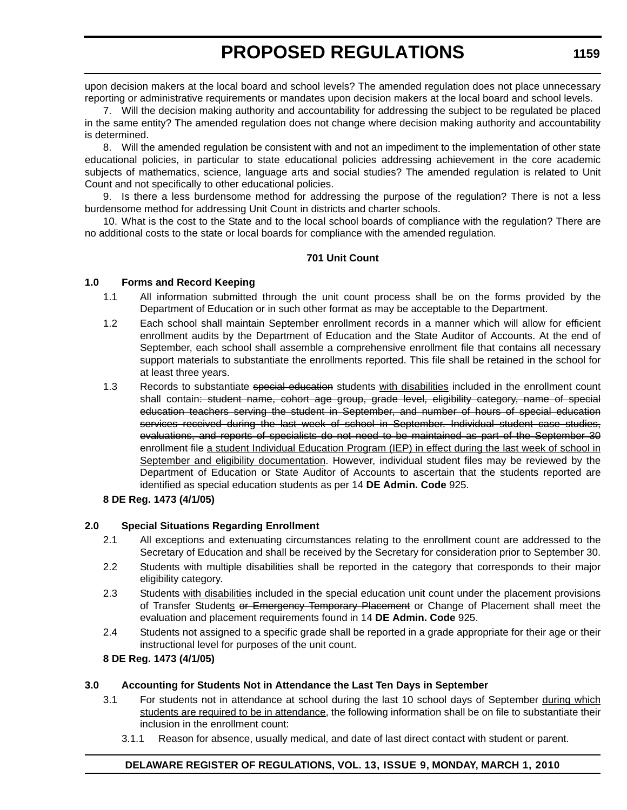upon decision makers at the local board and school levels? The amended regulation does not place unnecessary reporting or administrative requirements or mandates upon decision makers at the local board and school levels.

7. Will the decision making authority and accountability for addressing the subject to be regulated be placed in the same entity? The amended regulation does not change where decision making authority and accountability is determined.

8. Will the amended regulation be consistent with and not an impediment to the implementation of other state educational policies, in particular to state educational policies addressing achievement in the core academic subjects of mathematics, science, language arts and social studies? The amended regulation is related to Unit Count and not specifically to other educational policies.

9. Is there a less burdensome method for addressing the purpose of the regulation? There is not a less burdensome method for addressing Unit Count in districts and charter schools.

10. What is the cost to the State and to the local school boards of compliance with the regulation? There are no additional costs to the state or local boards for compliance with the amended regulation.

# **701 Unit Count**

### **1.0 Forms and Record Keeping**

- 1.1 All information submitted through the unit count process shall be on the forms provided by the Department of Education or in such other format as may be acceptable to the Department.
- 1.2 Each school shall maintain September enrollment records in a manner which will allow for efficient enrollment audits by the Department of Education and the State Auditor of Accounts. At the end of September, each school shall assemble a comprehensive enrollment file that contains all necessary support materials to substantiate the enrollments reported. This file shall be retained in the school for at least three years.
- 1.3 Records to substantiate special education students with disabilities included in the enrollment count shall contain: student name, cohort age group, grade level, eligibility category, name of special education teachers serving the student in September, and number of hours of special education services received during the last week of school in September. Individual student case studies, evaluations, and reports of specialists do not need to be maintained as part of the September 30 enrollment file a student Individual Education Program (IEP) in effect during the last week of school in September and eligibility documentation. However, individual student files may be reviewed by the Department of Education or State Auditor of Accounts to ascertain that the students reported are identified as special education students as per 14 **DE Admin. Code** 925.

#### **8 DE Reg. 1473 (4/1/05)**

# **2.0 Special Situations Regarding Enrollment**

- 2.1 All exceptions and extenuating circumstances relating to the enrollment count are addressed to the Secretary of Education and shall be received by the Secretary for consideration prior to September 30.
- 2.2 Students with multiple disabilities shall be reported in the category that corresponds to their major eligibility category.
- 2.3 Students with disabilities included in the special education unit count under the placement provisions of Transfer Students or Emergency Temporary Placement or Change of Placement shall meet the evaluation and placement requirements found in 14 **DE Admin. Code** 925.
- 2.4 Students not assigned to a specific grade shall be reported in a grade appropriate for their age or their instructional level for purposes of the unit count.

# **8 DE Reg. 1473 (4/1/05)**

# **3.0 Accounting for Students Not in Attendance the Last Ten Days in September**

- 3.1 For students not in attendance at school during the last 10 school days of September during which students are required to be in attendance, the following information shall be on file to substantiate their inclusion in the enrollment count:
	- 3.1.1 Reason for absence, usually medical, and date of last direct contact with student or parent.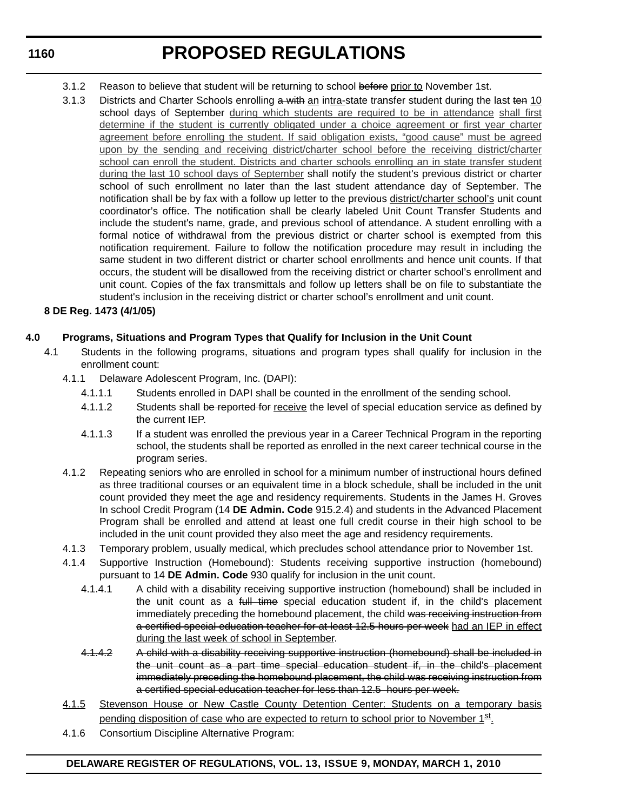**PROPOSED REGULATIONS**

- 3.1.2 Reason to believe that student will be returning to school before prior to November 1st.
- 3.1.3 Districts and Charter Schools enrolling a with an intra-state transfer student during the last ten 10 school days of September during which students are required to be in attendance shall first determine if the student is currently obligated under a choice agreement or first year charter agreement before enrolling the student. If said obligation exists, "good cause" must be agreed upon by the sending and receiving district/charter school before the receiving district/charter school can enroll the student. Districts and charter schools enrolling an in state transfer student during the last 10 school days of September shall notify the student's previous district or charter school of such enrollment no later than the last student attendance day of September. The notification shall be by fax with a follow up letter to the previous district/charter school's unit count coordinator's office. The notification shall be clearly labeled Unit Count Transfer Students and include the student's name, grade, and previous school of attendance. A student enrolling with a formal notice of withdrawal from the previous district or charter school is exempted from this notification requirement. Failure to follow the notification procedure may result in including the same student in two different district or charter school enrollments and hence unit counts. If that occurs, the student will be disallowed from the receiving district or charter school's enrollment and unit count. Copies of the fax transmittals and follow up letters shall be on file to substantiate the student's inclusion in the receiving district or charter school's enrollment and unit count.

# **8 DE Reg. 1473 (4/1/05)**

# **4.0 Programs, Situations and Program Types that Qualify for Inclusion in the Unit Count**

- 4.1 Students in the following programs, situations and program types shall qualify for inclusion in the enrollment count:
	- 4.1.1 Delaware Adolescent Program, Inc. (DAPI):
		- 4.1.1.1 Students enrolled in DAPI shall be counted in the enrollment of the sending school.
		- 4.1.1.2 Students shall be reported for receive the level of special education service as defined by the current IEP.
		- 4.1.1.3 If a student was enrolled the previous year in a Career Technical Program in the reporting school, the students shall be reported as enrolled in the next career technical course in the program series.
	- 4.1.2 Repeating seniors who are enrolled in school for a minimum number of instructional hours defined as three traditional courses or an equivalent time in a block schedule, shall be included in the unit count provided they meet the age and residency requirements. Students in the James H. Groves In school Credit Program (14 **DE Admin. Code** 915.2.4) and students in the Advanced Placement Program shall be enrolled and attend at least one full credit course in their high school to be included in the unit count provided they also meet the age and residency requirements.
	- 4.1.3 Temporary problem, usually medical, which precludes school attendance prior to November 1st.
	- 4.1.4 Supportive Instruction (Homebound): Students receiving supportive instruction (homebound) pursuant to 14 **DE Admin. Code** 930 qualify for inclusion in the unit count.
		- 4.1.4.1 A child with a disability receiving supportive instruction (homebound) shall be included in the unit count as a full time special education student if, in the child's placement immediately preceding the homebound placement, the child was receiving instruction from a certified special education teacher for at least 12.5 hours per week had an IEP in effect during the last week of school in September.
		- 4.1.4.2 A child with a disability receiving supportive instruction (homebound) shall be included in the unit count as a part time special education student if, in the child's placement immediately preceding the homebound placement, the child was receiving instruction from a certified special education teacher for less than 12.5 hours per week.
	- 4.1.5 Stevenson House or New Castle County Detention Center: Students on a temporary basis pending disposition of case who are expected to return to school prior to November 1st.
	- 4.1.6 Consortium Discipline Alternative Program: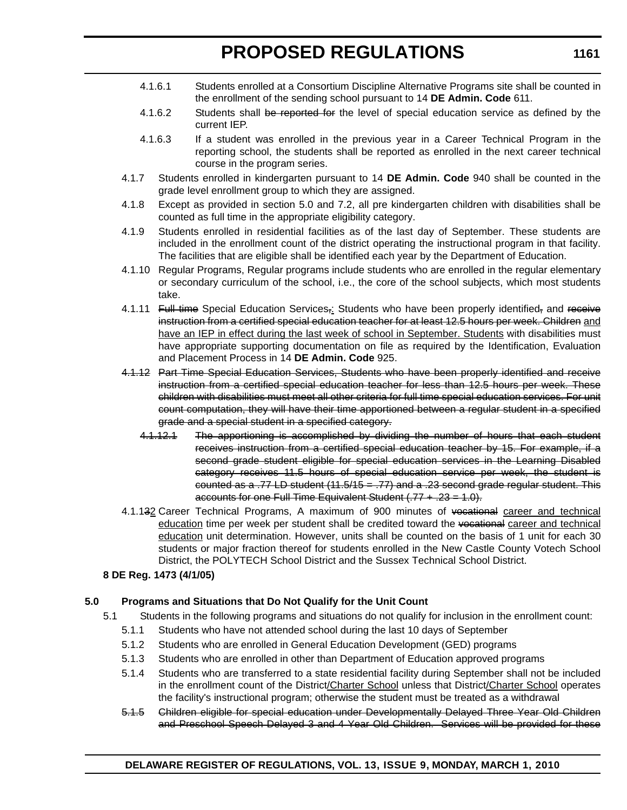- 4.1.6.1 Students enrolled at a Consortium Discipline Alternative Programs site shall be counted in the enrollment of the sending school pursuant to 14 **DE Admin. Code** 611.
- 4.1.6.2 Students shall be reported for the level of special education service as defined by the current IEP.
- 4.1.6.3 If a student was enrolled in the previous year in a Career Technical Program in the reporting school, the students shall be reported as enrolled in the next career technical course in the program series.
- 4.1.7 Students enrolled in kindergarten pursuant to 14 **DE Admin. Code** 940 shall be counted in the grade level enrollment group to which they are assigned.
- 4.1.8 Except as provided in section 5.0 and 7.2, all pre kindergarten children with disabilities shall be counted as full time in the appropriate eligibility category.
- 4.1.9 Students enrolled in residential facilities as of the last day of September. These students are included in the enrollment count of the district operating the instructional program in that facility. The facilities that are eligible shall be identified each year by the Department of Education.
- 4.1.10 Regular Programs, Regular programs include students who are enrolled in the regular elementary or secondary curriculum of the school, i.e., the core of the school subjects, which most students take.
- 4.1.11 Full time Special Education Services<sub></sub>: Students who have been properly identified, and receive instruction from a certified special education teacher for at least 12.5 hours per week. Children and have an IEP in effect during the last week of school in September. Students with disabilities must have appropriate supporting documentation on file as required by the Identification, Evaluation and Placement Process in 14 **DE Admin. Code** 925.
- 4.1.12 Part Time Special Education Services, Students who have been properly identified and receive instruction from a certified special education teacher for less than 12.5 hours per week. These children with disabilities must meet all other criteria for full time special education services. For unit count computation, they will have their time apportioned between a regular student in a specified grade and a special student in a specified category.
	- 4.1.12.1 The apportioning is accomplished by dividing the number of hours that each student receives instruction from a certified special education teacher by 15. For example, if a second grade student eligible for special education services in the Learning Disabled category receives 11.5 hours of special education service per week, the student is counted as a .77 LD student  $(11.5/15 = .77)$  and a .23 second grade regular student. This accounts for one Full Time Equivalent Student  $(.77 + .23 = 1.0)$ .
- 4.1.132 Career Technical Programs, A maximum of 900 minutes of vocational career and technical education time per week per student shall be credited toward the vocational career and technical education unit determination. However, units shall be counted on the basis of 1 unit for each 30 students or major fraction thereof for students enrolled in the New Castle County Votech School District, the POLYTECH School District and the Sussex Technical School District.
- **8 DE Reg. 1473 (4/1/05)**

# **5.0 Programs and Situations that Do Not Qualify for the Unit Count**

- 5.1 Students in the following programs and situations do not qualify for inclusion in the enrollment count:
	- 5.1.1 Students who have not attended school during the last 10 days of September
	- 5.1.2 Students who are enrolled in General Education Development (GED) programs
	- 5.1.3 Students who are enrolled in other than Department of Education approved programs
	- 5.1.4 Students who are transferred to a state residential facility during September shall not be included in the enrollment count of the District/Charter School unless that District/Charter School operates the facility's instructional program; otherwise the student must be treated as a withdrawal
	- 5.1.5 Children eligible for special education under Developmentally Delayed Three Year Old Children and Preschool Speech Delayed 3 and 4 Year Old Children. Services will be provided for these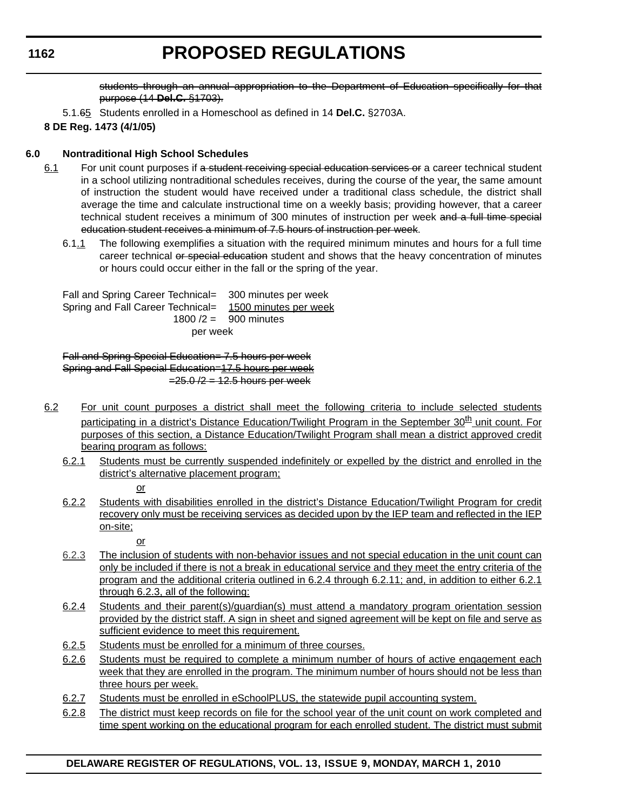# **PROPOSED REGULATIONS**

students through an annual appropriation to the Department of Education specifically for that purpose (14 **Del.C.** §1703).

5.1.65 Students enrolled in a Homeschool as defined in 14 **Del.C.** §2703A.

# **8 DE Reg. 1473 (4/1/05)**

# **6.0 Nontraditional High School Schedules**

- 6.1 For unit count purposes if a student receiving special education services or a career technical student in a school utilizing nontraditional schedules receives, during the course of the year, the same amount of instruction the student would have received under a traditional class schedule, the district shall average the time and calculate instructional time on a weekly basis; providing however, that a career technical student receives a minimum of 300 minutes of instruction per week and a full time special education student receives a minimum of 7.5 hours of instruction per week.
	- 6.1.1 The following exemplifies a situation with the required minimum minutes and hours for a full time career technical or special education student and shows that the heavy concentration of minutes or hours could occur either in the fall or the spring of the year.

Fall and Spring Career Technical= 300 minutes per week Spring and Fall Career Technical= 1500 minutes per week 1800 /2 = 900 minutes per week

Fall and Spring Special Education= 7.5 hours per week Spring and Fall Special Education=17.5 hours per week  $=25.0 / 2 = 12.5$  hours per week

- 6.2 For unit count purposes a district shall meet the following criteria to include selected students participating in a district's Distance Education/Twilight Program in the September 30<sup>th</sup> unit count. For purposes of this section, a Distance Education/Twilight Program shall mean a district approved credit bearing program as follows:
	- 6.2.1 Students must be currently suspended indefinitely or expelled by the district and enrolled in the district's alternative placement program;
		- or
		-
	- 6.2.2 Students with disabilities enrolled in the district's Distance Education/Twilight Program for credit recovery only must be receiving services as decided upon by the IEP team and reflected in the IEP on-site;

or

- 6.2.3 The inclusion of students with non-behavior issues and not special education in the unit count can only be included if there is not a break in educational service and they meet the entry criteria of the program and the additional criteria outlined in 6.2.4 through 6.2.11; and, in addition to either 6.2.1 through 6.2.3, all of the following:
- 6.2.4 Students and their parent(s)/guardian(s) must attend a mandatory program orientation session provided by the district staff. A sign in sheet and signed agreement will be kept on file and serve as sufficient evidence to meet this requirement.
- 6.2.5 Students must be enrolled for a minimum of three courses.
- 6.2.6 Students must be required to complete a minimum number of hours of active engagement each week that they are enrolled in the program. The minimum number of hours should not be less than three hours per week.
- 6.2.7 Students must be enrolled in eSchoolPLUS, the statewide pupil accounting system.
- 6.2.8 The district must keep records on file for the school year of the unit count on work completed and time spent working on the educational program for each enrolled student. The district must submit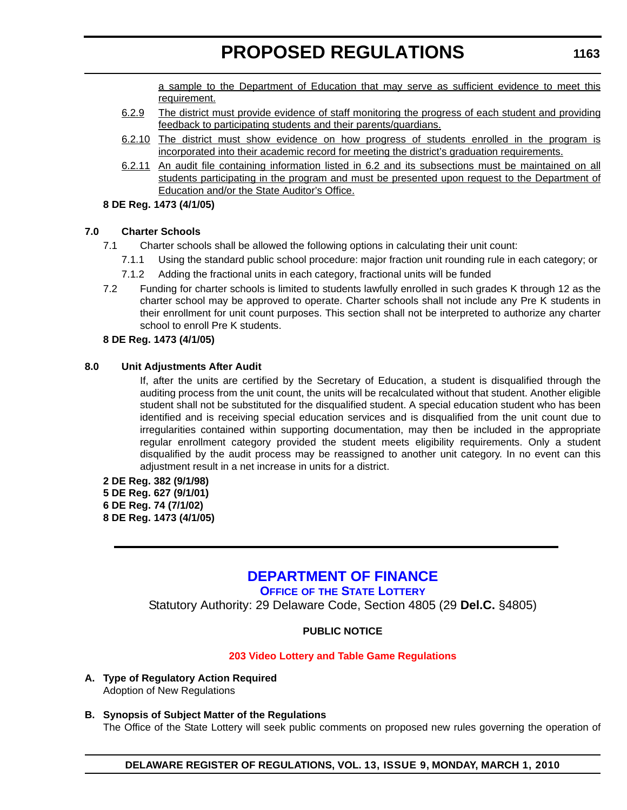a sample to the Department of Education that may serve as sufficient evidence to meet this requirement.

- <span id="page-31-0"></span>6.2.9 The district must provide evidence of staff monitoring the progress of each student and providing feedback to participating students and their parents/guardians.
- 6.2.10 The district must show evidence on how progress of students enrolled in the program is incorporated into their academic record for meeting the district's graduation requirements.
- 6.2.11 An audit file containing information listed in 6.2 and its subsections must be maintained on all students participating in the program and must be presented upon request to the Department of Education and/or the State Auditor's Office.

# **8 DE Reg. 1473 (4/1/05)**

# **7.0 Charter Schools**

- 7.1 Charter schools shall be allowed the following options in calculating their unit count:
	- 7.1.1 Using the standard public school procedure: major fraction unit rounding rule in each category; or
	- 7.1.2 Adding the fractional units in each category, fractional units will be funded
- 7.2 Funding for charter schools is limited to students lawfully enrolled in such grades K through 12 as the charter school may be approved to operate. Charter schools shall not include any Pre K students in their enrollment for unit count purposes. This section shall not be interpreted to authorize any charter school to enroll Pre K students.

# **8 DE Reg. 1473 (4/1/05)**

# **8.0 Unit Adjustments After Audit**

If, after the units are certified by the Secretary of Education, a student is disqualified through the auditing process from the unit count, the units will be recalculated without that student. Another eligible student shall not be substituted for the disqualified student. A special education student who has been identified and is receiving special education services and is disqualified from the unit count due to irregularities contained within supporting documentation, may then be included in the appropriate regular enrollment category provided the student meets eligibility requirements. Only a student disqualified by the audit process may be reassigned to another unit category. In no event can this adjustment result in a net increase in units for a district.

**2 DE Reg. 382 (9/1/98) 5 DE Reg. 627 (9/1/01) 6 DE Reg. 74 (7/1/02) 8 DE Reg. 1473 (4/1/05)**

# **[DEPARTMENT OF FINANCE](http://delottery.com/)**

**OFFICE OF THE STATE LOTTERY**

Statutory Authority: 29 Delaware Code, Section 4805 (29 **Del.C.** §4805)

# **PUBLIC NOTICE**

# **[203 Video Lottery and Table Game Regulations](#page-3-0)**

- **A. Type of Regulatory Action Required** Adoption of New Regulations
- **B. Synopsis of Subject Matter of the Regulations** The Office of the State Lottery will seek public comments on proposed new rules governing the operation of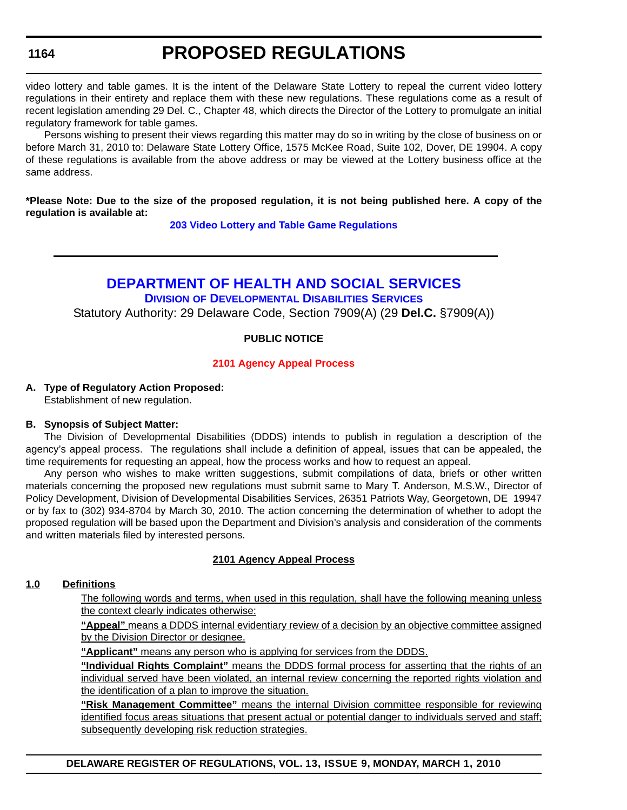# **PROPOSED REGULATIONS**

<span id="page-32-0"></span>video lottery and table games. It is the intent of the Delaware State Lottery to repeal the current video lottery regulations in their entirety and replace them with these new regulations. These regulations come as a result of recent legislation amending 29 Del. C., Chapter 48, which directs the Director of the Lottery to promulgate an initial regulatory framework for table games.

Persons wishing to present their views regarding this matter may do so in writing by the close of business on or before March 31, 2010 to: Delaware State Lottery Office, 1575 McKee Road, Suite 102, Dover, DE 19904. A copy of these regulations is available from the above address or may be viewed at the Lottery business office at the same address.

**\*Please Note: Due to the size of the proposed regulation, it is not being published here. A copy of the regulation is available at:**

**[203 Video Lottery and Table Game Regulations](http://regulations.delaware.gov/register/march2010/proposed/13 DE Reg 1163 03-01-10.htm)**

# **[DEPARTMENT OF HEALTH AND SOCIAL SERVICES](http://www.dhss.delaware.gov/dhss/ddds/index.html)**

**DIVISION OF DEVELOPMENTAL DISABILITIES SERVICES** Statutory Authority: 29 Delaware Code, Section 7909(A) (29 **Del.C.** §7909(A))

# **PUBLIC NOTICE**

#### **[2101 Agency Appeal Process](#page-3-0)**

#### **A. Type of Regulatory Action Proposed:**

Establishment of new regulation.

#### **B. Synopsis of Subject Matter:**

The Division of Developmental Disabilities (DDDS) intends to publish in regulation a description of the agency's appeal process. The regulations shall include a definition of appeal, issues that can be appealed, the time requirements for requesting an appeal, how the process works and how to request an appeal.

Any person who wishes to make written suggestions, submit compilations of data, briefs or other written materials concerning the proposed new regulations must submit same to Mary T. Anderson, M.S.W., Director of Policy Development, Division of Developmental Disabilities Services, 26351 Patriots Way, Georgetown, DE 19947 or by fax to (302) 934-8704 by March 30, 2010. The action concerning the determination of whether to adopt the proposed regulation will be based upon the Department and Division's analysis and consideration of the comments and written materials filed by interested persons.

# **2101 Agency Appeal Process**

#### **1.0 Definitions**

The following words and terms, when used in this regulation, shall have the following meaning unless the context clearly indicates otherwise:

**"Appeal"** means a DDDS internal evidentiary review of a decision by an objective committee assigned by the Division Director or designee.

**"Applicant"** means any person who is applying for services from the DDDS.

**"Individual Rights Complaint"** means the DDDS formal process for asserting that the rights of an individual served have been violated, an internal review concerning the reported rights violation and the identification of a plan to improve the situation.

**"Risk Management Committee"** means the internal Division committee responsible for reviewing identified focus areas situations that present actual or potential danger to individuals served and staff; subsequently developing risk reduction strategies.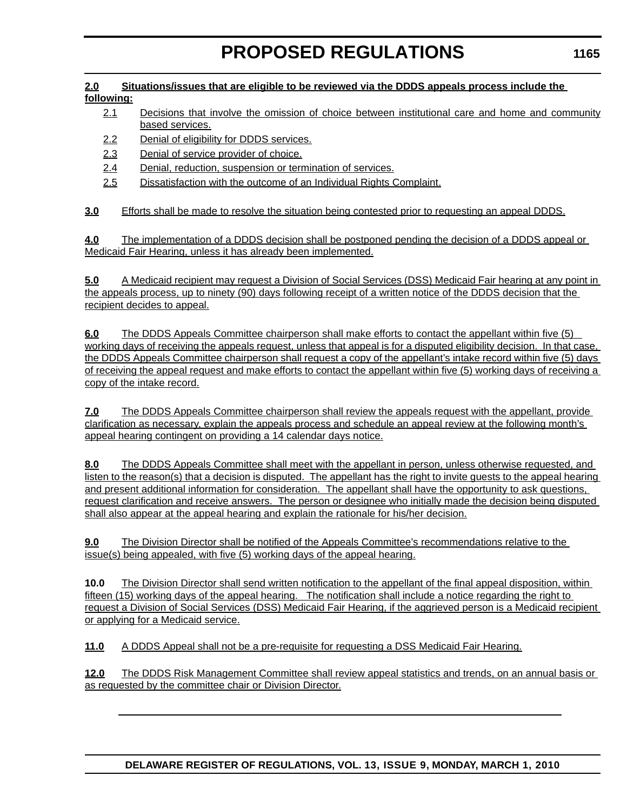#### **2.0 Situations/issues that are eligible to be reviewed via the DDDS appeals process include the following:**

- 2.1 Decisions that involve the omission of choice between institutional care and home and community based services.
- 2.2 Denial of eligibility for DDDS services.
- 2.3 Denial of service provider of choice.
- 2.4 Denial, reduction, suspension or termination of services.
- 2.5 Dissatisfaction with the outcome of an Individual Rights Complaint.

**3.0** Efforts shall be made to resolve the situation being contested prior to requesting an appeal DDDS.

**4.0** The implementation of a DDDS decision shall be postponed pending the decision of a DDDS appeal or Medicaid Fair Hearing, unless it has already been implemented.

**5.0** A Medicaid recipient may request a Division of Social Services (DSS) Medicaid Fair hearing at any point in the appeals process, up to ninety (90) days following receipt of a written notice of the DDDS decision that the recipient decides to appeal.

**6.0** The DDDS Appeals Committee chairperson shall make efforts to contact the appellant within five (5) working days of receiving the appeals request, unless that appeal is for a disputed eligibility decision. In that case, the DDDS Appeals Committee chairperson shall request a copy of the appellant's intake record within five (5) days of receiving the appeal request and make efforts to contact the appellant within five (5) working days of receiving a copy of the intake record.

**7.0** The DDDS Appeals Committee chairperson shall review the appeals request with the appellant, provide clarification as necessary, explain the appeals process and schedule an appeal review at the following month's appeal hearing contingent on providing a 14 calendar days notice.

**8.0** The DDDS Appeals Committee shall meet with the appellant in person, unless otherwise requested, and listen to the reason(s) that a decision is disputed. The appellant has the right to invite quests to the appeal hearing and present additional information for consideration. The appellant shall have the opportunity to ask questions, request clarification and receive answers. The person or designee who initially made the decision being disputed shall also appear at the appeal hearing and explain the rationale for his/her decision.

**9.0** The Division Director shall be notified of the Appeals Committee's recommendations relative to the issue(s) being appealed, with five (5) working days of the appeal hearing.

**10.0** The Division Director shall send written notification to the appellant of the final appeal disposition, within fifteen (15) working days of the appeal hearing. The notification shall include a notice regarding the right to request a Division of Social Services (DSS) Medicaid Fair Hearing, if the aggrieved person is a Medicaid recipient or applying for a Medicaid service.

**11.0** A DDDS Appeal shall not be a pre-requisite for requesting a DSS Medicaid Fair Hearing.

**12.0** The DDDS Risk Management Committee shall review appeal statistics and trends, on an annual basis or as requested by the committee chair or Division Director.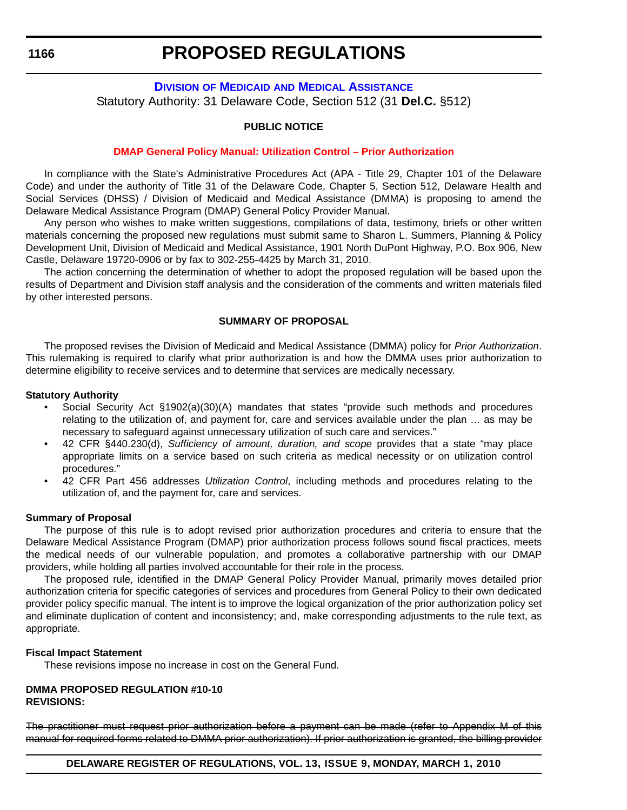# <span id="page-34-0"></span>**DIVISION OF MEDICAID [AND MEDICAL ASSISTANCE](http://www.dhss.delaware.gov/dhss/dmma/)** Statutory Authority: 31 Delaware Code, Section 512 (31 **Del.C.** §512)

# **PUBLIC NOTICE**

#### **[DMAP General Policy Manual: Utilization Control – Prior Authorization](#page-3-0)**

In compliance with the State's Administrative Procedures Act (APA - Title 29, Chapter 101 of the Delaware Code) and under the authority of Title 31 of the Delaware Code, Chapter 5, Section 512, Delaware Health and Social Services (DHSS) / Division of Medicaid and Medical Assistance (DMMA) is proposing to amend the Delaware Medical Assistance Program (DMAP) General Policy Provider Manual.

Any person who wishes to make written suggestions, compilations of data, testimony, briefs or other written materials concerning the proposed new regulations must submit same to Sharon L. Summers, Planning & Policy Development Unit, Division of Medicaid and Medical Assistance, 1901 North DuPont Highway, P.O. Box 906, New Castle, Delaware 19720-0906 or by fax to 302-255-4425 by March 31, 2010.

The action concerning the determination of whether to adopt the proposed regulation will be based upon the results of Department and Division staff analysis and the consideration of the comments and written materials filed by other interested persons.

#### **SUMMARY OF PROPOSAL**

The proposed revises the Division of Medicaid and Medical Assistance (DMMA) policy for *Prior Authorization*. This rulemaking is required to clarify what prior authorization is and how the DMMA uses prior authorization to determine eligibility to receive services and to determine that services are medically necessary.

#### **Statutory Authority**

- Social Security Act §1902(a)(30)(A) mandates that states "provide such methods and procedures relating to the utilization of, and payment for, care and services available under the plan … as may be necessary to safeguard against unnecessary utilization of such care and services."
- 42 CFR §440.230(d), *Sufficiency of amount, duration, and scope* provides that a state "may place appropriate limits on a service based on such criteria as medical necessity or on utilization control procedures."
- 42 CFR Part 456 addresses *Utilization Control*, including methods and procedures relating to the utilization of, and the payment for, care and services.

#### **Summary of Proposal**

The purpose of this rule is to adopt revised prior authorization procedures and criteria to ensure that the Delaware Medical Assistance Program (DMAP) prior authorization process follows sound fiscal practices, meets the medical needs of our vulnerable population, and promotes a collaborative partnership with our DMAP providers, while holding all parties involved accountable for their role in the process.

The proposed rule, identified in the DMAP General Policy Provider Manual, primarily moves detailed prior authorization criteria for specific categories of services and procedures from General Policy to their own dedicated provider policy specific manual. The intent is to improve the logical organization of the prior authorization policy set and eliminate duplication of content and inconsistency; and, make corresponding adjustments to the rule text, as appropriate.

#### **Fiscal Impact Statement**

These revisions impose no increase in cost on the General Fund.

#### **DMMA PROPOSED REGULATION #10-10 REVISIONS:**

The practitioner must request prior authorization before a payment can be made (refer to Appendix M of this manual for required forms related to DMMA prior authorization). If prior authorization is granted, the billing provider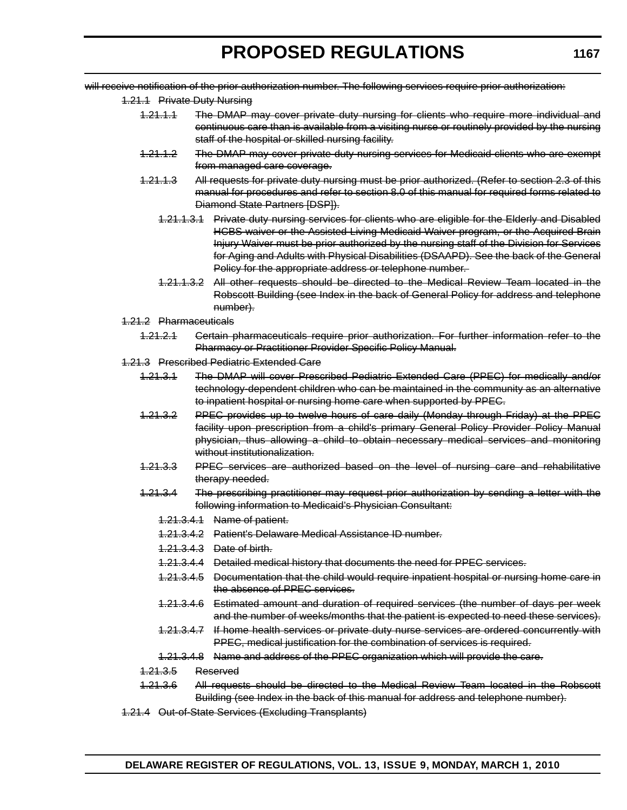will receive notification of the prior authorization number. The following services require prior authorization:

- 1.21.1 Private Duty Nursing
	- 1.21.1.1 The DMAP may cover private duty nursing for clients who require more individual and continuous care than is available from a visiting nurse or routinely provided by the nursing staff of the hospital or skilled nursing facility.
	- 1.21.1.2 The DMAP may cover private duty nursing services for Medicaid clients who are exempt from managed care coverage.
	- 1.21.1.3 All requests for private duty nursing must be prior authorized. (Refer to section 2.3 of this manual for procedures and refer to section 8.0 of this manual for required forms related to Diamond State Partners [DSP]).
		- 1.21.1.3.1 Private duty nursing services for clients who are eligible for the Elderly and Disabled HCBS waiver or the Assisted Living Medicaid Waiver program, or the Acquired Brain Injury Waiver must be prior authorized by the nursing staff of the Division for Services for Aging and Adults with Physical Disabilities (DSAAPD). See the back of the General Policy for the appropriate address or telephone number.
		- 1.21.1.3.2 All other requests should be directed to the Medical Review Team located in the Robscott Building (see Index in the back of General Policy for address and telephone number).
- 1.21.2 Pharmaceuticals
	- 1.21.2.1 Certain pharmaceuticals require prior authorization. For further information refer to the Pharmacy or Practitioner Provider Specific Policy Manual.
- 1.21.3 Prescribed Pediatric Extended Care
	- 1.21.3.1 The DMAP will cover Prescribed Pediatric Extended Care (PPEC) for medically and/or technology-dependent children who can be maintained in the community as an alternative to inpatient hospital or nursing home care when supported by PPEC.
	- 1.21.3.2 PPEC provides up to twelve hours of care daily (Monday through Friday) at the PPEC facility upon prescription from a child's primary General Policy Provider Policy Manual physician, thus allowing a child to obtain necessary medical services and monitoring without institutionalization.
	- 1.21.3.3 PPEC services are authorized based on the level of nursing care and rehabilitative therapy needed.
	- 1.21.3.4 The prescribing practitioner may request prior authorization by sending a letter with the following information to Medicaid's Physician Consultant:
		- 1.21.3.4.1 Name of patient.
		- 1.21.3.4.2 Patient's Delaware Medical Assistance ID number.
		- 1.21.3.4.3 Date of birth.
		- 1.21.3.4.4 Detailed medical history that documents the need for PPEC services.
		- 1.21.3.4.5 Documentation that the child would require inpatient hospital or nursing home care in the absence of PPEC services.
		- 1.21.3.4.6 Estimated amount and duration of required services (the number of days per week and the number of weeks/months that the patient is expected to need these services).
		- 1.21.3.4.7 If home health services or private duty nurse services are ordered concurrently with PPEC, medical justification for the combination of services is required.
		- 1.21.3.4.8 Name and address of the PPEC organization which will provide the care.
	- 1.21.3.5 Reserved
	- 1.21.3.6 All requests should be directed to the Medical Review Team located in the Robscott Building (see Index in the back of this manual for address and telephone number).
- 1.21.4 Out-of-State Services (Excluding Transplants)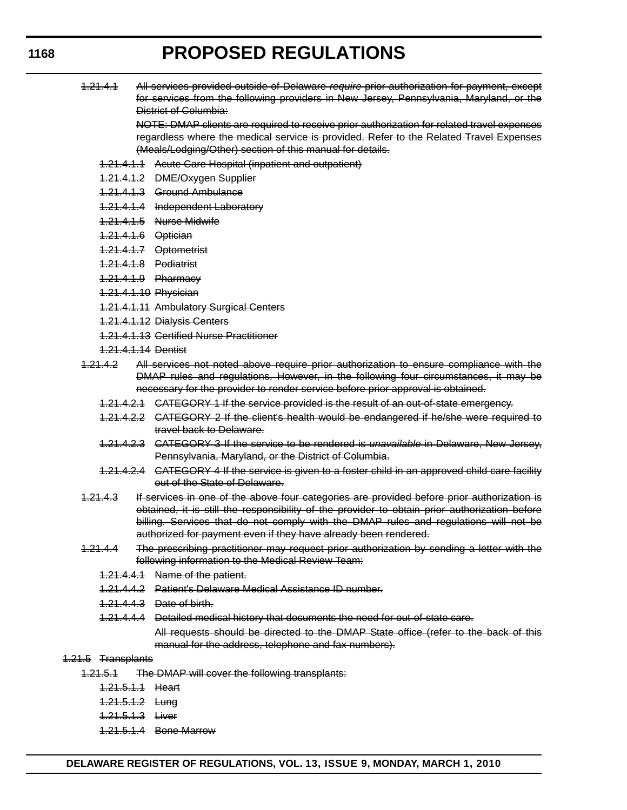1.21.4.1 All services provided outside of Delaware *require* prior authorization for payment, except for services from the following providers in New Jersey, Pennsylvania, Maryland, or the District of Columbia:

> NOTE: DMAP clients are required to receive prior authorization for related travel expenses regardless where the medical service is provided. Refer to the Related Travel Expenses (Meals/Lodging/Other) section of this manual for details.

- 1.21.4.1.1 Acute Care Hospital (inpatient and outpatient)
- 1.21.4.1.2 DME/Oxygen Supplier
- 1.21.4.1.3 Ground Ambulance
- 1.21.4.1.4 Independent Laboratory
- 1.21.4.1.5 Nurse Midwife
- 1.21.4.1.6 Optician
- 1.21.4.1.7 Optometrist
- 1.21.4.1.8 Podiatrist
- 1.21.4.1.9 Pharmacy
- 1.21.4.1.10 Physician
- 1.21.4.1.11 Ambulatory Surgical Centers
- 1.21.4.1.12 Dialysis Centers
- 1.21.4.1.13 Certified Nurse Practitioner
- 1.21.4.1.14 Dentist
- 1.21.4.2 All services not noted above require prior authorization to ensure compliance with the DMAP rules and regulations. However, in the following four circumstances, it may be necessary for the provider to render service before prior approval is obtained.
	- 1.21.4.2.1 CATEGORY 1 If the service provided is the result of an out-of-state emergency.
	- 1.21.4.2.2 CATEGORY 2 If the client's health would be endangered if he/she were required to travel back to Delaware.
	- 1.21.4.2.3 CATEGORY 3 If the service to be rendered is *unavailable* in Delaware, New Jersey, Pennsylvania, Maryland, or the District of Columbia.
	- 1.21.4.2.4 CATEGORY 4 If the service is given to a foster child in an approved child care facility out of the State of Delaware.
- 1.21.4.3 If services in one of the above four categories are provided before prior authorization is obtained, it is still the responsibility of the provider to obtain prior authorization before billing. Services that do not comply with the DMAP rules and regulations will not be authorized for payment even if they have already been rendered.
- 1.21.4.4 The prescribing practitioner may request prior authorization by sending a letter with the following information to the Medical Review Team:
	- 1.21.4.4.1 Name of the patient.
	- 1.21.4.4.2 Patient's Delaware Medical Assistance ID number.
	- 1.21.4.4.3 Date of birth.
	- 1.21.4.4.4 Detailed medical history that documents the need for out-of-state care.

All requests should be directed to the DMAP State office (refer to the back of this manual for the address, telephone and fax numbers).

#### 1.21.5 Transplants

- 1.21.5.1 The DMAP will cover the following transplants:
	- 1.21.5.1.1 Heart
	- 1.21.5.1.2 Lung
	- 1.21.5.1.3 Liver
	- 1.21.5.1.4 Bone Marrow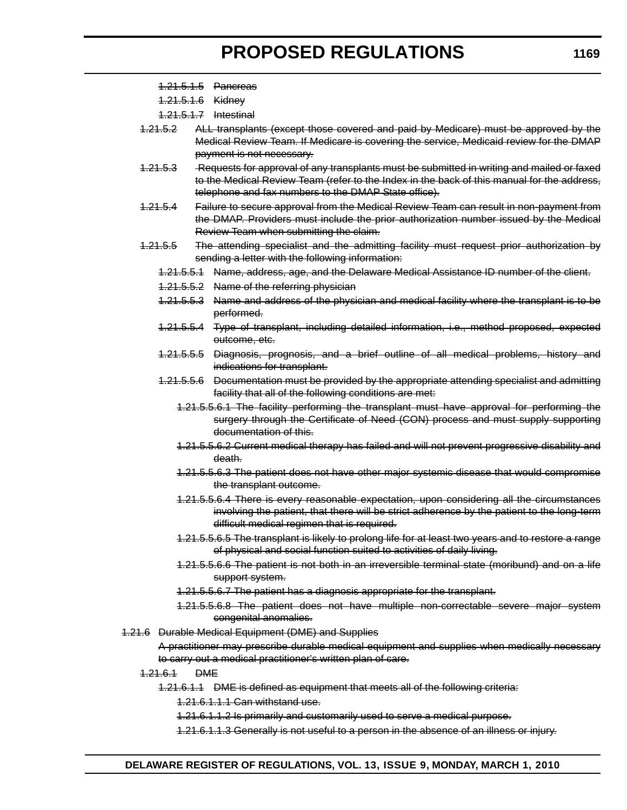1.21.5.1.5 Pancreas

1.21.5.1.6 Kidney

1.21.5.1.7 Intestinal

- 1.21.5.2 ALL transplants (except those covered and paid by Medicare) must be approved by the Medical Review Team. If Medicare is covering the service, Medicaid review for the DMAP payment is not necessary.
- 1.21.5.3 Requests for approval of any transplants must be submitted in writing and mailed or faxed to the Medical Review Team (refer to the Index in the back of this manual for the address, telephone and fax numbers to the DMAP State office).
- 1.21.5.4 Failure to secure approval from the Medical Review Team can result in non-payment from the DMAP. Providers must include the prior authorization number issued by the Medical Review Team when submitting the claim.
- 1.21.5.5 The attending specialist and the admitting facility must request prior authorization by sending a letter with the following information:
	- 1.21.5.5.1 Name, address, age, and the Delaware Medical Assistance ID number of the client.
	- 1.21.5.5.2 Name of the referring physician
	- 1.21.5.5.3 Name and address of the physician and medical facility where the transplant is to be performed.
	- 1.21.5.5.4 Type of transplant, including detailed information, i.e., method proposed, expected outcome, etc.
	- 1.21.5.5.5 Diagnosis, prognosis, and a brief outline of all medical problems, history and indications for transplant.
	- 1.21.5.5.6 Documentation must be provided by the appropriate attending specialist and admitting facility that all of the following conditions are met:
		- 1.21.5.5.6.1 The facility performing the transplant must have approval for performing the surgery through the Certificate of Need (CON) process and must supply supporting documentation of this.
		- 1.21.5.5.6.2 Current medical therapy has failed and will not prevent progressive disability and death.
		- 1.21.5.5.6.3 The patient does not have other major systemic disease that would compromise the transplant outcome.
		- 1.21.5.5.6.4 There is every reasonable expectation, upon considering all the circumstances involving the patient, that there will be strict adherence by the patient to the long-term difficult medical regimen that is required.
		- 1.21.5.5.6.5 The transplant is likely to prolong life for at least two years and to restore a range of physical and social function suited to activities of daily living.
		- 1.21.5.5.6.6 The patient is not both in an irreversible terminal state (moribund) and on a life support system.
		- 1.21.5.5.6.7 The patient has a diagnosis appropriate for the transplant.
		- 1.21.5.5.6.8 The patient does not have multiple non-correctable severe major system congenital anomalies.

1.21.6 Durable Medical Equipment (DME) and Supplies

A practitioner may prescribe durable medical equipment and supplies when medically necessary to carry out a medical practitioner's written plan of care.

- 1.21.6.1 DME
	- 1.21.6.1.1 DME is defined as equipment that meets all of the following criteria:

1.21.6.1.1.1 Can withstand use.

1.21.6.1.1.2 Is primarily and customarily used to serve a medical purpose.

1.21.6.1.1.3 Generally is not useful to a person in the absence of an illness or injury.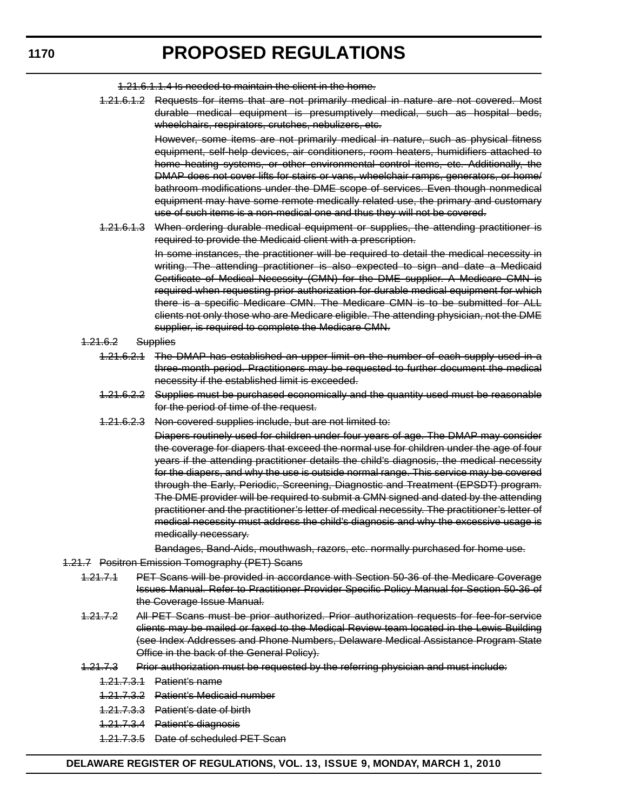1.21.6.1.1.4 Is needed to maintain the client in the home.

1.21.6.1.2 Requests for items that are not primarily medical in nature are not covered. Most durable medical equipment is presumptively medical, such as hospital beds, wheelchairs, respirators, crutches, nebulizers, etc.

> However, some items are not primarily medical in nature, such as physical fitness equipment, self-help devices, air conditioners, room heaters, humidifiers attached to home heating systems, or other environmental control items, etc. Additionally, the DMAP does not cover lifts for stairs or vans, wheelchair ramps, generators, or home/ bathroom modifications under the DME scope of services. Even though nonmedical equipment may have some remote medically related use, the primary and customary use of such items is a non-medical one and thus they will not be covered.

- 1.21.6.1.3 When ordering durable medical equipment or supplies, the attending practitioner is required to provide the Medicaid client with a prescription. In some instances, the practitioner will be required to detail the medical necessity in writing. The attending practitioner is also expected to sign and date a Medicaid Certificate of Medical Necessity (CMN) for the DME supplier. A Medicare CMN is required when requesting prior authorization for durable medical equipment for which there is a specific Medicare CMN. The Medicare CMN is to be submitted for ALL clients not only those who are Medicare eligible. The attending physician, not the DME supplier, is required to complete the Medicare CMN.
- 1.21.6.2 Supplies
	- 1.21.6.2.1 The DMAP has established an upper limit on the number of each supply used in a three-month period. Practitioners may be requested to further document the medical necessity if the established limit is exceeded.
	- 1.21.6.2.2 Supplies must be purchased economically and the quantity used must be reasonable for the period of time of the request.
	- 1.21.6.2.3 Non-covered supplies include, but are not limited to:

Diapers routinely used for children under four years of age. The DMAP may consider the coverage for diapers that exceed the normal use for children under the age of four years if the attending practitioner details the child's diagnosis, the medical necessity for the diapers, and why the use is outside normal range. This service may be covered through the Early, Periodic, Screening, Diagnostic and Treatment (EPSDT) program. The DME provider will be required to submit a CMN signed and dated by the attending practitioner and the practitioner's letter of medical necessity. The practitioner's letter of medical necessity must address the child's diagnosis and why the excessive usage is medically necessary.

Bandages, Band-Aids, mouthwash, razors, etc. normally purchased for home use.

- 1.21.7 Positron Emission Tomography (PET) Scans
	- 1.21.7.1 PET Scans will be provided in accordance with Section 50-36 of the Medicare Coverage Issues Manual. Refer to Practitioner Provider Specific Policy Manual for Section 50-36 of the Coverage Issue Manual.
	- 1.21.7.2 All PET Scans must be prior authorized. Prior authorization requests for fee-for-service clients may be mailed or faxed to the Medical Review team located in the Lewis Building (see Index Addresses and Phone Numbers, Delaware Medical Assistance Program State Office in the back of the General Policy).
	- 1.21.7.3 Prior authorization must be requested by the referring physician and must include:
		- 1.21.7.3.1 Patient's name
		- 1.21.7.3.2 Patient's Medicaid number
		- 1.21.7.3.3 Patient's date of birth
		- 1.21.7.3.4 Patient's diagnosis
		- 1.21.7.3.5 Date of scheduled PET Scan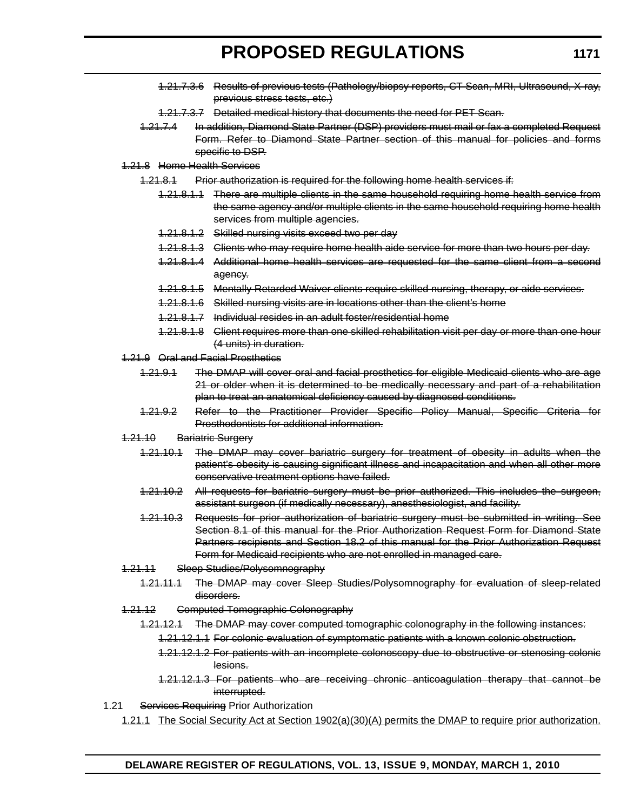- 1.21.7.3.6 Results of previous tests (Pathology/biopsy reports, CT Scan, MRI, Ultrasound, X-ray, previous stress tests, etc.)
- 1.21.7.3.7 Detailed medical history that documents the need for PET Scan.
- 1.21.7.4 In addition, Diamond State Partner (DSP) providers must mail or fax a completed Request Form. Refer to Diamond State Partner section of this manual for policies and forms specific to DSP.

### 1.21.8 Home Health Services

- 1.21.8.1 Prior authorization is required for the following home health services if:
	- 1.21.8.1.1 There are multiple clients in the same household requiring home health service from the same agency and/or multiple clients in the same household requiring home health services from multiple agencies.
	- 1.21.8.1.2 Skilled nursing visits exceed two per day
	- 1.21.8.1.3 Clients who may require home health aide service for more than two hours per day.
	- 1.21.8.1.4 Additional home health services are requested for the same client from a second agency.
	- 1.21.8.1.5 Mentally Retarded Waiver clients require skilled nursing, therapy, or aide services.
	- 1.21.8.1.6 Skilled nursing visits are in locations other than the client's home
	- 1.21.8.1.7 Individual resides in an adult foster/residential home
	- 1.21.8.1.8 Client requires more than one skilled rehabilitation visit per day or more than one hour (4 units) in duration.
- 1.21.9 Oral and Facial Prosthetics
	- 1.21.9.1 The DMAP will cover oral and facial prosthetics for eligible Medicaid clients who are age 21 or older when it is determined to be medically necessary and part of a rehabilitation plan to treat an anatomical deficiency caused by diagnosed conditions.
	- 1.21.9.2 Refer to the Practitioner Provider Specific Policy Manual, Specific Criteria for Prosthodontists for additional information.
- 1.21.10 Bariatric Surgery
	- 1.21.10.1 The DMAP may cover bariatric surgery for treatment of obesity in adults when the patient's obesity is causing significant illness and incapacitation and when all other more conservative treatment options have failed.
	- 1.21.10.2 All requests for bariatric surgery must be prior authorized. This includes the surgeon, assistant surgeon (if medically necessary), anesthesiologist, and facility.
	- 1.21.10.3 Requests for prior authorization of bariatric surgery must be submitted in writing. See Section 8.1 of this manual for the Prior Authorization Request Form for Diamond State Partners recipients and Section 18.2 of this manual for the Prior Authorization Request Form for Medicaid recipients who are not enrolled in managed care.
- 1.21.11 Sleep Studies/Polysomnography
	- 1.21.11.1 The DMAP may cover Sleep Studies/Polysomnography for evaluation of sleep-related disorders.
- 1.21.12 Computed Tomographic Colonography
	- 1.21.12.1 The DMAP may cover computed tomographic colonography in the following instances:
		- 1.21.12.1.1 For colonic evaluation of symptomatic patients with a known colonic obstruction.
		- 1.21.12.1.2 For patients with an incomplete colonoscopy due to obstructive or stenosing colonic lesions.
		- 1.21.12.1.3 For patients who are receiving chronic anticoagulation therapy that cannot be interrupted.
- 1.21 Services Requiring Prior Authorization
	- 1.21.1 The Social Security Act at Section 1902(a)(30)(A) permits the DMAP to require prior authorization.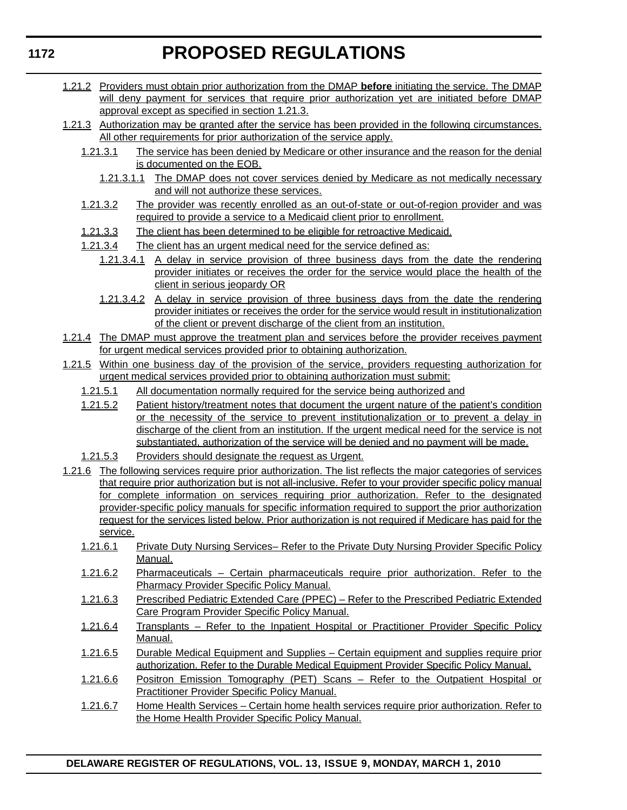- 1.21.2 Providers must obtain prior authorization from the DMAP **before** initiating the service. The DMAP will deny payment for services that require prior authorization yet are initiated before DMAP approval except as specified in section 1.21.3.
- 1.21.3 Authorization may be granted after the service has been provided in the following circumstances. All other requirements for prior authorization of the service apply.
	- 1.21.3.1 The service has been denied by Medicare or other insurance and the reason for the denial is documented on the EOB.
		- 1.21.3.1.1 The DMAP does not cover services denied by Medicare as not medically necessary and will not authorize these services.
	- 1.21.3.2 The provider was recently enrolled as an out-of-state or out-of-region provider and was required to provide a service to a Medicaid client prior to enrollment.
	- 1.21.3.3 The client has been determined to be eligible for retroactive Medicaid.
	- 1.21.3.4 The client has an urgent medical need for the service defined as:
		- 1.21.3.4.1 A delay in service provision of three business days from the date the rendering provider initiates or receives the order for the service would place the health of the client in serious jeopardy OR
		- 1.21.3.4.2 A delay in service provision of three business days from the date the rendering provider initiates or receives the order for the service would result in institutionalization of the client or prevent discharge of the client from an institution.
- 1.21.4 The DMAP must approve the treatment plan and services before the provider receives payment for urgent medical services provided prior to obtaining authorization.
- 1.21.5 Within one business day of the provision of the service, providers requesting authorization for urgent medical services provided prior to obtaining authorization must submit:
	- 1.21.5.1 All documentation normally required for the service being authorized and
	- 1.21.5.2 Patient history/treatment notes that document the urgent nature of the patient's condition or the necessity of the service to prevent institutionalization or to prevent a delay in discharge of the client from an institution. If the urgent medical need for the service is not substantiated, authorization of the service will be denied and no payment will be made.
	- 1.21.5.3 Providers should designate the request as Urgent.
- 1.21.6 The following services require prior authorization. The list reflects the major categories of services that require prior authorization but is not all-inclusive. Refer to your provider specific policy manual for complete information on services requiring prior authorization. Refer to the designated provider-specific policy manuals for specific information required to support the prior authorization request for the services listed below. Prior authorization is not required if Medicare has paid for the service.
	- 1.21.6.1 Private Duty Nursing Services– Refer to the Private Duty Nursing Provider Specific Policy Manual.
	- 1.21.6.2 Pharmaceuticals Certain pharmaceuticals require prior authorization. Refer to the Pharmacy Provider Specific Policy Manual.
	- 1.21.6.3 Prescribed Pediatric Extended Care (PPEC) Refer to the Prescribed Pediatric Extended Care Program Provider Specific Policy Manual.
	- 1.21.6.4 Transplants Refer to the Inpatient Hospital or Practitioner Provider Specific Policy Manual.
	- 1.21.6.5 Durable Medical Equipment and Supplies Certain equipment and supplies require prior authorization. Refer to the Durable Medical Equipment Provider Specific Policy Manual.
	- 1.21.6.6 Positron Emission Tomography (PET) Scans Refer to the Outpatient Hospital or Practitioner Provider Specific Policy Manual.
	- 1.21.6.7 Home Health Services Certain home health services require prior authorization. Refer to the Home Health Provider Specific Policy Manual.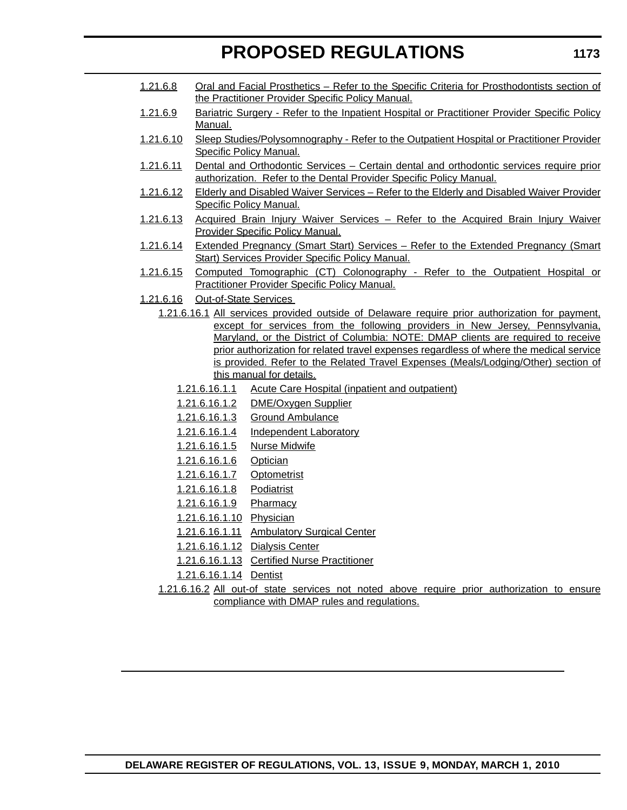- 1.21.6.8 Oral and Facial Prosthetics Refer to the Specific Criteria for Prosthodontists section of the Practitioner Provider Specific Policy Manual.
- 1.21.6.9 Bariatric Surgery Refer to the Inpatient Hospital or Practitioner Provider Specific Policy Manual.
- 1.21.6.10 Sleep Studies/Polysomnography Refer to the Outpatient Hospital or Practitioner Provider Specific Policy Manual.
- 1.21.6.11 Dental and Orthodontic Services Certain dental and orthodontic services require prior authorization. Refer to the Dental Provider Specific Policy Manual.
- 1.21.6.12 Elderly and Disabled Waiver Services Refer to the Elderly and Disabled Waiver Provider Specific Policy Manual.
- 1.21.6.13 Acquired Brain Injury Waiver Services Refer to the Acquired Brain Injury Waiver Provider Specific Policy Manual.
- 1.21.6.14 Extended Pregnancy (Smart Start) Services Refer to the Extended Pregnancy (Smart Start) Services Provider Specific Policy Manual.
- 1.21.6.15 Computed Tomographic (CT) Colonography Refer to the Outpatient Hospital or Practitioner Provider Specific Policy Manual.
- 1.21.6.16 Out-of-State Services
	- 1.21.6.16.1 All services provided outside of Delaware require prior authorization for payment, except for services from the following providers in New Jersey, Pennsylvania, Maryland, or the District of Columbia: NOTE: DMAP clients are required to receive prior authorization for related travel expenses regardless of where the medical service is provided. Refer to the Related Travel Expenses (Meals/Lodging/Other) section of this manual for details.
		- 1.21.6.16.1.1 Acute Care Hospital (inpatient and outpatient)
		- 1.21.6.16.1.2 DME/Oxygen Supplier
		- 1.21.6.16.1.3 Ground Ambulance
		- 1.21.6.16.1.4 Independent Laboratory
		- 1.21.6.16.1.5 Nurse Midwife
		- 1.21.6.16.1.6 Optician
		- 1.21.6.16.1.7 Optometrist
		- 1.21.6.16.1.8 Podiatrist
		- 1.21.6.16.1.9 Pharmacy
		- 1.21.6.16.1.10 Physician
		- 1.21.6.16.1.11 Ambulatory Surgical Center
		- 1.21.6.16.1.12 Dialysis Center
		- 1.21.6.16.1.13 Certified Nurse Practitioner
		- 1.21.6.16.1.14 Dentist
	- 1.21.6.16.2 All out-of state services not noted above require prior authorization to ensure compliance with DMAP rules and regulations.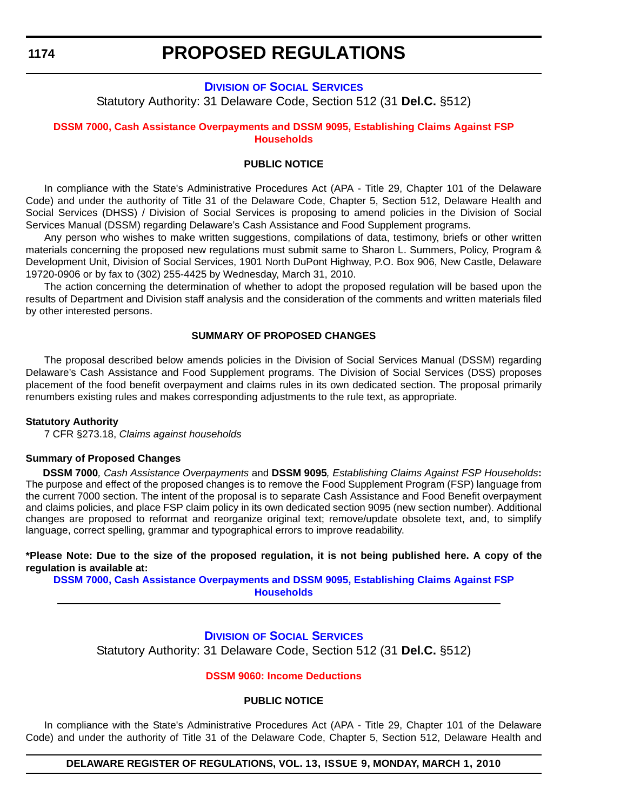**1174**

# **PROPOSED REGULATIONS**

# **DIVISION [OF SOCIAL SERVICES](http://www.dhss.delaware.gov/dhss/dss/)**

Statutory Authority: 31 Delaware Code, Section 512 (31 **Del.C.** §512)

### **[DSSM 7000, Cash Assistance Overpayments and DSSM 9095, Establishing Claims Against FSP](#page-3-0)  Households**

# **PUBLIC NOTICE**

In compliance with the State's Administrative Procedures Act (APA - Title 29, Chapter 101 of the Delaware Code) and under the authority of Title 31 of the Delaware Code, Chapter 5, Section 512, Delaware Health and Social Services (DHSS) / Division of Social Services is proposing to amend policies in the Division of Social Services Manual (DSSM) regarding Delaware's Cash Assistance and Food Supplement programs.

Any person who wishes to make written suggestions, compilations of data, testimony, briefs or other written materials concerning the proposed new regulations must submit same to Sharon L. Summers, Policy, Program & Development Unit, Division of Social Services, 1901 North DuPont Highway, P.O. Box 906, New Castle, Delaware 19720-0906 or by fax to (302) 255-4425 by Wednesday, March 31, 2010.

The action concerning the determination of whether to adopt the proposed regulation will be based upon the results of Department and Division staff analysis and the consideration of the comments and written materials filed by other interested persons.

### **SUMMARY OF PROPOSED CHANGES**

The proposal described below amends policies in the Division of Social Services Manual (DSSM) regarding Delaware's Cash Assistance and Food Supplement programs. The Division of Social Services (DSS) proposes placement of the food benefit overpayment and claims rules in its own dedicated section. The proposal primarily renumbers existing rules and makes corresponding adjustments to the rule text, as appropriate.

#### **Statutory Authority**

7 CFR §273.18, *Claims against households*

#### **Summary of Proposed Changes**

 **DSSM 7000***, Cash Assistance Overpayments* and **DSSM 9095***, Establishing Claims Against FSP Households***:**  The purpose and effect of the proposed changes is to remove the Food Supplement Program (FSP) language from the current 7000 section. The intent of the proposal is to separate Cash Assistance and Food Benefit overpayment and claims policies, and place FSP claim policy in its own dedicated section 9095 (new section number). Additional changes are proposed to reformat and reorganize original text; remove/update obsolete text, and, to simplify language, correct spelling, grammar and typographical errors to improve readability.

**\*Please Note: Due to the size of the proposed regulation, it is not being published here. A copy of the regulation is available at:**

**[DSSM 7000, Cash Assistance Overpayments and DSSM 9095, Establishing Claims Against FSP](http://regulations.delaware.gov/register/march2010/proposed/13 DE Reg 1174 03-01-10.htm)  Households**

# **DIVISION [OF SOCIAL SERVICES](http://www.dhss.delaware.gov/dhss/dss/)**

Statutory Authority: 31 Delaware Code, Section 512 (31 **Del.C.** §512)

#### **[DSSM 9060: Income Deductions](#page-3-0)**

#### **PUBLIC NOTICE**

In compliance with the State's Administrative Procedures Act (APA - Title 29, Chapter 101 of the Delaware Code) and under the authority of Title 31 of the Delaware Code, Chapter 5, Section 512, Delaware Health and

#### **DELAWARE REGISTER OF REGULATIONS, VOL. 13, ISSUE 9, MONDAY, MARCH 1, 2010**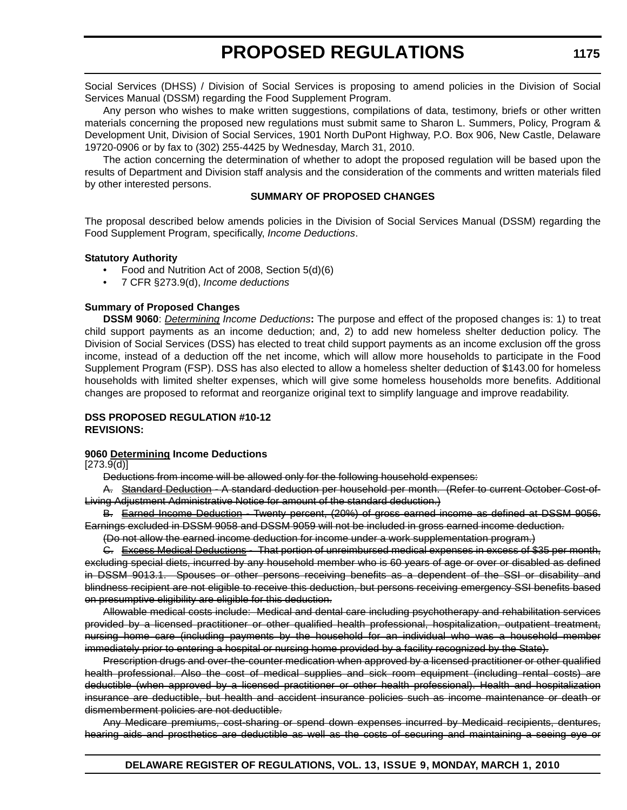Social Services (DHSS) / Division of Social Services is proposing to amend policies in the Division of Social Services Manual (DSSM) regarding the Food Supplement Program.

Any person who wishes to make written suggestions, compilations of data, testimony, briefs or other written materials concerning the proposed new regulations must submit same to Sharon L. Summers, Policy, Program & Development Unit, Division of Social Services, 1901 North DuPont Highway, P.O. Box 906, New Castle, Delaware 19720-0906 or by fax to (302) 255-4425 by Wednesday, March 31, 2010.

The action concerning the determination of whether to adopt the proposed regulation will be based upon the results of Department and Division staff analysis and the consideration of the comments and written materials filed by other interested persons.

### **SUMMARY OF PROPOSED CHANGES**

The proposal described below amends policies in the Division of Social Services Manual (DSSM) regarding the Food Supplement Program, specifically, *Income Deductions*.

### **Statutory Authority**

- Food and Nutrition Act of 2008, Section 5(d)(6)
- 7 CFR §273.9(d), *Income deductions*

### **Summary of Proposed Changes**

**DSSM 9060**: *Determining Income Deductions***:** The purpose and effect of the proposed changes is: 1) to treat child support payments as an income deduction; and, 2) to add new homeless shelter deduction policy. The Division of Social Services (DSS) has elected to treat child support payments as an income exclusion off the gross income, instead of a deduction off the net income, which will allow more households to participate in the Food Supplement Program (FSP). DSS has also elected to allow a homeless shelter deduction of \$143.00 for homeless households with limited shelter expenses, which will give some homeless households more benefits. Additional changes are proposed to reformat and reorganize original text to simplify language and improve readability.

### **DSS PROPOSED REGULATION #10-12 REVISIONS:**

### **9060 Determining Income Deductions**

[273.9(d)]

Deductions from income will be allowed only for the following household expenses:

A. Standard Deduction - A standard deduction per household per month. (Refer to current October Cost-of-Living Adjustment Administrative Notice for amount of the standard deduction.)

B. Earned Income Deduction - Twenty percent, (20%) of gross earned income as defined at DSSM 9056. Earnings excluded in DSSM 9058 and DSSM 9059 will not be included in gross earned income deduction.

(Do not allow the earned income deduction for income under a work supplementation program.)

C. Excess Medical Deductions - That portion of unreimbursed medical expenses in excess of \$35 per month, excluding special diets, incurred by any household member who is 60 years of age or over or disabled as defined in DSSM 9013.1. Spouses or other persons receiving benefits as a dependent of the SSI or disability and blindness recipient are not eligible to receive this deduction, but persons receiving emergency SSI benefits based on presumptive eligibility are eligible for this deduction.

Allowable medical costs include: Medical and dental care including psychotherapy and rehabilitation services provided by a licensed practitioner or other qualified health professional, hospitalization, outpatient treatment, nursing home care (including payments by the household for an individual who was a household member immediately prior to entering a hospital or nursing home provided by a facility recognized by the State).

Prescription drugs and over-the-counter medication when approved by a licensed practitioner or other qualified health professional. Also the cost of medical supplies and sick room equipment (including rental costs) are deductible (when approved by a licensed practitioner or other health professional). Health and hospitalization insurance are deductible, but health and accident insurance policies such as income maintenance or death or dismemberment policies are not deductible.

Any Medicare premiums, cost-sharing or spend down expenses incurred by Medicaid recipients, dentures, hearing aids and prosthetics are deductible as well as the costs of securing and maintaining a seeing eye or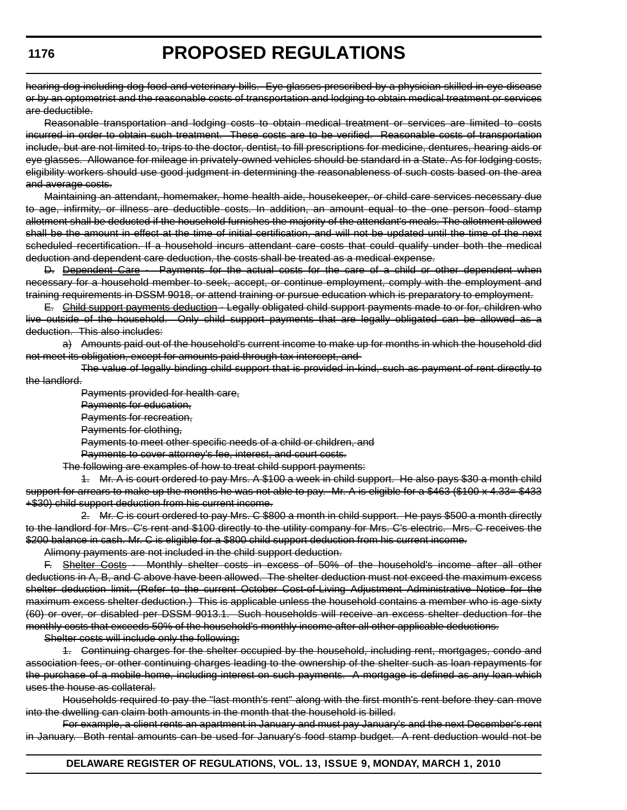hearing dog including dog food and veterinary bills. Eye glasses prescribed by a physician skilled in eye disease or by an optometrist and the reasonable costs of transportation and lodging to obtain medical treatment or services are deductible.

Reasonable transportation and lodging costs to obtain medical treatment or services are limited to costs incurred in order to obtain such treatment. These costs are to be verified. Reasonable costs of transportation include, but are not limited to, trips to the doctor, dentist, to fill prescriptions for medicine, dentures, hearing aids or eye glasses. Allowance for mileage in privately-owned vehicles should be standard in a State. As for lodging costs, eligibility workers should use good judgment in determining the reasonableness of such costs based on the area and average costs.

Maintaining an attendant, homemaker, home health aide, housekeeper, or child care services necessary due to age, infirmity, or illness are deductible costs. In addition, an amount equal to the one person food stamp allotment shall be deducted if the household furnishes the majority of the attendant's meals. The allotment allowed shall be the amount in effect at the time of initial certification, and will not be updated until the time of the next scheduled recertification. If a household incurs attendant care costs that could qualify under both the medical deduction and dependent care deduction, the costs shall be treated as a medical expense.

D. Dependent Care - Payments for the actual costs for the care of a child or other dependent when necessary for a household member to seek, accept, or continue employment, comply with the employment and training requirements in DSSM 9018, or attend training or pursue education which is preparatory to employment.

E. Child support payments deduction - Legally obligated child support payments made to or for, children who live outside of the household. Only child support payments that are legally obligated can be allowed as a deduction. This also includes:

a) Amounts paid out of the household's current income to make up for months in which the household did not meet its obligation, except for amounts paid through tax intercept, and

The value of legally binding child support that is provided in-kind, such as payment of rent directly to the landlord.

Payments provided for health care,

Payments for education,

Payments for recreation,

Payments for clothing,

Payments to meet other specific needs of a child or children, and

Payments to cover attorney's fee, interest, and court costs.

The following are examples of how to treat child support payments:

1. Mr. A is court ordered to pay Mrs. A \$100 a week in child support. He also pays \$30 a month child support for arrears to make up the months he was not able to pay. Mr. A is eligible for a \$463 (\$100 x 4.33= \$433 +\$30) child support deduction from his current income.

2. Mr. C is court ordered to pay Mrs. C \$800 a month in child support. He pays \$500 a month directly to the landlord for Mrs. C's rent and \$100 directly to the utility company for Mrs. C's electric. Mrs. C receives the \$200 balance in cash. Mr. C is eligible for a \$800 child support deduction from his current income.

Alimony payments are not included in the child support deduction.

F. Shelter Costs - Monthly shelter costs in excess of 50% of the household's income after all other deductions in A, B, and C above have been allowed. The shelter deduction must not exceed the maximum excess shelter deduction limit. (Refer to the current October Cost-of-Living Adjustment Administrative Notice for the maximum excess shelter deduction.) This is applicable unless the household contains a member who is age sixty (60) or over, or disabled per DSSM 9013.1. Such households will receive an excess shelter deduction for the monthly costs that exceeds 50% of the household's monthly income after all other applicable deductions.

Shelter costs will include only the following:

1. Continuing charges for the shelter occupied by the household, including rent, mortgages, condo and association fees, or other continuing charges leading to the ownership of the shelter such as loan repayments for the purchase of a mobile home, including interest on such payments. A mortgage is defined as any loan which uses the house as collateral.

Households required to pay the "last month's rent" along with the first month's rent before they can move into the dwelling can claim both amounts in the month that the household is billed.

For example, a client rents an apartment in January and must pay January's and the next December's rent in January. Both rental amounts can be used for January's food stamp budget. A rent deduction would not be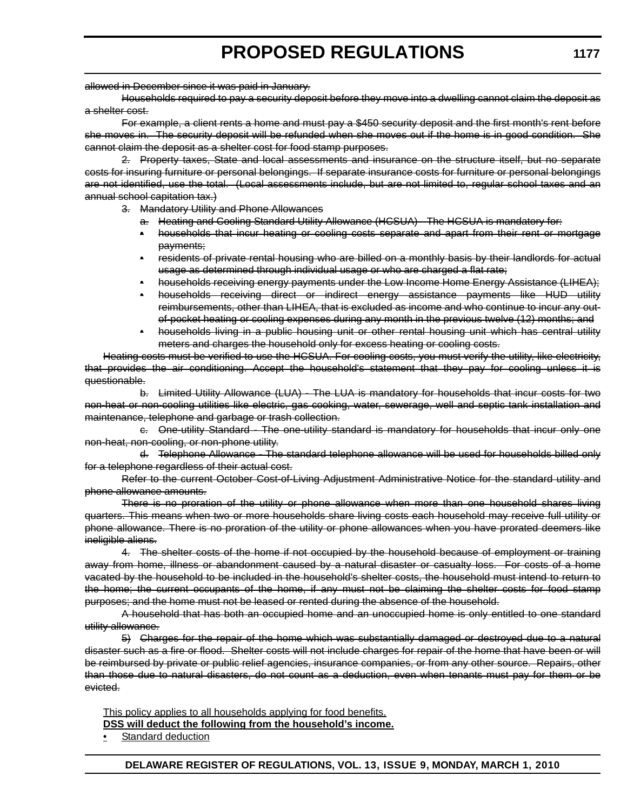allowed in December since it was paid in January.

Households required to pay a security deposit before they move into a dwelling cannot claim the deposit as a shelter cost.

For example, a client rents a home and must pay a \$450 security deposit and the first month's rent before she moves in. The security deposit will be refunded when she moves out if the home is in good condition. She cannot claim the deposit as a shelter cost for food stamp purposes.

2. Property taxes, State and local assessments and insurance on the structure itself, but no separate costs for insuring furniture or personal belongings. If separate insurance costs for furniture or personal belongings are not identified, use the total. (Local assessments include, but are not limited to, regular school taxes and an annual school capitation tax.)

- 3. Mandatory Utility and Phone Allowances
	- a. Heating and Cooling Standard Utility Allowance (HCSUA) The HCSUA is mandatory for:
	- households that incur heating or cooling costs separate and apart from their rent or mortgage payments;
	- residents of private rental housing who are billed on a monthly basis by their landlords for actual usage as determined through individual usage or who are charged a flat rate;
	- households receiving energy payments under the Low Income Home Energy Assistance (LIHEA);
	- households receiving direct or indirect energy assistance payments like HUD utility reimbursements, other than LIHEA, that is excluded as income and who continue to incur any outof-pocket heating or cooling expenses during any month in the previous twelve (12) months; and
	- households living in a public housing unit or other rental housing unit which has central utility meters and charges the household only for excess heating or cooling costs.

Heating costs must be verified to use the HCSUA. For cooling costs, you must verify the utility, like electricity, that provides the air conditioning. Accept the household's statement that they pay for cooling unless it is questionable.

b. Limited Utility Allowance (LUA) - The LUA is mandatory for households that incur costs for two non-heat or non-cooling utilities like electric, gas cooking, water, sewerage, well and septic tank installation and maintenance, telephone and garbage or trash collection.

c. One-utility Standard - The one-utility standard is mandatory for households that incur only one non-heat, non-cooling, or non-phone utility.

d. Telephone Allowance - The standard telephone allowance will be used for households billed only for a telephone regardless of their actual cost.

Refer to the current October Cost-of-Living Adjustment Administrative Notice for the standard utility and phone allowance amounts.

There is no proration of the utility or phone allowance when more than one household shares living quarters. This means when two or more households share living costs each household may receive full utility or phone allowance. There is no proration of the utility or phone allowances when you have prorated deemers like ineligible aliens.

4. The shelter costs of the home if not occupied by the household because of employment or training away from home, illness or abandonment caused by a natural disaster or casualty loss. For costs of a home vacated by the household to be included in the household's shelter costs, the household must intend to return to the home; the current occupants of the home, if any must not be claiming the shelter costs for food stamp purposes; and the home must not be leased or rented during the absence of the household.

A household that has both an occupied home and an unoccupied home is only entitled to one standard utility allowance.

5) Charges for the repair of the home which was substantially damaged or destroyed due to a natural disaster such as a fire or flood. Shelter costs will not include charges for repair of the home that have been or will be reimbursed by private or public relief agencies, insurance companies, or from any other source. Repairs, other than those due to natural disasters, do not count as a deduction, even when tenants must pay for them or be evicted.

This policy applies to all households applying for food benefits.

**DSS will deduct the following from the household's income.**

• Standard deduction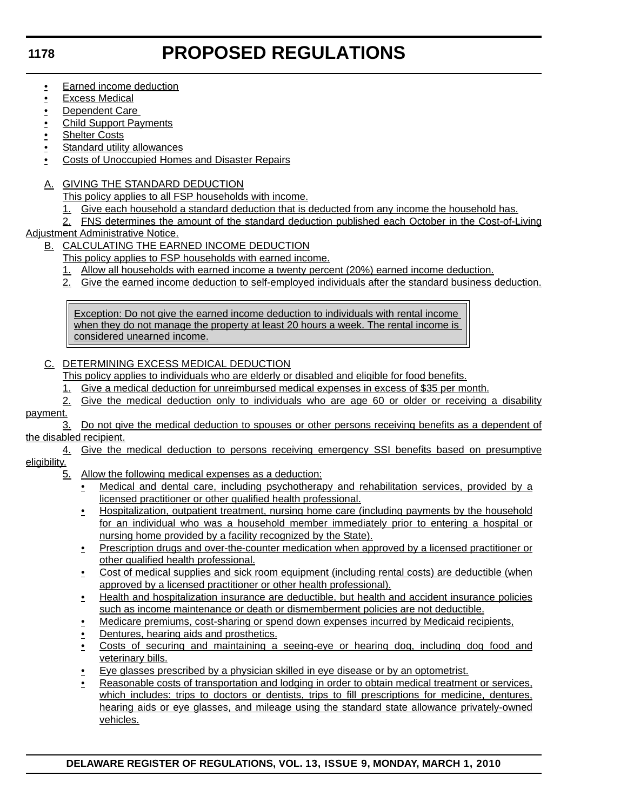### **1178**

# **PROPOSED REGULATIONS**

- **•** Earned income deduction
- Excess Medical
- Dependent Care
- **Child Support Payments**
- **Shelter Costs**
- Standard utility allowances
- Costs of Unoccupied Homes and Disaster Repairs
- A. GIVING THE STANDARD DEDUCTION
	- This policy applies to all FSP households with income.
	- 1. Give each household a standard deduction that is deducted from any income the household has.
	- 2. FNS determines the amount of the standard deduction published each October in the Cost-of-Living
- Adjustment Administrative Notice.
	- B. CALCULATING THE EARNED INCOME DEDUCTION
		- This policy applies to FSP households with earned income.
		- 1. Allow all households with earned income a twenty percent (20%) earned income deduction.
		- 2. Give the earned income deduction to self-employed individuals after the standard business deduction.

Exception: Do not give the earned income deduction to individuals with rental income when they do not manage the property at least 20 hours a week. The rental income is considered unearned income.

# C. DETERMINING EXCESS MEDICAL DEDUCTION

This policy applies to individuals who are elderly or disabled and eligible for food benefits.

- 1. Give a medical deduction for unreimbursed medical expenses in excess of \$35 per month.
- 2. Give the medical deduction only to individuals who are age 60 or older or receiving a disability

### payment.

- 3. Do not give the medical deduction to spouses or other persons receiving benefits as a dependent of the disabled recipient.
- 4. Give the medical deduction to persons receiving emergency SSI benefits based on presumptive eligibility.
	- 5. Allow the following medical expenses as a deduction:
		- Medical and dental care, including psychotherapy and rehabilitation services, provided by a licensed practitioner or other qualified health professional.
		- Hospitalization, outpatient treatment, nursing home care (including payments by the household for an individual who was a household member immediately prior to entering a hospital or nursing home provided by a facility recognized by the State).
		- Prescription drugs and over-the-counter medication when approved by a licensed practitioner or other qualified health professional.
		- Cost of medical supplies and sick room equipment (including rental costs) are deductible (when approved by a licensed practitioner or other health professional).
		- Health and hospitalization insurance are deductible, but health and accident insurance policies such as income maintenance or death or dismemberment policies are not deductible.
		- Medicare premiums, cost-sharing or spend down expenses incurred by Medicaid recipients,
		- Dentures, hearing aids and prosthetics.
		- Costs of securing and maintaining a seeing-eye or hearing dog, including dog food and veterinary bills.
		- Eye glasses prescribed by a physician skilled in eye disease or by an optometrist.
		- Reasonable costs of transportation and lodging in order to obtain medical treatment or services, which includes: trips to doctors or dentists, trips to fill prescriptions for medicine, dentures, hearing aids or eye glasses, and mileage using the standard state allowance privately-owned vehicles.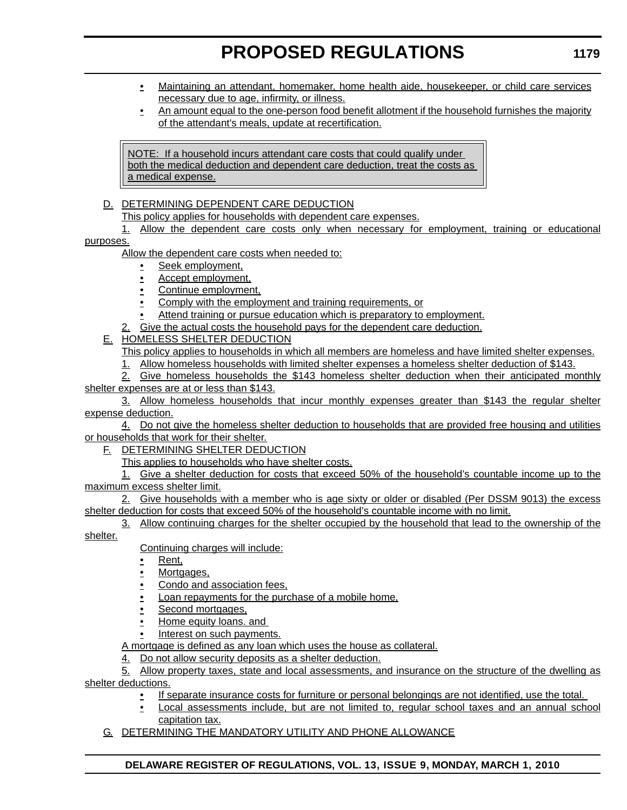- Maintaining an attendant, homemaker, home health aide, housekeeper, or child care services necessary due to age, infirmity, or illness.
- An amount equal to the one-person food benefit allotment if the household furnishes the majority of the attendant's meals, update at recertification.

NOTE: If a household incurs attendant care costs that could qualify under both the medical deduction and dependent care deduction, treat the costs as a medical expense.

- D. DETERMINING DEPENDENT CARE DEDUCTION
	- This policy applies for households with dependent care expenses.
- 1. Allow the dependent care costs only when necessary for employment, training or educational purposes.

Allow the dependent care costs when needed to:

- Seek employment,
- Accept employment,
- Continue employment,
- Comply with the employment and training requirements, or
- Attend training or pursue education which is preparatory to employment.
- 2. Give the actual costs the household pays for the dependent care deduction.
- E. HOMELESS SHELTER DEDUCTION
	- This policy applies to households in which all members are homeless and have limited shelter expenses.
	- 1. Allow homeless households with limited shelter expenses a homeless shelter deduction of \$143.

2. Give homeless households the \$143 homeless shelter deduction when their anticipated monthly shelter expenses are at or less than \$143.

3. Allow homeless households that incur monthly expenses greater than \$143 the regular shelter expense deduction.

4. Do not give the homeless shelter deduction to households that are provided free housing and utilities or households that work for their shelter.

F. DETERMINING SHELTER DEDUCTION

This applies to households who have shelter costs.

1. Give a shelter deduction for costs that exceed 50% of the household's countable income up to the maximum excess shelter limit.

2. Give households with a member who is age sixty or older or disabled (Per DSSM 9013) the excess shelter deduction for costs that exceed 50% of the household's countable income with no limit.

3. Allow continuing charges for the shelter occupied by the household that lead to the ownership of the shelter.

Continuing charges will include:

- Rent,
- Mortgages,
- Condo and association fees,
- Loan repayments for the purchase of a mobile home,
- Second mortgages,
- Home equity loans. and
- Interest on such payments.

A mortgage is defined as any loan which uses the house as collateral.

4. Do not allow security deposits as a shelter deduction.

5. Allow property taxes, state and local assessments, and insurance on the structure of the dwelling as shelter deductions.

- If separate insurance costs for furniture or personal belongings are not identified, use the total.
- Local assessments include, but are not limited to, regular school taxes and an annual school capitation tax.
- G. DETERMINING THE MANDATORY UTILITY AND PHONE ALLOWANCE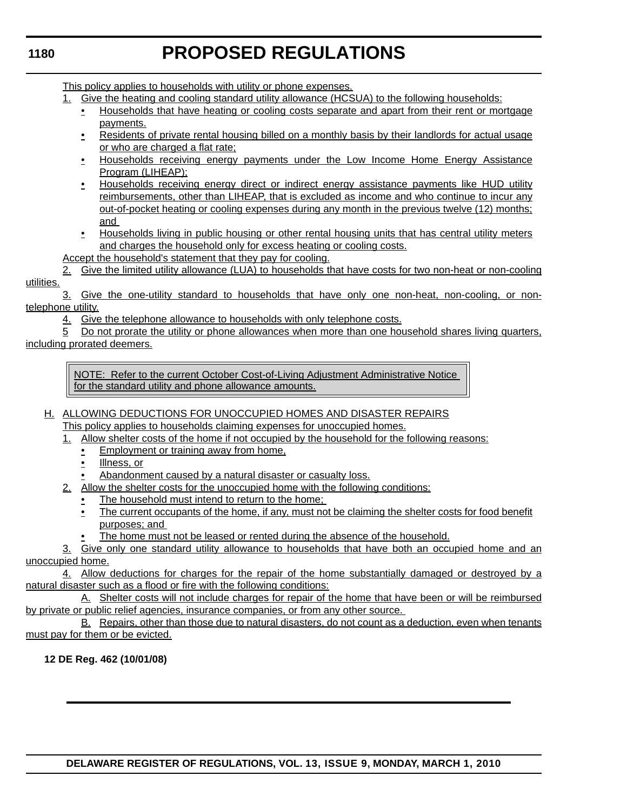# **1180**

# **PROPOSED REGULATIONS**

This policy applies to households with utility or phone expenses.

- 1. Give the heating and cooling standard utility allowance (HCSUA) to the following households:
	- Households that have heating or cooling costs separate and apart from their rent or mortgage payments.
	- Residents of private rental housing billed on a monthly basis by their landlords for actual usage or who are charged a flat rate;
	- Households receiving energy payments under the Low Income Home Energy Assistance Program (LIHEAP);
	- Households receiving energy direct or indirect energy assistance payments like HUD utility reimbursements, other than LIHEAP, that is excluded as income and who continue to incur any out-of-pocket heating or cooling expenses during any month in the previous twelve (12) months; and
	- Households living in public housing or other rental housing units that has central utility meters and charges the household only for excess heating or cooling costs.

Accept the household's statement that they pay for cooling.

2. Give the limited utility allowance (LUA) to households that have costs for two non-heat or non-cooling utilities.

3. Give the one-utility standard to households that have only one non-heat, non-cooling, or nontelephone utility.

4. Give the telephone allowance to households with only telephone costs.

5 Do not prorate the utility or phone allowances when more than one household shares living quarters, including prorated deemers.

NOTE: Refer to the current October Cost-of-Living Adjustment Administrative Notice for the standard utility and phone allowance amounts.

# H. ALLOWING DEDUCTIONS FOR UNOCCUPIED HOMES AND DISASTER REPAIRS This policy applies to households claiming expenses for unoccupied homes.

- 1. Allow shelter costs of the home if not occupied by the household for the following reasons:
	- Employment or training away from home,
		- Illness, or
	- Abandonment caused by a natural disaster or casualty loss.
- 2. Allow the shelter costs for the unoccupied home with the following conditions:
	- The household must intend to return to the home;
	- The current occupants of the home, if any, must not be claiming the shelter costs for food benefit purposes; and
	- The home must not be leased or rented during the absence of the household.

3. Give only one standard utility allowance to households that have both an occupied home and an unoccupied home.

4. Allow deductions for charges for the repair of the home substantially damaged or destroyed by a natural disaster such as a flood or fire with the following conditions:

A. Shelter costs will not include charges for repair of the home that have been or will be reimbursed by private or public relief agencies, insurance companies, or from any other source.

B. Repairs, other than those due to natural disasters, do not count as a deduction, even when tenants must pay for them or be evicted.

**12 DE Reg. 462 (10/01/08)**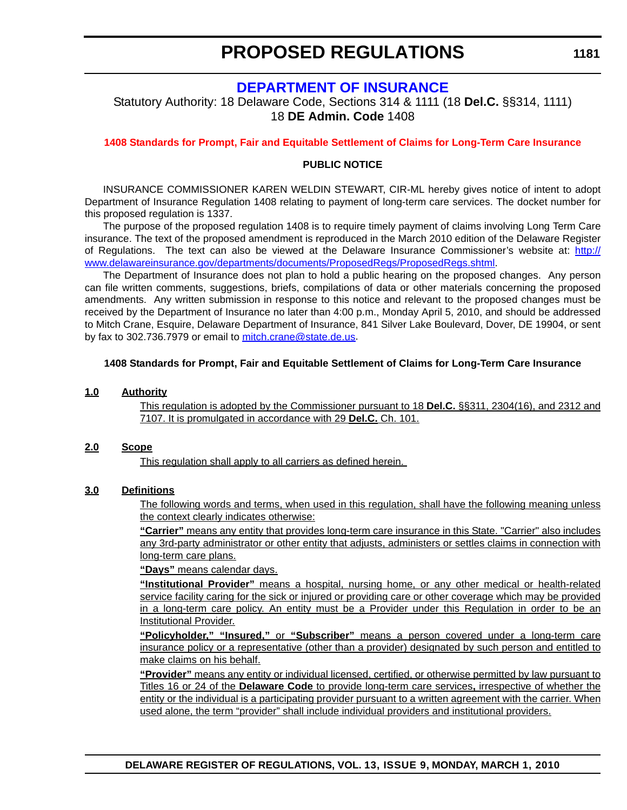# **[DEPARTMENT OF INSURANCE](http://www.delawareinsurance.gov/)**

Statutory Authority: 18 Delaware Code, Sections 314 & 1111 (18 **Del.C.** §§314, 1111) 18 **DE Admin. Code** 1408

**[1408 Standards for Prompt, Fair and Equitable Settlement of Claims for Long-Term Care Insurance](#page-3-0)**

### **PUBLIC NOTICE**

INSURANCE COMMISSIONER KAREN WELDIN STEWART, CIR-ML hereby gives notice of intent to adopt Department of Insurance Regulation 1408 relating to payment of long-term care services. The docket number for this proposed regulation is 1337.

The purpose of the proposed regulation 1408 is to require timely payment of claims involving Long Term Care insurance. The text of the proposed amendment is reproduced in the March 2010 edition of the Delaware Register of Regulations. The text can also be viewed at the Delaware Insurance Commissioner's website at: [http://](http://www.delawareinsurance.gov/departments/documents/ProposedRegs/ProposedRegs.shtml) [www.delawareinsurance.gov/departments/documents/ProposedRegs/ProposedRegs.shtml](http://www.delawareinsurance.gov/departments/documents/ProposedRegs/ProposedRegs.shtml).

The Department of Insurance does not plan to hold a public hearing on the proposed changes. Any person can file written comments, suggestions, briefs, compilations of data or other materials concerning the proposed amendments. Any written submission in response to this notice and relevant to the proposed changes must be received by the Department of Insurance no later than 4:00 p.m., Monday April 5, 2010, and should be addressed to Mitch Crane, Esquire, Delaware Department of Insurance, 841 Silver Lake Boulevard, Dover, DE 19904, or sent by fax to 302.736.7979 or email to [mitch.crane@state.de.us](mailto:mitch.crane@state.de.us).

### **1408 Standards for Prompt, Fair and Equitable Settlement of Claims for Long-Term Care Insurance**

#### **1.0 Authority**

This regulation is adopted by the Commissioner pursuant to 18 **Del.C.** §§311, 2304(16), and 2312 and 7107. It is promulgated in accordance with 29 **Del.C.** Ch. 101.

#### **2.0 Scope**

This regulation shall apply to all carriers as defined herein.

### **3.0 Definitions**

The following words and terms, when used in this regulation, shall have the following meaning unless the context clearly indicates otherwise:

**"Carrier"** means any entity that provides long-term care insurance in this State. "Carrier" also includes any 3rd-party administrator or other entity that adjusts, administers or settles claims in connection with long-term care plans.

**"Days"** means calendar days.

**"Institutional Provider"** means a hospital, nursing home, or any other medical or health-related service facility caring for the sick or injured or providing care or other coverage which may be provided in a long-term care policy. An entity must be a Provider under this Regulation in order to be an Institutional Provider.

**"Policyholder," "Insured,"** or **"Subscriber"** means a person covered under a long-term care insurance policy or a representative (other than a provider) designated by such person and entitled to make claims on his behalf.

**"Provider"** means any entity or individual licensed, certified, or otherwise permitted by law pursuant to Titles 16 or 24 of the **Delaware Code** to provide long-term care services**,** irrespective of whether the entity or the individual is a participating provider pursuant to a written agreement with the carrier. When used alone, the term "provider" shall include individual providers and institutional providers.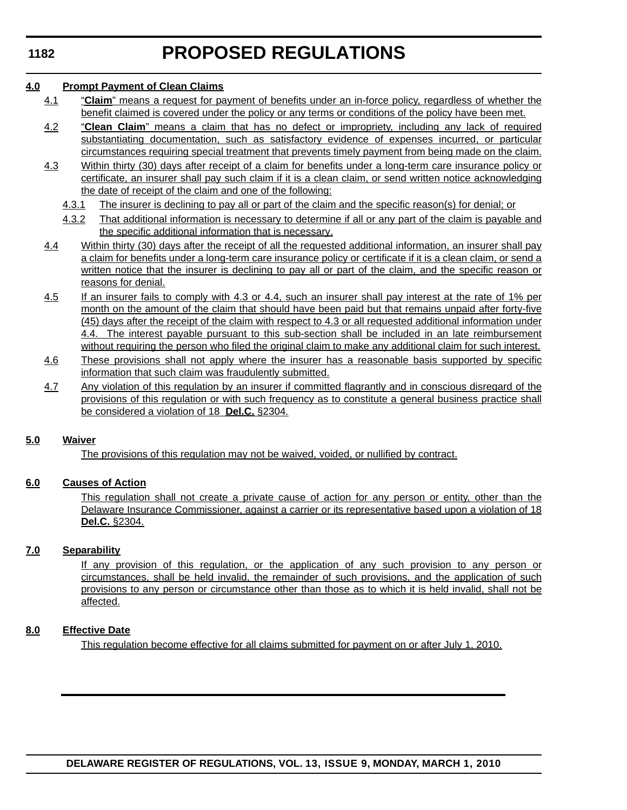#### **4.0 Prompt Payment of Clean Claims**

- 4.1 "**Claim**" means a request for payment of benefits under an in-force policy, regardless of whether the benefit claimed is covered under the policy or any terms or conditions of the policy have been met.
- 4.2 "**Clean Claim**" means a claim that has no defect or impropriety, including any lack of required substantiating documentation, such as satisfactory evidence of expenses incurred, or particular circumstances requiring special treatment that prevents timely payment from being made on the claim.
- 4.3 Within thirty (30) days after receipt of a claim for benefits under a long-term care insurance policy or certificate, an insurer shall pay such claim if it is a clean claim, or send written notice acknowledging the date of receipt of the claim and one of the following:
	- 4.3.1 The insurer is declining to pay all or part of the claim and the specific reason(s) for denial; or
	- 4.3.2 That additional information is necessary to determine if all or any part of the claim is payable and the specific additional information that is necessary.
- 4.4 Within thirty (30) days after the receipt of all the requested additional information, an insurer shall pay a claim for benefits under a long-term care insurance policy or certificate if it is a clean claim, or send a written notice that the insurer is declining to pay all or part of the claim, and the specific reason or reasons for denial.
- 4.5 If an insurer fails to comply with 4.3 or 4.4, such an insurer shall pay interest at the rate of 1% per month on the amount of the claim that should have been paid but that remains unpaid after forty-five (45) days after the receipt of the claim with respect to 4.3 or all requested additional information under 4.4. The interest payable pursuant to this sub-section shall be included in an late reimbursement without requiring the person who filed the original claim to make any additional claim for such interest.
- 4.6 These provisions shall not apply where the insurer has a reasonable basis supported by specific information that such claim was fraudulently submitted.
- 4.7 Any violation of this regulation by an insurer if committed flagrantly and in conscious disregard of the provisions of this regulation or with such frequency as to constitute a general business practice shall be considered a violation of 18 **Del.C.** §2304*.*

### **5.0 Waiver**

The provisions of this regulation may not be waived, voided, or nullified by contract.

### **6.0 Causes of Action**

This regulation shall not create a private cause of action for any person or entity, other than the Delaware Insurance Commissioner, against a carrier or its representative based upon a violation of 18 **Del.C.** §2304.

#### **7.0 Separability**

If any provision of this regulation, or the application of any such provision to any person or circumstances, shall be held invalid, the remainder of such provisions, and the application of such provisions to any person or circumstance other than those as to which it is held invalid, shall not be affected.

### **8.0 Effective Date**

This regulation become effective for all claims submitted for payment on or after July 1, 2010.

**DELAWARE REGISTER OF REGULATIONS, VOL. 13, ISSUE 9, MONDAY, MARCH 1, 2010**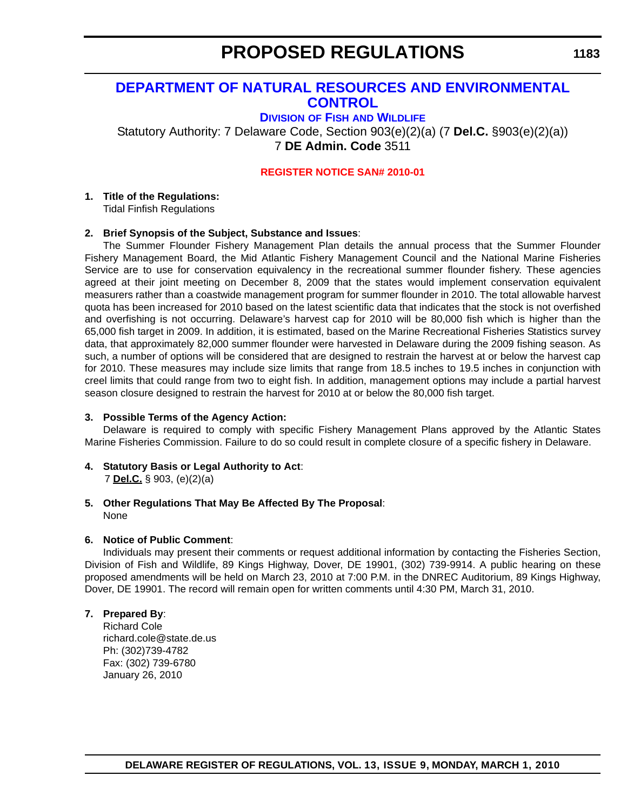# **[DEPARTMENT OF NATURAL RESOURCES AND ENVIRONMENTAL](http://www.fw.delaware.gov/Pages/FWPortal.aspx)  CONTROL**

**DIVISION OF FISH AND WILDLIFE**

Statutory Authority: 7 Delaware Code, Section 903(e)(2)(a) (7 **Del.C.** §903(e)(2)(a)) 7 **DE Admin. Code** 3511

### **[REGISTER NOTICE SAN# 2010-01](#page-3-0)**

#### **1. Title of the Regulations:** Tidal Finfish Regulations

### **2. Brief Synopsis of the Subject, Substance and Issues**:

The Summer Flounder Fishery Management Plan details the annual process that the Summer Flounder Fishery Management Board, the Mid Atlantic Fishery Management Council and the National Marine Fisheries Service are to use for conservation equivalency in the recreational summer flounder fishery. These agencies agreed at their joint meeting on December 8, 2009 that the states would implement conservation equivalent measurers rather than a coastwide management program for summer flounder in 2010. The total allowable harvest quota has been increased for 2010 based on the latest scientific data that indicates that the stock is not overfished and overfishing is not occurring. Delaware's harvest cap for 2010 will be 80,000 fish which is higher than the 65,000 fish target in 2009. In addition, it is estimated, based on the Marine Recreational Fisheries Statistics survey data, that approximately 82,000 summer flounder were harvested in Delaware during the 2009 fishing season. As such, a number of options will be considered that are designed to restrain the harvest at or below the harvest cap for 2010. These measures may include size limits that range from 18.5 inches to 19.5 inches in conjunction with creel limits that could range from two to eight fish. In addition, management options may include a partial harvest season closure designed to restrain the harvest for 2010 at or below the 80,000 fish target.

### **3. Possible Terms of the Agency Action:**

Delaware is required to comply with specific Fishery Management Plans approved by the Atlantic States Marine Fisheries Commission. Failure to do so could result in complete closure of a specific fishery in Delaware.

- **4. Statutory Basis or Legal Authority to Act**: 7 **Del.C.** § 903, (e)(2)(a)
- **5. Other Regulations That May Be Affected By The Proposal**: None

### **6. Notice of Public Comment**:

Individuals may present their comments or request additional information by contacting the Fisheries Section, Division of Fish and Wildlife, 89 Kings Highway, Dover, DE 19901, (302) 739-9914. A public hearing on these proposed amendments will be held on March 23, 2010 at 7:00 P.M. in the DNREC Auditorium, 89 Kings Highway, Dover, DE 19901. The record will remain open for written comments until 4:30 PM, March 31, 2010.

### **7. Prepared By**:

Richard Cole richard.cole@state.de.us Ph: (302)739-4782 Fax: (302) 739-6780 January 26, 2010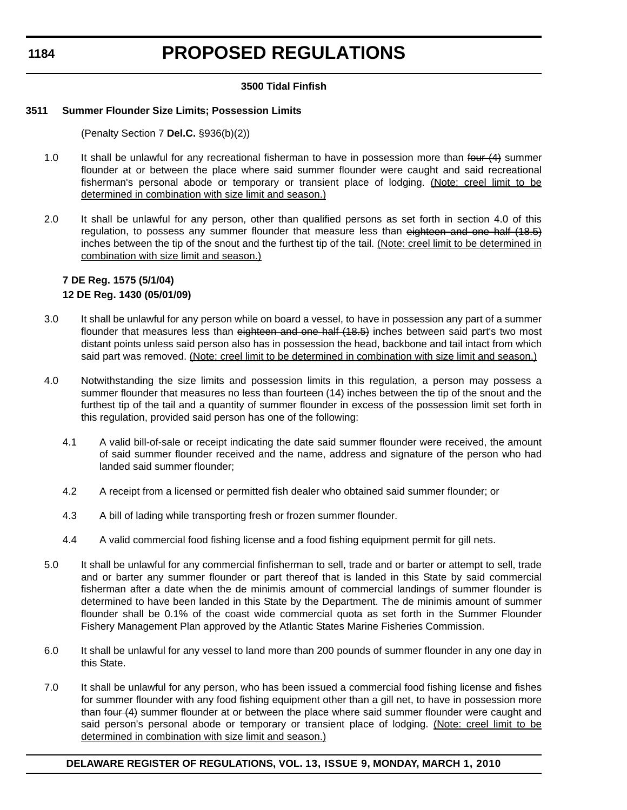**1184**

# **PROPOSED REGULATIONS**

# **3500 Tidal Finfish**

# **3511 Summer Flounder Size Limits; Possession Limits**

(Penalty Section 7 **Del.C.** §936(b)(2))

- 1.0 It shall be unlawful for any recreational fisherman to have in possession more than four (4) summer flounder at or between the place where said summer flounder were caught and said recreational fisherman's personal abode or temporary or transient place of lodging. (Note: creel limit to be determined in combination with size limit and season.)
- 2.0 It shall be unlawful for any person, other than qualified persons as set forth in section 4.0 of this regulation, to possess any summer flounder that measure less than eighteen and one half (18.5) inches between the tip of the snout and the furthest tip of the tail. (Note: creel limit to be determined in combination with size limit and season.)

# **7 DE Reg. 1575 (5/1/04) 12 DE Reg. 1430 (05/01/09)**

- 3.0 It shall be unlawful for any person while on board a vessel, to have in possession any part of a summer flounder that measures less than eighteen and one half (18.5) inches between said part's two most distant points unless said person also has in possession the head, backbone and tail intact from which said part was removed. (Note: creel limit to be determined in combination with size limit and season.)
- 4.0 Notwithstanding the size limits and possession limits in this regulation, a person may possess a summer flounder that measures no less than fourteen (14) inches between the tip of the snout and the furthest tip of the tail and a quantity of summer flounder in excess of the possession limit set forth in this regulation, provided said person has one of the following:
	- 4.1 A valid bill-of-sale or receipt indicating the date said summer flounder were received, the amount of said summer flounder received and the name, address and signature of the person who had landed said summer flounder;
	- 4.2 A receipt from a licensed or permitted fish dealer who obtained said summer flounder; or
	- 4.3 A bill of lading while transporting fresh or frozen summer flounder.
	- 4.4 A valid commercial food fishing license and a food fishing equipment permit for gill nets.
- 5.0 It shall be unlawful for any commercial finfisherman to sell, trade and or barter or attempt to sell, trade and or barter any summer flounder or part thereof that is landed in this State by said commercial fisherman after a date when the de minimis amount of commercial landings of summer flounder is determined to have been landed in this State by the Department. The de minimis amount of summer flounder shall be 0.1% of the coast wide commercial quota as set forth in the Summer Flounder Fishery Management Plan approved by the Atlantic States Marine Fisheries Commission.
- 6.0 It shall be unlawful for any vessel to land more than 200 pounds of summer flounder in any one day in this State.
- 7.0 It shall be unlawful for any person, who has been issued a commercial food fishing license and fishes for summer flounder with any food fishing equipment other than a gill net, to have in possession more than four (4) summer flounder at or between the place where said summer flounder were caught and said person's personal abode or temporary or transient place of lodging. (Note: creel limit to be determined in combination with size limit and season.)

# **DELAWARE REGISTER OF REGULATIONS, VOL. 13, ISSUE 9, MONDAY, MARCH 1, 2010**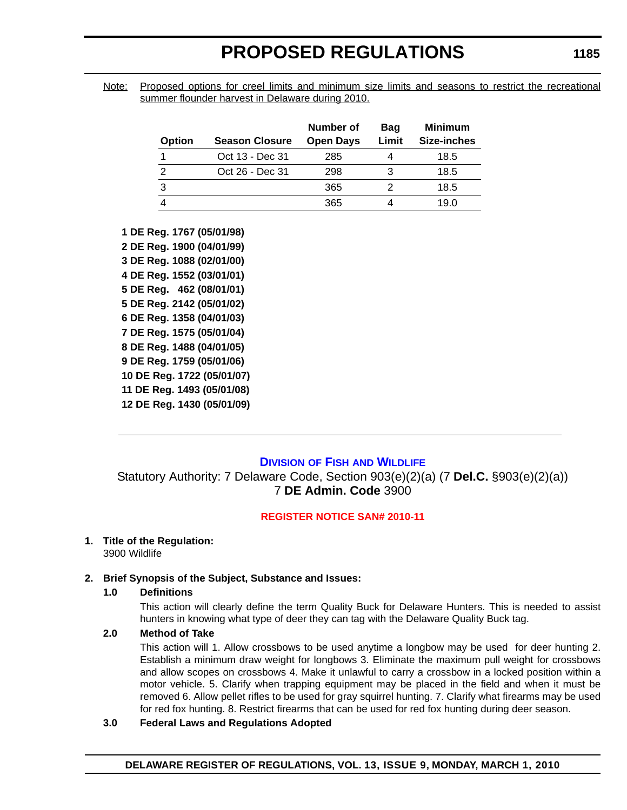Note: Proposed options for creel limits and minimum size limits and seasons to restrict the recreational summer flounder harvest in Delaware during 2010.

| <b>Option</b> | <b>Season Closure</b> | Number of<br><b>Open Days</b> | Bag<br>Limit | <b>Minimum</b><br>Size-inches |
|---------------|-----------------------|-------------------------------|--------------|-------------------------------|
|               | Oct 13 - Dec 31       | 285                           |              | 18.5                          |
| 2             | Oct 26 - Dec 31       | 298                           | 3            | 18.5                          |
| 3             |                       | 365                           |              | 18.5                          |
|               |                       | 365                           |              | 19.0                          |

**1 DE Reg. 1767 (05/01/98) 2 DE Reg. 1900 (04/01/99) 3 DE Reg. 1088 (02/01/00) 4 DE Reg. 1552 (03/01/01) 5 DE Reg. 462 (08/01/01) 5 DE Reg. 2142 (05/01/02) 6 DE Reg. 1358 (04/01/03) 7 DE Reg. 1575 (05/01/04) 8 DE Reg. 1488 (04/01/05) 9 DE Reg. 1759 (05/01/06) 10 DE Reg. 1722 (05/01/07) 11 DE Reg. 1493 (05/01/08) 12 DE Reg. 1430 (05/01/09)**

# **DIVISION OF FISH [AND WILDLIFE](http://www.fw.delaware.gov/Pages/FWPortal.aspx)**

Statutory Authority: 7 Delaware Code, Section 903(e)(2)(a) (7 **Del.C.** §903(e)(2)(a)) 7 **DE Admin. Code** 3900

#### **[REGISTER NOTICE SAN# 2010-11](#page-3-0)**

#### **1. Title of the Regulation:** 3900 Wildlife

# **2. Brief Synopsis of the Subject, Substance and Issues:**

#### **1.0 Definitions**

 This action will clearly define the term Quality Buck for Delaware Hunters. This is needed to assist hunters in knowing what type of deer they can tag with the Delaware Quality Buck tag.

### **2.0 Method of Take**

 This action will 1. Allow crossbows to be used anytime a longbow may be used for deer hunting 2. Establish a minimum draw weight for longbows 3. Eliminate the maximum pull weight for crossbows and allow scopes on crossbows 4. Make it unlawful to carry a crossbow in a locked position within a motor vehicle. 5. Clarify when trapping equipment may be placed in the field and when it must be removed 6. Allow pellet rifles to be used for gray squirrel hunting. 7. Clarify what firearms may be used for red fox hunting. 8. Restrict firearms that can be used for red fox hunting during deer season.

#### **3.0 Federal Laws and Regulations Adopted**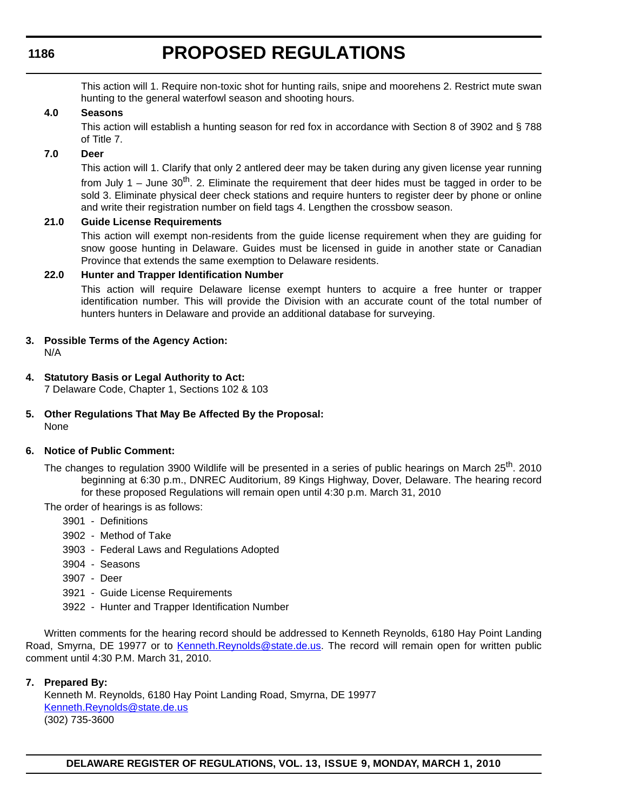# **1186**

# **PROPOSED REGULATIONS**

This action will 1. Require non-toxic shot for hunting rails, snipe and moorehens 2. Restrict mute swan hunting to the general waterfowl season and shooting hours.

### **4.0 Seasons**

This action will establish a hunting season for red fox in accordance with Section 8 of 3902 and § 788 of Title 7.

### **7.0 Deer**

This action will 1. Clarify that only 2 antlered deer may be taken during any given license year running from July 1 – June  $30<sup>th</sup>$ . 2. Eliminate the requirement that deer hides must be tagged in order to be sold 3. Eliminate physical deer check stations and require hunters to register deer by phone or online and write their registration number on field tags 4. Lengthen the crossbow season.

### **21.0 Guide License Requirements**

This action will exempt non-residents from the guide license requirement when they are guiding for snow goose hunting in Delaware. Guides must be licensed in guide in another state or Canadian Province that extends the same exemption to Delaware residents.

### **22.0 Hunter and Trapper Identification Number**

This action will require Delaware license exempt hunters to acquire a free hunter or trapper identification number. This will provide the Division with an accurate count of the total number of hunters hunters in Delaware and provide an additional database for surveying.

**3. Possible Terms of the Agency Action:**

N/A

**4. Statutory Basis or Legal Authority to Act:**

7 Delaware Code, Chapter 1, Sections 102 & 103

**5. Other Regulations That May Be Affected By the Proposal:** None

#### **6. Notice of Public Comment:**

The changes to regulation 3900 Wildlife will be presented in a series of public hearings on March 25<sup>th</sup>. 2010 beginning at 6:30 p.m., DNREC Auditorium, 89 Kings Highway, Dover, Delaware. The hearing record for these proposed Regulations will remain open until 4:30 p.m. March 31, 2010

The order of hearings is as follows:

- 3901 Definitions
- 3902 Method of Take
- 3903 Federal Laws and Regulations Adopted
- 3904 Seasons
- 3907 Deer
- 3921 Guide License Requirements
- 3922 Hunter and Trapper Identification Number

Written comments for the hearing record should be addressed to Kenneth Reynolds, 6180 Hay Point Landing Road, Smyrna, DE 19977 or to [Kenneth.Reynolds@state.de.us.](mailto:Kenneth.Reynolds@state.de.us) The record will remain open for written public comment until 4:30 P.M. March 31, 2010.

#### **7. Prepared By:**

Kenneth M. Reynolds, 6180 Hay Point Landing Road, Smyrna, DE 19977 [Kenneth.Reynolds@state.de.us](mailto:Kenneth.Reynolds@state.de.us) (302) 735-3600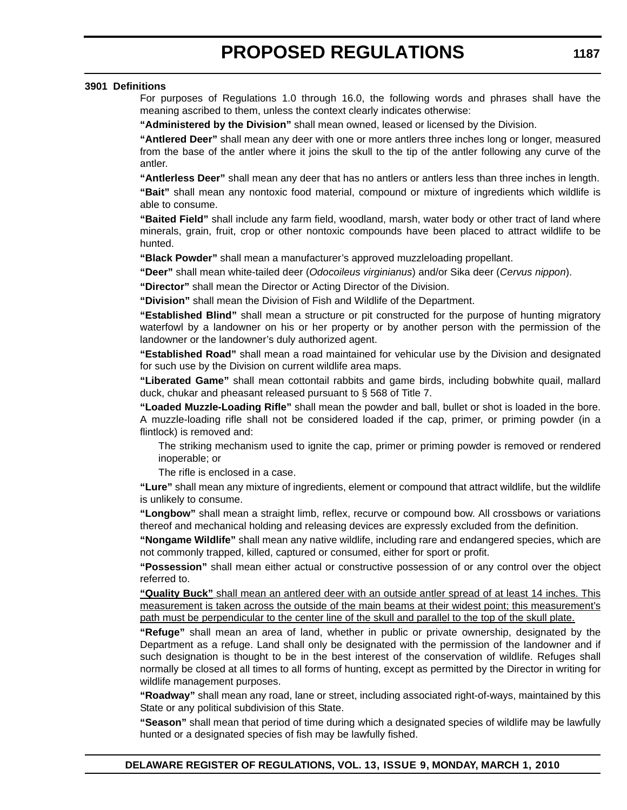#### **3901 Definitions**

For purposes of Regulations 1.0 through 16.0, the following words and phrases shall have the meaning ascribed to them, unless the context clearly indicates otherwise:

**"Administered by the Division"** shall mean owned, leased or licensed by the Division.

**"Antlered Deer"** shall mean any deer with one or more antlers three inches long or longer, measured from the base of the antler where it joins the skull to the tip of the antler following any curve of the antler.

**"Antlerless Deer"** shall mean any deer that has no antlers or antlers less than three inches in length.

**"Bait"** shall mean any nontoxic food material, compound or mixture of ingredients which wildlife is able to consume.

**"Baited Field"** shall include any farm field, woodland, marsh, water body or other tract of land where minerals, grain, fruit, crop or other nontoxic compounds have been placed to attract wildlife to be hunted.

**"Black Powder"** shall mean a manufacturer's approved muzzleloading propellant.

**"Deer"** shall mean white-tailed deer (*Odocoileus virginianus*) and/or Sika deer (*Cervus nippon*).

**"Director"** shall mean the Director or Acting Director of the Division.

**"Division"** shall mean the Division of Fish and Wildlife of the Department.

**"Established Blind"** shall mean a structure or pit constructed for the purpose of hunting migratory waterfowl by a landowner on his or her property or by another person with the permission of the landowner or the landowner's duly authorized agent.

**"Established Road"** shall mean a road maintained for vehicular use by the Division and designated for such use by the Division on current wildlife area maps.

**"Liberated Game"** shall mean cottontail rabbits and game birds, including bobwhite quail, mallard duck, chukar and pheasant released pursuant to § 568 of Title 7.

**"Loaded Muzzle-Loading Rifle"** shall mean the powder and ball, bullet or shot is loaded in the bore. A muzzle-loading rifle shall not be considered loaded if the cap, primer, or priming powder (in a flintlock) is removed and:

The striking mechanism used to ignite the cap, primer or priming powder is removed or rendered inoperable; or

The rifle is enclosed in a case.

**"Lure"** shall mean any mixture of ingredients, element or compound that attract wildlife, but the wildlife is unlikely to consume.

**"Longbow"** shall mean a straight limb, reflex, recurve or compound bow. All crossbows or variations thereof and mechanical holding and releasing devices are expressly excluded from the definition.

**"Nongame Wildlife"** shall mean any native wildlife, including rare and endangered species, which are not commonly trapped, killed, captured or consumed, either for sport or profit.

**"Possession"** shall mean either actual or constructive possession of or any control over the object referred to.

**"Quality Buck"** shall mean an antlered deer with an outside antler spread of at least 14 inches. This measurement is taken across the outside of the main beams at their widest point; this measurement's path must be perpendicular to the center line of the skull and parallel to the top of the skull plate.

**"Refuge"** shall mean an area of land, whether in public or private ownership, designated by the Department as a refuge. Land shall only be designated with the permission of the landowner and if such designation is thought to be in the best interest of the conservation of wildlife. Refuges shall normally be closed at all times to all forms of hunting, except as permitted by the Director in writing for wildlife management purposes.

**"Roadway"** shall mean any road, lane or street, including associated right-of-ways, maintained by this State or any political subdivision of this State.

**"Season"** shall mean that period of time during which a designated species of wildlife may be lawfully hunted or a designated species of fish may be lawfully fished.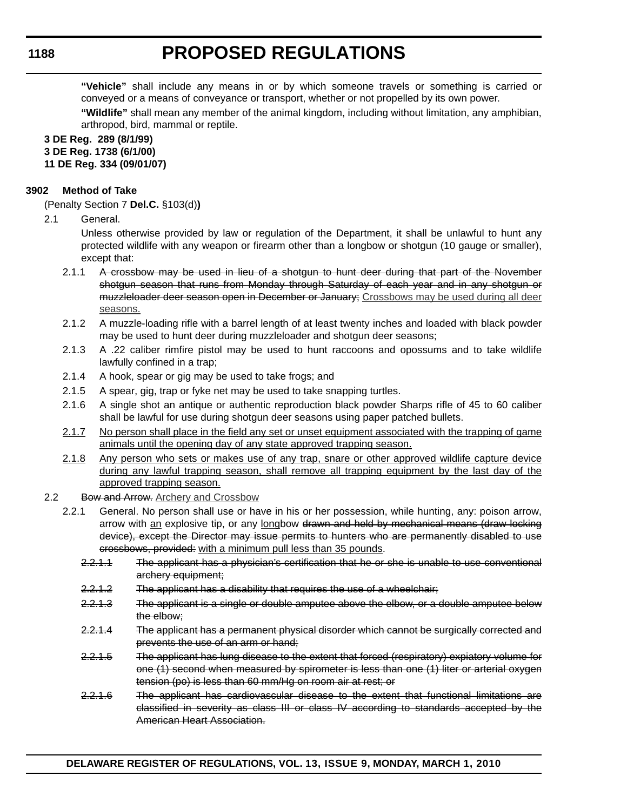**"Vehicle"** shall include any means in or by which someone travels or something is carried or conveyed or a means of conveyance or transport, whether or not propelled by its own power.

**"Wildlife"** shall mean any member of the animal kingdom, including without limitation, any amphibian, arthropod, bird, mammal or reptile.

### **3 DE Reg. 289 (8/1/99) 3 DE Reg. 1738 (6/1/00) 11 DE Reg. 334 (09/01/07)**

# **3902 Method of Take**

(Penalty Section 7 **Del.C.** §103(d)**)**

2.1 General.

Unless otherwise provided by law or regulation of the Department, it shall be unlawful to hunt any protected wildlife with any weapon or firearm other than a longbow or shotgun (10 gauge or smaller), except that:

- 2.1.1 A crossbow may be used in lieu of a shotgun to hunt deer during that part of the November shotgun season that runs from Monday through Saturday of each year and in any shotgun or muzzleloader deer season open in December or January; Crossbows may be used during all deer seasons.
- 2.1.2 A muzzle-loading rifle with a barrel length of at least twenty inches and loaded with black powder may be used to hunt deer during muzzleloader and shotgun deer seasons;
- 2.1.3 A .22 caliber rimfire pistol may be used to hunt raccoons and opossums and to take wildlife lawfully confined in a trap;
- 2.1.4 A hook, spear or gig may be used to take frogs; and
- 2.1.5 A spear, gig, trap or fyke net may be used to take snapping turtles.
- 2.1.6 A single shot an antique or authentic reproduction black powder Sharps rifle of 45 to 60 caliber shall be lawful for use during shotgun deer seasons using paper patched bullets.
- 2.1.7 No person shall place in the field any set or unset equipment associated with the trapping of game animals until the opening day of any state approved trapping season.
- 2.1.8 Any person who sets or makes use of any trap, snare or other approved wildlife capture device during any lawful trapping season, shall remove all trapping equipment by the last day of the approved trapping season.
- 2.2 Bow and Arrow. Archery and Crossbow
	- 2.2.1 General. No person shall use or have in his or her possession, while hunting, any: poison arrow, arrow with an explosive tip, or any longbow drawn and held by mechanical means (draw locking device), except the Director may issue permits to hunters who are permanently disabled to use crossbows, provided: with a minimum pull less than 35 pounds.
		- 2.2.1.1 The applicant has a physician's certification that he or she is unable to use conventional archery equipment;
		- 2.2.1.2 The applicant has a disability that requires the use of a wheelchair;
		- 2.2.1.3 The applicant is a single or double amputee above the elbow, or a double amputee below the elbow;
		- 2.2.1.4 The applicant has a permanent physical disorder which cannot be surgically corrected and prevents the use of an arm or hand;
		- 2.2.1.5 The applicant has lung disease to the extent that forced (respiratory) expiatory volume for one (1) second when measured by spirometer is less than one (1) liter or arterial oxygen tension (po) is less than 60 mm/Hg on room air at rest; or
		- 2.2.1.6 The applicant has cardiovascular disease to the extent that functional limitations are classified in severity as class III or class IV according to standards accepted by the American Heart Association.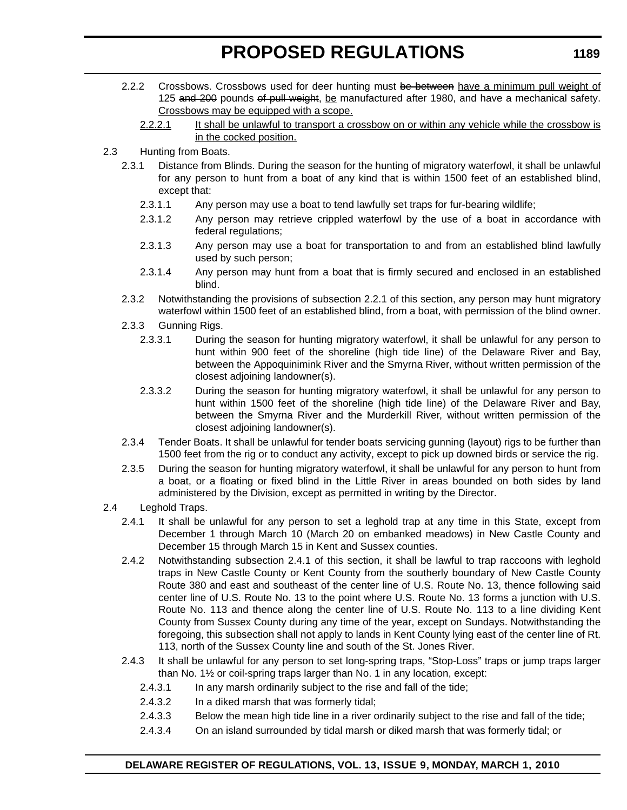- 2.2.2 Crossbows. Crossbows used for deer hunting must be between have a minimum pull weight of 125 and 200 pounds of pull weight, be manufactured after 1980, and have a mechanical safety. Crossbows may be equipped with a scope.
	- 2.2.2.1 It shall be unlawful to transport a crossbow on or within any vehicle while the crossbow is in the cocked position.
- 2.3 Hunting from Boats.
	- 2.3.1 Distance from Blinds. During the season for the hunting of migratory waterfowl, it shall be unlawful for any person to hunt from a boat of any kind that is within 1500 feet of an established blind, except that:
		- 2.3.1.1 Any person may use a boat to tend lawfully set traps for fur-bearing wildlife;
		- 2.3.1.2 Any person may retrieve crippled waterfowl by the use of a boat in accordance with federal regulations;
		- 2.3.1.3 Any person may use a boat for transportation to and from an established blind lawfully used by such person;
		- 2.3.1.4 Any person may hunt from a boat that is firmly secured and enclosed in an established blind.
	- 2.3.2 Notwithstanding the provisions of subsection 2.2.1 of this section, any person may hunt migratory waterfowl within 1500 feet of an established blind, from a boat, with permission of the blind owner.
	- 2.3.3 Gunning Rigs.
		- 2.3.3.1 During the season for hunting migratory waterfowl, it shall be unlawful for any person to hunt within 900 feet of the shoreline (high tide line) of the Delaware River and Bay, between the Appoquinimink River and the Smyrna River, without written permission of the closest adjoining landowner(s).
		- 2.3.3.2 During the season for hunting migratory waterfowl, it shall be unlawful for any person to hunt within 1500 feet of the shoreline (high tide line) of the Delaware River and Bay, between the Smyrna River and the Murderkill River, without written permission of the closest adjoining landowner(s).
	- 2.3.4 Tender Boats. It shall be unlawful for tender boats servicing gunning (layout) rigs to be further than 1500 feet from the rig or to conduct any activity, except to pick up downed birds or service the rig.
	- 2.3.5 During the season for hunting migratory waterfowl, it shall be unlawful for any person to hunt from a boat, or a floating or fixed blind in the Little River in areas bounded on both sides by land administered by the Division, except as permitted in writing by the Director.
- 2.4 Leghold Traps.
	- 2.4.1 It shall be unlawful for any person to set a leghold trap at any time in this State, except from December 1 through March 10 (March 20 on embanked meadows) in New Castle County and December 15 through March 15 in Kent and Sussex counties.
	- 2.4.2 Notwithstanding subsection 2.4.1 of this section, it shall be lawful to trap raccoons with leghold traps in New Castle County or Kent County from the southerly boundary of New Castle County Route 380 and east and southeast of the center line of U.S. Route No. 13, thence following said center line of U.S. Route No. 13 to the point where U.S. Route No. 13 forms a junction with U.S. Route No. 113 and thence along the center line of U.S. Route No. 113 to a line dividing Kent County from Sussex County during any time of the year, except on Sundays. Notwithstanding the foregoing, this subsection shall not apply to lands in Kent County lying east of the center line of Rt. 113, north of the Sussex County line and south of the St. Jones River.
	- 2.4.3 It shall be unlawful for any person to set long-spring traps, "Stop-Loss" traps or jump traps larger than No. 1½ or coil-spring traps larger than No. 1 in any location, except:
		- 2.4.3.1 In any marsh ordinarily subject to the rise and fall of the tide;
		- 2.4.3.2 In a diked marsh that was formerly tidal;
		- 2.4.3.3 Below the mean high tide line in a river ordinarily subject to the rise and fall of the tide;
		- 2.4.3.4 On an island surrounded by tidal marsh or diked marsh that was formerly tidal; or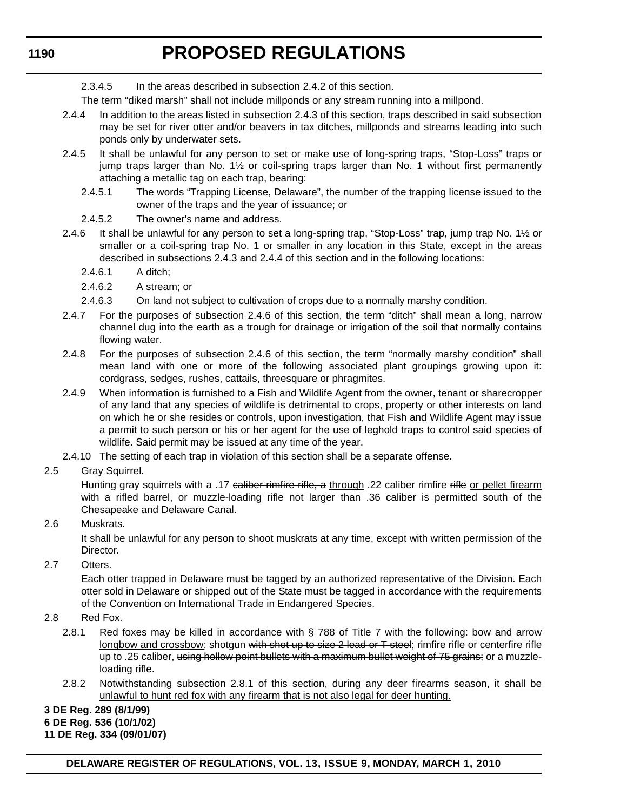2.3.4.5 In the areas described in subsection 2.4.2 of this section.

The term "diked marsh" shall not include millponds or any stream running into a millpond.

- 2.4.4 In addition to the areas listed in subsection 2.4.3 of this section, traps described in said subsection may be set for river otter and/or beavers in tax ditches, millponds and streams leading into such ponds only by underwater sets.
- 2.4.5 It shall be unlawful for any person to set or make use of long-spring traps, "Stop-Loss" traps or jump traps larger than No. 1½ or coil-spring traps larger than No. 1 without first permanently attaching a metallic tag on each trap, bearing:
	- 2.4.5.1 The words "Trapping License, Delaware", the number of the trapping license issued to the owner of the traps and the year of issuance; or
	- 2.4.5.2 The owner's name and address.
- 2.4.6 It shall be unlawful for any person to set a long-spring trap, "Stop-Loss" trap, jump trap No. 1½ or smaller or a coil-spring trap No. 1 or smaller in any location in this State, except in the areas described in subsections 2.4.3 and 2.4.4 of this section and in the following locations:
	- 2.4.6.1 A ditch;
	- 2.4.6.2 A stream; or
	- 2.4.6.3 On land not subject to cultivation of crops due to a normally marshy condition.
- 2.4.7 For the purposes of subsection 2.4.6 of this section, the term "ditch" shall mean a long, narrow channel dug into the earth as a trough for drainage or irrigation of the soil that normally contains flowing water.
- 2.4.8 For the purposes of subsection 2.4.6 of this section, the term "normally marshy condition" shall mean land with one or more of the following associated plant groupings growing upon it: cordgrass, sedges, rushes, cattails, threesquare or phragmites.
- 2.4.9 When information is furnished to a Fish and Wildlife Agent from the owner, tenant or sharecropper of any land that any species of wildlife is detrimental to crops, property or other interests on land on which he or she resides or controls, upon investigation, that Fish and Wildlife Agent may issue a permit to such person or his or her agent for the use of leghold traps to control said species of wildlife. Said permit may be issued at any time of the year.
- 2.4.10 The setting of each trap in violation of this section shall be a separate offense.
- 2.5 Gray Squirrel.

Hunting gray squirrels with a .17 caliber rimfire rifle, a through .22 caliber rimfire rifle or pellet firearm with a rifled barrel, or muzzle-loading rifle not larger than .36 caliber is permitted south of the Chesapeake and Delaware Canal.

### 2.6 Muskrats.

It shall be unlawful for any person to shoot muskrats at any time, except with written permission of the Director.

2.7 Otters.

Each otter trapped in Delaware must be tagged by an authorized representative of the Division. Each otter sold in Delaware or shipped out of the State must be tagged in accordance with the requirements of the Convention on International Trade in Endangered Species.

- 2.8 Red Fox.
	- 2.8.1 Red foxes may be killed in accordance with  $\S$  788 of Title 7 with the following: bow and arrow longbow and crossbow; shotgun with shot up to size 2 lead or T steel; rimfire rifle or centerfire rifle up to .25 caliber, using hollow point bullets with a maximum bullet weight of 75 grains; or a muzzleloading rifle.
	- 2.8.2 Notwithstanding subsection 2.8.1 of this section, during any deer firearms season, it shall be unlawful to hunt red fox with any firearm that is not also legal for deer hunting.

#### **3 DE Reg. 289 (8/1/99)**

#### **6 DE Reg. 536 (10/1/02)**

**11 DE Reg. 334 (09/01/07)**

**DELAWARE REGISTER OF REGULATIONS, VOL. 13, ISSUE 9, MONDAY, MARCH 1, 2010**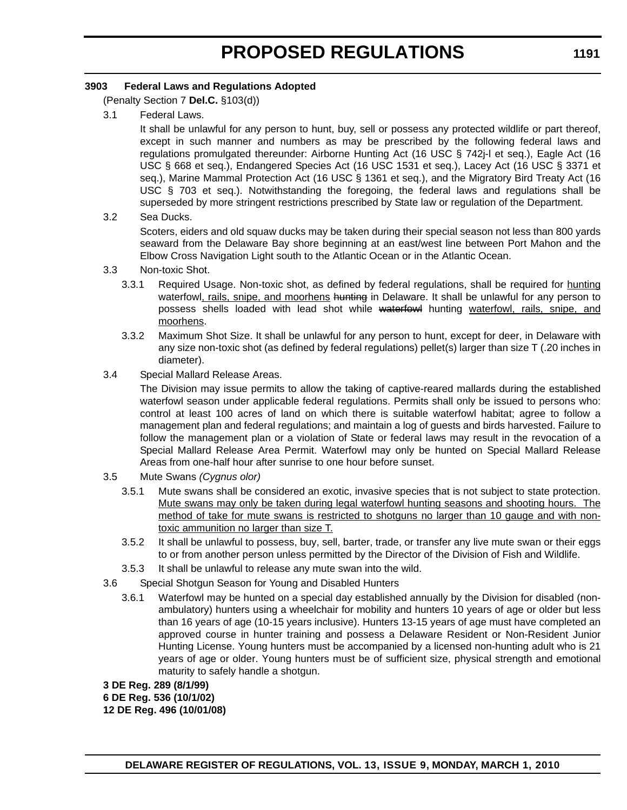# **3903 Federal Laws and Regulations Adopted**

(Penalty Section 7 **Del.C.** §103(d))

3.1 Federal Laws.

It shall be unlawful for any person to hunt, buy, sell or possess any protected wildlife or part thereof, except in such manner and numbers as may be prescribed by the following federal laws and regulations promulgated thereunder: Airborne Hunting Act (16 USC § 742j-l et seq.), Eagle Act (16 USC § 668 et seq.), Endangered Species Act (16 USC 1531 et seq.), Lacey Act (16 USC § 3371 et seq.), Marine Mammal Protection Act (16 USC § 1361 et seq.), and the Migratory Bird Treaty Act (16 USC § 703 et seq.). Notwithstanding the foregoing, the federal laws and regulations shall be superseded by more stringent restrictions prescribed by State law or regulation of the Department.

3.2 Sea Ducks.

Scoters, eiders and old squaw ducks may be taken during their special season not less than 800 yards seaward from the Delaware Bay shore beginning at an east/west line between Port Mahon and the Elbow Cross Navigation Light south to the Atlantic Ocean or in the Atlantic Ocean.

- 3.3 Non-toxic Shot.
	- 3.3.1 Required Usage. Non-toxic shot, as defined by federal regulations, shall be required for hunting waterfowl, rails, snipe, and moorhens hunting in Delaware. It shall be unlawful for any person to possess shells loaded with lead shot while waterfowl hunting waterfowl, rails, snipe, and moorhens.
	- 3.3.2 Maximum Shot Size. It shall be unlawful for any person to hunt, except for deer, in Delaware with any size non-toxic shot (as defined by federal regulations) pellet(s) larger than size T (.20 inches in diameter).
- 3.4 Special Mallard Release Areas.

The Division may issue permits to allow the taking of captive-reared mallards during the established waterfowl season under applicable federal regulations. Permits shall only be issued to persons who: control at least 100 acres of land on which there is suitable waterfowl habitat; agree to follow a management plan and federal regulations; and maintain a log of guests and birds harvested. Failure to follow the management plan or a violation of State or federal laws may result in the revocation of a Special Mallard Release Area Permit. Waterfowl may only be hunted on Special Mallard Release Areas from one-half hour after sunrise to one hour before sunset.

- 3.5 Mute Swans *(Cygnus olor)*
	- 3.5.1 Mute swans shall be considered an exotic, invasive species that is not subject to state protection. Mute swans may only be taken during legal waterfowl hunting seasons and shooting hours. The method of take for mute swans is restricted to shotguns no larger than 10 gauge and with nontoxic ammunition no larger than size T.
	- 3.5.2 It shall be unlawful to possess, buy, sell, barter, trade, or transfer any live mute swan or their eggs to or from another person unless permitted by the Director of the Division of Fish and Wildlife.
	- 3.5.3 It shall be unlawful to release any mute swan into the wild.
- 3.6 Special Shotgun Season for Young and Disabled Hunters
	- 3.6.1 Waterfowl may be hunted on a special day established annually by the Division for disabled (nonambulatory) hunters using a wheelchair for mobility and hunters 10 years of age or older but less than 16 years of age (10-15 years inclusive). Hunters 13-15 years of age must have completed an approved course in hunter training and possess a Delaware Resident or Non-Resident Junior Hunting License. Young hunters must be accompanied by a licensed non-hunting adult who is 21 years of age or older. Young hunters must be of sufficient size, physical strength and emotional maturity to safely handle a shotgun.

**3 DE Reg. 289 (8/1/99) 6 DE Reg. 536 (10/1/02) 12 DE Reg. 496 (10/01/08)**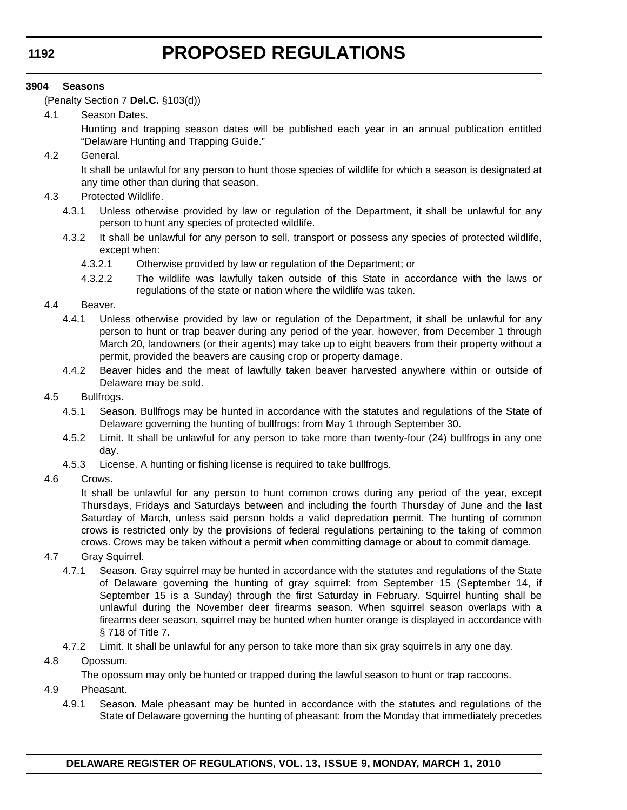### **3904 Seasons**

(Penalty Section 7 **Del.C.** §103(d))

4.1 Season Dates.

Hunting and trapping season dates will be published each year in an annual publication entitled "Delaware Hunting and Trapping Guide."

4.2 General.

It shall be unlawful for any person to hunt those species of wildlife for which a season is designated at any time other than during that season.

- 4.3 Protected Wildlife.
	- 4.3.1 Unless otherwise provided by law or regulation of the Department, it shall be unlawful for any person to hunt any species of protected wildlife.
	- 4.3.2 It shall be unlawful for any person to sell, transport or possess any species of protected wildlife, except when:
		- 4.3.2.1 Otherwise provided by law or regulation of the Department; or
		- 4.3.2.2 The wildlife was lawfully taken outside of this State in accordance with the laws or regulations of the state or nation where the wildlife was taken.

### 4.4 Beaver.

- 4.4.1 Unless otherwise provided by law or regulation of the Department, it shall be unlawful for any person to hunt or trap beaver during any period of the year, however, from December 1 through March 20, landowners (or their agents) may take up to eight beavers from their property without a permit, provided the beavers are causing crop or property damage.
- 4.4.2 Beaver hides and the meat of lawfully taken beaver harvested anywhere within or outside of Delaware may be sold.

#### 4.5 Bullfrogs.

- 4.5.1 Season. Bullfrogs may be hunted in accordance with the statutes and regulations of the State of Delaware governing the hunting of bullfrogs: from May 1 through September 30.
- 4.5.2 Limit. It shall be unlawful for any person to take more than twenty-four (24) bullfrogs in any one day.
- 4.5.3 License. A hunting or fishing license is required to take bullfrogs.
- 4.6 Crows.

It shall be unlawful for any person to hunt common crows during any period of the year, except Thursdays, Fridays and Saturdays between and including the fourth Thursday of June and the last Saturday of March, unless said person holds a valid depredation permit. The hunting of common crows is restricted only by the provisions of federal regulations pertaining to the taking of common crows. Crows may be taken without a permit when committing damage or about to commit damage.

- 4.7 Gray Squirrel.
	- 4.7.1 Season. Gray squirrel may be hunted in accordance with the statutes and regulations of the State of Delaware governing the hunting of gray squirrel: from September 15 (September 14, if September 15 is a Sunday) through the first Saturday in February. Squirrel hunting shall be unlawful during the November deer firearms season. When squirrel season overlaps with a firearms deer season, squirrel may be hunted when hunter orange is displayed in accordance with § 718 of Title 7.
	- 4.7.2 Limit. It shall be unlawful for any person to take more than six gray squirrels in any one day.
- 4.8 Opossum.

The opossum may only be hunted or trapped during the lawful season to hunt or trap raccoons.

- 4.9 Pheasant.
	- 4.9.1 Season. Male pheasant may be hunted in accordance with the statutes and regulations of the State of Delaware governing the hunting of pheasant: from the Monday that immediately precedes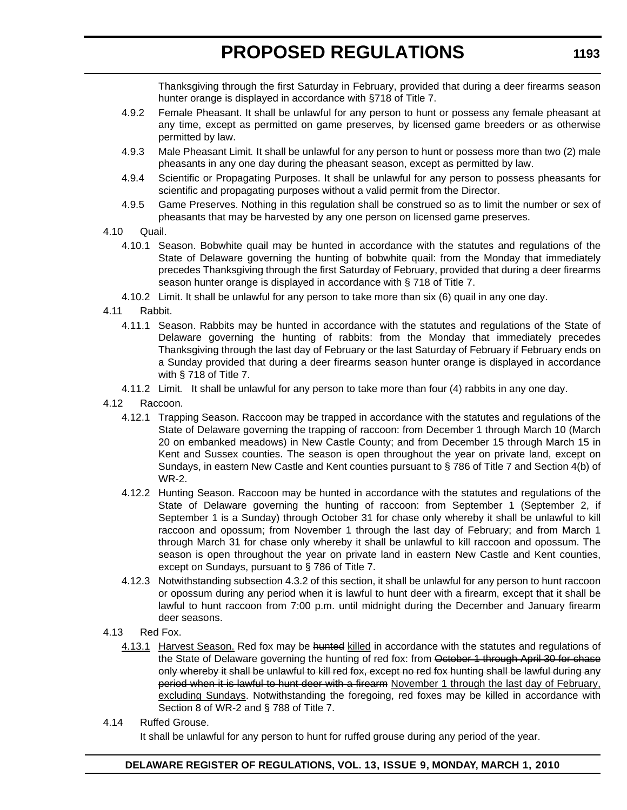Thanksgiving through the first Saturday in February, provided that during a deer firearms season hunter orange is displayed in accordance with §718 of Title 7.

- 4.9.2 Female Pheasant. It shall be unlawful for any person to hunt or possess any female pheasant at any time, except as permitted on game preserves, by licensed game breeders or as otherwise permitted by law.
- 4.9.3 Male Pheasant Limit*.* It shall be unlawful for any person to hunt or possess more than two (2) male pheasants in any one day during the pheasant season, except as permitted by law.
- 4.9.4 Scientific or Propagating Purposes. It shall be unlawful for any person to possess pheasants for scientific and propagating purposes without a valid permit from the Director.
- 4.9.5 Game Preserves. Nothing in this regulation shall be construed so as to limit the number or sex of pheasants that may be harvested by any one person on licensed game preserves.
- 4.10 Quail.
	- 4.10.1 Season. Bobwhite quail may be hunted in accordance with the statutes and regulations of the State of Delaware governing the hunting of bobwhite quail: from the Monday that immediately precedes Thanksgiving through the first Saturday of February, provided that during a deer firearms season hunter orange is displayed in accordance with § 718 of Title 7.
	- 4.10.2 Limit. It shall be unlawful for any person to take more than six (6) quail in any one day.
- 4.11 Rabbit.
	- 4.11.1 Season. Rabbits may be hunted in accordance with the statutes and regulations of the State of Delaware governing the hunting of rabbits: from the Monday that immediately precedes Thanksgiving through the last day of February or the last Saturday of February if February ends on a Sunday provided that during a deer firearms season hunter orange is displayed in accordance with § 718 of Title 7.
	- 4.11.2 Limit*.* It shall be unlawful for any person to take more than four (4) rabbits in any one day.
- 4.12 Raccoon.
	- 4.12.1 Trapping Season. Raccoon may be trapped in accordance with the statutes and regulations of the State of Delaware governing the trapping of raccoon: from December 1 through March 10 (March 20 on embanked meadows) in New Castle County; and from December 15 through March 15 in Kent and Sussex counties. The season is open throughout the year on private land, except on Sundays, in eastern New Castle and Kent counties pursuant to § 786 of Title 7 and Section 4(b) of WR-2.
	- 4.12.2 Hunting Season. Raccoon may be hunted in accordance with the statutes and regulations of the State of Delaware governing the hunting of raccoon: from September 1 (September 2, if September 1 is a Sunday) through October 31 for chase only whereby it shall be unlawful to kill raccoon and opossum; from November 1 through the last day of February; and from March 1 through March 31 for chase only whereby it shall be unlawful to kill raccoon and opossum. The season is open throughout the year on private land in eastern New Castle and Kent counties, except on Sundays, pursuant to § 786 of Title 7.
	- 4.12.3 Notwithstanding subsection 4.3.2 of this section, it shall be unlawful for any person to hunt raccoon or opossum during any period when it is lawful to hunt deer with a firearm, except that it shall be lawful to hunt raccoon from 7:00 p.m. until midnight during the December and January firearm deer seasons.
- 4.13 Red Fox.
	- 4.13.1 Harvest Season. Red fox may be hunted killed in accordance with the statutes and regulations of the State of Delaware governing the hunting of red fox: from October 1 through April 30 for chase only whereby it shall be unlawful to kill red fox, except no red fox hunting shall be lawful during any period when it is lawful to hunt deer with a firearm November 1 through the last day of February, excluding Sundays. Notwithstanding the foregoing, red foxes may be killed in accordance with Section 8 of WR-2 and § 788 of Title 7.
- 4.14 Ruffed Grouse.

It shall be unlawful for any person to hunt for ruffed grouse during any period of the year.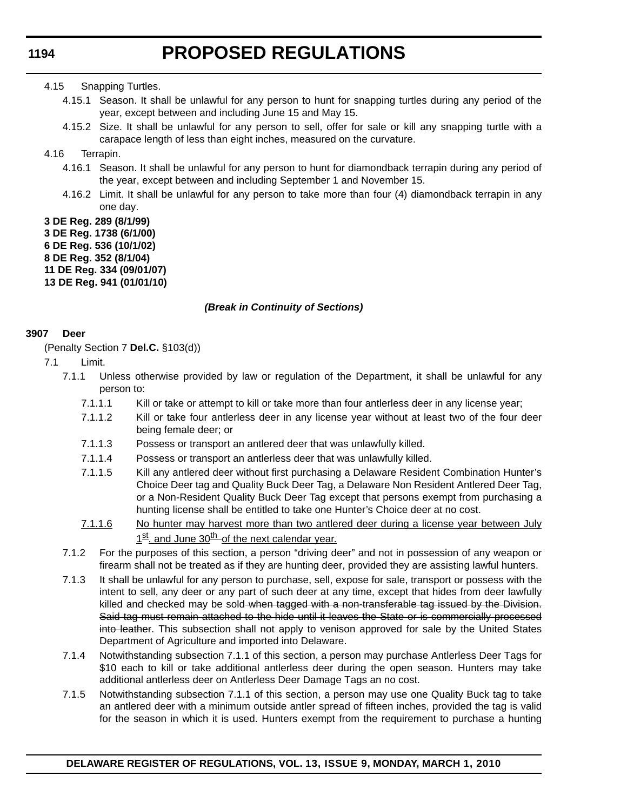### 4.15 Snapping Turtles.

- 4.15.1 Season. It shall be unlawful for any person to hunt for snapping turtles during any period of the year, except between and including June 15 and May 15.
- 4.15.2 Size. It shall be unlawful for any person to sell, offer for sale or kill any snapping turtle with a carapace length of less than eight inches, measured on the curvature.

### 4.16 Terrapin.

- 4.16.1 Season. It shall be unlawful for any person to hunt for diamondback terrapin during any period of the year, except between and including September 1 and November 15.
- 4.16.2 Limit. It shall be unlawful for any person to take more than four (4) diamondback terrapin in any one day.

# **3 DE Reg. 289 (8/1/99)**

- **3 DE Reg. 1738 (6/1/00)**
- **6 DE Reg. 536 (10/1/02)**
- **8 DE Reg. 352 (8/1/04)**
- **11 DE Reg. 334 (09/01/07)**
- **13 DE Reg. 941 (01/01/10)**

# *(Break in Continuity of Sections)*

# **3907 Deer**

(Penalty Section 7 **Del.C.** §103(d))

- 7.1 Limit.
	- 7.1.1 Unless otherwise provided by law or regulation of the Department, it shall be unlawful for any person to:
		- 7.1.1.1 Kill or take or attempt to kill or take more than four antlerless deer in any license year;
		- 7.1.1.2 Kill or take four antlerless deer in any license year without at least two of the four deer being female deer; or
		- 7.1.1.3 Possess or transport an antlered deer that was unlawfully killed.
		- 7.1.1.4 Possess or transport an antlerless deer that was unlawfully killed.
		- 7.1.1.5 Kill any antlered deer without first purchasing a Delaware Resident Combination Hunter's Choice Deer tag and Quality Buck Deer Tag, a Delaware Non Resident Antlered Deer Tag, or a Non-Resident Quality Buck Deer Tag except that persons exempt from purchasing a hunting license shall be entitled to take one Hunter's Choice deer at no cost.
		- 7.1.1.6 No hunter may harvest more than two antlered deer during a license year between July  $1<sup>st</sup>$  and June  $30<sup>th</sup>$  of the next calendar year.
	- 7.1.2 For the purposes of this section, a person "driving deer" and not in possession of any weapon or firearm shall not be treated as if they are hunting deer, provided they are assisting lawful hunters.
	- 7.1.3 It shall be unlawful for any person to purchase, sell, expose for sale, transport or possess with the intent to sell, any deer or any part of such deer at any time, except that hides from deer lawfully killed and checked may be sold-when tagged with a non-transferable tag issued by the Division. Said tag must remain attached to the hide until it leaves the State or is commercially processed into leather. This subsection shall not apply to venison approved for sale by the United States Department of Agriculture and imported into Delaware.
	- 7.1.4 Notwithstanding subsection 7.1.1 of this section, a person may purchase Antlerless Deer Tags for \$10 each to kill or take additional antlerless deer during the open season. Hunters may take additional antlerless deer on Antlerless Deer Damage Tags an no cost.
	- 7.1.5 Notwithstanding subsection 7.1.1 of this section, a person may use one Quality Buck tag to take an antlered deer with a minimum outside antler spread of fifteen inches, provided the tag is valid for the season in which it is used. Hunters exempt from the requirement to purchase a hunting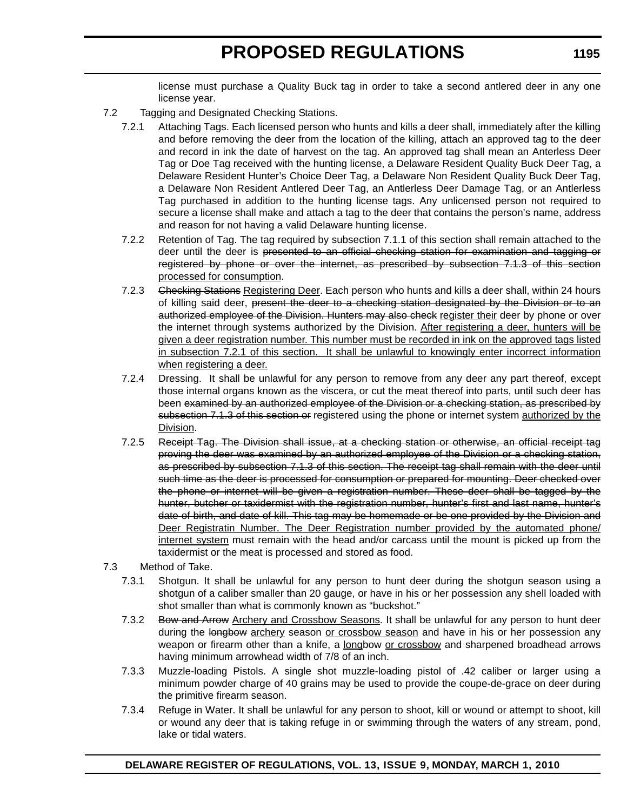license must purchase a Quality Buck tag in order to take a second antlered deer in any one license year.

- 7.2 Tagging and Designated Checking Stations.
	- 7.2.1 Attaching Tags. Each licensed person who hunts and kills a deer shall, immediately after the killing and before removing the deer from the location of the killing, attach an approved tag to the deer and record in ink the date of harvest on the tag. An approved tag shall mean an Anterless Deer Tag or Doe Tag received with the hunting license, a Delaware Resident Quality Buck Deer Tag, a Delaware Resident Hunter's Choice Deer Tag, a Delaware Non Resident Quality Buck Deer Tag, a Delaware Non Resident Antlered Deer Tag, an Antlerless Deer Damage Tag, or an Antlerless Tag purchased in addition to the hunting license tags. Any unlicensed person not required to secure a license shall make and attach a tag to the deer that contains the person's name, address and reason for not having a valid Delaware hunting license.
	- 7.2.2 Retention of Tag. The tag required by subsection 7.1.1 of this section shall remain attached to the deer until the deer is presented to an official checking station for examination and tagging or registered by phone or over the internet, as prescribed by subsection 7.1.3 of this section processed for consumption.
	- 7.2.3 Ghecking Stations Registering Deer. Each person who hunts and kills a deer shall, within 24 hours of killing said deer, present the deer to a checking station designated by the Division or to an authorized employee of the Division. Hunters may also check register their deer by phone or over the internet through systems authorized by the Division. After registering a deer, hunters will be given a deer registration number. This number must be recorded in ink on the approved tags listed in subsection 7.2.1 of this section. It shall be unlawful to knowingly enter incorrect information when registering a deer.
	- 7.2.4 Dressing. It shall be unlawful for any person to remove from any deer any part thereof, except those internal organs known as the viscera, or cut the meat thereof into parts, until such deer has been examined by an authorized employee of the Division or a checking station, as prescribed by subsection 7.1.3 of this section or registered using the phone or internet system authorized by the Division.
	- 7.2.5 Receipt Tag. The Division shall issue, at a checking station or otherwise, an official receipt tag proving the deer was examined by an authorized employee of the Division or a checking station, as prescribed by subsection 7.1.3 of this section. The receipt tag shall remain with the deer until such time as the deer is processed for consumption or prepared for mounting. Deer checked over the phone or internet will be given a registration number. These deer shall be tagged by the hunter, butcher or taxidermist with the registration number, hunter's first and last name, hunter's date of birth, and date of kill. This tag may be homemade or be one provided by the Division and Deer Registratin Number. The Deer Registration number provided by the automated phone/ internet system must remain with the head and/or carcass until the mount is picked up from the taxidermist or the meat is processed and stored as food.
- 7.3 Method of Take.
	- 7.3.1 Shotgun. It shall be unlawful for any person to hunt deer during the shotgun season using a shotgun of a caliber smaller than 20 gauge, or have in his or her possession any shell loaded with shot smaller than what is commonly known as "buckshot."
	- 7.3.2 Bow and Arrow Archery and Crossbow Seasons. It shall be unlawful for any person to hunt deer during the longbow archery season or crossbow season and have in his or her possession any weapon or firearm other than a knife, a longbow or crossbow and sharpened broadhead arrows having minimum arrowhead width of 7/8 of an inch.
	- 7.3.3 Muzzle-loading Pistols. A single shot muzzle-loading pistol of .42 caliber or larger using a minimum powder charge of 40 grains may be used to provide the coupe-de-grace on deer during the primitive firearm season.
	- 7.3.4 Refuge in Water. It shall be unlawful for any person to shoot, kill or wound or attempt to shoot, kill or wound any deer that is taking refuge in or swimming through the waters of any stream, pond, lake or tidal waters.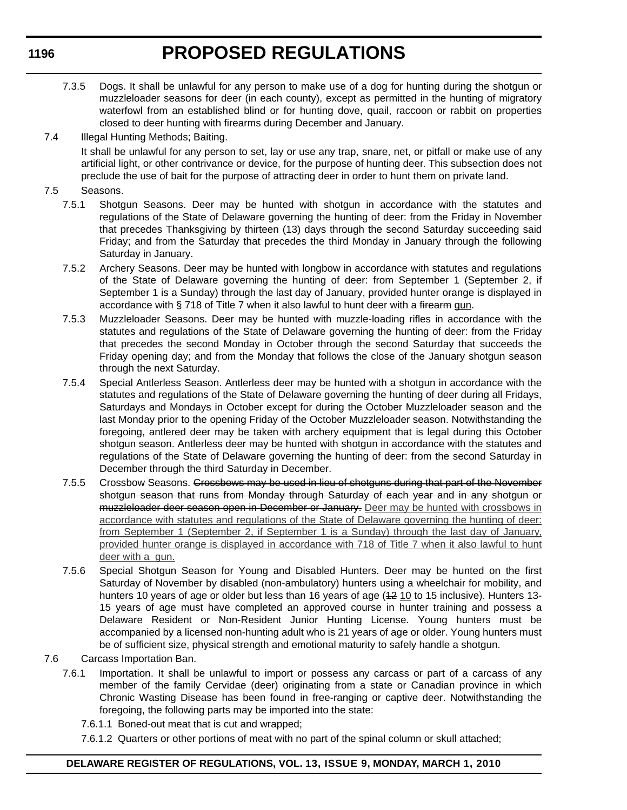- 7.3.5 Dogs. It shall be unlawful for any person to make use of a dog for hunting during the shotgun or muzzleloader seasons for deer (in each county), except as permitted in the hunting of migratory waterfowl from an established blind or for hunting dove, quail, raccoon or rabbit on properties closed to deer hunting with firearms during December and January.
- 7.4 Illegal Hunting Methods; Baiting. It shall be unlawful for any person to set, lay or use any trap, snare, net, or pitfall or make use of any artificial light, or other contrivance or device, for the purpose of hunting deer. This subsection does not preclude the use of bait for the purpose of attracting deer in order to hunt them on private land.
- 7.5 Seasons.
	- 7.5.1 Shotgun Seasons. Deer may be hunted with shotgun in accordance with the statutes and regulations of the State of Delaware governing the hunting of deer: from the Friday in November that precedes Thanksgiving by thirteen (13) days through the second Saturday succeeding said Friday; and from the Saturday that precedes the third Monday in January through the following Saturday in January.
	- 7.5.2 Archery Seasons. Deer may be hunted with longbow in accordance with statutes and regulations of the State of Delaware governing the hunting of deer: from September 1 (September 2, if September 1 is a Sunday) through the last day of January, provided hunter orange is displayed in accordance with § 718 of Title 7 when it also lawful to hunt deer with a firearm gun.
	- 7.5.3 Muzzleloader Seasons. Deer may be hunted with muzzle-loading rifles in accordance with the statutes and regulations of the State of Delaware governing the hunting of deer: from the Friday that precedes the second Monday in October through the second Saturday that succeeds the Friday opening day; and from the Monday that follows the close of the January shotgun season through the next Saturday.
	- 7.5.4 Special Antlerless Season. Antlerless deer may be hunted with a shotgun in accordance with the statutes and regulations of the State of Delaware governing the hunting of deer during all Fridays, Saturdays and Mondays in October except for during the October Muzzleloader season and the last Monday prior to the opening Friday of the October Muzzleloader season. Notwithstanding the foregoing, antlered deer may be taken with archery equipment that is legal during this October shotgun season. Antlerless deer may be hunted with shotgun in accordance with the statutes and regulations of the State of Delaware governing the hunting of deer: from the second Saturday in December through the third Saturday in December.
	- 7.5.5 Crossbow Seasons. Crossbows may be used in lieu of shotguns during that part of the November shotgun season that runs from Monday through Saturday of each year and in any shotgun or muzzleloader deer season open in December or January. Deer may be hunted with crossbows in accordance with statutes and regulations of the State of Delaware governing the hunting of deer: from September 1 (September 2, if September 1 is a Sunday) through the last day of January, provided hunter orange is displayed in accordance with 718 of Title 7 when it also lawful to hunt deer with a gun.
	- 7.5.6 Special Shotgun Season for Young and Disabled Hunters. Deer may be hunted on the first Saturday of November by disabled (non-ambulatory) hunters using a wheelchair for mobility, and hunters 10 years of age or older but less than 16 years of age (42 10 to 15 inclusive). Hunters 13-15 years of age must have completed an approved course in hunter training and possess a Delaware Resident or Non-Resident Junior Hunting License. Young hunters must be accompanied by a licensed non-hunting adult who is 21 years of age or older. Young hunters must be of sufficient size, physical strength and emotional maturity to safely handle a shotgun.
- 7.6 Carcass Importation Ban.
	- 7.6.1 Importation. It shall be unlawful to import or possess any carcass or part of a carcass of any member of the family Cervidae (deer) originating from a state or Canadian province in which Chronic Wasting Disease has been found in free-ranging or captive deer. Notwithstanding the foregoing, the following parts may be imported into the state:
		- 7.6.1.1 Boned-out meat that is cut and wrapped;
		- 7.6.1.2 Quarters or other portions of meat with no part of the spinal column or skull attached;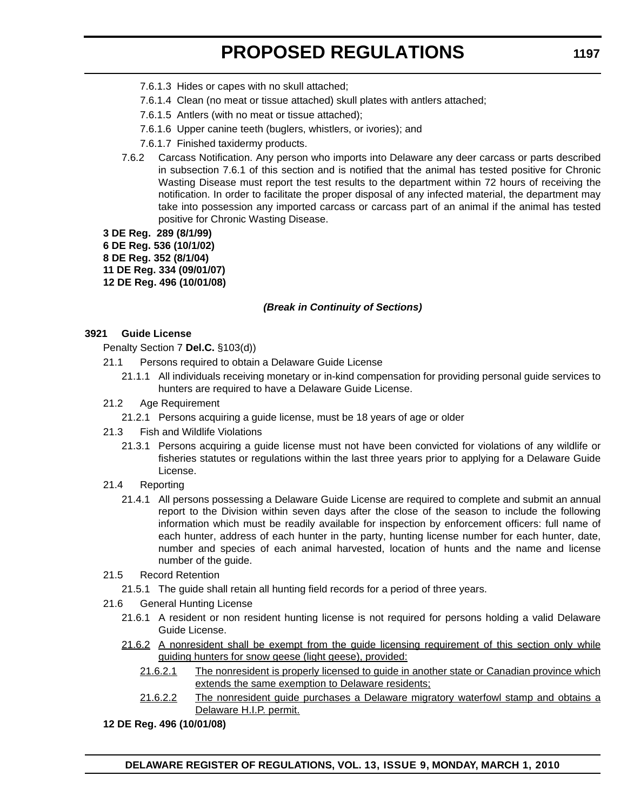- 7.6.1.3 Hides or capes with no skull attached;
- 7.6.1.4 Clean (no meat or tissue attached) skull plates with antlers attached;
- 7.6.1.5 Antlers (with no meat or tissue attached);
- 7.6.1.6 Upper canine teeth (buglers, whistlers, or ivories); and
- 7.6.1.7 Finished taxidermy products.
- 7.6.2 Carcass Notification. Any person who imports into Delaware any deer carcass or parts described in subsection 7.6.1 of this section and is notified that the animal has tested positive for Chronic Wasting Disease must report the test results to the department within 72 hours of receiving the notification. In order to facilitate the proper disposal of any infected material, the department may take into possession any imported carcass or carcass part of an animal if the animal has tested positive for Chronic Wasting Disease.

**3 DE Reg. 289 (8/1/99) 6 DE Reg. 536 (10/1/02) 8 DE Reg. 352 (8/1/04) 11 DE Reg. 334 (09/01/07) 12 DE Reg. 496 (10/01/08)**

### *(Break in Continuity of Sections)*

### **3921 Guide License**

Penalty Section 7 **Del.C.** §103(d))

- 21.1 Persons required to obtain a Delaware Guide License
	- 21.1.1 All individuals receiving monetary or in-kind compensation for providing personal guide services to hunters are required to have a Delaware Guide License.

### 21.2 Age Requirement

- 21.2.1 Persons acquiring a guide license, must be 18 years of age or older
- 21.3 Fish and Wildlife Violations
	- 21.3.1 Persons acquiring a guide license must not have been convicted for violations of any wildlife or fisheries statutes or regulations within the last three years prior to applying for a Delaware Guide License.
- 21.4 Reporting
	- 21.4.1 All persons possessing a Delaware Guide License are required to complete and submit an annual report to the Division within seven days after the close of the season to include the following information which must be readily available for inspection by enforcement officers: full name of each hunter, address of each hunter in the party, hunting license number for each hunter, date, number and species of each animal harvested, location of hunts and the name and license number of the guide.
- 21.5 Record Retention
	- 21.5.1 The guide shall retain all hunting field records for a period of three years.
- 21.6 General Hunting License
	- 21.6.1 A resident or non resident hunting license is not required for persons holding a valid Delaware Guide License.
	- 21.6.2 A nonresident shall be exempt from the guide licensing requirement of this section only while guiding hunters for snow geese (light geese), provided:
		- 21.6.2.1 The nonresident is properly licensed to guide in another state or Canadian province which extends the same exemption to Delaware residents;
		- 21.6.2.2 The nonresident guide purchases a Delaware migratory waterfowl stamp and obtains a Delaware H.I.P. permit.
- **12 DE Reg. 496 (10/01/08)**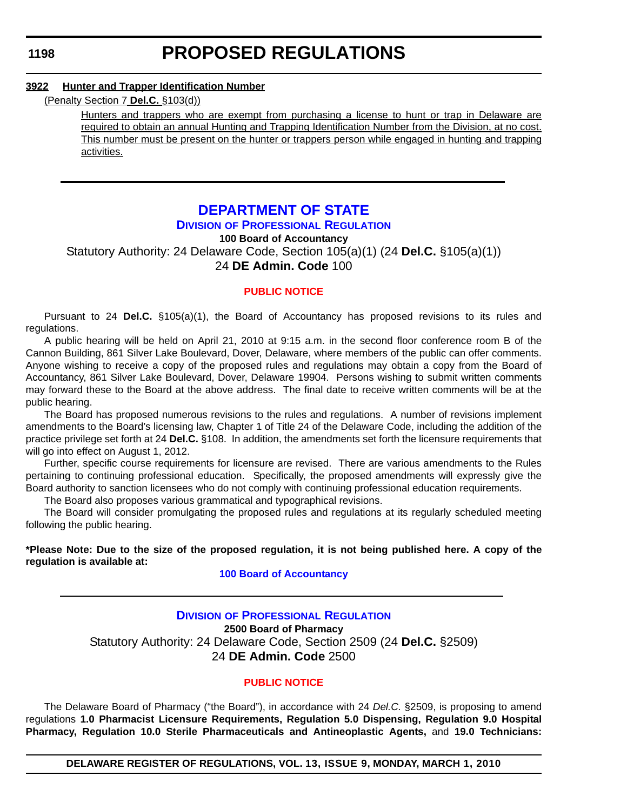### **3922 Hunter and Trapper Identification Number**

### (Penalty Section 7 **Del.C.** §103(d))

Hunters and trappers who are exempt from purchasing a license to hunt or trap in Delaware are required to obtain an annual Hunting and Trapping Identification Number from the Division, at no cost. This number must be present on the hunter or trappers person while engaged in hunting and trapping activities.

# **[DEPARTMENT OF STATE](http://dpr.delaware.gov/default.shtml)**

# **DIVISION OF PROFESSIONAL REGULATION**

**100 Board of Accountancy** Statutory Authority: 24 Delaware Code, Section 105(a)(1) (24 **Del.C.** §105(a)(1)) 24 **DE Admin. Code** 100

### **[PUBLIC NOTICE](#page-3-0)**

Pursuant to 24 **Del.C.** §105(a)(1), the Board of Accountancy has proposed revisions to its rules and regulations.

A public hearing will be held on April 21, 2010 at 9:15 a.m. in the second floor conference room B of the Cannon Building, 861 Silver Lake Boulevard, Dover, Delaware, where members of the public can offer comments. Anyone wishing to receive a copy of the proposed rules and regulations may obtain a copy from the Board of Accountancy, 861 Silver Lake Boulevard, Dover, Delaware 19904. Persons wishing to submit written comments may forward these to the Board at the above address. The final date to receive written comments will be at the public hearing.

The Board has proposed numerous revisions to the rules and regulations. A number of revisions implement amendments to the Board's licensing law, Chapter 1 of Title 24 of the Delaware Code, including the addition of the practice privilege set forth at 24 **Del.C.** §108. In addition, the amendments set forth the licensure requirements that will go into effect on August 1, 2012.

Further, specific course requirements for licensure are revised. There are various amendments to the Rules pertaining to continuing professional education. Specifically, the proposed amendments will expressly give the Board authority to sanction licensees who do not comply with continuing professional education requirements.

The Board also proposes various grammatical and typographical revisions.

The Board will consider promulgating the proposed rules and regulations at its regularly scheduled meeting following the public hearing.

**\*Please Note: Due to the size of the proposed regulation, it is not being published here. A copy of the regulation is available at:**

#### **[100 Board of Accountancy](http://regulations.delaware.gov/register/march2010/proposed/13 DE Reg 1198 03-01-10.htm)**

# **DIVISION [OF PROFESSIONAL REGULATION](http://dpr.delaware.gov/default.shtml) 2500 Board of Pharmacy** Statutory Authority: 24 Delaware Code, Section 2509 (24 **Del.C.** §2509) 24 **DE Admin. Code** 2500

### **[PUBLIC NOTICE](#page-3-0)**

The Delaware Board of Pharmacy ("the Board"), in accordance with 24 *Del.C.* §2509, is proposing to amend regulations **1.0 Pharmacist Licensure Requirements, Regulation 5.0 Dispensing, Regulation 9.0 Hospital Pharmacy, Regulation 10.0 Sterile Pharmaceuticals and Antineoplastic Agents,** and **19.0 Technicians:** 

**DELAWARE REGISTER OF REGULATIONS, VOL. 13, ISSUE 9, MONDAY, MARCH 1, 2010**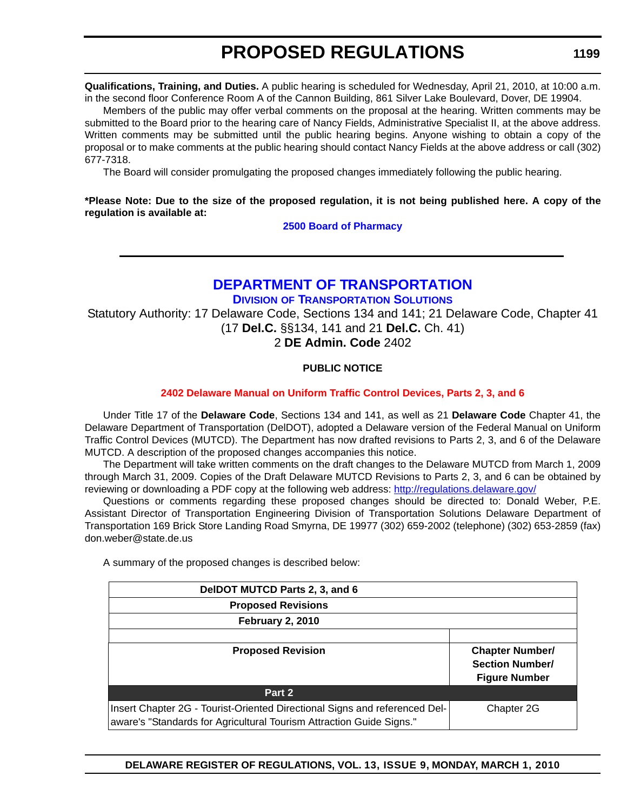**Qualifications, Training, and Duties.** A public hearing is scheduled for Wednesday, April 21, 2010, at 10:00 a.m. in the second floor Conference Room A of the Cannon Building, 861 Silver Lake Boulevard, Dover, DE 19904.

Members of the public may offer verbal comments on the proposal at the hearing. Written comments may be submitted to the Board prior to the hearing care of Nancy Fields, Administrative Specialist II, at the above address. Written comments may be submitted until the public hearing begins. Anyone wishing to obtain a copy of the proposal or to make comments at the public hearing should contact Nancy Fields at the above address or call (302) 677-7318.

The Board will consider promulgating the proposed changes immediately following the public hearing.

# **\*Please Note: Due to the size of the proposed regulation, it is not being published here. A copy of the regulation is available at:**

**[2500 Board of Pharmacy](http://regulations.delaware.gov/register/march2010/proposed/13 DE Reg 1198 03-01-10.htm)**

# **[DEPARTMENT OF TRANSPORTATION](http://www.deldot.gov/home/divisions/)**

**DIVISION OF TRANSPORTATION SOLUTIONS**

Statutory Authority: 17 Delaware Code, Sections 134 and 141; 21 Delaware Code, Chapter 41 (17 **Del.C.** §§134, 141 and 21 **Del.C.** Ch. 41)

2 **DE Admin. Code** 2402

# **PUBLIC NOTICE**

# **[2402 Delaware Manual on Uniform Traffic Control Devices, Parts 2, 3, and 6](#page-3-0)**

Under Title 17 of the **Delaware Code**, Sections 134 and 141, as well as 21 **Delaware Code** Chapter 41, the Delaware Department of Transportation (DelDOT), adopted a Delaware version of the Federal Manual on Uniform Traffic Control Devices (MUTCD). The Department has now drafted revisions to Parts 2, 3, and 6 of the Delaware MUTCD. A description of the proposed changes accompanies this notice.

The Department will take written comments on the draft changes to the Delaware MUTCD from March 1, 2009 through March 31, 2009. Copies of the Draft Delaware MUTCD Revisions to Parts 2, 3, and 6 can be obtained by reviewing or downloading a PDF copy at the following web address: http://regulations.delaware.gov/

Questions or comments regarding these proposed changes should be directed to: Donald Weber, P.E. Assistant Director of Transportation Engineering Division of Transportation Solutions Delaware Department of Transportation 169 Brick Store Landing Road Smyrna, DE 19977 (302) 659-2002 (telephone) (302) 653-2859 (fax) don.weber@state.de.us

A summary of the proposed changes is described below:

| DelDOT MUTCD Parts 2, 3, and 6                                             |                        |
|----------------------------------------------------------------------------|------------------------|
| <b>Proposed Revisions</b>                                                  |                        |
| <b>February 2, 2010</b>                                                    |                        |
|                                                                            |                        |
| <b>Proposed Revision</b>                                                   | <b>Chapter Number/</b> |
|                                                                            | <b>Section Number/</b> |
|                                                                            | <b>Figure Number</b>   |
| Part 2                                                                     |                        |
| Insert Chapter 2G - Tourist-Oriented Directional Signs and referenced Del- | Chapter 2G             |
| aware's "Standards for Agricultural Tourism Attraction Guide Signs."       |                        |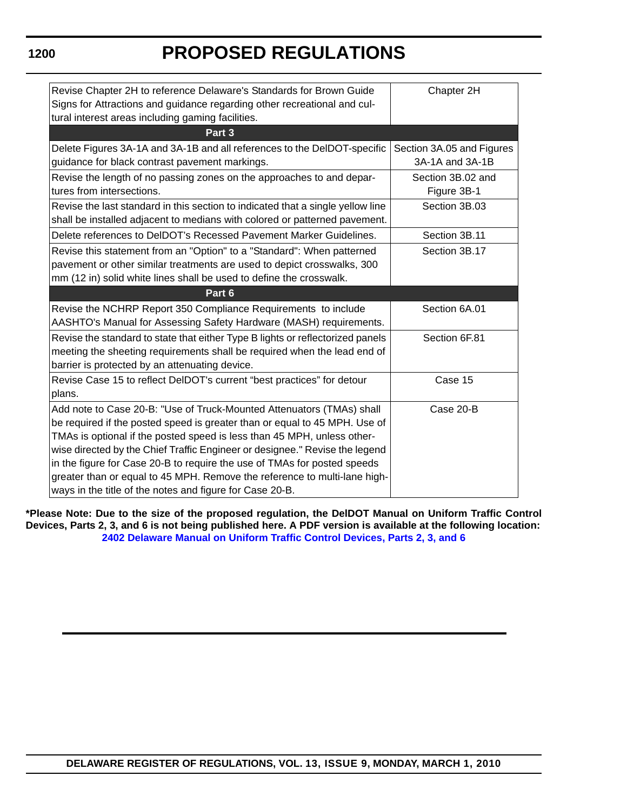**1200**

# **PROPOSED REGULATIONS**

| Revise Chapter 2H to reference Delaware's Standards for Brown Guide<br>Signs for Attractions and guidance regarding other recreational and cul-                                                                                                                                                                                                                                                                                                                                                                                    | Chapter 2H                       |
|------------------------------------------------------------------------------------------------------------------------------------------------------------------------------------------------------------------------------------------------------------------------------------------------------------------------------------------------------------------------------------------------------------------------------------------------------------------------------------------------------------------------------------|----------------------------------|
| tural interest areas including gaming facilities.<br>Part 3                                                                                                                                                                                                                                                                                                                                                                                                                                                                        |                                  |
| Delete Figures 3A-1A and 3A-1B and all references to the DelDOT-specific                                                                                                                                                                                                                                                                                                                                                                                                                                                           | Section 3A.05 and Figures        |
| guidance for black contrast pavement markings.                                                                                                                                                                                                                                                                                                                                                                                                                                                                                     | 3A-1A and 3A-1B                  |
| Revise the length of no passing zones on the approaches to and depar-<br>tures from intersections.                                                                                                                                                                                                                                                                                                                                                                                                                                 | Section 3B.02 and<br>Figure 3B-1 |
| Revise the last standard in this section to indicated that a single yellow line<br>shall be installed adjacent to medians with colored or patterned pavement.                                                                                                                                                                                                                                                                                                                                                                      | Section 3B.03                    |
| Delete references to DelDOT's Recessed Pavement Marker Guidelines.                                                                                                                                                                                                                                                                                                                                                                                                                                                                 | Section 3B.11                    |
| Revise this statement from an "Option" to a "Standard": When patterned<br>pavement or other similar treatments are used to depict crosswalks, 300<br>mm (12 in) solid white lines shall be used to define the crosswalk.                                                                                                                                                                                                                                                                                                           | Section 3B.17                    |
| Part 6                                                                                                                                                                                                                                                                                                                                                                                                                                                                                                                             |                                  |
| Revise the NCHRP Report 350 Compliance Requirements to include<br>AASHTO's Manual for Assessing Safety Hardware (MASH) requirements.                                                                                                                                                                                                                                                                                                                                                                                               | Section 6A.01                    |
| Revise the standard to state that either Type B lights or reflectorized panels<br>meeting the sheeting requirements shall be required when the lead end of<br>barrier is protected by an attenuating device.                                                                                                                                                                                                                                                                                                                       | Section 6F.81                    |
| Revise Case 15 to reflect DelDOT's current "best practices" for detour<br>plans.                                                                                                                                                                                                                                                                                                                                                                                                                                                   | Case 15                          |
| Add note to Case 20-B: "Use of Truck-Mounted Attenuators (TMAs) shall<br>be required if the posted speed is greater than or equal to 45 MPH. Use of<br>TMAs is optional if the posted speed is less than 45 MPH, unless other-<br>wise directed by the Chief Traffic Engineer or designee." Revise the legend<br>in the figure for Case 20-B to require the use of TMAs for posted speeds<br>greater than or equal to 45 MPH. Remove the reference to multi-lane high-<br>ways in the title of the notes and figure for Case 20-B. | Case 20-B                        |

**\*Please Note: Due to the size of the proposed regulation, the DelDOT Manual on Uniform Traffic Control Devices, Parts 2, 3, and 6 is not being published here. A PDF version is available at the following location: [2402 Delaware Manual on Uniform Traffic Control Devices, Parts 2, 3, and 6](http://regulations.delaware.gov/register/march2010/proposed/13 DE Reg 1199 03-01-10.htm)**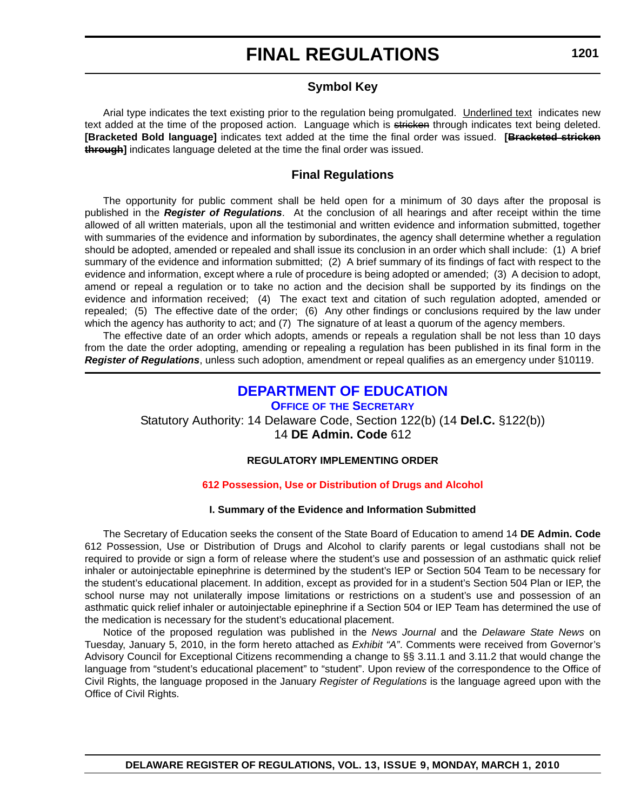# **FINAL REGULATIONS**

# **Symbol Key**

Arial type indicates the text existing prior to the regulation being promulgated. Underlined text indicates new text added at the time of the proposed action. Language which is stricken through indicates text being deleted. **[Bracketed Bold language]** indicates text added at the time the final order was issued. **[Bracketed stricken through]** indicates language deleted at the time the final order was issued.

# **Final Regulations**

The opportunity for public comment shall be held open for a minimum of 30 days after the proposal is published in the *Register of Regulations*. At the conclusion of all hearings and after receipt within the time allowed of all written materials, upon all the testimonial and written evidence and information submitted, together with summaries of the evidence and information by subordinates, the agency shall determine whether a regulation should be adopted, amended or repealed and shall issue its conclusion in an order which shall include: (1) A brief summary of the evidence and information submitted; (2) A brief summary of its findings of fact with respect to the evidence and information, except where a rule of procedure is being adopted or amended; (3) A decision to adopt, amend or repeal a regulation or to take no action and the decision shall be supported by its findings on the evidence and information received; (4) The exact text and citation of such regulation adopted, amended or repealed; (5) The effective date of the order; (6) Any other findings or conclusions required by the law under which the agency has authority to act; and (7) The signature of at least a quorum of the agency members.

The effective date of an order which adopts, amends or repeals a regulation shall be not less than 10 days from the date the order adopting, amending or repealing a regulation has been published in its final form in the *Register of Regulations*, unless such adoption, amendment or repeal qualifies as an emergency under §10119.

# **[DEPARTMENT OF EDUCATION](http://www.doe.k12.de.us/)**

**OFFICE OF THE SECRETARY** Statutory Authority: 14 Delaware Code, Section 122(b) (14 **Del.C.** §122(b)) 14 **DE Admin. Code** 612

### **REGULATORY IMPLEMENTING ORDER**

### **[612 Possession, Use or Distribution of Drugs and Alcohol](#page-3-0)**

### **I. Summary of the Evidence and Information Submitted**

The Secretary of Education seeks the consent of the State Board of Education to amend 14 **DE Admin. Code** 612 Possession, Use or Distribution of Drugs and Alcohol to clarify parents or legal custodians shall not be required to provide or sign a form of release where the student's use and possession of an asthmatic quick relief inhaler or autoinjectable epinephrine is determined by the student's IEP or Section 504 Team to be necessary for the student's educational placement. In addition, except as provided for in a student's Section 504 Plan or IEP, the school nurse may not unilaterally impose limitations or restrictions on a student's use and possession of an asthmatic quick relief inhaler or autoinjectable epinephrine if a Section 504 or IEP Team has determined the use of the medication is necessary for the student's educational placement.

Notice of the proposed regulation was published in the *News Journal* and the *Delaware State News* on Tuesday, January 5, 2010, in the form hereto attached as *Exhibit "A"*. Comments were received from Governor's Advisory Council for Exceptional Citizens recommending a change to §§ 3.11.1 and 3.11.2 that would change the language from "student's educational placement" to "student". Upon review of the correspondence to the Office of Civil Rights, the language proposed in the January *Register of Regulations* is the language agreed upon with the Office of Civil Rights.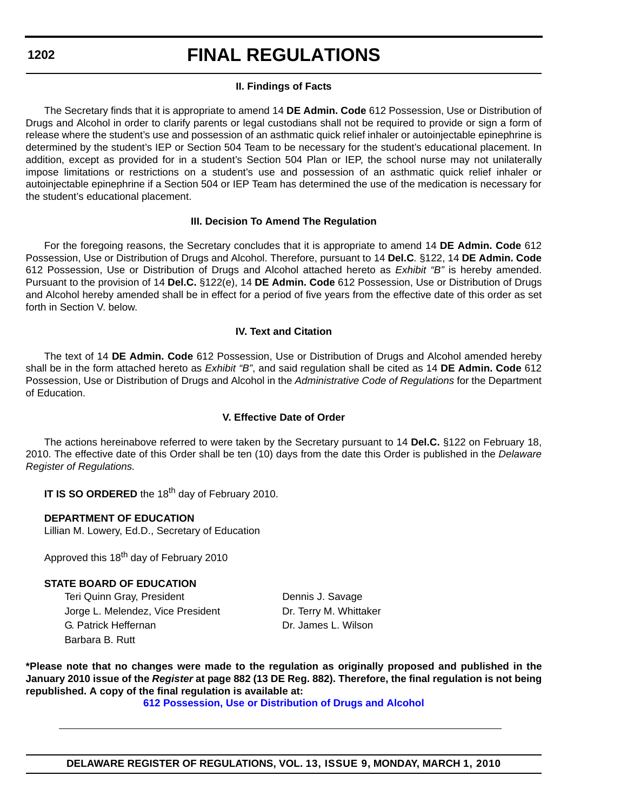**1202**

# **FINAL REGULATIONS**

# **II. Findings of Facts**

The Secretary finds that it is appropriate to amend 14 **DE Admin. Code** 612 Possession, Use or Distribution of Drugs and Alcohol in order to clarify parents or legal custodians shall not be required to provide or sign a form of release where the student's use and possession of an asthmatic quick relief inhaler or autoinjectable epinephrine is determined by the student's IEP or Section 504 Team to be necessary for the student's educational placement. In addition, except as provided for in a student's Section 504 Plan or IEP, the school nurse may not unilaterally impose limitations or restrictions on a student's use and possession of an asthmatic quick relief inhaler or autoinjectable epinephrine if a Section 504 or IEP Team has determined the use of the medication is necessary for the student's educational placement.

# **III. Decision To Amend The Regulation**

For the foregoing reasons, the Secretary concludes that it is appropriate to amend 14 **DE Admin. Code** 612 Possession, Use or Distribution of Drugs and Alcohol. Therefore, pursuant to 14 **Del.C***.* §122, 14 **DE Admin. Code**  612 Possession, Use or Distribution of Drugs and Alcohol attached hereto as *Exhibit "B"* is hereby amended. Pursuant to the provision of 14 **Del.C.** §122(e), 14 **DE Admin. Code** 612 Possession, Use or Distribution of Drugs and Alcohol hereby amended shall be in effect for a period of five years from the effective date of this order as set forth in Section V. below.

# **IV. Text and Citation**

The text of 14 **DE Admin. Code** 612 Possession, Use or Distribution of Drugs and Alcohol amended hereby shall be in the form attached hereto as *Exhibit "B"*, and said regulation shall be cited as 14 **DE Admin. Code** 612 Possession, Use or Distribution of Drugs and Alcohol in the *Administrative Code of Regulations* for the Department of Education.

# **V. Effective Date of Order**

The actions hereinabove referred to were taken by the Secretary pursuant to 14 **Del.C.** §122 on February 18, 2010. The effective date of this Order shall be ten (10) days from the date this Order is published in the *Delaware Register of Regulations.*

**IT IS SO ORDERED** the 18<sup>th</sup> day of February 2010.

### **DEPARTMENT OF EDUCATION**

Lillian M. Lowery, Ed.D., Secretary of Education

Approved this 18<sup>th</sup> day of February 2010

### **STATE BOARD OF EDUCATION**

Teri Quinn Gray, President **Dennis J. Savage** Jorge L. Melendez, Vice President **Dr. Terry M. Whittaker** G. Patrick Heffernan Dr. James L. Wilson Barbara B. Rutt

**\*Please note that no changes were made to the regulation as originally proposed and published in the January 2010 issue of the** *Register* **at page 882 (13 DE Reg. 882). Therefore, the final regulation is not being republished. A copy of the final regulation is available at:**

**[612 Possession, Use or Distribution of Drugs and Alcohol](http://regulations.delaware.gov/register/march2010/final/13 DE Reg 1201 03-01-10.htm)**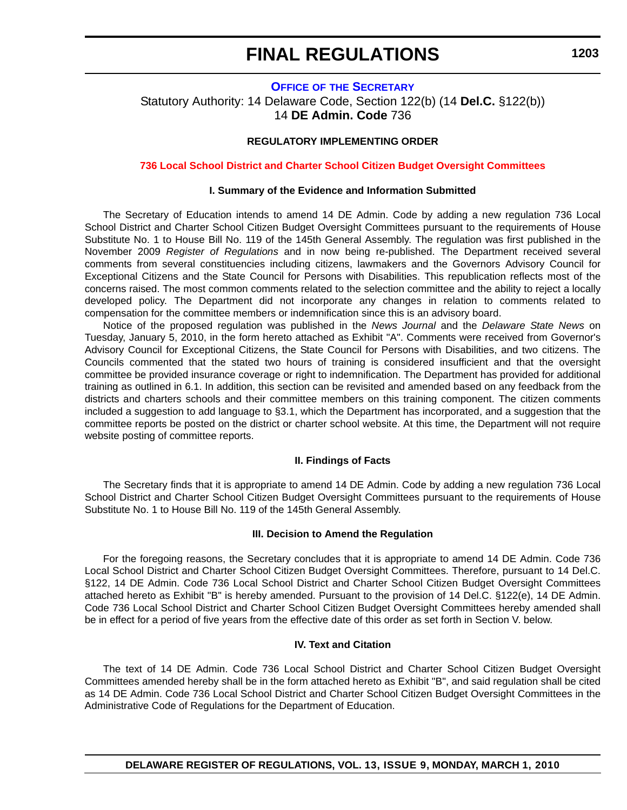# **FINAL REGULATIONS**

**1203**

### **OFFICE OF [THE SECRETARY](http://www.doe.k12.de.us/)**

Statutory Authority: 14 Delaware Code, Section 122(b) (14 **Del.C.** §122(b)) 14 **DE Admin. Code** 736

### **REGULATORY IMPLEMENTING ORDER**

#### **[736 Local School District and Charter School Citizen Budget Oversight Committees](#page-4-0)**

### **I. Summary of the Evidence and Information Submitted**

The Secretary of Education intends to amend 14 DE Admin. Code by adding a new regulation 736 Local School District and Charter School Citizen Budget Oversight Committees pursuant to the requirements of House Substitute No. 1 to House Bill No. 119 of the 145th General Assembly. The regulation was first published in the November 2009 *Register of Regulations* and in now being re-published. The Department received several comments from several constituencies including citizens, lawmakers and the Governors Advisory Council for Exceptional Citizens and the State Council for Persons with Disabilities. This republication reflects most of the concerns raised. The most common comments related to the selection committee and the ability to reject a locally developed policy. The Department did not incorporate any changes in relation to comments related to compensation for the committee members or indemnification since this is an advisory board.

Notice of the proposed regulation was published in the *News Journal* and the *Delaware State News* on Tuesday, January 5, 2010, in the form hereto attached as Exhibit "A". Comments were received from Governor's Advisory Council for Exceptional Citizens, the State Council for Persons with Disabilities, and two citizens. The Councils commented that the stated two hours of training is considered insufficient and that the oversight committee be provided insurance coverage or right to indemnification. The Department has provided for additional training as outlined in 6.1. In addition, this section can be revisited and amended based on any feedback from the districts and charters schools and their committee members on this training component. The citizen comments included a suggestion to add language to §3.1, which the Department has incorporated, and a suggestion that the committee reports be posted on the district or charter school website. At this time, the Department will not require website posting of committee reports.

#### **II. Findings of Facts**

The Secretary finds that it is appropriate to amend 14 DE Admin. Code by adding a new regulation 736 Local School District and Charter School Citizen Budget Oversight Committees pursuant to the requirements of House Substitute No. 1 to House Bill No. 119 of the 145th General Assembly.

#### **III. Decision to Amend the Regulation**

For the foregoing reasons, the Secretary concludes that it is appropriate to amend 14 DE Admin. Code 736 Local School District and Charter School Citizen Budget Oversight Committees. Therefore, pursuant to 14 Del.C. §122, 14 DE Admin. Code 736 Local School District and Charter School Citizen Budget Oversight Committees attached hereto as Exhibit "B" is hereby amended. Pursuant to the provision of 14 Del.C. §122(e), 14 DE Admin. Code 736 Local School District and Charter School Citizen Budget Oversight Committees hereby amended shall be in effect for a period of five years from the effective date of this order as set forth in Section V. below.

#### **IV. Text and Citation**

The text of 14 DE Admin. Code 736 Local School District and Charter School Citizen Budget Oversight Committees amended hereby shall be in the form attached hereto as Exhibit "B", and said regulation shall be cited as 14 DE Admin. Code 736 Local School District and Charter School Citizen Budget Oversight Committees in the Administrative Code of Regulations for the Department of Education.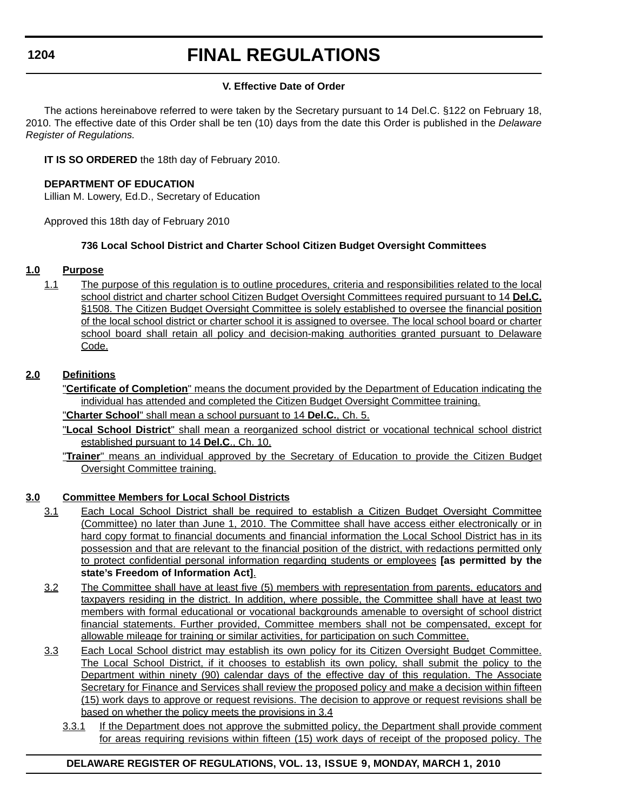# **FINAL REGULATIONS**

#### **V. Effective Date of Order**

The actions hereinabove referred to were taken by the Secretary pursuant to 14 Del.C. §122 on February 18, 2010. The effective date of this Order shall be ten (10) days from the date this Order is published in the *Delaware Register of Regulations.*

**IT IS SO ORDERED** the 18th day of February 2010.

#### **DEPARTMENT OF EDUCATION**

Lillian M. Lowery, Ed.D., Secretary of Education

Approved this 18th day of February 2010

#### **736 Local School District and Charter School Citizen Budget Oversight Committees**

#### **1.0 Purpose**

1.1 The purpose of this regulation is to outline procedures, criteria and responsibilities related to the local school district and charter school Citizen Budget Oversight Committees required pursuant to 14 **Del.C.** §1508. The Citizen Budget Oversight Committee is solely established to oversee the financial position of the local school district or charter school it is assigned to oversee. The local school board or charter school board shall retain all policy and decision-making authorities granted pursuant to Delaware Code.

#### **2.0 Definitions**

"**Certificate of Completion**" means the document provided by the Department of Education indicating the individual has attended and completed the Citizen Budget Oversight Committee training.

"**Charter School**" shall mean a school pursuant to 14 **Del.C.**, Ch. 5.

- "**Local School District**" shall mean a reorganized school district or vocational technical school district established pursuant to 14 **Del.C**., Ch. 10.
- "**Trainer**" means an individual approved by the Secretary of Education to provide the Citizen Budget Oversight Committee training.

### **3.0 Committee Members for Local School Districts**

- 3.1 Each Local School District shall be required to establish a Citizen Budget Oversight Committee (Committee) no later than June 1, 2010. The Committee shall have access either electronically or in hard copy format to financial documents and financial information the Local School District has in its possession and that are relevant to the financial position of the district, with redactions permitted only to protect confidential personal information regarding students or employees **[as permitted by the state's Freedom of Information Act]**.
- 3.2 The Committee shall have at least five (5) members with representation from parents, educators and taxpayers residing in the district. In addition, where possible, the Committee shall have at least two members with formal educational or vocational backgrounds amenable to oversight of school district financial statements. Further provided, Committee members shall not be compensated, except for allowable mileage for training or similar activities, for participation on such Committee.
- 3.3 Each Local School district may establish its own policy for its Citizen Oversight Budget Committee. The Local School District, if it chooses to establish its own policy, shall submit the policy to the Department within ninety (90) calendar days of the effective day of this regulation. The Associate Secretary for Finance and Services shall review the proposed policy and make a decision within fifteen (15) work days to approve or request revisions. The decision to approve or request revisions shall be based on whether the policy meets the provisions in 3.4
	- 3.3.1 If the Department does not approve the submitted policy, the Department shall provide comment for areas requiring revisions within fifteen (15) work days of receipt of the proposed policy. The

### **DELAWARE REGISTER OF REGULATIONS, VOL. 13, ISSUE 9, MONDAY, MARCH 1, 2010**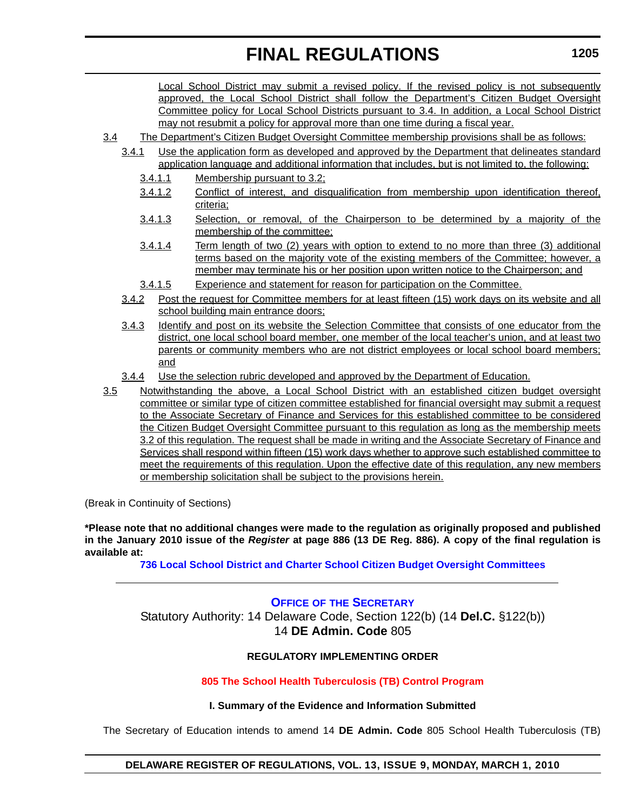Local School District may submit a revised policy. If the revised policy is not subsequently approved, the Local School District shall follow the Department's Citizen Budget Oversight Committee policy for Local School Districts pursuant to 3.4. In addition, a Local School District may not resubmit a policy for approval more than one time during a fiscal year.

- 3.4 The Department's Citizen Budget Oversight Committee membership provisions shall be as follows:
	- 3.4.1 Use the application form as developed and approved by the Department that delineates standard application language and additional information that includes, but is not limited to, the following:
		- 3.4.1.1 Membership pursuant to 3.2;
		- 3.4.1.2 Conflict of interest, and disqualification from membership upon identification thereof, criteria;
		- 3.4.1.3 Selection, or removal, of the Chairperson to be determined by a majority of the membership of the committee;
		- 3.4.1.4 Term length of two (2) years with option to extend to no more than three (3) additional terms based on the majority vote of the existing members of the Committee; however, a member may terminate his or her position upon written notice to the Chairperson; and
		- 3.4.1.5 Experience and statement for reason for participation on the Committee.
	- 3.4.2 Post the request for Committee members for at least fifteen (15) work days on its website and all school building main entrance doors;
	- 3.4.3 Identify and post on its website the Selection Committee that consists of one educator from the district, one local school board member, one member of the local teacher's union, and at least two parents or community members who are not district employees or local school board members; and
	- 3.4.4 Use the selection rubric developed and approved by the Department of Education.
- 3.5 Notwithstanding the above, a Local School District with an established citizen budget oversight committee or similar type of citizen committee established for financial oversight may submit a request to the Associate Secretary of Finance and Services for this established committee to be considered the Citizen Budget Oversight Committee pursuant to this regulation as long as the membership meets 3.2 of this regulation. The request shall be made in writing and the Associate Secretary of Finance and Services shall respond within fifteen (15) work days whether to approve such established committee to meet the requirements of this regulation. Upon the effective date of this regulation, any new members or membership solicitation shall be subject to the provisions herein.

(Break in Continuity of Sections)

**\*Please note that no additional changes were made to the regulation as originally proposed and published in the January 2010 issue of the** *Register* **at page 886 (13 DE Reg. 886). A copy of the final regulation is available at:**

**[736 Local School District and Charter School Citizen Budget Oversight Committees](http://regulations.delaware.gov/register/march2010/final/13 DE Reg 1203 03-01-10.htm)**

#### **OFFICE OF [THE SECRETARY](http://www.doe.k12.de.us/)**

Statutory Authority: 14 Delaware Code, Section 122(b) (14 **Del.C.** §122(b)) 14 **DE Admin. Code** 805

#### **REGULATORY IMPLEMENTING ORDER**

**[805 The School Health Tuberculosis \(TB\) Control Program](#page-4-0)**

#### **I. Summary of the Evidence and Information Submitted**

The Secretary of Education intends to amend 14 **DE Admin. Code** 805 School Health Tuberculosis (TB)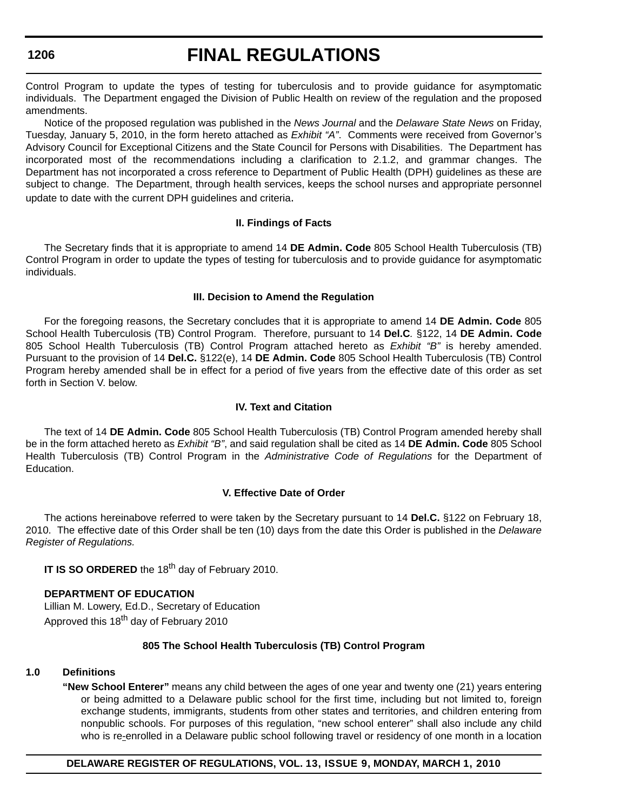# **FINAL REGULATIONS**

Control Program to update the types of testing for tuberculosis and to provide guidance for asymptomatic individuals. The Department engaged the Division of Public Health on review of the regulation and the proposed amendments.

Notice of the proposed regulation was published in the *News Journal* and the *Delaware State News* on Friday, Tuesday, January 5, 2010, in the form hereto attached as *Exhibit "A"*. Comments were received from Governor's Advisory Council for Exceptional Citizens and the State Council for Persons with Disabilities. The Department has incorporated most of the recommendations including a clarification to 2.1.2, and grammar changes. The Department has not incorporated a cross reference to Department of Public Health (DPH) guidelines as these are subject to change. The Department, through health services, keeps the school nurses and appropriate personnel update to date with the current DPH guidelines and criteria.

#### **II. Findings of Facts**

The Secretary finds that it is appropriate to amend 14 **DE Admin. Code** 805 School Health Tuberculosis (TB) Control Program in order to update the types of testing for tuberculosis and to provide guidance for asymptomatic individuals.

#### **III. Decision to Amend the Regulation**

For the foregoing reasons, the Secretary concludes that it is appropriate to amend 14 **DE Admin. Code** 805 School Health Tuberculosis (TB) Control Program. Therefore, pursuant to 14 **Del.C***.* §122, 14 **DE Admin. Code**  805 School Health Tuberculosis (TB) Control Program attached hereto as *Exhibit "B"* is hereby amended. Pursuant to the provision of 14 **Del.C.** §122(e), 14 **DE Admin. Code** 805 School Health Tuberculosis (TB) Control Program hereby amended shall be in effect for a period of five years from the effective date of this order as set forth in Section V. below.

#### **IV. Text and Citation**

The text of 14 **DE Admin. Code** 805 School Health Tuberculosis (TB) Control Program amended hereby shall be in the form attached hereto as *Exhibit "B"*, and said regulation shall be cited as 14 **DE Admin. Code** 805 School Health Tuberculosis (TB) Control Program in the *Administrative Code of Regulations* for the Department of Education.

#### **V. Effective Date of Order**

The actions hereinabove referred to were taken by the Secretary pursuant to 14 **Del.C.** §122 on February 18, 2010. The effective date of this Order shall be ten (10) days from the date this Order is published in the *Delaware Register of Regulations.*

**IT IS SO ORDERED** the 18<sup>th</sup> day of February 2010.

#### **DEPARTMENT OF EDUCATION**

Lillian M. Lowery, Ed.D., Secretary of Education Approved this 18<sup>th</sup> day of February 2010

#### **805 The School Health Tuberculosis (TB) Control Program**

#### **1.0 Definitions**

**"New School Enterer"** means any child between the ages of one year and twenty one (21) years entering or being admitted to a Delaware public school for the first time, including but not limited to, foreign exchange students, immigrants, students from other states and territories, and children entering from nonpublic schools. For purposes of this regulation, "new school enterer" shall also include any child who is re-enrolled in a Delaware public school following travel or residency of one month in a location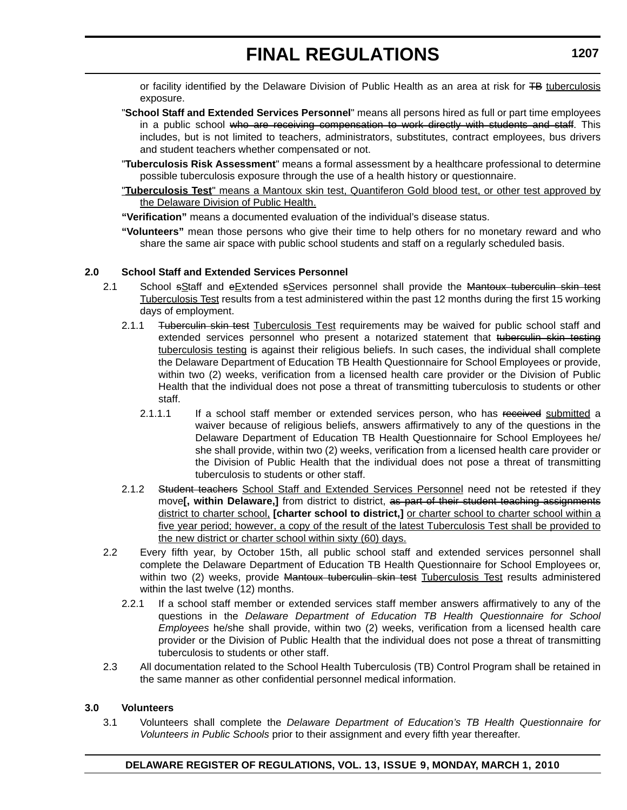or facility identified by the Delaware Division of Public Health as an area at risk for <del>TB</del> tuberculosis exposure.

- "**School Staff and Extended Services Personnel**" means all persons hired as full or part time employees in a public school who are receiving compensation to work directly with students and staff. This includes, but is not limited to teachers, administrators, substitutes, contract employees, bus drivers and student teachers whether compensated or not.
- "**Tuberculosis Risk Assessment**" means a formal assessment by a healthcare professional to determine possible tuberculosis exposure through the use of a health history or questionnaire.
- "**Tuberculosis Test**" means a Mantoux skin test, Quantiferon Gold blood test, or other test approved by the Delaware Division of Public Health.
- **"Verification"** means a documented evaluation of the individual's disease status.
- **"Volunteers"** mean those persons who give their time to help others for no monetary reward and who share the same air space with public school students and staff on a regularly scheduled basis.

#### **2.0 School Staff and Extended Services Personnel**

- 2.1 School sStaff and eExtended sServices personnel shall provide the Mantoux tuberculin skin test Tuberculosis Test results from a test administered within the past 12 months during the first 15 working days of employment.
	- 2.1.1 Tuberculin skin test Tuberculosis Test requirements may be waived for public school staff and extended services personnel who present a notarized statement that tuberculin skin testing tuberculosis testing is against their religious beliefs. In such cases, the individual shall complete the Delaware Department of Education TB Health Questionnaire for School Employees or provide, within two (2) weeks, verification from a licensed health care provider or the Division of Public Health that the individual does not pose a threat of transmitting tuberculosis to students or other staff.
		- 2.1.1.1 If a school staff member or extended services person, who has received submitted a waiver because of religious beliefs, answers affirmatively to any of the questions in the Delaware Department of Education TB Health Questionnaire for School Employees he/ she shall provide, within two (2) weeks, verification from a licensed health care provider or the Division of Public Health that the individual does not pose a threat of transmitting tuberculosis to students or other staff.
	- 2.1.2 Student teachers School Staff and Extended Services Personnel need not be retested if they move**[, within Delaware,]** from district to district, as part of their student teaching assignments district to charter school, **[charter school to district,]** or charter school to charter school within a five year period; however, a copy of the result of the latest Tuberculosis Test shall be provided to the new district or charter school within sixty (60) days.
- 2.2 Every fifth year, by October 15th, all public school staff and extended services personnel shall complete the Delaware Department of Education TB Health Questionnaire for School Employees or, within two (2) weeks, provide <del>Mantoux tuberculin skin test</del> Tuberculosis Test results administered within the last twelve (12) months.
	- 2.2.1 If a school staff member or extended services staff member answers affirmatively to any of the questions in the *Delaware Department of Education TB Health Questionnaire for School Employees* he/she shall provide, within two (2) weeks, verification from a licensed health care provider or the Division of Public Health that the individual does not pose a threat of transmitting tuberculosis to students or other staff.
- 2.3 All documentation related to the School Health Tuberculosis (TB) Control Program shall be retained in the same manner as other confidential personnel medical information.

#### **3.0 Volunteers**

3.1 Volunteers shall complete the *Delaware Department of Education's TB Health Questionnaire for Volunteers in Public Schools* prior to their assignment and every fifth year thereafter.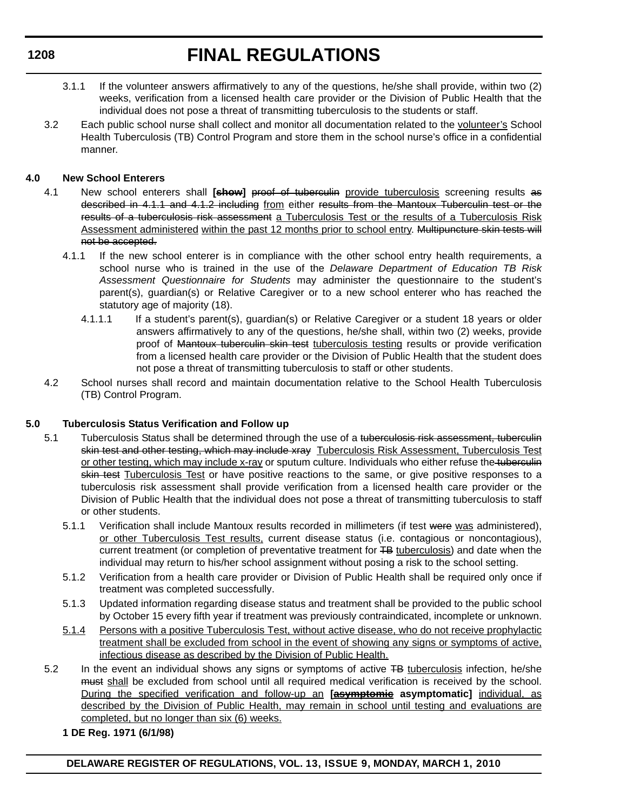- 3.1.1 If the volunteer answers affirmatively to any of the questions, he/she shall provide, within two (2) weeks, verification from a licensed health care provider or the Division of Public Health that the individual does not pose a threat of transmitting tuberculosis to the students or staff.
- 3.2 Each public school nurse shall collect and monitor all documentation related to the volunteer's School Health Tuberculosis (TB) Control Program and store them in the school nurse's office in a confidential manner.

### **4.0 New School Enterers**

- 4.1 New school enterers shall **[show]** proof of tuberculin provide tuberculosis screening results as described in 4.1.1 and 4.1.2 including from either results from the Mantoux Tuberculin test or the results of a tuberculosis risk assessment a Tuberculosis Test or the results of a Tuberculosis Risk Assessment administered within the past 12 months prior to school entry. Multipuncture skin tests will not be accepted.
	- 4.1.1 If the new school enterer is in compliance with the other school entry health requirements, a school nurse who is trained in the use of the *Delaware Department of Education TB Risk Assessment Questionnaire for Students* may administer the questionnaire to the student's parent(s), guardian(s) or Relative Caregiver or to a new school enterer who has reached the statutory age of majority (18).
		- 4.1.1.1 If a student's parent(s), guardian(s) or Relative Caregiver or a student 18 years or older answers affirmatively to any of the questions, he/she shall, within two (2) weeks, provide proof of Mantoux tuberculin skin test tuberculosis testing results or provide verification from a licensed health care provider or the Division of Public Health that the student does not pose a threat of transmitting tuberculosis to staff or other students.
- 4.2 School nurses shall record and maintain documentation relative to the School Health Tuberculosis (TB) Control Program.

### **5.0 Tuberculosis Status Verification and Follow up**

- 5.1 Tuberculosis Status shall be determined through the use of a tuberculosis risk assessment, tuberculin skin test and other testing, which may include xray Tuberculosis Risk Assessment, Tuberculosis Test or other testing, which may include x-ray or sputum culture. Individuals who either refuse the tuberculin skin test Tuberculosis Test or have positive reactions to the same, or give positive responses to a tuberculosis risk assessment shall provide verification from a licensed health care provider or the Division of Public Health that the individual does not pose a threat of transmitting tuberculosis to staff or other students.
	- 5.1.1 Verification shall include Mantoux results recorded in millimeters (if test were was administered), or other Tuberculosis Test results, current disease status (i.e. contagious or noncontagious), current treatment (or completion of preventative treatment for TB tuberculosis) and date when the individual may return to his/her school assignment without posing a risk to the school setting.
	- 5.1.2 Verification from a health care provider or Division of Public Health shall be required only once if treatment was completed successfully.
	- 5.1.3 Updated information regarding disease status and treatment shall be provided to the public school by October 15 every fifth year if treatment was previously contraindicated, incomplete or unknown.
	- 5.1.4 Persons with a positive Tuberculosis Test, without active disease, who do not receive prophylactic treatment shall be excluded from school in the event of showing any signs or symptoms of active, infectious disease as described by the Division of Public Health.
- 5.2 In the event an individual shows any signs or symptoms of active TB tuberculosis infection, he/she must shall be excluded from school until all required medical verification is received by the school. During the specified verification and follow-up an **[asymptomic asymptomatic]** individual, as described by the Division of Public Health, may remain in school until testing and evaluations are completed, but no longer than six (6) weeks.
	- **1 DE Reg. 1971 (6/1/98)**

### **1208**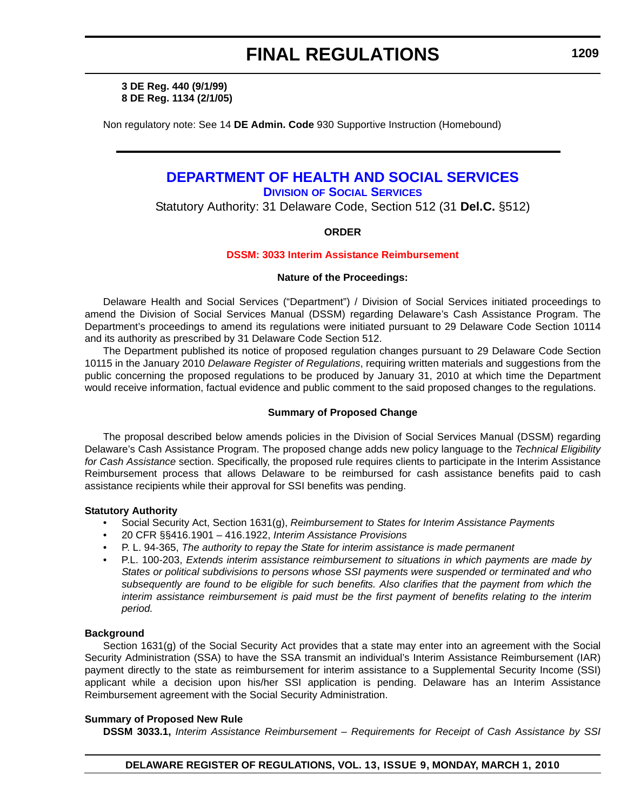**3 DE Reg. 440 (9/1/99) 8 DE Reg. 1134 (2/1/05)**

Non regulatory note: See 14 **DE Admin. Code** 930 Supportive Instruction (Homebound)

#### **[DEPARTMENT OF HEALTH AND SOCIAL SERVICES](http://www.dhss.delaware.gov/dhss/dss/) DIVISION OF SOCIAL SERVICES**

Statutory Authority: 31 Delaware Code, Section 512 (31 **Del.C.** §512)

#### **ORDER**

#### **[DSSM: 3033 Interim Assistance Reimbursement](#page-4-0)**

#### **Nature of the Proceedings:**

Delaware Health and Social Services ("Department") / Division of Social Services initiated proceedings to amend the Division of Social Services Manual (DSSM) regarding Delaware's Cash Assistance Program. The Department's proceedings to amend its regulations were initiated pursuant to 29 Delaware Code Section 10114 and its authority as prescribed by 31 Delaware Code Section 512.

The Department published its notice of proposed regulation changes pursuant to 29 Delaware Code Section 10115 in the January 2010 *Delaware Register of Regulations*, requiring written materials and suggestions from the public concerning the proposed regulations to be produced by January 31, 2010 at which time the Department would receive information, factual evidence and public comment to the said proposed changes to the regulations.

#### **Summary of Proposed Change**

The proposal described below amends policies in the Division of Social Services Manual (DSSM) regarding Delaware's Cash Assistance Program. The proposed change adds new policy language to the *Technical Eligibility for Cash Assistance* section. Specifically, the proposed rule requires clients to participate in the Interim Assistance Reimbursement process that allows Delaware to be reimbursed for cash assistance benefits paid to cash assistance recipients while their approval for SSI benefits was pending.

#### **Statutory Authority**

- Social Security Act, Section 1631(g), *Reimbursement to States for Interim Assistance Payments*
- 20 CFR §§416.1901 416.1922, *Interim Assistance Provisions*
- P. L. 94-365, *The authority to repay the State for interim assistance is made permanent*
- P.L. 100-203, *Extends interim assistance reimbursement to situations in which payments are made by States or political subdivisions to persons whose SSI payments were suspended or terminated and who*  subsequently are found to be eligible for such benefits. Also clarifies that the payment from which the *interim assistance reimbursement is paid must be the first payment of benefits relating to the interim period.*

#### **Background**

Section 1631(g) of the Social Security Act provides that a state may enter into an agreement with the Social Security Administration (SSA) to have the SSA transmit an individual's Interim Assistance Reimbursement (IAR) payment directly to the state as reimbursement for interim assistance to a Supplemental Security Income (SSI) applicant while a decision upon his/her SSI application is pending. Delaware has an Interim Assistance Reimbursement agreement with the Social Security Administration.

#### **Summary of Proposed New Rule**

**DSSM 3033.1,** *Interim Assistance Reimbursement – Requirements for Receipt of Cash Assistance by SSI*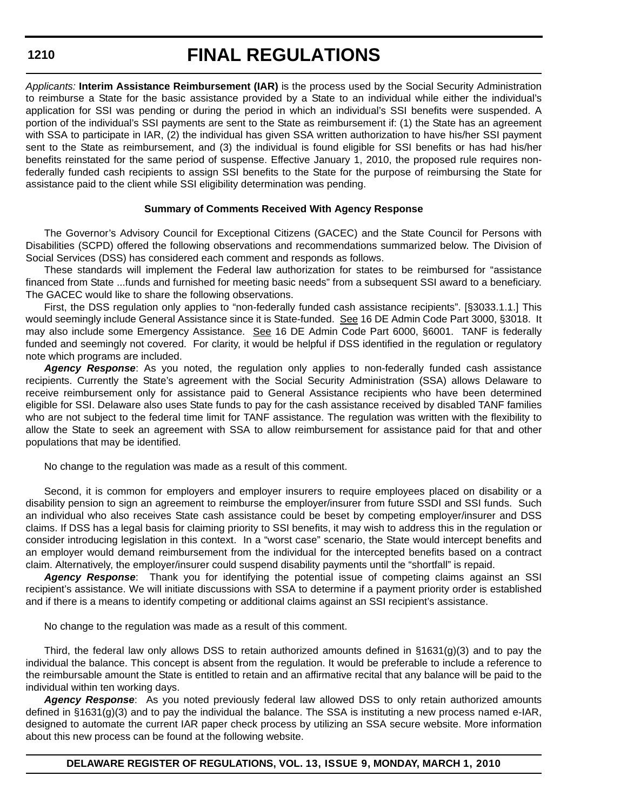*Applicants:* **Interim Assistance Reimbursement (IAR)** is the process used by the Social Security Administration to reimburse a State for the basic assistance provided by a State to an individual while either the individual's application for SSI was pending or during the period in which an individual's SSI benefits were suspended. A portion of the individual's SSI payments are sent to the State as reimbursement if: (1) the State has an agreement with SSA to participate in IAR, (2) the individual has given SSA written authorization to have his/her SSI payment sent to the State as reimbursement, and (3) the individual is found eligible for SSI benefits or has had his/her benefits reinstated for the same period of suspense. Effective January 1, 2010, the proposed rule requires nonfederally funded cash recipients to assign SSI benefits to the State for the purpose of reimbursing the State for assistance paid to the client while SSI eligibility determination was pending.

#### **Summary of Comments Received With Agency Response**

The Governor's Advisory Council for Exceptional Citizens (GACEC) and the State Council for Persons with Disabilities (SCPD) offered the following observations and recommendations summarized below. The Division of Social Services (DSS) has considered each comment and responds as follows.

These standards will implement the Federal law authorization for states to be reimbursed for "assistance financed from State ...funds and furnished for meeting basic needs" from a subsequent SSI award to a beneficiary. The GACEC would like to share the following observations.

First, the DSS regulation only applies to "non-federally funded cash assistance recipients". [§3033.1.1.] This would seemingly include General Assistance since it is State-funded. See 16 DE Admin Code Part 3000, §3018. It may also include some Emergency Assistance. See 16 DE Admin Code Part 6000, §6001. TANF is federally funded and seemingly not covered. For clarity, it would be helpful if DSS identified in the regulation or regulatory note which programs are included.

*Agency Response*: As you noted, the regulation only applies to non-federally funded cash assistance recipients. Currently the State's agreement with the Social Security Administration (SSA) allows Delaware to receive reimbursement only for assistance paid to General Assistance recipients who have been determined eligible for SSI. Delaware also uses State funds to pay for the cash assistance received by disabled TANF families who are not subject to the federal time limit for TANF assistance. The regulation was written with the flexibility to allow the State to seek an agreement with SSA to allow reimbursement for assistance paid for that and other populations that may be identified.

No change to the regulation was made as a result of this comment.

Second, it is common for employers and employer insurers to require employees placed on disability or a disability pension to sign an agreement to reimburse the employer/insurer from future SSDI and SSI funds. Such an individual who also receives State cash assistance could be beset by competing employer/insurer and DSS claims. If DSS has a legal basis for claiming priority to SSI benefits, it may wish to address this in the regulation or consider introducing legislation in this context. In a "worst case" scenario, the State would intercept benefits and an employer would demand reimbursement from the individual for the intercepted benefits based on a contract claim. Alternatively, the employer/insurer could suspend disability payments until the "shortfall" is repaid.

*Agency Response*: Thank you for identifying the potential issue of competing claims against an SSI recipient's assistance. We will initiate discussions with SSA to determine if a payment priority order is established and if there is a means to identify competing or additional claims against an SSI recipient's assistance.

No change to the regulation was made as a result of this comment.

Third, the federal law only allows DSS to retain authorized amounts defined in §1631(g)(3) and to pay the individual the balance. This concept is absent from the regulation. It would be preferable to include a reference to the reimbursable amount the State is entitled to retain and an affirmative recital that any balance will be paid to the individual within ten working days.

*Agency Response*: As you noted previously federal law allowed DSS to only retain authorized amounts defined in §1631(g)(3) and to pay the individual the balance. The SSA is instituting a new process named e-IAR, designed to automate the current IAR paper check process by utilizing an SSA secure website. More information about this new process can be found at the following website.

**DELAWARE REGISTER OF REGULATIONS, VOL. 13, ISSUE 9, MONDAY, MARCH 1, 2010**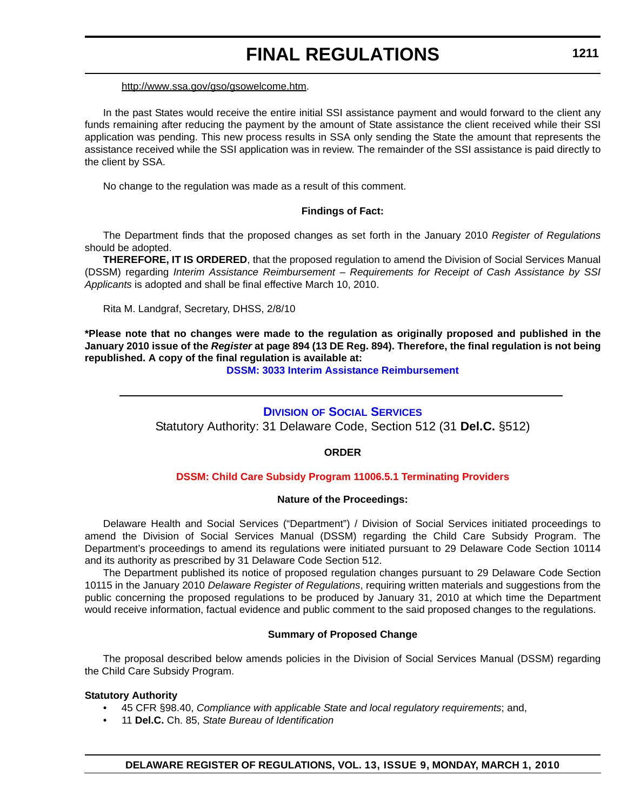#### http://www.ssa.gov/gso/gsowelcome.htm.

In the past States would receive the entire initial SSI assistance payment and would forward to the client any funds remaining after reducing the payment by the amount of State assistance the client received while their SSI application was pending. This new process results in SSA only sending the State the amount that represents the assistance received while the SSI application was in review. The remainder of the SSI assistance is paid directly to the client by SSA.

No change to the regulation was made as a result of this comment.

#### **Findings of Fact:**

The Department finds that the proposed changes as set forth in the January 2010 *Register of Regulations*  should be adopted.

**THEREFORE, IT IS ORDERED**, that the proposed regulation to amend the Division of Social Services Manual (DSSM) regarding *Interim Assistance Reimbursement – Requirements for Receipt of Cash Assistance by SSI Applicants* is adopted and shall be final effective March 10, 2010.

Rita M. Landgraf, Secretary, DHSS, 2/8/10

**\*Please note that no changes were made to the regulation as originally proposed and published in the January 2010 issue of the** *Register* **at page 894 (13 DE Reg. 894). Therefore, the final regulation is not being republished. A copy of the final regulation is available at:**

**[DSSM: 3033 Interim Assistance Reimbursement](http://regulations.delaware.gov/register/march2010/final/13 DE Reg 1209 03-01-10.htm)**

### **DIVISION [OF SOCIAL SERVICES](http://www.dhss.delaware.gov/dhss/dss/)**

Statutory Authority: 31 Delaware Code, Section 512 (31 **Del.C.** §512)

#### **ORDER**

#### **[DSSM: Child Care Subsidy Program 11006.5.1 Terminating Providers](#page-4-0)**

#### **Nature of the Proceedings:**

Delaware Health and Social Services ("Department") / Division of Social Services initiated proceedings to amend the Division of Social Services Manual (DSSM) regarding the Child Care Subsidy Program. The Department's proceedings to amend its regulations were initiated pursuant to 29 Delaware Code Section 10114 and its authority as prescribed by 31 Delaware Code Section 512.

The Department published its notice of proposed regulation changes pursuant to 29 Delaware Code Section 10115 in the January 2010 *Delaware Register of Regulations*, requiring written materials and suggestions from the public concerning the proposed regulations to be produced by January 31, 2010 at which time the Department would receive information, factual evidence and public comment to the said proposed changes to the regulations.

#### **Summary of Proposed Change**

The proposal described below amends policies in the Division of Social Services Manual (DSSM) regarding the Child Care Subsidy Program.

#### **Statutory Authority**

- 45 CFR §98.40, *Compliance with applicable State and local regulatory requirements*; and,
- 11 **Del.C.** Ch. 85, *State Bureau of Identification*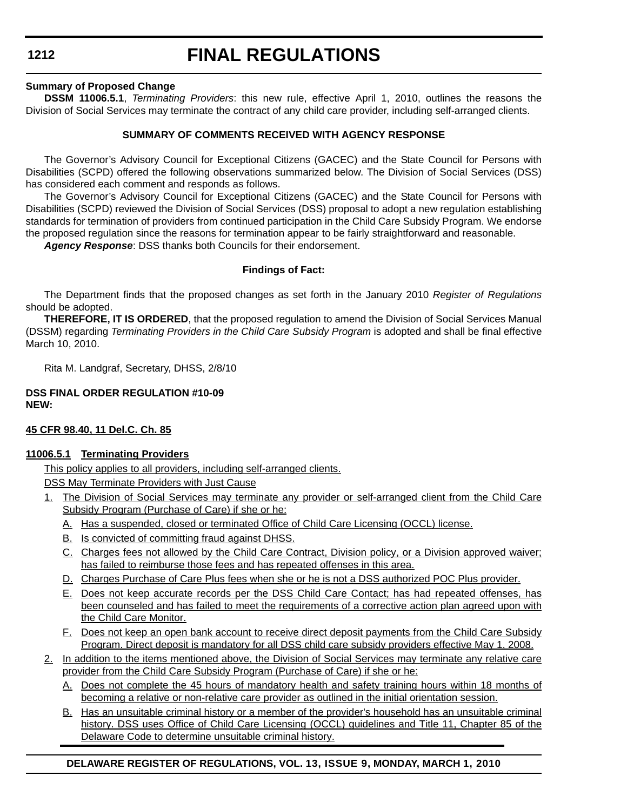# **FINAL REGULATIONS**

#### **Summary of Proposed Change**

**DSSM 11006.5.1**, *Terminating Providers*: this new rule, effective April 1, 2010, outlines the reasons the Division of Social Services may terminate the contract of any child care provider, including self-arranged clients.

#### **SUMMARY OF COMMENTS RECEIVED WITH AGENCY RESPONSE**

The Governor's Advisory Council for Exceptional Citizens (GACEC) and the State Council for Persons with Disabilities (SCPD) offered the following observations summarized below. The Division of Social Services (DSS) has considered each comment and responds as follows.

The Governor's Advisory Council for Exceptional Citizens (GACEC) and the State Council for Persons with Disabilities (SCPD) reviewed the Division of Social Services (DSS) proposal to adopt a new regulation establishing standards for termination of providers from continued participation in the Child Care Subsidy Program. We endorse the proposed regulation since the reasons for termination appear to be fairly straightforward and reasonable.

*Agency Response*: DSS thanks both Councils for their endorsement.

#### **Findings of Fact:**

The Department finds that the proposed changes as set forth in the January 2010 *Register of Regulations*  should be adopted.

**THEREFORE, IT IS ORDERED**, that the proposed regulation to amend the Division of Social Services Manual (DSSM) regarding *Terminating Providers in the Child Care Subsidy Program* is adopted and shall be final effective March 10, 2010.

Rita M. Landgraf, Secretary, DHSS, 2/8/10

#### **DSS FINAL ORDER REGULATION #10-09 NEW:**

#### **45 CFR 98.40, 11 Del.C. Ch. 85**

#### **11006.5.1 Terminating Providers**

This policy applies to all providers, including self-arranged clients.

DSS May Terminate Providers with Just Cause

- 1. The Division of Social Services may terminate any provider or self-arranged client from the Child Care Subsidy Program (Purchase of Care) if she or he:
	- A. Has a suspended, closed or terminated Office of Child Care Licensing (OCCL) license.
	- B. Is convicted of committing fraud against DHSS.
	- C. Charges fees not allowed by the Child Care Contract, Division policy, or a Division approved waiver; has failed to reimburse those fees and has repeated offenses in this area.
	- D. Charges Purchase of Care Plus fees when she or he is not a DSS authorized POC Plus provider.
	- E. Does not keep accurate records per the DSS Child Care Contact; has had repeated offenses, has been counseled and has failed to meet the requirements of a corrective action plan agreed upon with the Child Care Monitor.
	- F. Does not keep an open bank account to receive direct deposit payments from the Child Care Subsidy Program. Direct deposit is mandatory for all DSS child care subsidy providers effective May 1, 2008.
- 2. In addition to the items mentioned above, the Division of Social Services may terminate any relative care provider from the Child Care Subsidy Program (Purchase of Care) if she or he:
	- A. Does not complete the 45 hours of mandatory health and safety training hours within 18 months of becoming a relative or non-relative care provider as outlined in the initial orientation session.
	- B. Has an unsuitable criminal history or a member of the provider's household has an unsuitable criminal history. DSS uses Office of Child Care Licensing (OCCL) guidelines and Title 11, Chapter 85 of the Delaware Code to determine unsuitable criminal history.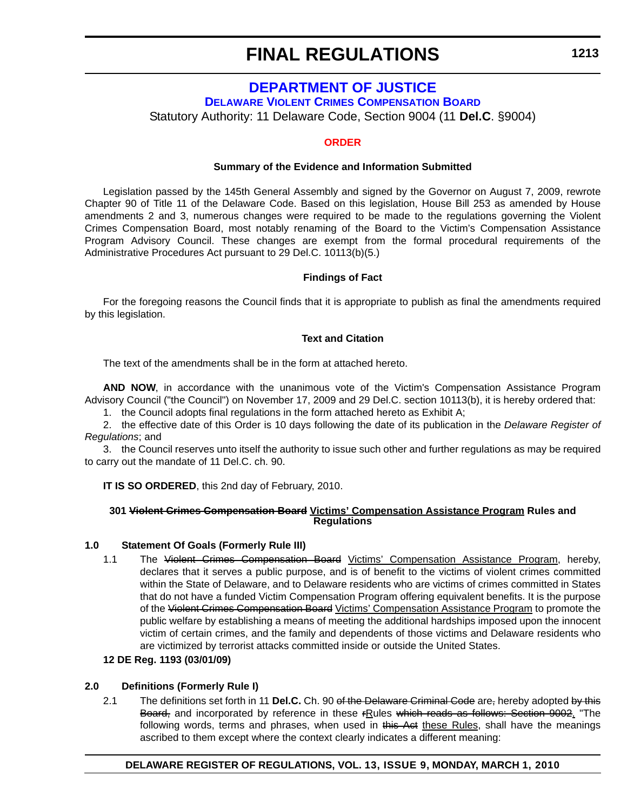### **DEPARTMENT OF JUSTICE**

**[DELAWARE VIOLENT CRIMES COMPENSATION BOARD](http://attorneygeneral.delaware.gov/VCAP/)**

Statutory Authority: 11 Delaware Code, Section 9004 (11 **Del.C**. §9004)

#### **[ORDER](#page-4-0)**

#### **Summary of the Evidence and Information Submitted**

Legislation passed by the 145th General Assembly and signed by the Governor on August 7, 2009, rewrote Chapter 90 of Title 11 of the Delaware Code. Based on this legislation, House Bill 253 as amended by House amendments 2 and 3, numerous changes were required to be made to the regulations governing the Violent Crimes Compensation Board, most notably renaming of the Board to the Victim's Compensation Assistance Program Advisory Council. These changes are exempt from the formal procedural requirements of the Administrative Procedures Act pursuant to 29 Del.C. 10113(b)(5.)

#### **Findings of Fact**

For the foregoing reasons the Council finds that it is appropriate to publish as final the amendments required by this legislation.

#### **Text and Citation**

The text of the amendments shall be in the form at attached hereto.

**AND NOW**, in accordance with the unanimous vote of the Victim's Compensation Assistance Program Advisory Council ("the Council") on November 17, 2009 and 29 Del.C. section 10113(b), it is hereby ordered that:

1. the Council adopts final regulations in the form attached hereto as Exhibit A;

2. the effective date of this Order is 10 days following the date of its publication in the *Delaware Register of Regulations*; and

3. the Council reserves unto itself the authority to issue such other and further regulations as may be required to carry out the mandate of 11 Del.C. ch. 90.

**IT IS SO ORDERED**, this 2nd day of February, 2010.

#### **301 Violent Crimes Compensation Board Victims' Compensation Assistance Program Rules and Regulations**

#### **1.0 Statement Of Goals (Formerly Rule III)**

1.1 The Violent Crimes Compensation Board Victims' Compensation Assistance Program, hereby, declares that it serves a public purpose, and is of benefit to the victims of violent crimes committed within the State of Delaware, and to Delaware residents who are victims of crimes committed in States that do not have a funded Victim Compensation Program offering equivalent benefits. It is the purpose of the Violent Crimes Compensation Board Victims' Compensation Assistance Program to promote the public welfare by establishing a means of meeting the additional hardships imposed upon the innocent victim of certain crimes, and the family and dependents of those victims and Delaware residents who are victimized by terrorist attacks committed inside or outside the United States.

#### **12 DE Reg. 1193 (03/01/09)**

#### **2.0 Definitions (Formerly Rule I)**

2.1 The definitions set forth in 11 **Del.C.** Ch. 90 of the Delaware Criminal Code are, hereby adopted by this Board, and incorporated by reference in these rRules which reads as follows: Section 9002. "The following words, terms and phrases, when used in this Act these Rules, shall have the meanings ascribed to them except where the context clearly indicates a different meaning: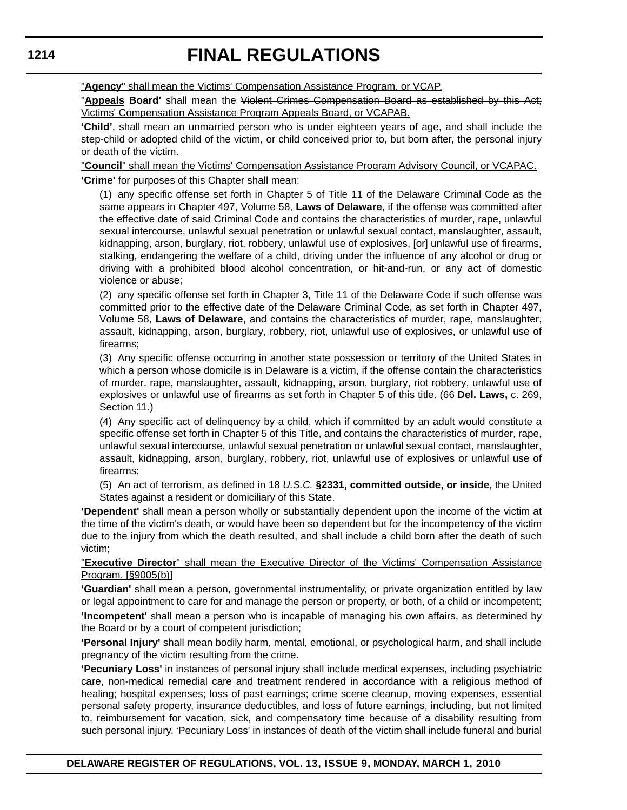"**Agency**" shall mean the Victims' Compensation Assistance Program, or VCAP.

"**Appeals Board'** shall mean the Violent Crimes Compensation Board as established by this Act; Victims' Compensation Assistance Program Appeals Board, or VCAPAB.

**'Child'**, shall mean an unmarried person who is under eighteen years of age, and shall include the step-child or adopted child of the victim, or child conceived prior to, but born after, the personal injury or death of the victim.

"**Council**" shall mean the Victims' Compensation Assistance Program Advisory Council, or VCAPAC. **'Crime'** for purposes of this Chapter shall mean:

(1) any specific offense set forth in Chapter 5 of Title 11 of the Delaware Criminal Code as the same appears in Chapter 497, Volume 58, **Laws of Delaware**, if the offense was committed after the effective date of said Criminal Code and contains the characteristics of murder, rape, unlawful sexual intercourse, unlawful sexual penetration or unlawful sexual contact, manslaughter, assault, kidnapping, arson, burglary, riot, robbery, unlawful use of explosives, [or] unlawful use of firearms, stalking, endangering the welfare of a child, driving under the influence of any alcohol or drug or driving with a prohibited blood alcohol concentration, or hit-and-run, or any act of domestic violence or abuse;

(2) any specific offense set forth in Chapter 3, Title 11 of the Delaware Code if such offense was committed prior to the effective date of the Delaware Criminal Code, as set forth in Chapter 497, Volume 58, **Laws of Delaware,** and contains the characteristics of murder, rape, manslaughter, assault, kidnapping, arson, burglary, robbery, riot, unlawful use of explosives, or unlawful use of firearms;

(3) Any specific offense occurring in another state possession or territory of the United States in which a person whose domicile is in Delaware is a victim, if the offense contain the characteristics of murder, rape, manslaughter, assault, kidnapping, arson, burglary, riot robbery, unlawful use of explosives or unlawful use of firearms as set forth in Chapter 5 of this title. (66 **Del. Laws,** c. 269, Section 11.)

(4) Any specific act of delinquency by a child, which if committed by an adult would constitute a specific offense set forth in Chapter 5 of this Title, and contains the characteristics of murder, rape, unlawful sexual intercourse, unlawful sexual penetration or unlawful sexual contact, manslaughter, assault, kidnapping, arson, burglary, robbery, riot, unlawful use of explosives or unlawful use of firearms;

(5) An act of terrorism, as defined in 18 *U.S.C.* **§2331, committed outside, or inside**, the United States against a resident or domiciliary of this State.

**'Dependent'** shall mean a person wholly or substantially dependent upon the income of the victim at the time of the victim's death, or would have been so dependent but for the incompetency of the victim due to the injury from which the death resulted, and shall include a child born after the death of such victim;

"**Executive Director**" shall mean the Executive Director of the Victims' Compensation Assistance Program. [§9005(b)]

**'Guardian'** shall mean a person, governmental instrumentality, or private organization entitled by law or legal appointment to care for and manage the person or property, or both, of a child or incompetent; **'Incompetent'** shall mean a person who is incapable of managing his own affairs, as determined by the Board or by a court of competent jurisdiction;

**'Personal Injury'** shall mean bodily harm, mental, emotional, or psychological harm, and shall include pregnancy of the victim resulting from the crime.

**'Pecuniary Loss'** in instances of personal injury shall include medical expenses, including psychiatric care, non-medical remedial care and treatment rendered in accordance with a religious method of healing; hospital expenses; loss of past earnings; crime scene cleanup, moving expenses, essential personal safety property, insurance deductibles, and loss of future earnings, including, but not limited to, reimbursement for vacation, sick, and compensatory time because of a disability resulting from such personal injury. 'Pecuniary Loss' in instances of death of the victim shall include funeral and burial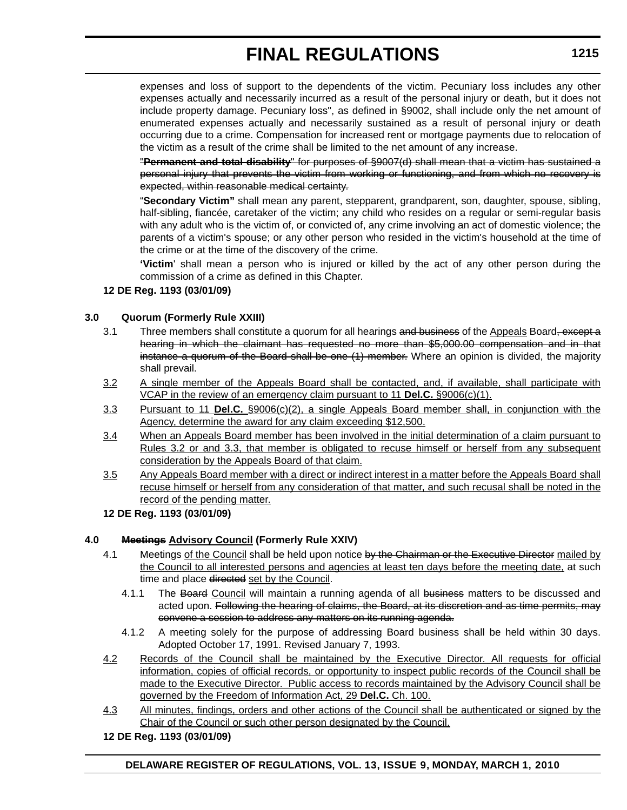expenses and loss of support to the dependents of the victim. Pecuniary loss includes any other expenses actually and necessarily incurred as a result of the personal injury or death, but it does not include property damage. Pecuniary loss", as defined in §9002, shall include only the net amount of enumerated expenses actually and necessarily sustained as a result of personal injury or death occurring due to a crime. Compensation for increased rent or mortgage payments due to relocation of the victim as a result of the crime shall be limited to the net amount of any increase.

"**Permanent and total disability**" for purposes of §9007(d) shall mean that a victim has sustained a personal injury that prevents the victim from working or functioning, and from which no recovery is expected, within reasonable medical certainty.

"**Secondary Victim"** shall mean any parent, stepparent, grandparent, son, daughter, spouse, sibling, half-sibling, fiancée, caretaker of the victim; any child who resides on a regular or semi-regular basis with any adult who is the victim of, or convicted of, any crime involving an act of domestic violence; the parents of a victim's spouse; or any other person who resided in the victim's household at the time of the crime or at the time of the discovery of the crime.

**'Victim**' shall mean a person who is injured or killed by the act of any other person during the commission of a crime as defined in this Chapter.

#### **12 DE Reg. 1193 (03/01/09)**

#### **3.0 Quorum (Formerly Rule XXIII)**

- 3.1 Three members shall constitute a quorum for all hearings and business of the Appeals Board, except a hearing in which the claimant has requested no more than \$5,000.00 compensation and in that instance a quorum of the Board shall be one (1) member. Where an opinion is divided, the majority shall prevail.
- 3.2 A single member of the Appeals Board shall be contacted, and, if available, shall participate with VCAP in the review of an emergency claim pursuant to 11 **Del.C.** §9006(c)(1).
- 3.3 Pursuant to 11 **Del.C.** §9006(c)(2), a single Appeals Board member shall, in conjunction with the Agency, determine the award for any claim exceeding \$12,500.
- 3.4 When an Appeals Board member has been involved in the initial determination of a claim pursuant to Rules 3.2 or and 3.3, that member is obligated to recuse himself or herself from any subsequent consideration by the Appeals Board of that claim.
- 3.5 Any Appeals Board member with a direct or indirect interest in a matter before the Appeals Board shall recuse himself or herself from any consideration of that matter, and such recusal shall be noted in the record of the pending matter.

#### **12 DE Reg. 1193 (03/01/09)**

#### **4.0 Meetings Advisory Council (Formerly Rule XXIV)**

- 4.1 Meetings of the Council shall be held upon notice by the Chairman or the Executive Director mailed by the Council to all interested persons and agencies at least ten days before the meeting date, at such time and place directed set by the Council.
	- 4.1.1 The Board Council will maintain a running agenda of all business matters to be discussed and acted upon. Following the hearing of claims, the Board, at its discretion and as time permits, may convene a session to address any matters on its running agenda.
	- 4.1.2 A meeting solely for the purpose of addressing Board business shall be held within 30 days. Adopted October 17, 1991. Revised January 7, 1993.
- 4.2 Records of the Council shall be maintained by the Executive Director. All requests for official information, copies of official records, or opportunity to inspect public records of the Council shall be made to the Executive Director. Public access to records maintained by the Advisory Council shall be governed by the Freedom of Information Act, 29 **Del.C.** Ch. 100.
- 4.3 All minutes, findings, orders and other actions of the Council shall be authenticated or signed by the Chair of the Council or such other person designated by the Council.

#### **12 DE Reg. 1193 (03/01/09)**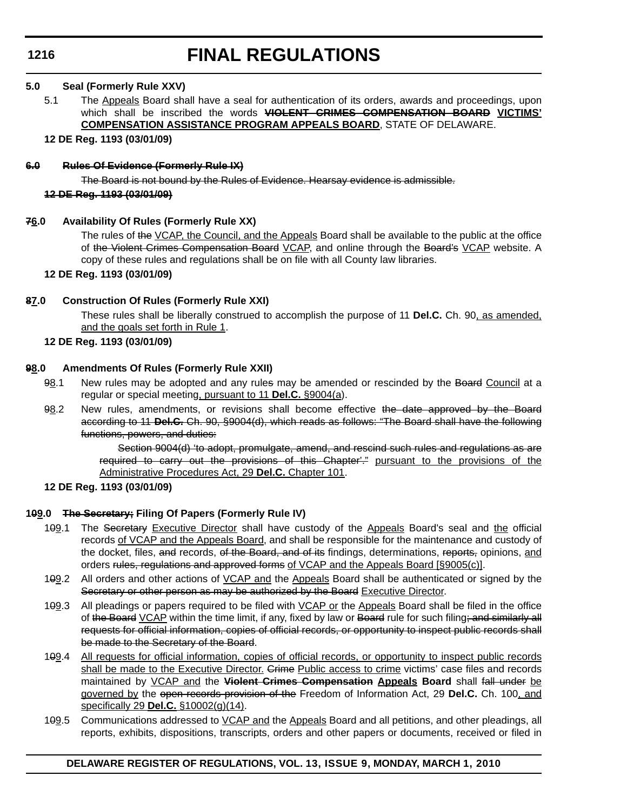#### **5.0 Seal (Formerly Rule XXV)**

5.1 The Appeals Board shall have a seal for authentication of its orders, awards and proceedings, upon which shall be inscribed the words **VIOLENT CRIMES COMPENSATION BOARD VICTIMS' COMPENSATION ASSISTANCE PROGRAM APPEALS BOARD**, STATE OF DELAWARE.

#### **12 DE Reg. 1193 (03/01/09)**

#### **6.0 Rules Of Evidence (Formerly Rule IX)**

The Board is not bound by the Rules of Evidence. Hearsay evidence is admissible.

#### **12 DE Reg. 1193 (03/01/09)**

#### **76.0 Availability Of Rules (Formerly Rule XX)**

The rules of the VCAP, the Council, and the Appeals Board shall be available to the public at the office of the Violent Crimes Compensation Board VCAP, and online through the Board's VCAP website. A copy of these rules and regulations shall be on file with all County law libraries.

#### **12 DE Reg. 1193 (03/01/09)**

#### **87.0 Construction Of Rules (Formerly Rule XXI)**

These rules shall be liberally construed to accomplish the purpose of 11 **Del.C.** Ch. 90, as amended, and the goals set forth in Rule 1.

#### **12 DE Reg. 1193 (03/01/09)**

#### **98.0 Amendments Of Rules (Formerly Rule XXII)**

- 98.1 New rules may be adopted and any rules may be amended or rescinded by the Board Council at a regular or special meeting, pursuant to 11 **Del.C.** §9004(a).
- 98.2 New rules, amendments, or revisions shall become effective the date approved by the Board according to 11 **Del.C.** Ch. 90, §9004(d), which reads as follows: "The Board shall have the following functions, powers, and duties:

Section 9004(d) 'to adopt, promulgate, amend, and rescind such rules and regulations as are required to carry out the provisions of this Chapter'." pursuant to the provisions of the Administrative Procedures Act, 29 **Del.C.** Chapter 101.

**12 DE Reg. 1193 (03/01/09)**

### **109.0 The Secretary; Filing Of Papers (Formerly Rule IV)**

- 109.1 The Secretary Executive Director shall have custody of the Appeals Board's seal and the official records of VCAP and the Appeals Board, and shall be responsible for the maintenance and custody of the docket, files, and records, of the Board, and of its findings, determinations, reports, opinions, and orders rules, regulations and approved forms of VCAP and the Appeals Board [§9005(c)].
- 109.2 All orders and other actions of VCAP and the Appeals Board shall be authenticated or signed by the Secretary or other person as may be authorized by the Board Executive Director.
- 109.3 All pleadings or papers required to be filed with VCAP or the Appeals Board shall be filed in the office of the Board VCAP within the time limit, if any, fixed by law or Board rule for such filing; and similarly all requests for official information, copies of official records, or opportunity to inspect public records shall be made to the Secretary of the Board.
- 109.4 All requests for official information, copies of official records, or opportunity to inspect public records shall be made to the Executive Director. Grime Public access to crime victims' case files and records maintained by VCAP and the **Violent Crimes Compensation Appeals Board** shall fall under be governed by the open records provision of the Freedom of Information Act, 29 **Del.C.** Ch. 100, and specifically 29 **Del.C.** §10002(g)(14).
- 1<del>0</del>9.5 Communications addressed to VCAP and the Appeals Board and all petitions, and other pleadings, all reports, exhibits, dispositions, transcripts, orders and other papers or documents, received or filed in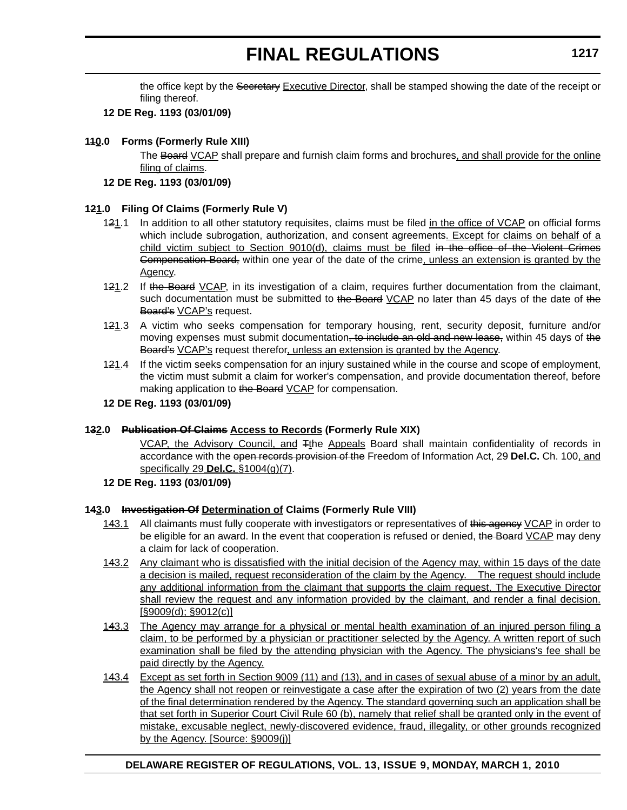the office kept by the Secretary Executive Director, shall be stamped showing the date of the receipt or filing thereof.

#### **12 DE Reg. 1193 (03/01/09)**

#### **110.0 Forms (Formerly Rule XIII)**

The Board VCAP shall prepare and furnish claim forms and brochures, and shall provide for the online filing of claims.

#### **12 DE Reg. 1193 (03/01/09)**

#### **121.0 Filing Of Claims (Formerly Rule V)**

- 121.1 In addition to all other statutory requisites, claims must be filed in the office of VCAP on official forms which include subrogation, authorization, and consent agreements. Except for claims on behalf of a child victim subject to Section 9010(d), claims must be filed in the office of the Violent Crimes Compensation Board, within one year of the date of the crime, unless an extension is granted by the Agency.
- 121.2 If the Board VCAP, in its investigation of a claim, requires further documentation from the claimant, such documentation must be submitted to the Board VCAP no later than 45 days of the date of the Board's VCAP's request.
- 121.3 A victim who seeks compensation for temporary housing, rent, security deposit, furniture and/or moving expenses must submit documentation, to include an old and new lease, within 45 days of the Board's VCAP's request therefor, unless an extension is granted by the Agency.
- 121.4 If the victim seeks compensation for an injury sustained while in the course and scope of employment, the victim must submit a claim for worker's compensation, and provide documentation thereof, before making application to the Board VCAP for compensation.

#### **12 DE Reg. 1193 (03/01/09)**

#### **132.0 Publication Of Claims Access to Records (Formerly Rule XIX)**

VCAP, the Advisory Council, and <sup>T<sub>t</sub>he Appeals</sub> Board shall maintain confidentiality of records in</sup> accordance with the open records provision of the Freedom of Information Act, 29 **Del.C.** Ch. 100, and specifically 29 **Del.C.** §1004(g)(7).

#### **12 DE Reg. 1193 (03/01/09)**

#### **143.0 Investigation Of Determination of Claims (Formerly Rule VIII)**

- 143.1 All claimants must fully cooperate with investigators or representatives of this agency VCAP in order to be eligible for an award. In the event that cooperation is refused or denied, the Board VCAP may deny a claim for lack of cooperation.
- 143.2 Any claimant who is dissatisfied with the initial decision of the Agency may, within 15 days of the date a decision is mailed, request reconsideration of the claim by the Agency. The request should include any additional information from the claimant that supports the claim request. The Executive Director shall review the request and any information provided by the claimant, and render a final decision. [§9009(d); §9012(c)]
- 143.3 The Agency may arrange for a physical or mental health examination of an injured person filing a claim, to be performed by a physician or practitioner selected by the Agency. A written report of such examination shall be filed by the attending physician with the Agency. The physicians's fee shall be paid directly by the Agency.
- 143.4 Except as set forth in Section 9009 (11) and (13), and in cases of sexual abuse of a minor by an adult, the Agency shall not reopen or reinvestigate a case after the expiration of two (2) years from the date of the final determination rendered by the Agency. The standard governing such an application shall be that set forth in Superior Court Civil Rule 60 (b), namely that relief shall be granted only in the event of mistake, excusable neglect, newly-discovered evidence, fraud, illegality, or other grounds recognized by the Agency. [Source: §9009(j)]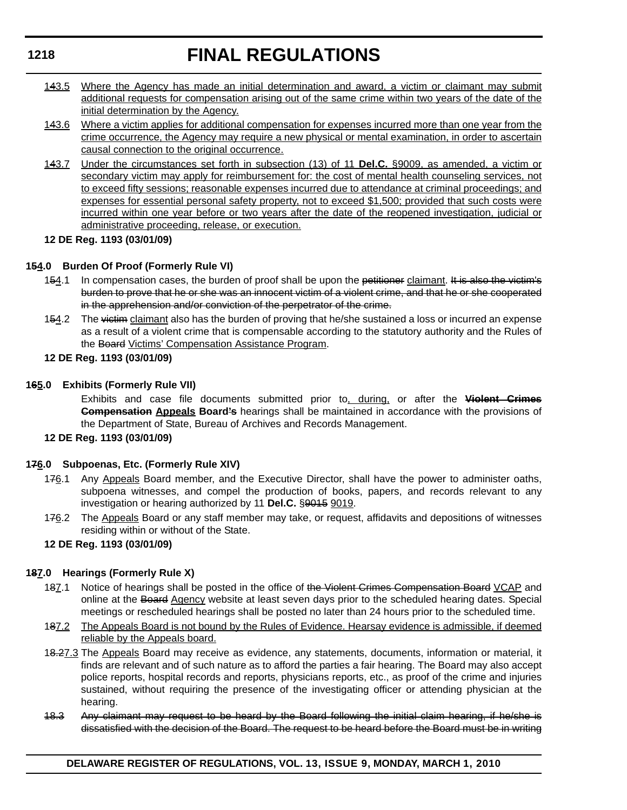- 143.5 Where the Agency has made an initial determination and award, a victim or claimant may submit additional requests for compensation arising out of the same crime within two years of the date of the initial determination by the Agency.
- 143.6 Where a victim applies for additional compensation for expenses incurred more than one year from the crime occurrence, the Agency may require a new physical or mental examination, in order to ascertain causal connection to the original occurrence.
- 143.7 Under the circumstances set forth in subsection (13) of 11 **Del.C.** §9009, as amended, a victim or secondary victim may apply for reimbursement for: the cost of mental health counseling services, not to exceed fifty sessions; reasonable expenses incurred due to attendance at criminal proceedings; and expenses for essential personal safety property, not to exceed \$1,500; provided that such costs were incurred within one year before or two years after the date of the reopened investigation, judicial or administrative proceeding, release, or execution.
- **12 DE Reg. 1193 (03/01/09)**

#### **154.0 Burden Of Proof (Formerly Rule VI)**

- 154.1 In compensation cases, the burden of proof shall be upon the petitioner claimant. It is also the victim's burden to prove that he or she was an innocent victim of a violent crime, and that he or she cooperated in the apprehension and/or conviction of the perpetrator of the crime.
- 154.2 The victim claimant also has the burden of proving that he/she sustained a loss or incurred an expense as a result of a violent crime that is compensable according to the statutory authority and the Rules of the Board Victims' Compensation Assistance Program.
- **12 DE Reg. 1193 (03/01/09)**

#### **165.0 Exhibits (Formerly Rule VII)**

Exhibits and case file documents submitted prior to, during, or after the **Violent Crimes Compensation Appeals Board's** hearings shall be maintained in accordance with the provisions of the Department of State, Bureau of Archives and Records Management.

**12 DE Reg. 1193 (03/01/09)**

#### **176.0 Subpoenas, Etc. (Formerly Rule XIV)**

- 176.1 Any Appeals Board member, and the Executive Director, shall have the power to administer oaths, subpoena witnesses, and compel the production of books, papers, and records relevant to any investigation or hearing authorized by 11 **Del.C.** §9015 9019.
- 176.2 The Appeals Board or any staff member may take, or request, affidavits and depositions of witnesses residing within or without of the State.
- **12 DE Reg. 1193 (03/01/09)**

### **187.0 Hearings (Formerly Rule X)**

- 187.1 Notice of hearings shall be posted in the office of the Violent Crimes Compensation Board VCAP and online at the Board Agency website at least seven days prior to the scheduled hearing dates. Special meetings or rescheduled hearings shall be posted no later than 24 hours prior to the scheduled time.
- 187.2 The Appeals Board is not bound by the Rules of Evidence. Hearsay evidence is admissible, if deemed reliable by the Appeals board.
- 1<del>8.2</del>7.3 The Appeals Board may receive as evidence, any statements, documents, information or material, it finds are relevant and of such nature as to afford the parties a fair hearing. The Board may also accept police reports, hospital records and reports, physicians reports, etc., as proof of the crime and injuries sustained, without requiring the presence of the investigating officer or attending physician at the hearing.
- 18.3 Any claimant may request to be heard by the Board following the initial claim hearing, if he/she is dissatisfied with the decision of the Board. The request to be heard before the Board must be in writing

**1218**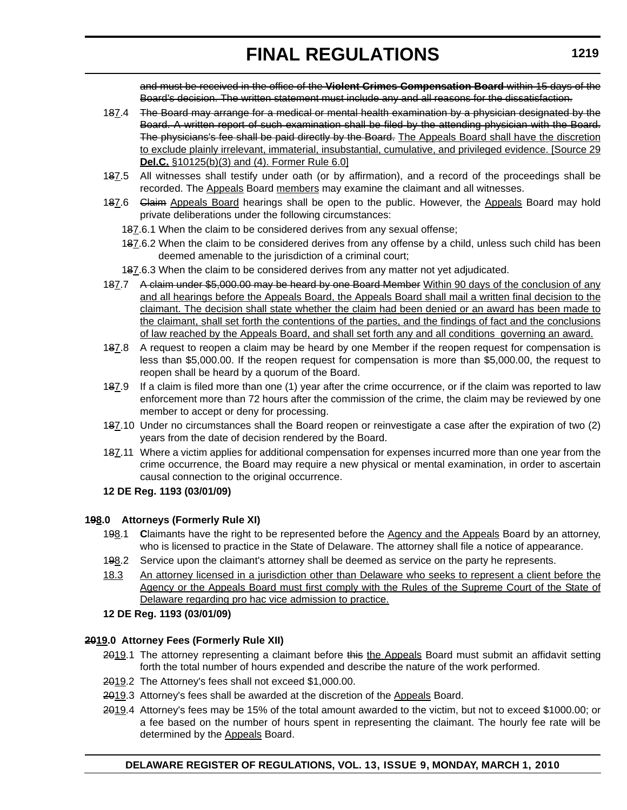and must be received in the office of the **Violent Crimes Compensation Board** within 15 days of the Board's decision. The written statement must include any and all reasons for the dissatisfaction.

- 187.4 The Board may arrange for a medical or mental health examination by a physician designated by the Board. A written report of such examination shall be filed by the attending physician with the Board. The physicians's fee shall be paid directly by the Board. The Appeals Board shall have the discretion to exclude plainly irrelevant, immaterial, insubstantial, cumulative, and privileged evidence. [Source 29 **Del.C.** §10125(b)(3) and (4). Former Rule 6.0]
- 187.5 All witnesses shall testify under oath (or by affirmation), and a record of the proceedings shall be recorded. The Appeals Board members may examine the claimant and all witnesses.
- 187.6 Glaim Appeals Board hearings shall be open to the public. However, the Appeals Board may hold private deliberations under the following circumstances:
	- 187.6.1 When the claim to be considered derives from any sexual offense;
	- 187.6.2 When the claim to be considered derives from any offense by a child, unless such child has been deemed amenable to the jurisdiction of a criminal court;

187.6.3 When the claim to be considered derives from any matter not yet adjudicated.

- 187.7 A claim under \$5,000.00 may be heard by one Board Member Within 90 days of the conclusion of any and all hearings before the Appeals Board, the Appeals Board shall mail a written final decision to the claimant. The decision shall state whether the claim had been denied or an award has been made to the claimant, shall set forth the contentions of the parties, and the findings of fact and the conclusions of law reached by the Appeals Board, and shall set forth any and all conditions governing an award.
- 187.8 A request to reopen a claim may be heard by one Member if the reopen request for compensation is less than \$5,000.00. If the reopen request for compensation is more than \$5,000.00, the request to reopen shall be heard by a quorum of the Board.
- 187.9 If a claim is filed more than one (1) year after the crime occurrence, or if the claim was reported to law enforcement more than 72 hours after the commission of the crime, the claim may be reviewed by one member to accept or deny for processing.
- 187.10 Under no circumstances shall the Board reopen or reinvestigate a case after the expiration of two (2) years from the date of decision rendered by the Board.
- 187.11 Where a victim applies for additional compensation for expenses incurred more than one year from the crime occurrence, the Board may require a new physical or mental examination, in order to ascertain causal connection to the original occurrence.

#### **12 DE Reg. 1193 (03/01/09)**

#### **198.0 Attorneys (Formerly Rule XI)**

- 198.1 **C**laimants have the right to be represented before the Agency and the Appeals Board by an attorney, who is licensed to practice in the State of Delaware. The attorney shall file a notice of appearance.
- 198.2 Service upon the claimant's attorney shall be deemed as service on the party he represents.
- 18.3 An attorney licensed in a jurisdiction other than Delaware who seeks to represent a client before the Agency or the Appeals Board must first comply with the Rules of the Supreme Court of the State of Delaware regarding pro hac vice admission to practice.

#### **12 DE Reg. 1193 (03/01/09)**

#### **2019.0 Attorney Fees (Formerly Rule XII)**

- 2019.1 The attorney representing a claimant before this the Appeals Board must submit an affidavit setting forth the total number of hours expended and describe the nature of the work performed.
- 2019.2 The Attorney's fees shall not exceed \$1,000.00.
- 2019.3 Attorney's fees shall be awarded at the discretion of the Appeals Board.
- 2019.4 Attorney's fees may be 15% of the total amount awarded to the victim, but not to exceed \$1000.00; or a fee based on the number of hours spent in representing the claimant. The hourly fee rate will be determined by the **Appeals** Board.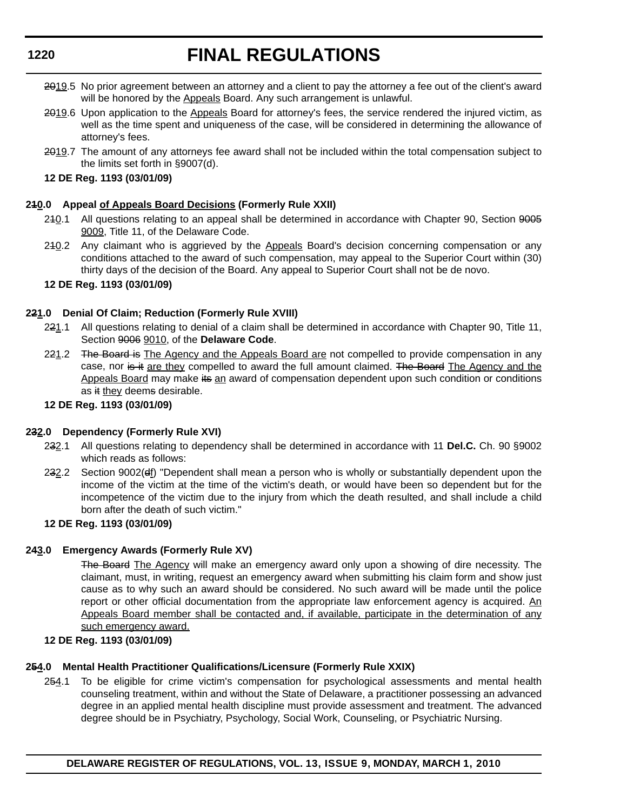# **FINAL REGULATIONS**

- 2019.5 No prior agreement between an attorney and a client to pay the attorney a fee out of the client's award will be honored by the Appeals Board. Any such arrangement is unlawful.
- 2019.6 Upon application to the Appeals Board for attorney's fees, the service rendered the injured victim, as well as the time spent and uniqueness of the case, will be considered in determining the allowance of attorney's fees.
- 2019.7 The amount of any attorneys fee award shall not be included within the total compensation subject to the limits set forth in §9007(d).

#### **12 DE Reg. 1193 (03/01/09)**

#### **210.0 Appeal of Appeals Board Decisions (Formerly Rule XXII)**

- 240.1 All questions relating to an appeal shall be determined in accordance with Chapter 90, Section 9005 9009, Title 11, of the Delaware Code.
- 240.2 Any claimant who is aggrieved by the Appeals Board's decision concerning compensation or any conditions attached to the award of such compensation, may appeal to the Superior Court within (30) thirty days of the decision of the Board. Any appeal to Superior Court shall not be de novo.

#### **12 DE Reg. 1193 (03/01/09)**

#### **221.0 Denial Of Claim; Reduction (Formerly Rule XVIII)**

- 221.1 All questions relating to denial of a claim shall be determined in accordance with Chapter 90, Title 11, Section 9006 9010, of the **Delaware Code**.
- 221.2 The Board is The Agency and the Appeals Board are not compelled to provide compensation in any case, nor is it are they compelled to award the full amount claimed. The Board The Agency and the Appeals Board may make its an award of compensation dependent upon such condition or conditions as it they deems desirable.

#### **12 DE Reg. 1193 (03/01/09)**

#### **232.0 Dependency (Formerly Rule XVI)**

- 232.1 All questions relating to dependency shall be determined in accordance with 11 **Del.C.** Ch. 90 §9002 which reads as follows:
- 232.2 Section 9002(ef) "Dependent shall mean a person who is wholly or substantially dependent upon the income of the victim at the time of the victim's death, or would have been so dependent but for the incompetence of the victim due to the injury from which the death resulted, and shall include a child born after the death of such victim."

### **12 DE Reg. 1193 (03/01/09)**

#### **243.0 Emergency Awards (Formerly Rule XV)**

The Board The Agency will make an emergency award only upon a showing of dire necessity. The claimant, must, in writing, request an emergency award when submitting his claim form and show just cause as to why such an award should be considered. No such award will be made until the police report or other official documentation from the appropriate law enforcement agency is acquired. An Appeals Board member shall be contacted and, if available, participate in the determination of any such emergency award.

#### **12 DE Reg. 1193 (03/01/09)**

#### **254.0 Mental Health Practitioner Qualifications/Licensure (Formerly Rule XXIX)**

254.1 To be eligible for crime victim's compensation for psychological assessments and mental health counseling treatment, within and without the State of Delaware, a practitioner possessing an advanced degree in an applied mental health discipline must provide assessment and treatment. The advanced degree should be in Psychiatry, Psychology, Social Work, Counseling, or Psychiatric Nursing.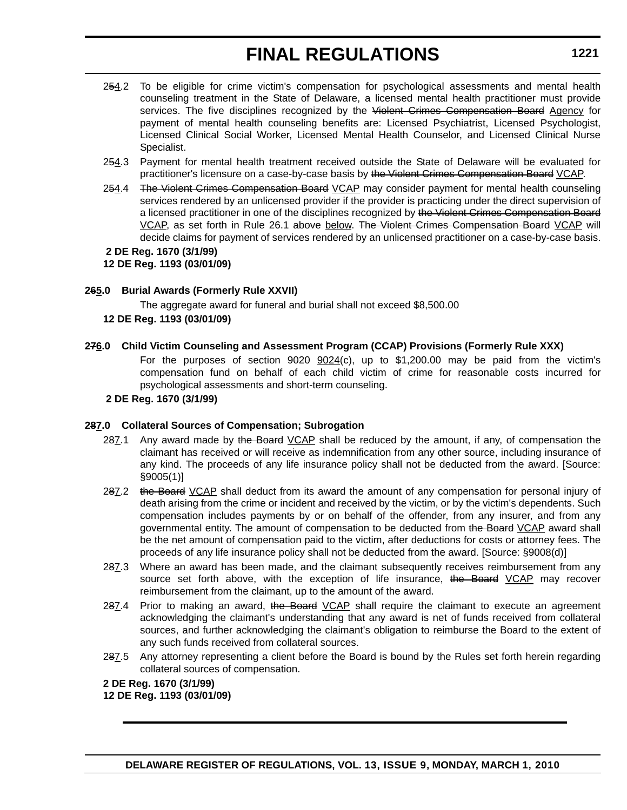- 254.2 To be eligible for crime victim's compensation for psychological assessments and mental health counseling treatment in the State of Delaware, a licensed mental health practitioner must provide services. The five disciplines recognized by the Violent Crimes Compensation Board Agency for payment of mental health counseling benefits are: Licensed Psychiatrist, Licensed Psychologist, Licensed Clinical Social Worker, Licensed Mental Health Counselor, and Licensed Clinical Nurse Specialist.
- 254.3 Payment for mental health treatment received outside the State of Delaware will be evaluated for practitioner's licensure on a case-by-case basis by the Violent Crimes Compensation Board VCAP.
- 254.4 The Violent Crimes Compensation Board VCAP may consider payment for mental health counseling services rendered by an unlicensed provider if the provider is practicing under the direct supervision of a licensed practitioner in one of the disciplines recognized by the Violent Crimes Compensation Board VCAP, as set forth in Rule 26.1 above below. The Violent Crimes Compensation Board VCAP will decide claims for payment of services rendered by an unlicensed practitioner on a case-by-case basis.

 **2 DE Reg. 1670 (3/1/99) 12 DE Reg. 1193 (03/01/09)**

#### **265.0 Burial Awards (Formerly Rule XXVII)**

The aggregate award for funeral and burial shall not exceed \$8,500.00

#### **12 DE Reg. 1193 (03/01/09)**

#### **276.0 Child Victim Counseling and Assessment Program (CCAP) Provisions (Formerly Rule XXX)**

For the purposes of section  $9024$   $9024(c)$ , up to \$1,200.00 may be paid from the victim's compensation fund on behalf of each child victim of crime for reasonable costs incurred for psychological assessments and short-term counseling.

#### **2 DE Reg. 1670 (3/1/99)**

#### **287.0 Collateral Sources of Compensation; Subrogation**

- 287.1 Any award made by the Board VCAP shall be reduced by the amount, if any, of compensation the claimant has received or will receive as indemnification from any other source, including insurance of any kind. The proceeds of any life insurance policy shall not be deducted from the award. [Source: §9005(1)]
- 287.2 the Board VCAP shall deduct from its award the amount of any compensation for personal injury of death arising from the crime or incident and received by the victim, or by the victim's dependents. Such compensation includes payments by or on behalf of the offender, from any insurer, and from any governmental entity. The amount of compensation to be deducted from the Board VCAP award shall be the net amount of compensation paid to the victim, after deductions for costs or attorney fees. The proceeds of any life insurance policy shall not be deducted from the award. [Source: §9008(d)]
- 287.3 Where an award has been made, and the claimant subsequently receives reimbursement from any source set forth above, with the exception of life insurance, the Board VCAP may recover reimbursement from the claimant, up to the amount of the award.
- 287.4 Prior to making an award, the Board VCAP shall require the claimant to execute an agreement acknowledging the claimant's understanding that any award is net of funds received from collateral sources, and further acknowledging the claimant's obligation to reimburse the Board to the extent of any such funds received from collateral sources.
- 287.5 Any attorney representing a client before the Board is bound by the Rules set forth herein regarding collateral sources of compensation.

**2 DE Reg. 1670 (3/1/99) 12 DE Reg. 1193 (03/01/09)**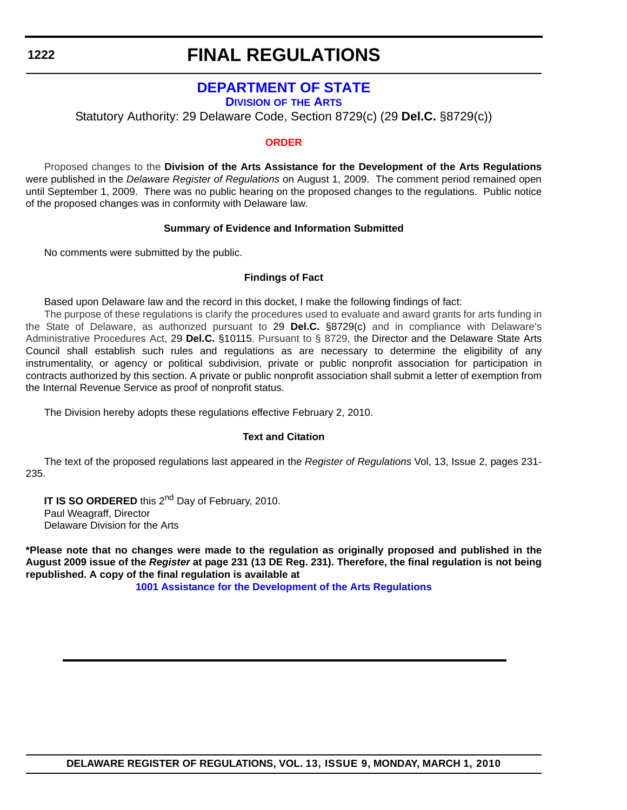# **FINAL REGULATIONS**

### **[DEPARTMENT OF STATE](http://www.artsdel.org/default.shtml)**

**DIVISION OF THE ARTS**

Statutory Authority: 29 Delaware Code, Section 8729(c) (29 **Del.C.** §8729(c))

#### **[ORDER](#page-4-0)**

Proposed changes to the **Division of the Arts Assistance for the Development of the Arts Regulations**  were published in the *Delaware Register of Regulations* on August 1, 2009. The comment period remained open until September 1, 2009. There was no public hearing on the proposed changes to the regulations. Public notice of the proposed changes was in conformity with Delaware law.

#### **Summary of Evidence and Information Submitted**

No comments were submitted by the public.

#### **Findings of Fact**

Based upon Delaware law and the record in this docket, I make the following findings of fact:

The purpose of these regulations is clarify the procedures used to evaluate and award grants for arts funding in the State of Delaware, as authorized pursuant to 29 **Del.C.** §8729(c) and in compliance with Delaware's Administrative Procedures Act, 29 **Del.C.** §10115. Pursuant to § 8729, the Director and the Delaware State Arts Council shall establish such rules and regulations as are necessary to determine the eligibility of any instrumentality, or agency or political subdivision, private or public nonprofit association for participation in contracts authorized by this section. A private or public nonprofit association shall submit a letter of exemption from the Internal Revenue Service as proof of nonprofit status.

The Division hereby adopts these regulations effective February 2, 2010.

#### **Text and Citation**

The text of the proposed regulations last appeared in the *Register of Regulations* Vol, 13, Issue 2, pages 231- 235.

**IT IS SO ORDERED** this 2<sup>nd</sup> Day of February, 2010. Paul Weagraff, Director Delaware Division for the Arts

**\*Please note that no changes were made to the regulation as originally proposed and published in the August 2009 issue of the** *Register* **at page 231 (13 DE Reg. 231). Therefore, the final regulation is not being republished. A copy of the final regulation is available at**

**[1001 Assistance for the Development of the Arts Regulations](http://regulations.delaware.gov/register/march2010/final/13 DE Reg 1222 03-01-10.htm)**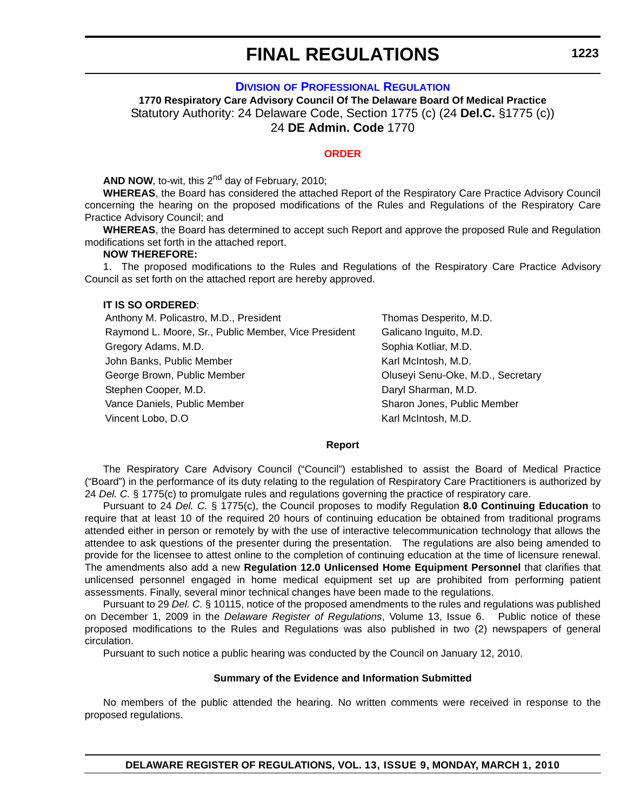**DIVISION [OF PROFESSIONAL REGULATION](http://dpr.delaware.gov/default.shtml)**

**1770 Respiratory Care Advisory Council Of The Delaware Board Of Medical Practice** Statutory Authority: 24 Delaware Code, Section 1775 (c) (24 **Del.C.** §1775 (c)) 24 **DE Admin. Code** 1770

#### **[ORDER](#page-4-0)**

**AND NOW, to-wit, this 2<sup>nd</sup> day of February, 2010;** 

**WHEREAS**, the Board has considered the attached Report of the Respiratory Care Practice Advisory Council concerning the hearing on the proposed modifications of the Rules and Regulations of the Respiratory Care Practice Advisory Council; and

**WHEREAS**, the Board has determined to accept such Report and approve the proposed Rule and Regulation modifications set forth in the attached report.

#### **NOW THEREFORE:**

1. The proposed modifications to the Rules and Regulations of the Respiratory Care Practice Advisory Council as set forth on the attached report are hereby approved.

#### **IT IS SO ORDERED**:

Anthony M. Policastro, M.D., President Thomas Desperito, M.D. Raymond L. Moore, Sr., Public Member, Vice President Galicano Inguito, M.D. Gregory Adams, M.D. Sophia Kotliar, M.D. John Banks, Public Member **Karl McIntosh, M.D.** Karl McIntosh, M.D. George Brown, Public Member **Contained According Contained According Contained Contained Contained Contained Conta** Stephen Cooper, M.D. **Daryl Sharman, M.D.** Daryl Sharman, M.D. Vance Daniels, Public Member Sharon Jones, Public Member Sharon Jones, Public Member Vincent Lobo, D.O **Karl McIntosh, M.D.** Karl McIntosh, M.D.

#### **Report**

The Respiratory Care Advisory Council ("Council") established to assist the Board of Medical Practice ("Board") in the performance of its duty relating to the regulation of Respiratory Care Practitioners is authorized by 24 *Del. C.* § 1775(c) to promulgate rules and regulations governing the practice of respiratory care.

Pursuant to 24 *Del. C.* § 1775(c), the Council proposes to modify Regulation **8.0 Continuing Education** to require that at least 10 of the required 20 hours of continuing education be obtained from traditional programs attended either in person or remotely by with the use of interactive telecommunication technology that allows the attendee to ask questions of the presenter during the presentation. The regulations are also being amended to provide for the licensee to attest online to the completion of continuing education at the time of licensure renewal. The amendments also add a new **Regulation 12.0 Unlicensed Home Equipment Personnel** that clarifies that unlicensed personnel engaged in home medical equipment set up are prohibited from performing patient assessments. Finally, several minor technical changes have been made to the regulations.

Pursuant to 29 *Del. C.* § 10115, notice of the proposed amendments to the rules and regulations was published on December 1, 2009 in the *Delaware Register of Regulations*, Volume 13, Issue 6. Public notice of these proposed modifications to the Rules and Regulations was also published in two (2) newspapers of general circulation.

Pursuant to such notice a public hearing was conducted by the Council on January 12, 2010.

#### **Summary of the Evidence and Information Submitted**

No members of the public attended the hearing. No written comments were received in response to the proposed regulations.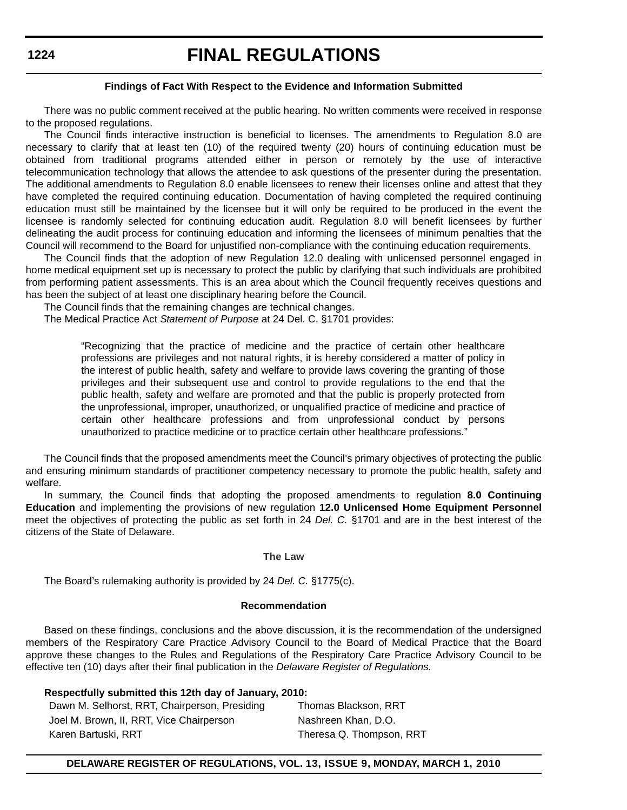# **FINAL REGULATIONS**

#### **Findings of Fact With Respect to the Evidence and Information Submitted**

There was no public comment received at the public hearing. No written comments were received in response to the proposed regulations.

The Council finds interactive instruction is beneficial to licenses. The amendments to Regulation 8.0 are necessary to clarify that at least ten (10) of the required twenty (20) hours of continuing education must be obtained from traditional programs attended either in person or remotely by the use of interactive telecommunication technology that allows the attendee to ask questions of the presenter during the presentation. The additional amendments to Regulation 8.0 enable licensees to renew their licenses online and attest that they have completed the required continuing education. Documentation of having completed the required continuing education must still be maintained by the licensee but it will only be required to be produced in the event the licensee is randomly selected for continuing education audit. Regulation 8.0 will benefit licensees by further delineating the audit process for continuing education and informing the licensees of minimum penalties that the Council will recommend to the Board for unjustified non-compliance with the continuing education requirements.

The Council finds that the adoption of new Regulation 12.0 dealing with unlicensed personnel engaged in home medical equipment set up is necessary to protect the public by clarifying that such individuals are prohibited from performing patient assessments. This is an area about which the Council frequently receives questions and has been the subject of at least one disciplinary hearing before the Council.

The Council finds that the remaining changes are technical changes.

The Medical Practice Act *Statement of Purpose* at 24 Del. C. §1701 provides:

"Recognizing that the practice of medicine and the practice of certain other healthcare professions are privileges and not natural rights, it is hereby considered a matter of policy in the interest of public health, safety and welfare to provide laws covering the granting of those privileges and their subsequent use and control to provide regulations to the end that the public health, safety and welfare are promoted and that the public is properly protected from the unprofessional, improper, unauthorized, or unqualified practice of medicine and practice of certain other healthcare professions and from unprofessional conduct by persons unauthorized to practice medicine or to practice certain other healthcare professions."

 The Council finds that the proposed amendments meet the Council's primary objectives of protecting the public and ensuring minimum standards of practitioner competency necessary to promote the public health, safety and welfare.

In summary, the Council finds that adopting the proposed amendments to regulation **8.0 Continuing Education** and implementing the provisions of new regulation **12.0 Unlicensed Home Equipment Personnel**  meet the objectives of protecting the public as set forth in 24 *Del. C.* §1701 and are in the best interest of the citizens of the State of Delaware.

#### **The Law**

The Board's rulemaking authority is provided by 24 *Del. C.* §1775(c).

#### **Recommendation**

Based on these findings, conclusions and the above discussion, it is the recommendation of the undersigned members of the Respiratory Care Practice Advisory Council to the Board of Medical Practice that the Board approve these changes to the Rules and Regulations of the Respiratory Care Practice Advisory Council to be effective ten (10) days after their final publication in the *Delaware Register of Regulations.*

#### **Respectfully submitted this 12th day of January, 2010:**

Dawn M. Selhorst, RRT, Chairperson, Presiding Thomas Blackson, RRT Joel M. Brown, II, RRT, Vice Chairperson Nashreen Khan, D.O. Karen Bartuski, RRT Theresa Q. Thompson, RRT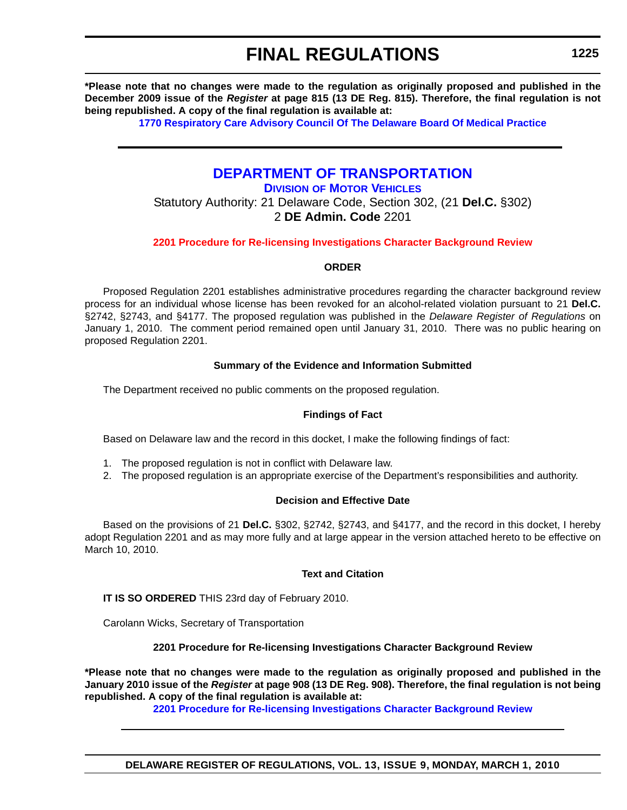**\*Please note that no changes were made to the regulation as originally proposed and published in the December 2009 issue of the** *Register* **at page 815 (13 DE Reg. 815). Therefore, the final regulation is not being republished. A copy of the final regulation is available at:**

**[1770 Respiratory Care Advisory Council Of The Delaware Board Of Medical Practice](http://regulations.delaware.gov/register/march2010/final/13 DE Reg 1223 03-01-10.htm)**

### **[DEPARTMENT OF TRANSPORTATION](http://www.dmv.de.gov/)**

**DIVISION OF MOTOR VEHICLES**

Statutory Authority: 21 Delaware Code, Section 302, (21 **Del.C.** §302) 2 **DE Admin. Code** 2201

**[2201 Procedure for Re-licensing Investigations Character Background Review](#page-4-0)**

#### **ORDER**

Proposed Regulation 2201 establishes administrative procedures regarding the character background review process for an individual whose license has been revoked for an alcohol-related violation pursuant to 21 **Del.C.** §2742, §2743, and §4177. The proposed regulation was published in the *Delaware Register of Regulations* on January 1, 2010. The comment period remained open until January 31, 2010. There was no public hearing on proposed Regulation 2201.

#### **Summary of the Evidence and Information Submitted**

The Department received no public comments on the proposed regulation.

#### **Findings of Fact**

Based on Delaware law and the record in this docket, I make the following findings of fact:

- 1. The proposed regulation is not in conflict with Delaware law.
- 2. The proposed regulation is an appropriate exercise of the Department's responsibilities and authority.

#### **Decision and Effective Date**

Based on the provisions of 21 **Del.C.** §302, §2742, §2743, and §4177, and the record in this docket, I hereby adopt Regulation 2201 and as may more fully and at large appear in the version attached hereto to be effective on March 10, 2010.

#### **Text and Citation**

**IT IS SO ORDERED** THIS 23rd day of February 2010.

Carolann Wicks, Secretary of Transportation

#### **2201 Procedure for Re-licensing Investigations Character Background Review**

**\*Please note that no changes were made to the regulation as originally proposed and published in the January 2010 issue of the** *Register* **at page 908 (13 DE Reg. 908). Therefore, the final regulation is not being republished. A copy of the final regulation is available at:**

**[2201 Procedure for Re-licensing Investigations Character Background Review](http://regulations.delaware.gov/register/march2010/final/13 DE Reg 1225 03-01-10.htm)**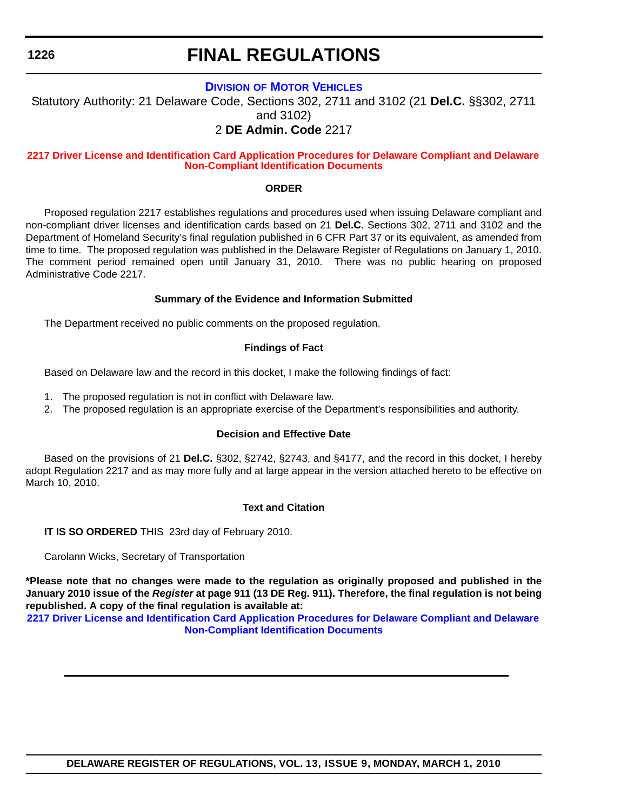# **FINAL REGULATIONS**

### **DIVISION [OF MOTOR VEHICLES](http://www.dmv.de.gov/)**

Statutory Authority: 21 Delaware Code, Sections 302, 2711 and 3102 (21 **Del.C.** §§302, 2711 and 3102)

### 2 **DE Admin. Code** 2217

#### **[2217 Driver License and Identification Card Application Procedures for Delaware Compliant and Delaware](#page-4-0)  Non-Compliant Identification Documents**

#### **ORDER**

Proposed regulation 2217 establishes regulations and procedures used when issuing Delaware compliant and non-compliant driver licenses and identification cards based on 21 **Del.C.** Sections 302, 2711 and 3102 and the Department of Homeland Security's final regulation published in 6 CFR Part 37 or its equivalent, as amended from time to time. The proposed regulation was published in the Delaware Register of Regulations on January 1, 2010. The comment period remained open until January 31, 2010. There was no public hearing on proposed Administrative Code 2217.

#### **Summary of the Evidence and Information Submitted**

The Department received no public comments on the proposed regulation.

#### **Findings of Fact**

Based on Delaware law and the record in this docket, I make the following findings of fact:

- 1. The proposed regulation is not in conflict with Delaware law.
- 2. The proposed regulation is an appropriate exercise of the Department's responsibilities and authority.

#### **Decision and Effective Date**

Based on the provisions of 21 **Del.C.** §302, §2742, §2743, and §4177, and the record in this docket, I hereby adopt Regulation 2217 and as may more fully and at large appear in the version attached hereto to be effective on March 10, 2010.

#### **Text and Citation**

**IT IS SO ORDERED** THIS 23rd day of February 2010.

Carolann Wicks, Secretary of Transportation

**\*Please note that no changes were made to the regulation as originally proposed and published in the January 2010 issue of the** *Register* **at page 911 (13 DE Reg. 911). Therefore, the final regulation is not being republished. A copy of the final regulation is available at:**

**[2217 Driver License and Identification Card Application Procedures for Delaware Compliant and Delaware](http://regulations.delaware.gov/register/march2010/final/13 DE Reg 1226 03-01-10.htm)  Non-Compliant Identification Documents**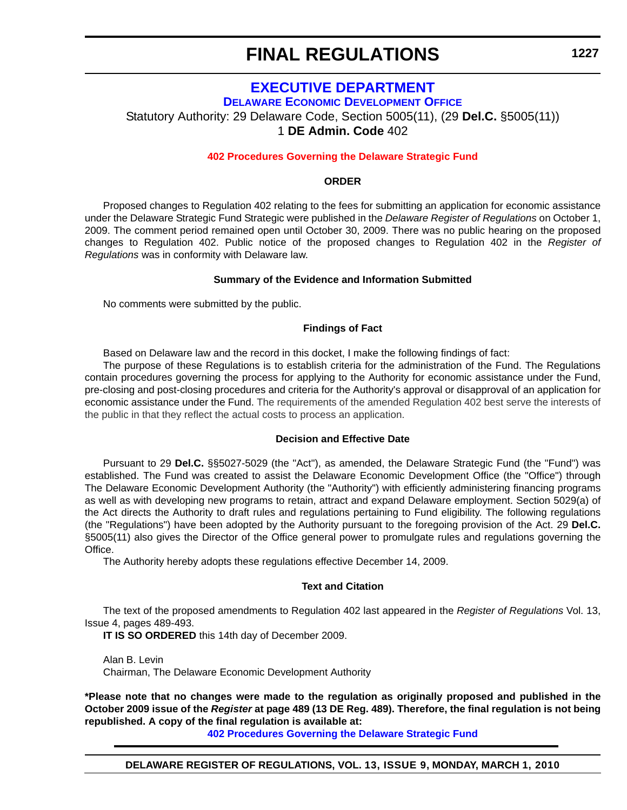### **EXECUTIVE DEPARTMENT**

**[DELAWARE ECONOMIC DEVELOPMENT OFFICE](http://dedo.delaware.gov/)**

Statutory Authority: 29 Delaware Code, Section 5005(11), (29 **Del.C.** §5005(11))

1 **DE Admin. Code** 402

#### **[402 Procedures Governing the Delaware Strategic Fund](#page-4-0)**

#### **ORDER**

Proposed changes to Regulation 402 relating to the fees for submitting an application for economic assistance under the Delaware Strategic Fund Strategic were published in the *Delaware Register of Regulations* on October 1, 2009. The comment period remained open until October 30, 2009. There was no public hearing on the proposed changes to Regulation 402. Public notice of the proposed changes to Regulation 402 in the *Register of Regulations* was in conformity with Delaware law.

#### **Summary of the Evidence and Information Submitted**

No comments were submitted by the public.

#### **Findings of Fact**

Based on Delaware law and the record in this docket, I make the following findings of fact:

The purpose of these Regulations is to establish criteria for the administration of the Fund. The Regulations contain procedures governing the process for applying to the Authority for economic assistance under the Fund, pre-closing and post-closing procedures and criteria for the Authority's approval or disapproval of an application for economic assistance under the Fund. The requirements of the amended Regulation 402 best serve the interests of the public in that they reflect the actual costs to process an application.

#### **Decision and Effective Date**

Pursuant to 29 **Del.C.** §§5027-5029 (the "Act"), as amended, the Delaware Strategic Fund (the "Fund") was established. The Fund was created to assist the Delaware Economic Development Office (the "Office") through The Delaware Economic Development Authority (the "Authority") with efficiently administering financing programs as well as with developing new programs to retain, attract and expand Delaware employment. Section 5029(a) of the Act directs the Authority to draft rules and regulations pertaining to Fund eligibility. The following regulations (the "Regulations") have been adopted by the Authority pursuant to the foregoing provision of the Act. 29 **Del.C.** §5005(11) also gives the Director of the Office general power to promulgate rules and regulations governing the Office.

The Authority hereby adopts these regulations effective December 14, 2009.

#### **Text and Citation**

The text of the proposed amendments to Regulation 402 last appeared in the *Register of Regulations* Vol. 13, Issue 4, pages 489-493.

**IT IS SO ORDERED** this 14th day of December 2009.

Alan B. Levin Chairman, The Delaware Economic Development Authority

**\*Please note that no changes were made to the regulation as originally proposed and published in the October 2009 issue of the** *Register* **at page 489 (13 DE Reg. 489). Therefore, the final regulation is not being republished. A copy of the final regulation is available at:**

**[402 Procedures Governing the Delaware Strategic Fund](http://regulations.delaware.gov/register/march2010/final/13 DE Reg 1227 03-01-10.htm)**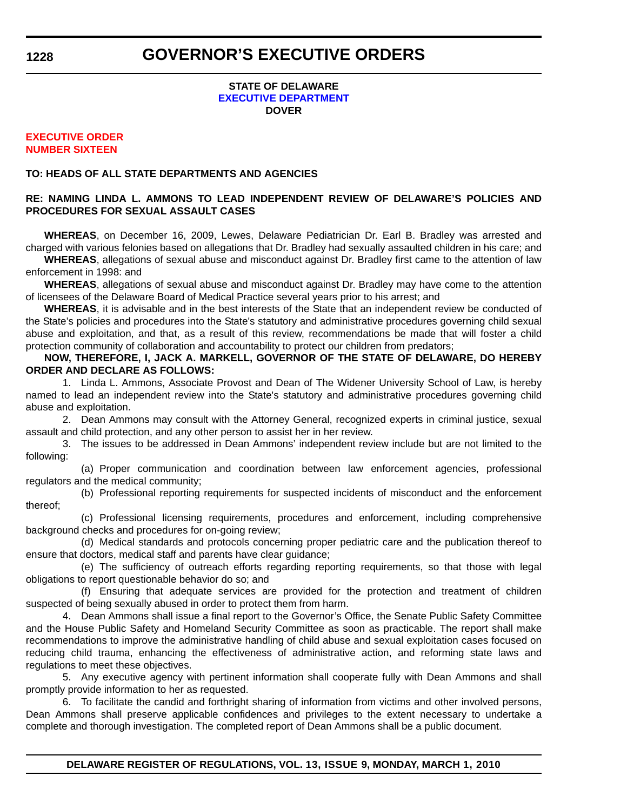#### **STATE OF DELAWARE [EXECUTIVE DEPARTMENT](http://governor.delaware.gov/orders/index.shtml) DOVER**

#### **[EXECUTIVE ORDER](#page-4-0) NUMBER SIXTEEN**

#### **TO: HEADS OF ALL STATE DEPARTMENTS AND AGENCIES**

#### **RE: NAMING LINDA L. AMMONS TO LEAD INDEPENDENT REVIEW OF DELAWARE'S POLICIES AND PROCEDURES FOR SEXUAL ASSAULT CASES**

**WHEREAS**, on December 16, 2009, Lewes, Delaware Pediatrician Dr. Earl B. Bradley was arrested and charged with various felonies based on allegations that Dr. Bradley had sexually assaulted children in his care; and

**WHEREAS**, allegations of sexual abuse and misconduct against Dr. Bradley first came to the attention of law enforcement in 1998: and

**WHEREAS**, allegations of sexual abuse and misconduct against Dr. Bradley may have come to the attention of licensees of the Delaware Board of Medical Practice several years prior to his arrest; and

**WHEREAS**, it is advisable and in the best interests of the State that an independent review be conducted of the State's policies and procedures into the State's statutory and administrative procedures governing child sexual abuse and exploitation, and that, as a result of this review, recommendations be made that will foster a child protection community of collaboration and accountability to protect our children from predators;

**NOW, THEREFORE, I, JACK A. MARKELL, GOVERNOR OF THE STATE OF DELAWARE, DO HEREBY ORDER AND DECLARE AS FOLLOWS:**

1. Linda L. Ammons, Associate Provost and Dean of The Widener University School of Law, is hereby named to lead an independent review into the State's statutory and administrative procedures governing child abuse and exploitation.

2. Dean Ammons may consult with the Attorney General, recognized experts in criminal justice, sexual assault and child protection, and any other person to assist her in her review.

3. The issues to be addressed in Dean Ammons' independent review include but are not limited to the following:

(a) Proper communication and coordination between law enforcement agencies, professional regulators and the medical community;

(b) Professional reporting requirements for suspected incidents of misconduct and the enforcement thereof;

(c) Professional licensing requirements, procedures and enforcement, including comprehensive background checks and procedures for on-going review;

(d) Medical standards and protocols concerning proper pediatric care and the publication thereof to ensure that doctors, medical staff and parents have clear guidance;

(e) The sufficiency of outreach efforts regarding reporting requirements, so that those with legal obligations to report questionable behavior do so; and

(f) Ensuring that adequate services are provided for the protection and treatment of children suspected of being sexually abused in order to protect them from harm.

4. Dean Ammons shall issue a final report to the Governor's Office, the Senate Public Safety Committee and the House Public Safety and Homeland Security Committee as soon as practicable. The report shall make recommendations to improve the administrative handling of child abuse and sexual exploitation cases focused on reducing child trauma, enhancing the effectiveness of administrative action, and reforming state laws and regulations to meet these objectives.

5. Any executive agency with pertinent information shall cooperate fully with Dean Ammons and shall promptly provide information to her as requested.

6. To facilitate the candid and forthright sharing of information from victims and other involved persons, Dean Ammons shall preserve applicable confidences and privileges to the extent necessary to undertake a complete and thorough investigation. The completed report of Dean Ammons shall be a public document.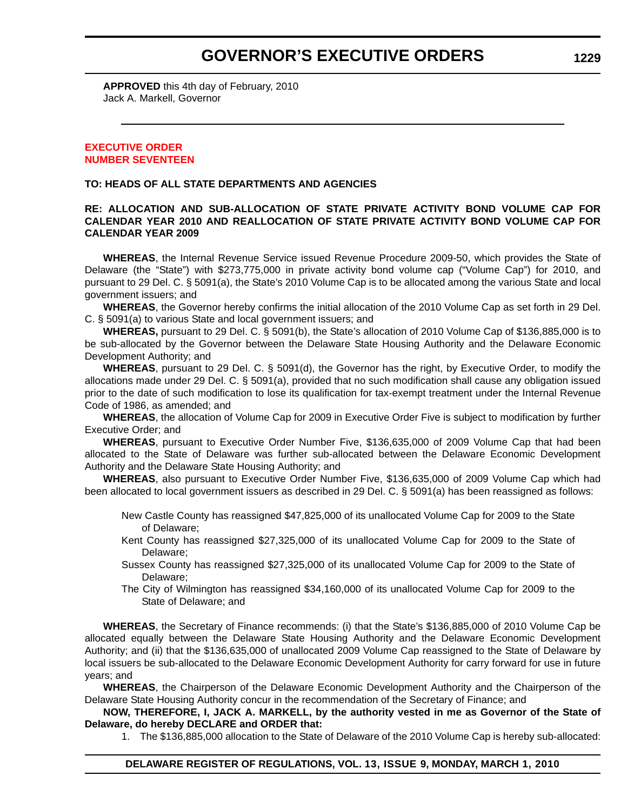## **GOVERNOR'S EXECUTIVE ORDERS**

**APPROVED** this 4th day of February, 2010 Jack A. Markell, Governor

#### **EXECUTIVE ORDER [NUMBER SEVENTEEN](#page-4-0)**

#### **TO: HEADS OF ALL STATE DEPARTMENTS AND AGENCIES**

#### **RE: ALLOCATION AND SUB-ALLOCATION OF STATE PRIVATE ACTIVITY BOND VOLUME CAP FOR CALENDAR YEAR 2010 AND REALLOCATION OF STATE PRIVATE ACTIVITY BOND VOLUME CAP FOR CALENDAR YEAR 2009**

**WHEREAS**, the Internal Revenue Service issued Revenue Procedure 2009-50, which provides the State of Delaware (the "State") with \$273,775,000 in private activity bond volume cap ("Volume Cap") for 2010, and pursuant to 29 Del. C. § 5091(a), the State's 2010 Volume Cap is to be allocated among the various State and local government issuers; and

**WHEREAS**, the Governor hereby confirms the initial allocation of the 2010 Volume Cap as set forth in 29 Del. C. § 5091(a) to various State and local government issuers; and

**WHEREAS,** pursuant to 29 Del. C. § 5091(b), the State's allocation of 2010 Volume Cap of \$136,885,000 is to be sub-allocated by the Governor between the Delaware State Housing Authority and the Delaware Economic Development Authority; and

**WHEREAS**, pursuant to 29 Del. C. § 5091(d), the Governor has the right, by Executive Order, to modify the allocations made under 29 Del. C. § 5091(a), provided that no such modification shall cause any obligation issued prior to the date of such modification to lose its qualification for tax-exempt treatment under the Internal Revenue Code of 1986, as amended; and

**WHEREAS**, the allocation of Volume Cap for 2009 in Executive Order Five is subject to modification by further Executive Order; and

**WHEREAS**, pursuant to Executive Order Number Five, \$136,635,000 of 2009 Volume Cap that had been allocated to the State of Delaware was further sub-allocated between the Delaware Economic Development Authority and the Delaware State Housing Authority; and

**WHEREAS**, also pursuant to Executive Order Number Five, \$136,635,000 of 2009 Volume Cap which had been allocated to local government issuers as described in 29 Del. C. § 5091(a) has been reassigned as follows:

New Castle County has reassigned \$47,825,000 of its unallocated Volume Cap for 2009 to the State of Delaware;

- Kent County has reassigned \$27,325,000 of its unallocated Volume Cap for 2009 to the State of Delaware;
- Sussex County has reassigned \$27,325,000 of its unallocated Volume Cap for 2009 to the State of Delaware;
- The City of Wilmington has reassigned \$34,160,000 of its unallocated Volume Cap for 2009 to the State of Delaware; and

**WHEREAS**, the Secretary of Finance recommends: (i) that the State's \$136,885,000 of 2010 Volume Cap be allocated equally between the Delaware State Housing Authority and the Delaware Economic Development Authority; and (ii) that the \$136,635,000 of unallocated 2009 Volume Cap reassigned to the State of Delaware by local issuers be sub-allocated to the Delaware Economic Development Authority for carry forward for use in future years; and

**WHEREAS**, the Chairperson of the Delaware Economic Development Authority and the Chairperson of the Delaware State Housing Authority concur in the recommendation of the Secretary of Finance; and

**NOW, THEREFORE, I, JACK A. MARKELL, by the authority vested in me as Governor of the State of Delaware, do hereby DECLARE and ORDER that:**

1. The \$136,885,000 allocation to the State of Delaware of the 2010 Volume Cap is hereby sub-allocated: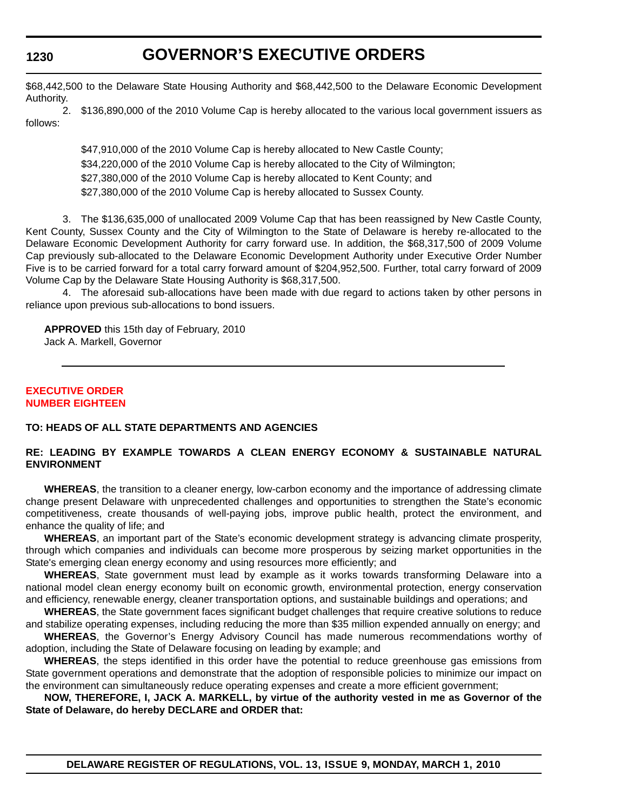## **GOVERNOR'S EXECUTIVE ORDERS**

\$68,442,500 to the Delaware State Housing Authority and \$68,442,500 to the Delaware Economic Development Authority.

2. \$136,890,000 of the 2010 Volume Cap is hereby allocated to the various local government issuers as follows:

> \$47,910,000 of the 2010 Volume Cap is hereby allocated to New Castle County; \$34,220,000 of the 2010 Volume Cap is hereby allocated to the City of Wilmington; \$27,380,000 of the 2010 Volume Cap is hereby allocated to Kent County; and \$27,380,000 of the 2010 Volume Cap is hereby allocated to Sussex County.

3. The \$136,635,000 of unallocated 2009 Volume Cap that has been reassigned by New Castle County, Kent County, Sussex County and the City of Wilmington to the State of Delaware is hereby re-allocated to the Delaware Economic Development Authority for carry forward use. In addition, the \$68,317,500 of 2009 Volume Cap previously sub-allocated to the Delaware Economic Development Authority under Executive Order Number Five is to be carried forward for a total carry forward amount of \$204,952,500. Further, total carry forward of 2009 Volume Cap by the Delaware State Housing Authority is \$68,317,500.

4. The aforesaid sub-allocations have been made with due regard to actions taken by other persons in reliance upon previous sub-allocations to bond issuers.

**APPROVED** this 15th day of February, 2010 Jack A. Markell, Governor

#### **EXECUTIVE ORDER [NUMBER EIGHTEEN](#page-4-0)**

#### **TO: HEADS OF ALL STATE DEPARTMENTS AND AGENCIES**

#### **RE: LEADING BY EXAMPLE TOWARDS A CLEAN ENERGY ECONOMY & SUSTAINABLE NATURAL ENVIRONMENT**

**WHEREAS**, the transition to a cleaner energy, low-carbon economy and the importance of addressing climate change present Delaware with unprecedented challenges and opportunities to strengthen the State's economic competitiveness, create thousands of well-paying jobs, improve public health, protect the environment, and enhance the quality of life; and

**WHEREAS**, an important part of the State's economic development strategy is advancing climate prosperity, through which companies and individuals can become more prosperous by seizing market opportunities in the State's emerging clean energy economy and using resources more efficiently; and

**WHEREAS**, State government must lead by example as it works towards transforming Delaware into a national model clean energy economy built on economic growth, environmental protection, energy conservation and efficiency, renewable energy, cleaner transportation options, and sustainable buildings and operations; and

**WHEREAS**, the State government faces significant budget challenges that require creative solutions to reduce and stabilize operating expenses, including reducing the more than \$35 million expended annually on energy; and

**WHEREAS**, the Governor's Energy Advisory Council has made numerous recommendations worthy of adoption, including the State of Delaware focusing on leading by example; and

**WHEREAS**, the steps identified in this order have the potential to reduce greenhouse gas emissions from State government operations and demonstrate that the adoption of responsible policies to minimize our impact on the environment can simultaneously reduce operating expenses and create a more efficient government;

**NOW, THEREFORE, I, JACK A. MARKELL, by virtue of the authority vested in me as Governor of the State of Delaware, do hereby DECLARE and ORDER that:**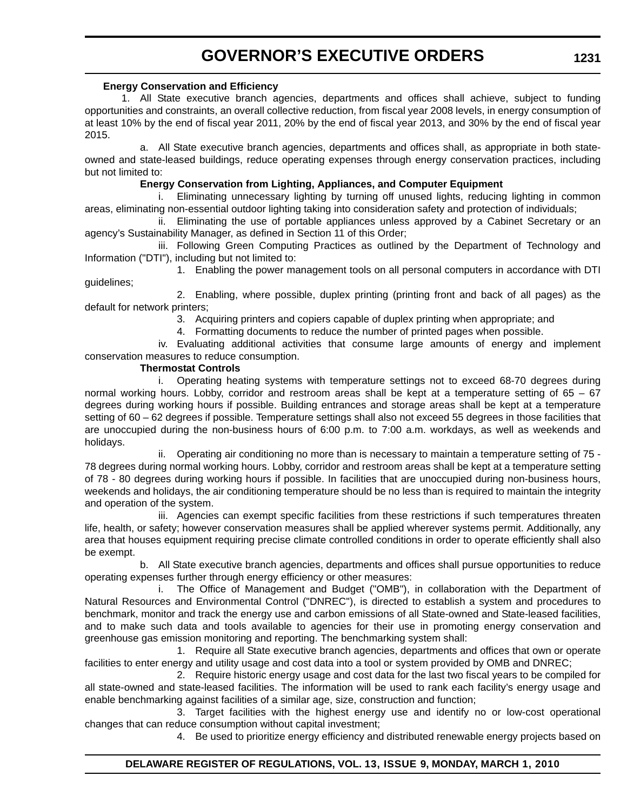## **GOVERNOR'S EXECUTIVE ORDERS**

#### **Energy Conservation and Efficiency**

1. All State executive branch agencies, departments and offices shall achieve, subject to funding opportunities and constraints, an overall collective reduction, from fiscal year 2008 levels, in energy consumption of at least 10% by the end of fiscal year 2011, 20% by the end of fiscal year 2013, and 30% by the end of fiscal year 2015.

a. All State executive branch agencies, departments and offices shall, as appropriate in both stateowned and state-leased buildings, reduce operating expenses through energy conservation practices, including but not limited to:

#### **Energy Conservation from Lighting, Appliances, and Computer Equipment**

i. Eliminating unnecessary lighting by turning off unused lights, reducing lighting in common areas, eliminating non-essential outdoor lighting taking into consideration safety and protection of individuals;

ii. Eliminating the use of portable appliances unless approved by a Cabinet Secretary or an agency's Sustainability Manager, as defined in Section 11 of this Order;

iii. Following Green Computing Practices as outlined by the Department of Technology and Information ("DTI"), including but not limited to:

1. Enabling the power management tools on all personal computers in accordance with DTI guidelines;

2. Enabling, where possible, duplex printing (printing front and back of all pages) as the default for network printers;

3. Acquiring printers and copiers capable of duplex printing when appropriate; and

4. Formatting documents to reduce the number of printed pages when possible.

iv. Evaluating additional activities that consume large amounts of energy and implement conservation measures to reduce consumption.

#### **Thermostat Controls**

i. Operating heating systems with temperature settings not to exceed 68-70 degrees during normal working hours. Lobby, corridor and restroom areas shall be kept at a temperature setting of 65 – 67 degrees during working hours if possible. Building entrances and storage areas shall be kept at a temperature setting of 60 – 62 degrees if possible. Temperature settings shall also not exceed 55 degrees in those facilities that are unoccupied during the non-business hours of 6:00 p.m. to 7:00 a.m. workdays, as well as weekends and holidays.

ii. Operating air conditioning no more than is necessary to maintain a temperature setting of 75 - 78 degrees during normal working hours. Lobby, corridor and restroom areas shall be kept at a temperature setting of 78 - 80 degrees during working hours if possible. In facilities that are unoccupied during non-business hours, weekends and holidays, the air conditioning temperature should be no less than is required to maintain the integrity and operation of the system.

iii. Agencies can exempt specific facilities from these restrictions if such temperatures threaten life, health, or safety; however conservation measures shall be applied wherever systems permit. Additionally, any area that houses equipment requiring precise climate controlled conditions in order to operate efficiently shall also be exempt.

b. All State executive branch agencies, departments and offices shall pursue opportunities to reduce operating expenses further through energy efficiency or other measures:

i. The Office of Management and Budget ("OMB"), in collaboration with the Department of Natural Resources and Environmental Control ("DNREC"), is directed to establish a system and procedures to benchmark, monitor and track the energy use and carbon emissions of all State-owned and State-leased facilities, and to make such data and tools available to agencies for their use in promoting energy conservation and greenhouse gas emission monitoring and reporting. The benchmarking system shall:

1. Require all State executive branch agencies, departments and offices that own or operate facilities to enter energy and utility usage and cost data into a tool or system provided by OMB and DNREC;

2. Require historic energy usage and cost data for the last two fiscal years to be compiled for all state-owned and state-leased facilities. The information will be used to rank each facility's energy usage and enable benchmarking against facilities of a similar age, size, construction and function;

3. Target facilities with the highest energy use and identify no or low-cost operational changes that can reduce consumption without capital investment;

4. Be used to prioritize energy efficiency and distributed renewable energy projects based on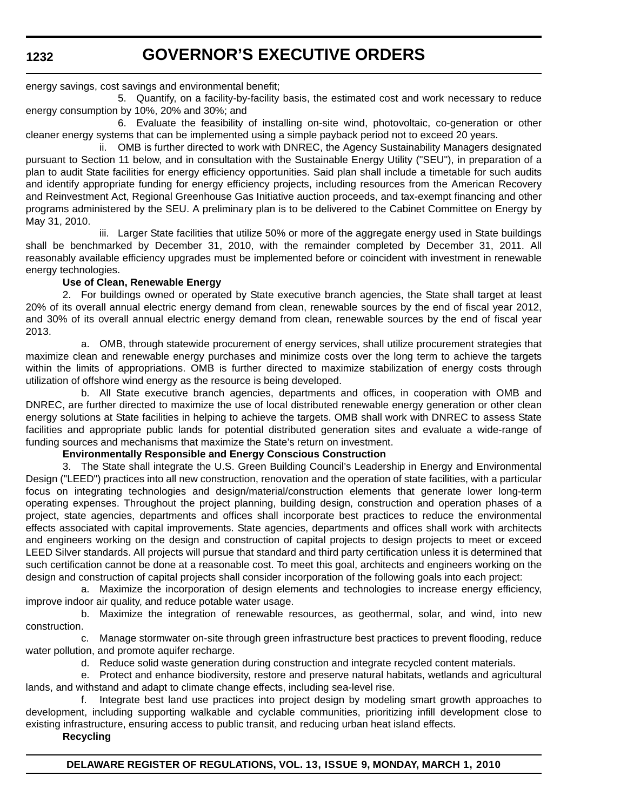## **GOVERNOR'S EXECUTIVE ORDERS**

energy savings, cost savings and environmental benefit;

5. Quantify, on a facility-by-facility basis, the estimated cost and work necessary to reduce energy consumption by 10%, 20% and 30%; and

6. Evaluate the feasibility of installing on-site wind, photovoltaic, co-generation or other cleaner energy systems that can be implemented using a simple payback period not to exceed 20 years.

ii. OMB is further directed to work with DNREC, the Agency Sustainability Managers designated pursuant to Section 11 below, and in consultation with the Sustainable Energy Utility ("SEU"), in preparation of a plan to audit State facilities for energy efficiency opportunities. Said plan shall include a timetable for such audits and identify appropriate funding for energy efficiency projects, including resources from the American Recovery and Reinvestment Act, Regional Greenhouse Gas Initiative auction proceeds, and tax-exempt financing and other programs administered by the SEU. A preliminary plan is to be delivered to the Cabinet Committee on Energy by May 31, 2010.

iii. Larger State facilities that utilize 50% or more of the aggregate energy used in State buildings shall be benchmarked by December 31, 2010, with the remainder completed by December 31, 2011. All reasonably available efficiency upgrades must be implemented before or coincident with investment in renewable energy technologies.

#### **Use of Clean, Renewable Energy**

2. For buildings owned or operated by State executive branch agencies, the State shall target at least 20% of its overall annual electric energy demand from clean, renewable sources by the end of fiscal year 2012, and 30% of its overall annual electric energy demand from clean, renewable sources by the end of fiscal year 2013.

a. OMB, through statewide procurement of energy services, shall utilize procurement strategies that maximize clean and renewable energy purchases and minimize costs over the long term to achieve the targets within the limits of appropriations. OMB is further directed to maximize stabilization of energy costs through utilization of offshore wind energy as the resource is being developed.

b. All State executive branch agencies, departments and offices, in cooperation with OMB and DNREC, are further directed to maximize the use of local distributed renewable energy generation or other clean energy solutions at State facilities in helping to achieve the targets. OMB shall work with DNREC to assess State facilities and appropriate public lands for potential distributed generation sites and evaluate a wide-range of funding sources and mechanisms that maximize the State's return on investment.

#### **Environmentally Responsible and Energy Conscious Construction**

3. The State shall integrate the U.S. Green Building Council's Leadership in Energy and Environmental Design ("LEED") practices into all new construction, renovation and the operation of state facilities, with a particular focus on integrating technologies and design/material/construction elements that generate lower long-term operating expenses. Throughout the project planning, building design, construction and operation phases of a project, state agencies, departments and offices shall incorporate best practices to reduce the environmental effects associated with capital improvements. State agencies, departments and offices shall work with architects and engineers working on the design and construction of capital projects to design projects to meet or exceed LEED Silver standards. All projects will pursue that standard and third party certification unless it is determined that such certification cannot be done at a reasonable cost. To meet this goal, architects and engineers working on the design and construction of capital projects shall consider incorporation of the following goals into each project:

a. Maximize the incorporation of design elements and technologies to increase energy efficiency, improve indoor air quality, and reduce potable water usage.

b. Maximize the integration of renewable resources, as geothermal, solar, and wind, into new construction.

c. Manage stormwater on-site through green infrastructure best practices to prevent flooding, reduce water pollution, and promote aquifer recharge.

d. Reduce solid waste generation during construction and integrate recycled content materials.

e. Protect and enhance biodiversity, restore and preserve natural habitats, wetlands and agricultural lands, and withstand and adapt to climate change effects, including sea-level rise.

f. Integrate best land use practices into project design by modeling smart growth approaches to development, including supporting walkable and cyclable communities, prioritizing infill development close to existing infrastructure, ensuring access to public transit, and reducing urban heat island effects.

**Recycling**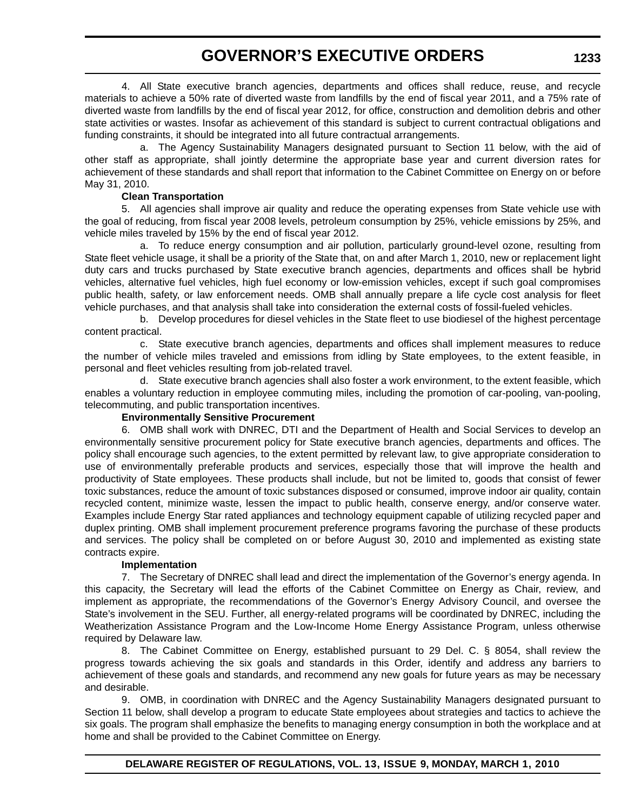## **GOVERNOR'S EXECUTIVE ORDERS**

4. All State executive branch agencies, departments and offices shall reduce, reuse, and recycle materials to achieve a 50% rate of diverted waste from landfills by the end of fiscal year 2011, and a 75% rate of diverted waste from landfills by the end of fiscal year 2012, for office, construction and demolition debris and other state activities or wastes. Insofar as achievement of this standard is subject to current contractual obligations and funding constraints, it should be integrated into all future contractual arrangements.

a. The Agency Sustainability Managers designated pursuant to Section 11 below, with the aid of other staff as appropriate, shall jointly determine the appropriate base year and current diversion rates for achievement of these standards and shall report that information to the Cabinet Committee on Energy on or before May 31, 2010.

#### **Clean Transportation**

5. All agencies shall improve air quality and reduce the operating expenses from State vehicle use with the goal of reducing, from fiscal year 2008 levels, petroleum consumption by 25%, vehicle emissions by 25%, and vehicle miles traveled by 15% by the end of fiscal year 2012.

a. To reduce energy consumption and air pollution, particularly ground-level ozone, resulting from State fleet vehicle usage, it shall be a priority of the State that, on and after March 1, 2010, new or replacement light duty cars and trucks purchased by State executive branch agencies, departments and offices shall be hybrid vehicles, alternative fuel vehicles, high fuel economy or low-emission vehicles, except if such goal compromises public health, safety, or law enforcement needs. OMB shall annually prepare a life cycle cost analysis for fleet vehicle purchases, and that analysis shall take into consideration the external costs of fossil-fueled vehicles.

b. Develop procedures for diesel vehicles in the State fleet to use biodiesel of the highest percentage content practical.

c. State executive branch agencies, departments and offices shall implement measures to reduce the number of vehicle miles traveled and emissions from idling by State employees, to the extent feasible, in personal and fleet vehicles resulting from job-related travel.

d. State executive branch agencies shall also foster a work environment, to the extent feasible, which enables a voluntary reduction in employee commuting miles, including the promotion of car-pooling, van-pooling, telecommuting, and public transportation incentives.

#### **Environmentally Sensitive Procurement**

6. OMB shall work with DNREC, DTI and the Department of Health and Social Services to develop an environmentally sensitive procurement policy for State executive branch agencies, departments and offices. The policy shall encourage such agencies, to the extent permitted by relevant law, to give appropriate consideration to use of environmentally preferable products and services, especially those that will improve the health and productivity of State employees. These products shall include, but not be limited to, goods that consist of fewer toxic substances, reduce the amount of toxic substances disposed or consumed, improve indoor air quality, contain recycled content, minimize waste, lessen the impact to public health, conserve energy, and/or conserve water. Examples include Energy Star rated appliances and technology equipment capable of utilizing recycled paper and duplex printing. OMB shall implement procurement preference programs favoring the purchase of these products and services. The policy shall be completed on or before August 30, 2010 and implemented as existing state contracts expire.

#### **Implementation**

7. The Secretary of DNREC shall lead and direct the implementation of the Governor's energy agenda. In this capacity, the Secretary will lead the efforts of the Cabinet Committee on Energy as Chair, review, and implement as appropriate, the recommendations of the Governor's Energy Advisory Council, and oversee the State's involvement in the SEU. Further, all energy-related programs will be coordinated by DNREC, including the Weatherization Assistance Program and the Low-Income Home Energy Assistance Program, unless otherwise required by Delaware law.

8. The Cabinet Committee on Energy, established pursuant to 29 Del. C. § 8054, shall review the progress towards achieving the six goals and standards in this Order, identify and address any barriers to achievement of these goals and standards, and recommend any new goals for future years as may be necessary and desirable.

9. OMB, in coordination with DNREC and the Agency Sustainability Managers designated pursuant to Section 11 below, shall develop a program to educate State employees about strategies and tactics to achieve the six goals. The program shall emphasize the benefits to managing energy consumption in both the workplace and at home and shall be provided to the Cabinet Committee on Energy.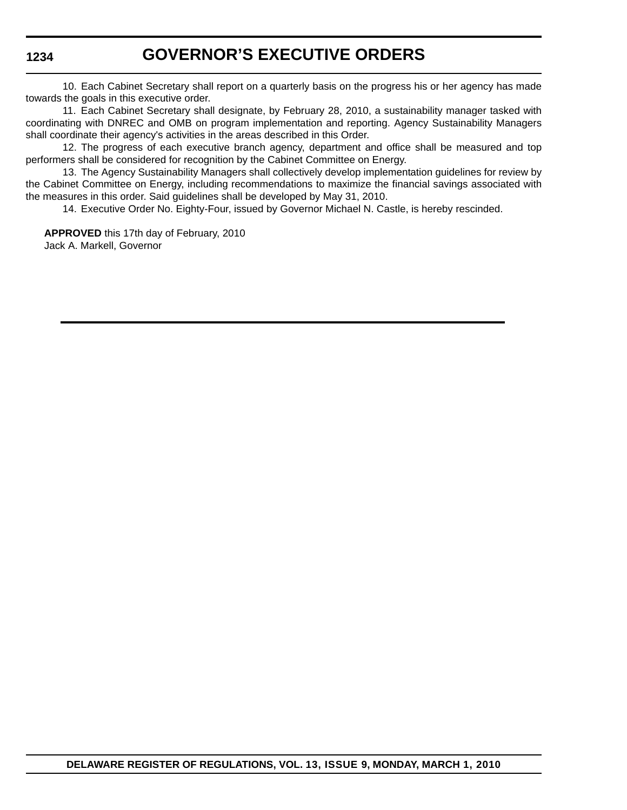## **GOVERNOR'S EXECUTIVE ORDERS**

10. Each Cabinet Secretary shall report on a quarterly basis on the progress his or her agency has made towards the goals in this executive order.

11. Each Cabinet Secretary shall designate, by February 28, 2010, a sustainability manager tasked with coordinating with DNREC and OMB on program implementation and reporting. Agency Sustainability Managers shall coordinate their agency's activities in the areas described in this Order.

12. The progress of each executive branch agency, department and office shall be measured and top performers shall be considered for recognition by the Cabinet Committee on Energy.

13. The Agency Sustainability Managers shall collectively develop implementation guidelines for review by the Cabinet Committee on Energy, including recommendations to maximize the financial savings associated with the measures in this order. Said guidelines shall be developed by May 31, 2010.

14. Executive Order No. Eighty-Four, issued by Governor Michael N. Castle, is hereby rescinded.

**APPROVED** this 17th day of February, 2010 Jack A. Markell, Governor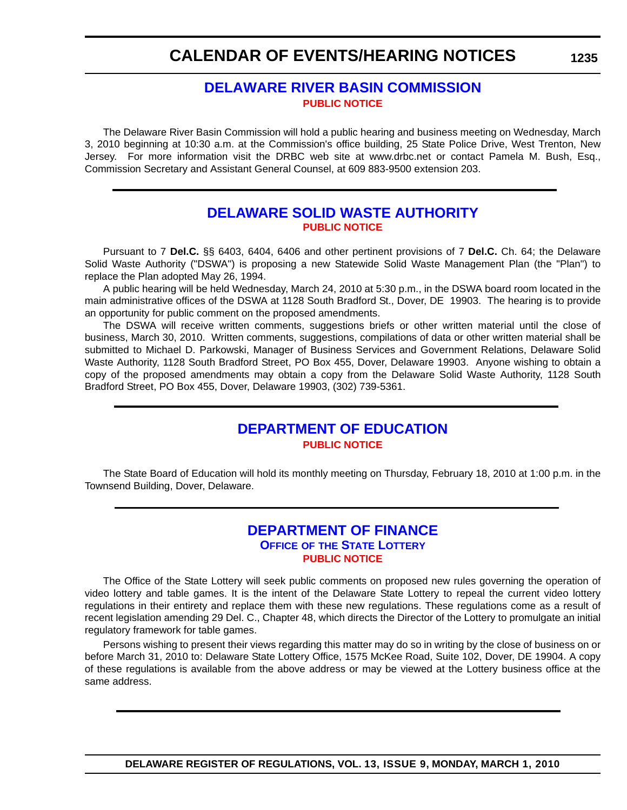## **CALENDAR OF EVENTS/HEARING NOTICES**

### **[DELAWARE RIVER BASIN COMMISSION](http://www.state.nj.us/drbc/) [PUBLIC NOTICE](#page-4-0)**

The Delaware River Basin Commission will hold a public hearing and business meeting on Wednesday, March 3, 2010 beginning at 10:30 a.m. at the Commission's office building, 25 State Police Drive, West Trenton, New Jersey. For more information visit the DRBC web site at www.drbc.net or contact Pamela M. Bush, Esq., Commission Secretary and Assistant General Counsel, at 609 883-9500 extension 203.

### **[DELAWARE SOLID WASTE AUTHORITY](http://www.dswa.com/) [PUBLIC NOTICE](#page-4-0)**

Pursuant to 7 **Del.C.** §§ 6403, 6404, 6406 and other pertinent provisions of 7 **Del.C.** Ch. 64; the Delaware Solid Waste Authority ("DSWA") is proposing a new Statewide Solid Waste Management Plan (the "Plan") to replace the Plan adopted May 26, 1994.

A public hearing will be held Wednesday, March 24, 2010 at 5:30 p.m., in the DSWA board room located in the main administrative offices of the DSWA at 1128 South Bradford St., Dover, DE 19903. The hearing is to provide an opportunity for public comment on the proposed amendments.

The DSWA will receive written comments, suggestions briefs or other written material until the close of business, March 30, 2010. Written comments, suggestions, compilations of data or other written material shall be submitted to Michael D. Parkowski, Manager of Business Services and Government Relations, Delaware Solid Waste Authority, 1128 South Bradford Street, PO Box 455, Dover, Delaware 19903. Anyone wishing to obtain a copy of the proposed amendments may obtain a copy from the Delaware Solid Waste Authority, 1128 South Bradford Street, PO Box 455, Dover, Delaware 19903, (302) 739-5361.

### **[DEPARTMENT OF EDUCATION](http://www.doe.k12.de.us/) [PUBLIC NOTICE](#page-4-0)**

The State Board of Education will hold its monthly meeting on Thursday, February 18, 2010 at 1:00 p.m. in the Townsend Building, Dover, Delaware.

### **[DEPARTMENT OF FINANCE](http://delottery.com/) OFFICE OF THE STATE LOTTERY [PUBLIC NOTICE](#page-4-0)**

The Office of the State Lottery will seek public comments on proposed new rules governing the operation of video lottery and table games. It is the intent of the Delaware State Lottery to repeal the current video lottery regulations in their entirety and replace them with these new regulations. These regulations come as a result of recent legislation amending 29 Del. C., Chapter 48, which directs the Director of the Lottery to promulgate an initial regulatory framework for table games.

Persons wishing to present their views regarding this matter may do so in writing by the close of business on or before March 31, 2010 to: Delaware State Lottery Office, 1575 McKee Road, Suite 102, Dover, DE 19904. A copy of these regulations is available from the above address or may be viewed at the Lottery business office at the same address.

#### **1235**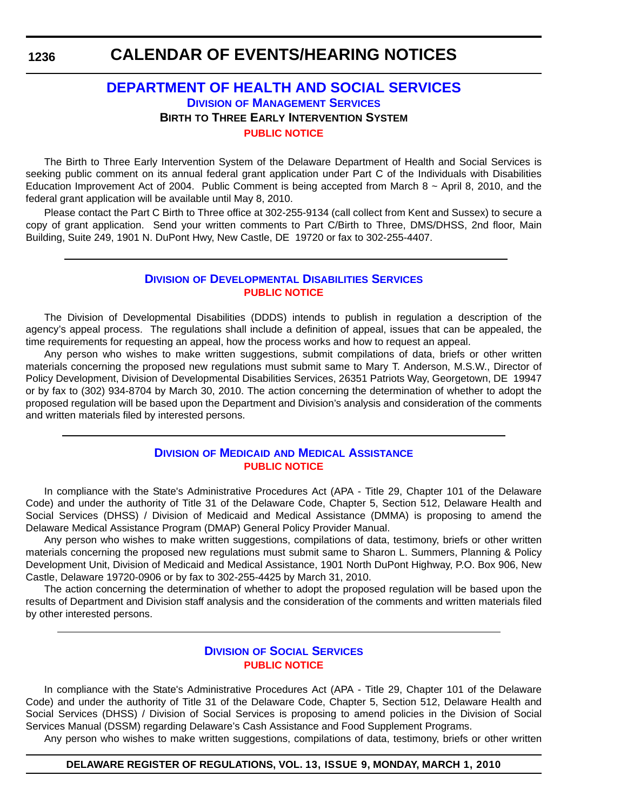## **CALENDAR OF EVENTS/HEARING NOTICES**

### **[DEPARTMENT OF HEALTH AND SOCIAL SERVICES](http://www.dhss.delaware.gov/dhss/dms/index.html) DIVISION OF MANAGEMENT SERVICES BIRTH TO THREE EARLY INTERVENTION SYSTEM [PUBLIC NOTICE](#page-4-0)**

The Birth to Three Early Intervention System of the Delaware Department of Health and Social Services is seeking public comment on its annual federal grant application under Part C of the Individuals with Disabilities Education Improvement Act of 2004. Public Comment is being accepted from March  $8 \sim$  April 8, 2010, and the federal grant application will be available until May 8, 2010.

Please contact the Part C Birth to Three office at 302-255-9134 (call collect from Kent and Sussex) to secure a copy of grant application. Send your written comments to Part C/Birth to Three, DMS/DHSS, 2nd floor, Main Building, Suite 249, 1901 N. DuPont Hwy, New Castle, DE 19720 or fax to 302-255-4407.

#### **DIVISION [OF DEVELOPMENTAL DISABILITIES SERVICES](http://www.dhss.delaware.gov/dhss/ddds/index.html) [PUBLIC NOTICE](#page-4-0)**

The Division of Developmental Disabilities (DDDS) intends to publish in regulation a description of the agency's appeal process. The regulations shall include a definition of appeal, issues that can be appealed, the time requirements for requesting an appeal, how the process works and how to request an appeal.

Any person who wishes to make written suggestions, submit compilations of data, briefs or other written materials concerning the proposed new regulations must submit same to Mary T. Anderson, M.S.W., Director of Policy Development, Division of Developmental Disabilities Services, 26351 Patriots Way, Georgetown, DE 19947 or by fax to (302) 934-8704 by March 30, 2010. The action concerning the determination of whether to adopt the proposed regulation will be based upon the Department and Division's analysis and consideration of the comments and written materials filed by interested persons.

#### **DIVISION OF MEDICAID [AND MEDICAL ASSISTANCE](http://www.dhss.delaware.gov/dhss/dmma/) [PUBLIC NOTICE](#page-4-0)**

In compliance with the State's Administrative Procedures Act (APA - Title 29, Chapter 101 of the Delaware Code) and under the authority of Title 31 of the Delaware Code, Chapter 5, Section 512, Delaware Health and Social Services (DHSS) / Division of Medicaid and Medical Assistance (DMMA) is proposing to amend the Delaware Medical Assistance Program (DMAP) General Policy Provider Manual.

Any person who wishes to make written suggestions, compilations of data, testimony, briefs or other written materials concerning the proposed new regulations must submit same to Sharon L. Summers, Planning & Policy Development Unit, Division of Medicaid and Medical Assistance, 1901 North DuPont Highway, P.O. Box 906, New Castle, Delaware 19720-0906 or by fax to 302-255-4425 by March 31, 2010.

The action concerning the determination of whether to adopt the proposed regulation will be based upon the results of Department and Division staff analysis and the consideration of the comments and written materials filed by other interested persons.

#### **DIVISION [OF SOCIAL SERVICES](http://www.dhss.delaware.gov/dhss/dss/) [PUBLIC NOTICE](#page-4-0)**

In compliance with the State's Administrative Procedures Act (APA - Title 29, Chapter 101 of the Delaware Code) and under the authority of Title 31 of the Delaware Code, Chapter 5, Section 512, Delaware Health and Social Services (DHSS) / Division of Social Services is proposing to amend policies in the Division of Social Services Manual (DSSM) regarding Delaware's Cash Assistance and Food Supplement Programs.

Any person who wishes to make written suggestions, compilations of data, testimony, briefs or other written

#### **DELAWARE REGISTER OF REGULATIONS, VOL. 13, ISSUE 9, MONDAY, MARCH 1, 2010**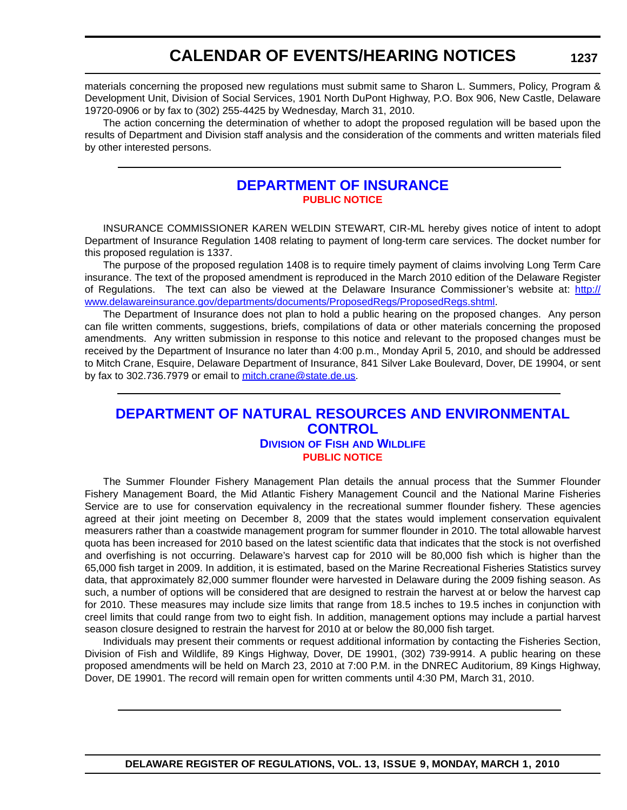## **CALENDAR OF EVENTS/HEARING NOTICES**

materials concerning the proposed new regulations must submit same to Sharon L. Summers, Policy, Program & Development Unit, Division of Social Services, 1901 North DuPont Highway, P.O. Box 906, New Castle, Delaware 19720-0906 or by fax to (302) 255-4425 by Wednesday, March 31, 2010.

The action concerning the determination of whether to adopt the proposed regulation will be based upon the results of Department and Division staff analysis and the consideration of the comments and written materials filed by other interested persons.

### **[DEPARTMENT OF INSURANCE](http://www.delawareinsurance.gov/) [PUBLIC NOTICE](#page-4-0)**

INSURANCE COMMISSIONER KAREN WELDIN STEWART, CIR-ML hereby gives notice of intent to adopt Department of Insurance Regulation 1408 relating to payment of long-term care services. The docket number for this proposed regulation is 1337.

The purpose of the proposed regulation 1408 is to require timely payment of claims involving Long Term Care insurance. The text of the proposed amendment is reproduced in the March 2010 edition of the Delaware Register of Regulations. The text can also be viewed at the Delaware Insurance Commissioner's website at: [http://](http://www.delawareinsurance.gov/departments/documents/ProposedRegs/ProposedRegs.shtml) [www.delawareinsurance.gov/departments/documents/ProposedRegs/ProposedRegs.shtml](http://www.delawareinsurance.gov/departments/documents/ProposedRegs/ProposedRegs.shtml).

The Department of Insurance does not plan to hold a public hearing on the proposed changes. Any person can file written comments, suggestions, briefs, compilations of data or other materials concerning the proposed amendments. Any written submission in response to this notice and relevant to the proposed changes must be received by the Department of Insurance no later than 4:00 p.m., Monday April 5, 2010, and should be addressed to Mitch Crane, Esquire, Delaware Department of Insurance, 841 Silver Lake Boulevard, Dover, DE 19904, or sent by fax to 302.736.7979 or email to [mitch.crane@state.de.us](mailto:mitch.crane@state.de.us).

### **[DEPARTMENT OF NATURAL RESOURCES AND ENVIRONMENTAL](http://www.fw.delaware.gov/Pages/FWPortal.aspx)  CONTROL DIVISION OF FISH AND WILDLIFE [PUBLIC NOTICE](#page-4-0)**

The Summer Flounder Fishery Management Plan details the annual process that the Summer Flounder Fishery Management Board, the Mid Atlantic Fishery Management Council and the National Marine Fisheries Service are to use for conservation equivalency in the recreational summer flounder fishery. These agencies agreed at their joint meeting on December 8, 2009 that the states would implement conservation equivalent measurers rather than a coastwide management program for summer flounder in 2010. The total allowable harvest quota has been increased for 2010 based on the latest scientific data that indicates that the stock is not overfished and overfishing is not occurring. Delaware's harvest cap for 2010 will be 80,000 fish which is higher than the 65,000 fish target in 2009. In addition, it is estimated, based on the Marine Recreational Fisheries Statistics survey data, that approximately 82,000 summer flounder were harvested in Delaware during the 2009 fishing season. As such, a number of options will be considered that are designed to restrain the harvest at or below the harvest cap for 2010. These measures may include size limits that range from 18.5 inches to 19.5 inches in conjunction with creel limits that could range from two to eight fish. In addition, management options may include a partial harvest season closure designed to restrain the harvest for 2010 at or below the 80,000 fish target.

Individuals may present their comments or request additional information by contacting the Fisheries Section, Division of Fish and Wildlife, 89 Kings Highway, Dover, DE 19901, (302) 739-9914. A public hearing on these proposed amendments will be held on March 23, 2010 at 7:00 P.M. in the DNREC Auditorium, 89 Kings Highway, Dover, DE 19901. The record will remain open for written comments until 4:30 PM, March 31, 2010.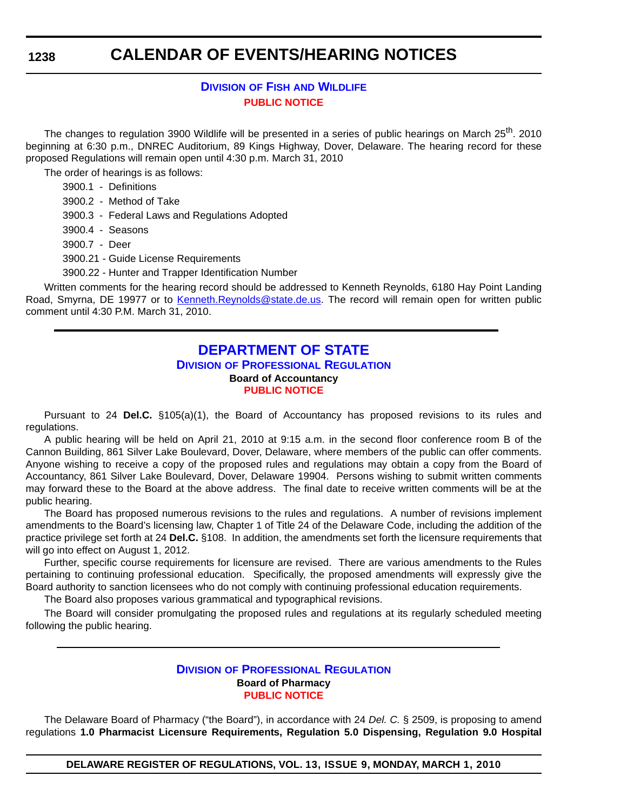## **CALENDAR OF EVENTS/HEARING NOTICES**

### **DIVISION OF FISH [AND WILDLIFE](http://www.fw.delaware.gov/Pages/FWPortal.aspx) [PUBLIC NOTICE](#page-4-0)**

The changes to regulation 3900 Wildlife will be presented in a series of public hearings on March 25<sup>th</sup>. 2010 beginning at 6:30 p.m., DNREC Auditorium, 89 Kings Highway, Dover, Delaware. The hearing record for these proposed Regulations will remain open until 4:30 p.m. March 31, 2010

The order of hearings is as follows:

- 3900.1 Definitions
- 3900.2 Method of Take
- 3900.3 Federal Laws and Regulations Adopted
- 3900.4 Seasons
- 3900.7 Deer
- 3900.21 Guide License Requirements

3900.22 - Hunter and Trapper Identification Number

Written comments for the hearing record should be addressed to Kenneth Reynolds, 6180 Hay Point Landing Road, Smyrna, DE 19977 or to [Kenneth.Reynolds@state.de.us.](mailto:Kenneth.Reynolds@state.de.us) The record will remain open for written public comment until 4:30 P.M. March 31, 2010.

#### **[DEPARTMENT OF STATE](http://dpr.delaware.gov/default.shtml) DIVISION OF PROFESSIONAL REGULATION Board of Accountancy [PUBLIC NOTICE](#page-4-0)**

Pursuant to 24 **Del.C.** §105(a)(1), the Board of Accountancy has proposed revisions to its rules and regulations.

A public hearing will be held on April 21, 2010 at 9:15 a.m. in the second floor conference room B of the Cannon Building, 861 Silver Lake Boulevard, Dover, Delaware, where members of the public can offer comments. Anyone wishing to receive a copy of the proposed rules and regulations may obtain a copy from the Board of Accountancy, 861 Silver Lake Boulevard, Dover, Delaware 19904. Persons wishing to submit written comments may forward these to the Board at the above address. The final date to receive written comments will be at the public hearing.

The Board has proposed numerous revisions to the rules and regulations. A number of revisions implement amendments to the Board's licensing law, Chapter 1 of Title 24 of the Delaware Code, including the addition of the practice privilege set forth at 24 **Del.C.** §108. In addition, the amendments set forth the licensure requirements that will go into effect on August 1, 2012.

Further, specific course requirements for licensure are revised. There are various amendments to the Rules pertaining to continuing professional education. Specifically, the proposed amendments will expressly give the Board authority to sanction licensees who do not comply with continuing professional education requirements.

The Board also proposes various grammatical and typographical revisions.

The Board will consider promulgating the proposed rules and regulations at its regularly scheduled meeting following the public hearing.

#### **DIVISION [OF PROFESSIONAL REGULATION](http://dpr.delaware.gov/default.shtml) Board of Pharmacy [PUBLIC NOTICE](#page-4-0)**

The Delaware Board of Pharmacy ("the Board"), in accordance with 24 *Del. C.* § 2509, is proposing to amend regulations **1.0 Pharmacist Licensure Requirements, Regulation 5.0 Dispensing, Regulation 9.0 Hospital** 

**DELAWARE REGISTER OF REGULATIONS, VOL. 13, ISSUE 9, MONDAY, MARCH 1, 2010**